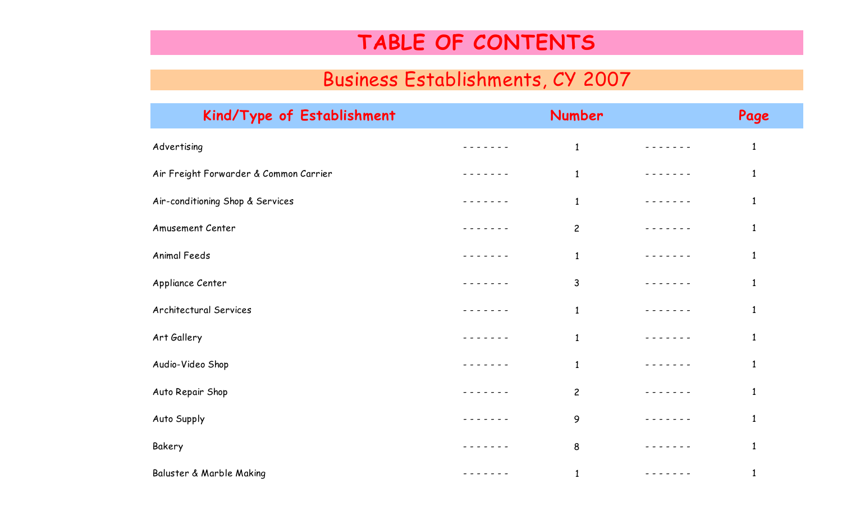## **TABLE OF CONTENTS**

## Business Establishments, CY 2007

| Kind/Type of Establishment             | Number         |               | Page         |
|----------------------------------------|----------------|---------------|--------------|
| Advertising                            | $\mathbf{1}$   |               | $\mathbf{1}$ |
| Air Freight Forwarder & Common Carrier | $\mathbf{1}$   | - - - - - - - | $\mathbf{1}$ |
| Air-conditioning Shop & Services       | $\mathbf{1}$   |               | $\mathbf{1}$ |
| <b>Amusement Center</b>                | $\overline{c}$ |               | $\mathbf{1}$ |
| Animal Feeds                           | $\mathbf{1}$   |               | $\mathbf{1}$ |
| Appliance Center                       | 3              |               | $\mathbf{1}$ |
| Architectural Services                 | $\mathbf{1}$   |               | $\mathbf{1}$ |
| Art Gallery                            | $\mathbf{1}$   |               | $\mathbf{1}$ |
| Audio-Video Shop                       | $\mathbf{1}$   |               | $\mathbf{1}$ |
| Auto Repair Shop                       | $\overline{c}$ |               | $\mathbf{1}$ |
| Auto Supply                            | 9              |               | $\mathbf{1}$ |
| Bakery                                 | 8              |               | $\mathbf{1}$ |
| Baluster & Marble Making               | $\mathbf{1}$   |               | $\mathbf{1}$ |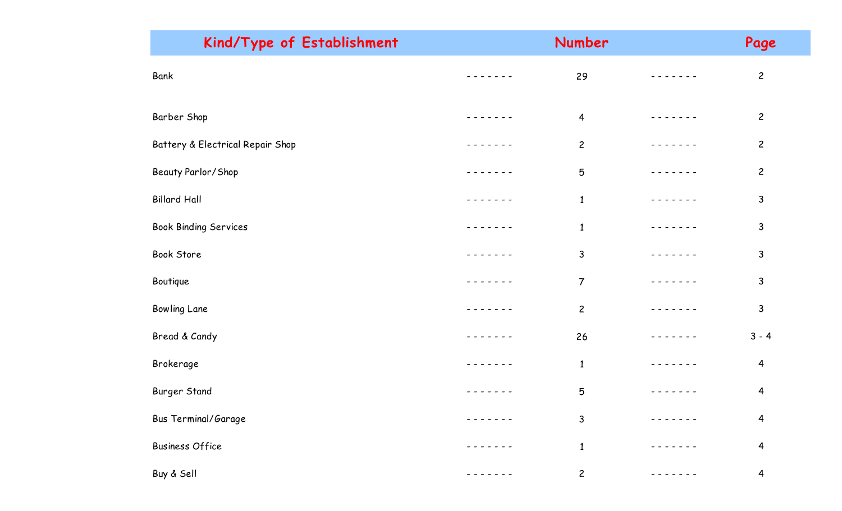| Kind/Type of Establishment       |               | Page           |             |                |
|----------------------------------|---------------|----------------|-------------|----------------|
| Bank                             | - - - - - -   | 29             | -----       | $\overline{c}$ |
| Barber Shop                      |               | $\overline{4}$ |             | $\overline{c}$ |
| Battery & Electrical Repair Shop |               | $\overline{c}$ |             | $\overline{c}$ |
| Beauty Parlor/Shop               |               | 5              |             | $\mathbf{2}$   |
| <b>Billard Hall</b>              |               | $\mathbf{1}$   |             | 3              |
| <b>Book Binding Services</b>     |               | $\mathbf{1}$   |             | 3              |
| Book Store                       |               | 3              | $- - - - -$ | $\mathsf{3}$   |
| Boutique                         |               | $\overline{7}$ | - - - - -   | $\mathsf{3}$   |
| <b>Bowling Lane</b>              |               | $\overline{c}$ |             | $\mathsf{3}$   |
| Bread & Candy                    | $- - - - - -$ | 26             | $- - - - -$ | $3 - 4$        |
| Brokerage                        |               | $\mathbf{1}$   | $- - - -$   | 4              |
| <b>Burger Stand</b>              |               | 5              |             | 4              |
| <b>Bus Terminal/Garage</b>       |               | $\mathsf{3}$   |             | 4              |
| <b>Business Office</b>           |               | $\mathbf{1}$   |             | 4              |
| Buy & Sell                       |               | $\mathbf{2}$   |             | 4              |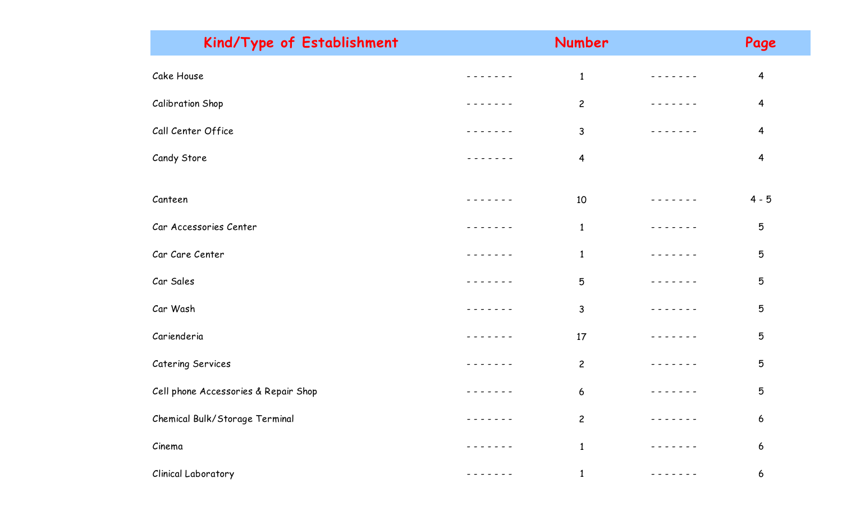| Kind/Type of Establishment           | Number          |             | Page                    |  |
|--------------------------------------|-----------------|-------------|-------------------------|--|
| Cake House                           | $\mathbf{1}$    |             | $\overline{4}$          |  |
| <b>Calibration Shop</b>              | $\overline{c}$  |             | $\overline{4}$          |  |
| Call Center Office                   | $\mathsf{3}$    |             | $\overline{\mathbf{4}}$ |  |
| Candy Store                          | $\overline{4}$  |             | $\overline{\mathbf{r}}$ |  |
| Canteen                              | 10              |             | $4 - 5$                 |  |
| Car Accessories Center               | $\mathbf{1}$    |             | 5                       |  |
| Car Care Center                      | $\mathbf{1}$    |             | $\mathbf 5$             |  |
| Car Sales                            | $5\phantom{.0}$ |             | $\mathbf 5$             |  |
| Car Wash                             | $\mathsf{3}$    |             | 5                       |  |
| Carienderia                          | 17              | $- - - - -$ | 5                       |  |
| Catering Services                    | $\overline{c}$  |             | 5                       |  |
| Cell phone Accessories & Repair Shop | 6               |             | 5                       |  |
| Chemical Bulk/Storage Terminal       | $\overline{c}$  |             | 6                       |  |
| Cinema                               | $\mathbf{1}$    |             | 6                       |  |
| <b>Clinical Laboratory</b>           | $\mathbf{1}$    |             | 6                       |  |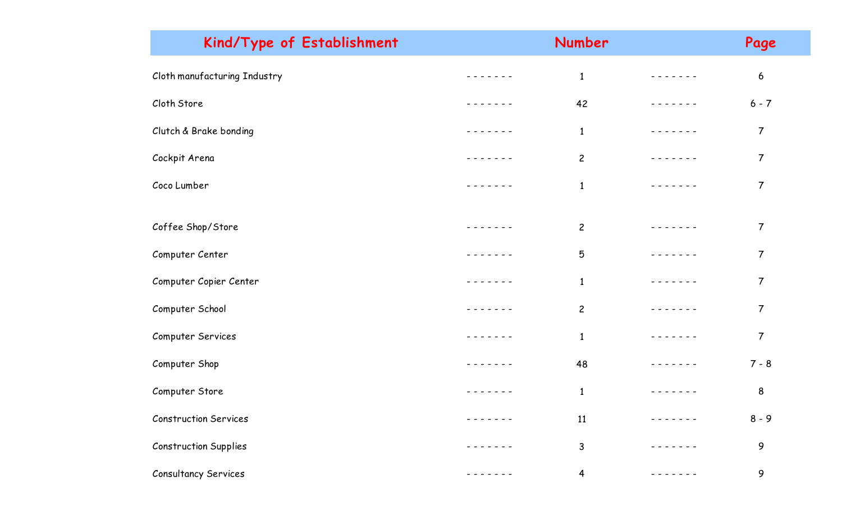| Kind/Type of Establishment   |         | Number         |             | Page             |  |
|------------------------------|---------|----------------|-------------|------------------|--|
| Cloth manufacturing Industry |         | $\mathbf{1}$   |             | $\boldsymbol{6}$ |  |
| Cloth Store                  |         | 42             |             | $6 - 7$          |  |
| Clutch & Brake bonding       |         | $\mathbf{1}$   |             | $\overline{7}$   |  |
| Cockpit Arena                |         | $\overline{2}$ |             | $\overline{7}$   |  |
| Coco Lumber                  |         | $\mathbf{1}$   |             | $\overline{7}$   |  |
|                              |         |                |             |                  |  |
| Coffee Shop/Store            |         | $\overline{2}$ |             | $\overline{7}$   |  |
| Computer Center              |         | 5              |             | $\overline{7}$   |  |
| Computer Copier Center       |         | $\mathbf{1}$   |             | $\overline{7}$   |  |
| Computer School              | ------- | $\overline{c}$ |             | $\overline{7}$   |  |
| Computer Services            |         | $\mathbf{1}$   | $-$ - - - - | $\overline{7}$   |  |
| Computer Shop                |         | 48             |             | $7 - 8$          |  |
| Computer Store               |         | $\mathbf{1}$   |             | $\bf 8$          |  |
| <b>Construction Services</b> |         | 11             |             | $8 - 9$          |  |
| <b>Construction Supplies</b> |         | $\mathsf{3}$   |             | 9                |  |
| Consultancy Services         |         | $\overline{4}$ |             | 9                |  |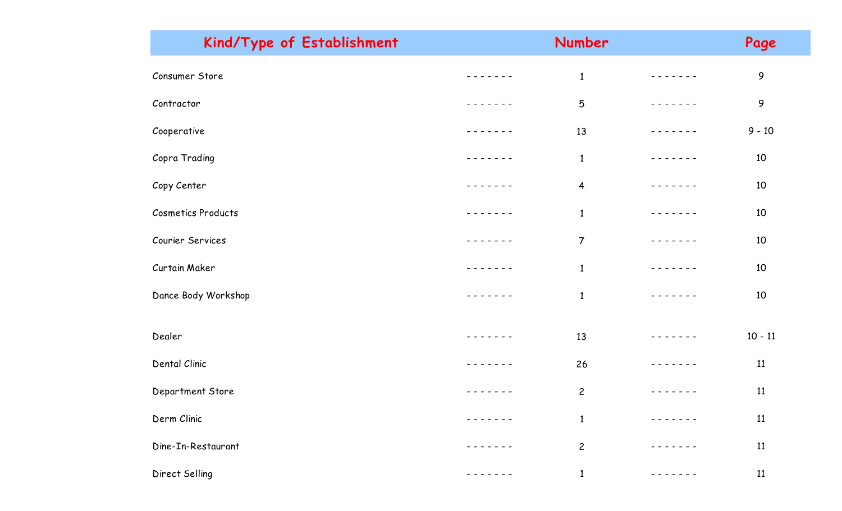| Kind/Type of Establishment | Number         |               | Page      |  |
|----------------------------|----------------|---------------|-----------|--|
| Consumer Store             | $\mathbf{1}$   |               | 9         |  |
| Contractor                 | 5              |               | 9         |  |
| Cooperative                | 13             | $- - - - - -$ | $9 - 10$  |  |
| Copra Trading              | $\mathbf{1}$   | $\frac{1}{2}$ | 10        |  |
| Copy Center                | $\overline{4}$ |               | 10        |  |
| <b>Cosmetics Products</b>  | $\mathbf{1}$   |               | 10        |  |
| Courier Services           | $\overline{7}$ |               | 10        |  |
| Curtain Maker              | $\mathbf{1}$   |               | 10        |  |
| Dance Body Workshop        | $\mathbf{1}$   |               | 10        |  |
|                            |                |               |           |  |
| Dealer                     | 13             | $\frac{1}{2}$ | $10 - 11$ |  |
| Dental Clinic              | 26             | $- - - - -$   | 11        |  |
| Department Store           | $\overline{c}$ |               | 11        |  |
| Derm Clinic                | $\mathbf{1}$   |               | 11        |  |
| Dine-In-Restaurant         | $\overline{c}$ |               | 11        |  |
| Direct Selling             | $\mathbf{1}$   |               | 11        |  |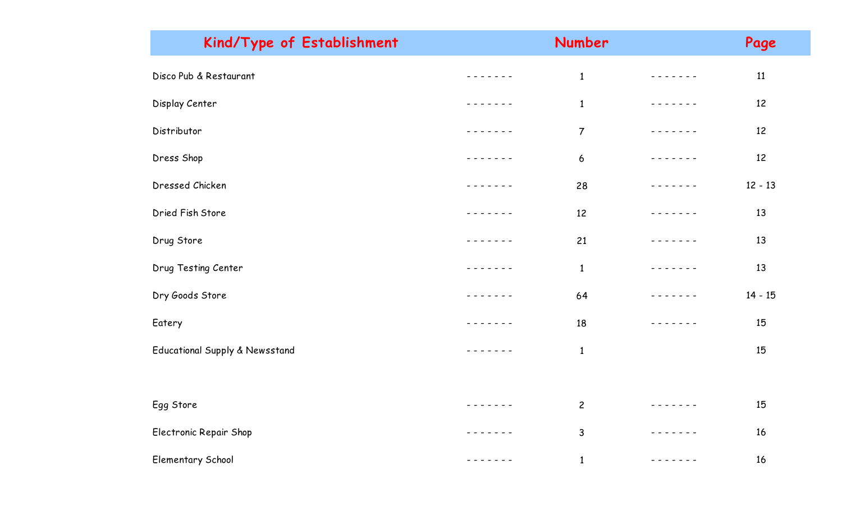| Kind/Type of Establishment     |                 | Number           |                                                                                                                                                                                                                                                                                                                                                                                                                                                                            | Page      |  |
|--------------------------------|-----------------|------------------|----------------------------------------------------------------------------------------------------------------------------------------------------------------------------------------------------------------------------------------------------------------------------------------------------------------------------------------------------------------------------------------------------------------------------------------------------------------------------|-----------|--|
| Disco Pub & Restaurant         |                 | $\mathbf{1}$     |                                                                                                                                                                                                                                                                                                                                                                                                                                                                            | 11        |  |
| Display Center                 |                 | $\mathbf{1}$     | - - - - - - -                                                                                                                                                                                                                                                                                                                                                                                                                                                              | 12        |  |
| Distributor                    |                 | $\overline{7}$   | $- - - - -$                                                                                                                                                                                                                                                                                                                                                                                                                                                                | 12        |  |
| Dress Shop                     |                 | $\boldsymbol{6}$ |                                                                                                                                                                                                                                                                                                                                                                                                                                                                            | 12        |  |
| Dressed Chicken                |                 | 28               | $\frac{1}{2} \left( \frac{1}{2} \right) \left( \frac{1}{2} \right) \left( \frac{1}{2} \right) \left( \frac{1}{2} \right) \left( \frac{1}{2} \right) \left( \frac{1}{2} \right) \left( \frac{1}{2} \right) \left( \frac{1}{2} \right) \left( \frac{1}{2} \right) \left( \frac{1}{2} \right) \left( \frac{1}{2} \right) \left( \frac{1}{2} \right) \left( \frac{1}{2} \right) \left( \frac{1}{2} \right) \left( \frac{1}{2} \right) \left( \frac{1}{2} \right) \left( \frac$ | $12 - 13$ |  |
| Dried Fish Store               |                 | 12               | $\frac{1}{2}$                                                                                                                                                                                                                                                                                                                                                                                                                                                              | 13        |  |
| Drug Store                     | $-$ - - - - - - | 21               | - - - - - -                                                                                                                                                                                                                                                                                                                                                                                                                                                                | 13        |  |
| Drug Testing Center            |                 | $\mathbf{1}$     | $- - - - -$                                                                                                                                                                                                                                                                                                                                                                                                                                                                | 13        |  |
| Dry Goods Store                | $- - - - - -$   | 64               | $- - - - -$                                                                                                                                                                                                                                                                                                                                                                                                                                                                | $14 - 15$ |  |
| Eatery                         |                 | 18               |                                                                                                                                                                                                                                                                                                                                                                                                                                                                            | 15        |  |
| Educational Supply & Newsstand |                 | $\mathbf{1}$     |                                                                                                                                                                                                                                                                                                                                                                                                                                                                            | 15        |  |
|                                |                 |                  |                                                                                                                                                                                                                                                                                                                                                                                                                                                                            |           |  |
| Egg Store                      | - - - - - - -   | $\overline{c}$   |                                                                                                                                                                                                                                                                                                                                                                                                                                                                            | 15        |  |
| Electronic Repair Shop         |                 | $\mathsf{3}$     |                                                                                                                                                                                                                                                                                                                                                                                                                                                                            | 16        |  |
| <b>Elementary School</b>       | $\frac{1}{2}$   | $\mathbf{1}$     |                                                                                                                                                                                                                                                                                                                                                                                                                                                                            | 16        |  |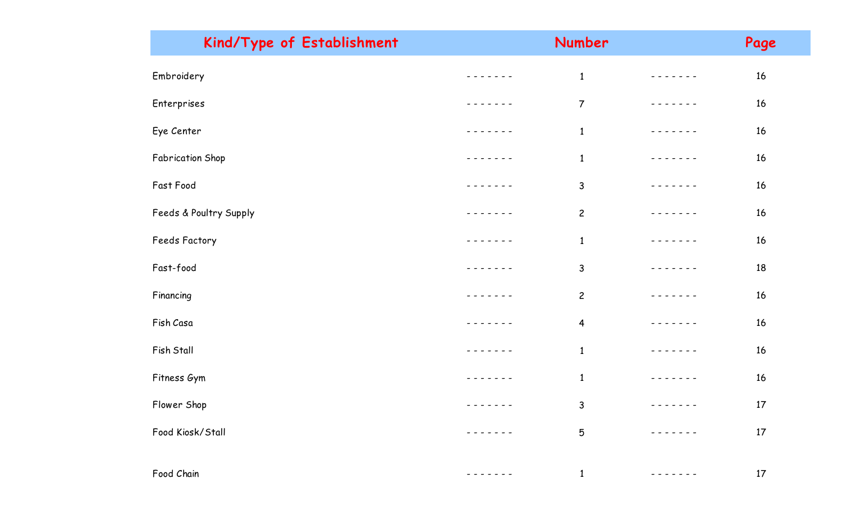| Kind/Type of Establishment |                        | Number          |             | Page   |
|----------------------------|------------------------|-----------------|-------------|--------|
| Embroidery                 |                        | $\mathbf 1$     |             | $16\,$ |
| Enterprises                |                        | $\overline{7}$  |             | 16     |
| Eye Center                 |                        | $\mathbf{1}$    |             | $16\,$ |
| Fabrication Shop           |                        | $\mathbf{1}$    |             | 16     |
| Fast Food                  |                        | $\mathsf{3}$    | $- - - - -$ | 16     |
| Feeds & Poultry Supply     |                        | $\overline{c}$  |             | 16     |
| Feeds Factory              |                        | $\mathbf{1}$    |             | $16\,$ |
| Fast-food                  |                        | 3               |             | 18     |
| Financing                  |                        | $\overline{c}$  |             | 16     |
| Fish Casa                  |                        | $\overline{4}$  |             | 16     |
| Fish Stall                 |                        | $\mathbf 1$     |             | 16     |
| Fitness Gym                |                        | $\mathbf{1}$    |             | 16     |
| Flower Shop                | - - - - - - - <b>-</b> | 3               | --------    | 17     |
| Food Kiosk/Stall           |                        | $5\phantom{.0}$ |             | $17\,$ |
|                            |                        |                 |             |        |
| Food Chain                 |                        | $\mathbf{1}$    |             | 17     |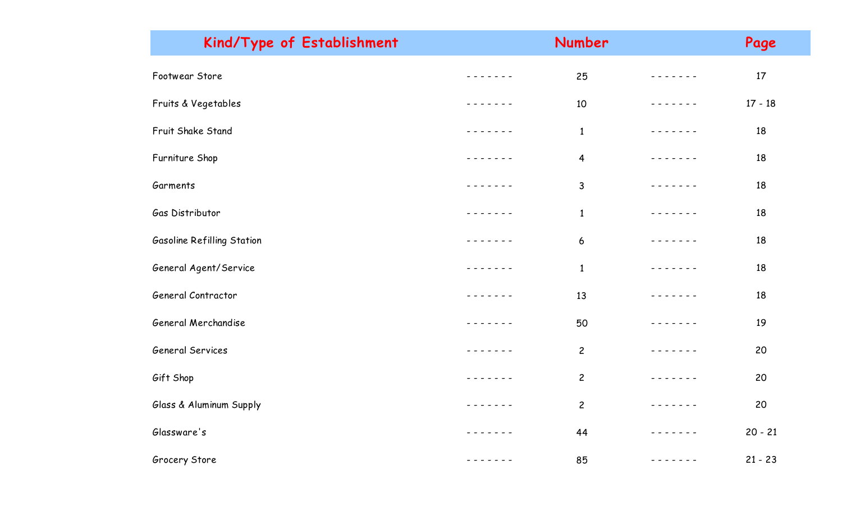| Kind/Type of Establishment |               | Number         |                 | Page      |  |
|----------------------------|---------------|----------------|-----------------|-----------|--|
| Footwear Store             |               | 25             |                 | 17        |  |
| Fruits & Vegetables        |               | 10             | - - - - - -     | $17 - 18$ |  |
| Fruit Shake Stand          |               | $\mathbf{1}$   | - - - - - - -   | 18        |  |
| Furniture Shop             |               | $\overline{4}$ |                 | 18        |  |
| Garments                   |               | 3              | $- - - - - -$   | 18        |  |
| Gas Distributor            |               | $\mathbf{1}$   |                 | 18        |  |
| Gasoline Refilling Station |               | 6              |                 | 18        |  |
| General Agent/Service      |               | $\mathbf{1}$   |                 | 18        |  |
| General Contractor         |               | 13             |                 | 18        |  |
| General Merchandise        |               | 50             | - - - - - - -   | 19        |  |
| General Services           |               | $\overline{c}$ |                 | 20        |  |
| Gift Shop                  |               | $\mathbf{2}$   |                 | 20        |  |
| Glass & Aluminum Supply    | - - - - - - - | $\overline{c}$ | -------         | 20        |  |
| Glassware's                |               | 44             | $- - - - - - -$ | $20 - 21$ |  |
| Grocery Store              |               | 85             |                 | $21 - 23$ |  |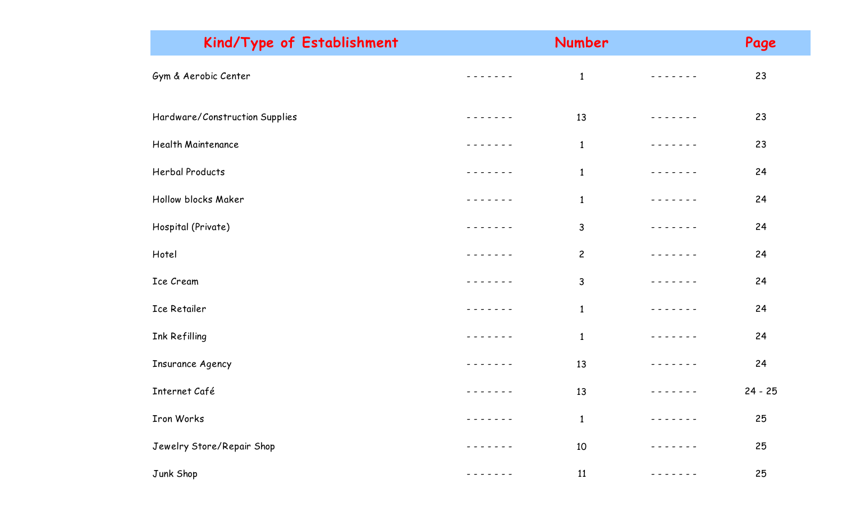| Kind/Type of Establishment     | Number         | Page      |
|--------------------------------|----------------|-----------|
| Gym & Aerobic Center           | $\mathbf{1}$   | 23        |
| Hardware/Construction Supplies | 13             | 23        |
| Health Maintenance             | $\mathbf{1}$   | 23        |
| <b>Herbal Products</b>         | $\mathbf{1}$   | 24        |
| Hollow blocks Maker            | $\mathbf{1}$   | 24        |
| Hospital (Private)             | $\mathsf{3}$   | 24        |
| Hotel                          | $\overline{c}$ | 24        |
| Ice Cream                      | 3              | 24        |
| Ice Retailer                   | $\mathbf{1}$   | 24        |
| Ink Refilling                  | $\mathbf{1}$   | 24        |
| <b>Insurance Agency</b>        | 13             | 24        |
| Internet Café                  | 13             | $24 - 25$ |
| Iron Works                     | $\mathbf{1}$   | 25        |
| Jewelry Store/Repair Shop      | 10             | 25        |
| Junk Shop                      | 11             | 25        |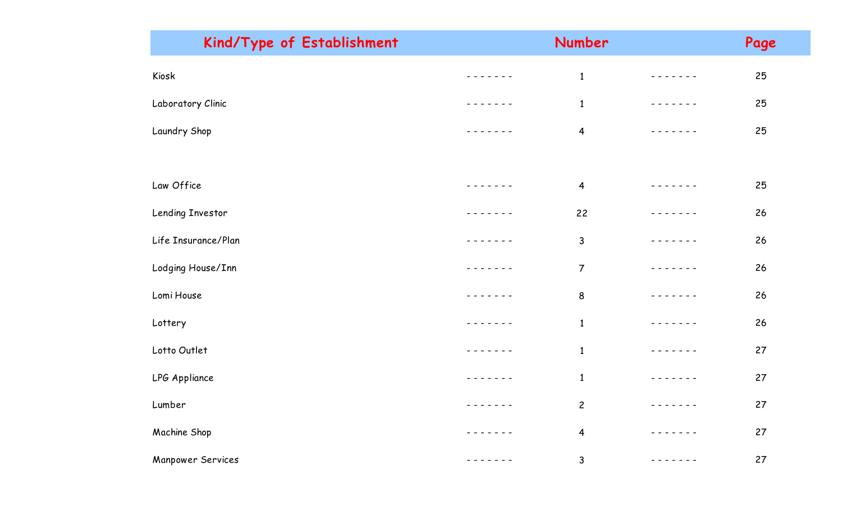| Kind/Type of Establishment |               | Number                  |               | Page |  |
|----------------------------|---------------|-------------------------|---------------|------|--|
| Kiosk                      |               | $\mathbf{1}$            |               | 25   |  |
| Laboratory Clinic          | - - - - -     | $\mathbf{1}$            | $\frac{1}{2}$ | 25   |  |
| Laundry Shop               |               | $\overline{4}$          | $  -$         | 25   |  |
|                            |               |                         |               |      |  |
| Law Office                 | - - - - - - - | $\overline{4}$          | - - - - - - - | 25   |  |
| Lending Investor           |               | 22                      |               | 26   |  |
| Life Insurance/Plan        |               | $\mathsf{3}$            |               | 26   |  |
| Lodging House/Inn          |               | $\overline{7}$          | $\frac{1}{2}$ | 26   |  |
| Lomi House                 |               | 8                       | - - - -       | 26   |  |
| Lottery                    | $\frac{1}{2}$ | $\mathbf{1}$            |               | 26   |  |
| Lotto Outlet               |               | $\mathbf{1}$            |               | 27   |  |
| LPG Appliance              |               | $\mathbf{1}$            |               | 27   |  |
| Lumber                     | $\frac{1}{2}$ | $\overline{c}$          | $\frac{1}{2}$ | 27   |  |
| Machine Shop               |               | $\overline{\mathbf{r}}$ | - - - -       | 27   |  |
| <b>Manpower Services</b>   |               | $\mathsf 3$             | - - - - - - - | 27   |  |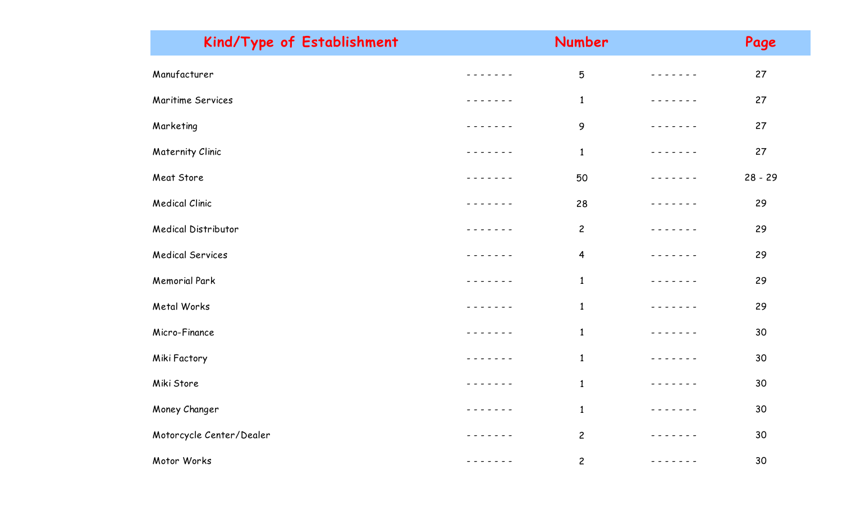| Kind/Type of Establishment | Number         |             | Page      |
|----------------------------|----------------|-------------|-----------|
| Manufacturer               | 5              |             | 27        |
| Maritime Services          | $\mathbf{1}$   |             | 27        |
| Marketing                  | 9              |             | 27        |
| <b>Maternity Clinic</b>    | $\mathbf{1}$   |             | 27        |
| Meat Store                 | 50             |             | $28 - 29$ |
| <b>Medical Clinic</b>      | 28             |             | 29        |
| <b>Medical Distributor</b> | $\overline{c}$ |             | 29        |
| <b>Medical Services</b>    | $\overline{4}$ |             | 29        |
| <b>Memorial Park</b>       | $\mathbf{1}$   |             | 29        |
| Metal Works                | $\mathbf{1}$   | $- - - - -$ | 29        |
| Micro-Finance              | $\mathbf{1}$   |             | 30        |
| Miki Factory               | $\mathbf{1}$   |             | 30        |
| Miki Store                 | $\mathbf{1}$   |             | 30        |
| Money Changer              | $\mathbf{1}$   |             | 30        |
| Motorcycle Center/Dealer   | $\overline{c}$ |             | 30        |
| Motor Works                | $\overline{c}$ |             | 30        |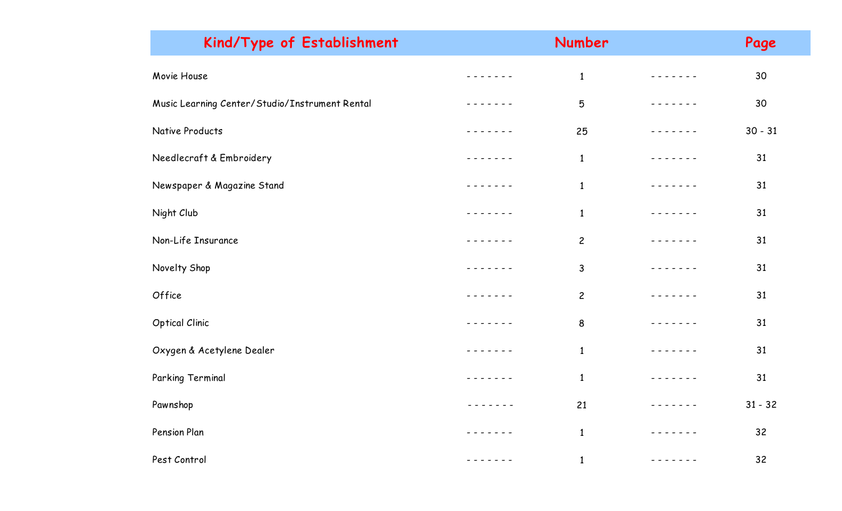| Kind/Type of Establishment                     |                                                                                                                                                                                                                                                                                                                                                                                                                                                                            | Number         |                                                                                                                                                                                                                                                                                                                                                                                                                                                                            | Page      |
|------------------------------------------------|----------------------------------------------------------------------------------------------------------------------------------------------------------------------------------------------------------------------------------------------------------------------------------------------------------------------------------------------------------------------------------------------------------------------------------------------------------------------------|----------------|----------------------------------------------------------------------------------------------------------------------------------------------------------------------------------------------------------------------------------------------------------------------------------------------------------------------------------------------------------------------------------------------------------------------------------------------------------------------------|-----------|
| Movie House                                    |                                                                                                                                                                                                                                                                                                                                                                                                                                                                            | $\mathbf{1}$   |                                                                                                                                                                                                                                                                                                                                                                                                                                                                            | 30        |
| Music Learning Center/Studio/Instrument Rental |                                                                                                                                                                                                                                                                                                                                                                                                                                                                            | 5              | - - - - - - -                                                                                                                                                                                                                                                                                                                                                                                                                                                              | 30        |
| Native Products                                | $\frac{1}{2}$                                                                                                                                                                                                                                                                                                                                                                                                                                                              | 25             | $\frac{1}{2}$                                                                                                                                                                                                                                                                                                                                                                                                                                                              | $30 - 31$ |
| Needlecraft & Embroidery                       |                                                                                                                                                                                                                                                                                                                                                                                                                                                                            | $\mathbf{1}$   | . <b>.</b> .                                                                                                                                                                                                                                                                                                                                                                                                                                                               | 31        |
| Newspaper & Magazine Stand                     | $- - - - - -$                                                                                                                                                                                                                                                                                                                                                                                                                                                              | $\mathbf{1}$   | - - - - - - -                                                                                                                                                                                                                                                                                                                                                                                                                                                              | 31        |
| Night Club                                     |                                                                                                                                                                                                                                                                                                                                                                                                                                                                            | $\mathbf{1}$   |                                                                                                                                                                                                                                                                                                                                                                                                                                                                            | 31        |
| Non-Life Insurance                             |                                                                                                                                                                                                                                                                                                                                                                                                                                                                            | $\overline{c}$ |                                                                                                                                                                                                                                                                                                                                                                                                                                                                            | 31        |
| Novelty Shop                                   | $- - - - -$                                                                                                                                                                                                                                                                                                                                                                                                                                                                | 3              | $- - - - - -$                                                                                                                                                                                                                                                                                                                                                                                                                                                              | 31        |
| Office                                         | $\frac{1}{2}$                                                                                                                                                                                                                                                                                                                                                                                                                                                              | $\overline{c}$ | $\frac{1}{2}$                                                                                                                                                                                                                                                                                                                                                                                                                                                              | 31        |
| <b>Optical Clinic</b>                          | $- - - - - - -$                                                                                                                                                                                                                                                                                                                                                                                                                                                            | 8              | - - - - - - -                                                                                                                                                                                                                                                                                                                                                                                                                                                              | 31        |
| Oxygen & Acetylene Dealer                      |                                                                                                                                                                                                                                                                                                                                                                                                                                                                            | $\mathbf{1}$   |                                                                                                                                                                                                                                                                                                                                                                                                                                                                            | 31        |
| Parking Terminal                               | $\frac{1}{2} \left( \frac{1}{2} \right) \left( \frac{1}{2} \right) \left( \frac{1}{2} \right) \left( \frac{1}{2} \right) \left( \frac{1}{2} \right) \left( \frac{1}{2} \right) \left( \frac{1}{2} \right) \left( \frac{1}{2} \right) \left( \frac{1}{2} \right) \left( \frac{1}{2} \right) \left( \frac{1}{2} \right) \left( \frac{1}{2} \right) \left( \frac{1}{2} \right) \left( \frac{1}{2} \right) \left( \frac{1}{2} \right) \left( \frac{1}{2} \right) \left( \frac$ | $\mathbf{1}$   | $\frac{1}{2}$                                                                                                                                                                                                                                                                                                                                                                                                                                                              | 31        |
| Pawnshop                                       | - - - - - - -                                                                                                                                                                                                                                                                                                                                                                                                                                                              | 21             | - - - - - - -                                                                                                                                                                                                                                                                                                                                                                                                                                                              | $31 - 32$ |
| Pension Plan                                   | $\frac{1}{2}$                                                                                                                                                                                                                                                                                                                                                                                                                                                              | $\mathbf{1}$   | $\frac{1}{2} \left( \frac{1}{2} \right) \left( \frac{1}{2} \right) \left( \frac{1}{2} \right) \left( \frac{1}{2} \right) \left( \frac{1}{2} \right) \left( \frac{1}{2} \right) \left( \frac{1}{2} \right) \left( \frac{1}{2} \right) \left( \frac{1}{2} \right) \left( \frac{1}{2} \right) \left( \frac{1}{2} \right) \left( \frac{1}{2} \right) \left( \frac{1}{2} \right) \left( \frac{1}{2} \right) \left( \frac{1}{2} \right) \left( \frac{1}{2} \right) \left( \frac$ | 32        |
| Pest Control                                   | - - - - - - -                                                                                                                                                                                                                                                                                                                                                                                                                                                              | $\mathbf{1}$   | - - - - - - -                                                                                                                                                                                                                                                                                                                                                                                                                                                              | 32        |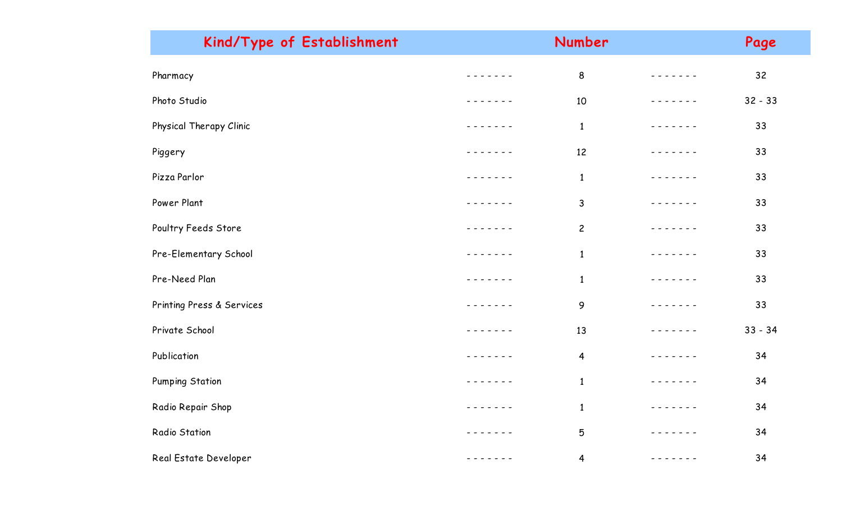| Kind/Type of Establishment |                                                                                                                                                                                                                                                                                                                                                                                                                                                           | Number                  |                                                                                                                                                                                                                                                                                                                                                                                                                                                                            | Page      |
|----------------------------|-----------------------------------------------------------------------------------------------------------------------------------------------------------------------------------------------------------------------------------------------------------------------------------------------------------------------------------------------------------------------------------------------------------------------------------------------------------|-------------------------|----------------------------------------------------------------------------------------------------------------------------------------------------------------------------------------------------------------------------------------------------------------------------------------------------------------------------------------------------------------------------------------------------------------------------------------------------------------------------|-----------|
| Pharmacy                   |                                                                                                                                                                                                                                                                                                                                                                                                                                                           | 8                       |                                                                                                                                                                                                                                                                                                                                                                                                                                                                            | 32        |
| Photo Studio               | ------                                                                                                                                                                                                                                                                                                                                                                                                                                                    | 10                      |                                                                                                                                                                                                                                                                                                                                                                                                                                                                            | $32 - 33$ |
| Physical Therapy Clinic    |                                                                                                                                                                                                                                                                                                                                                                                                                                                           | $\mathbf{1}$            | - - - - - - -                                                                                                                                                                                                                                                                                                                                                                                                                                                              | 33        |
| Piggery                    |                                                                                                                                                                                                                                                                                                                                                                                                                                                           | 12                      |                                                                                                                                                                                                                                                                                                                                                                                                                                                                            | 33        |
| Pizza Parlor               | $\frac{1}{2}$                                                                                                                                                                                                                                                                                                                                                                                                                                             | $\mathbf{1}$            | $- - - - - -$                                                                                                                                                                                                                                                                                                                                                                                                                                                              | 33        |
| Power Plant                | - - - - - - -                                                                                                                                                                                                                                                                                                                                                                                                                                             | $\mathsf{3}$            |                                                                                                                                                                                                                                                                                                                                                                                                                                                                            | 33        |
| Poultry Feeds Store        | $- - -$<br>$\frac{1}{2} \left( \frac{1}{2} \right) \frac{1}{2} \left( \frac{1}{2} \right) \frac{1}{2} \left( \frac{1}{2} \right) \frac{1}{2} \left( \frac{1}{2} \right) \frac{1}{2} \left( \frac{1}{2} \right) \frac{1}{2} \left( \frac{1}{2} \right) \frac{1}{2} \left( \frac{1}{2} \right) \frac{1}{2} \left( \frac{1}{2} \right) \frac{1}{2} \left( \frac{1}{2} \right) \frac{1}{2} \left( \frac{1}{2} \right) \frac{1}{2} \left( \frac{1}{2} \right)$ | $\overline{c}$          | $\frac{1}{2} \left( \frac{1}{2} \right) \left( \frac{1}{2} \right) \left( \frac{1}{2} \right) \left( \frac{1}{2} \right) \left( \frac{1}{2} \right) \left( \frac{1}{2} \right) \left( \frac{1}{2} \right) \left( \frac{1}{2} \right) \left( \frac{1}{2} \right) \left( \frac{1}{2} \right) \left( \frac{1}{2} \right) \left( \frac{1}{2} \right) \left( \frac{1}{2} \right) \left( \frac{1}{2} \right) \left( \frac{1}{2} \right) \left( \frac{1}{2} \right) \left( \frac$ | 33        |
| Pre-Elementary School      | $- - - - - - -$                                                                                                                                                                                                                                                                                                                                                                                                                                           | $\mathbf{1}$            |                                                                                                                                                                                                                                                                                                                                                                                                                                                                            | 33        |
| Pre-Need Plan              |                                                                                                                                                                                                                                                                                                                                                                                                                                                           | $\mathbf{1}$            |                                                                                                                                                                                                                                                                                                                                                                                                                                                                            | 33        |
| Printing Press & Services  | - - - - - -                                                                                                                                                                                                                                                                                                                                                                                                                                               | 9                       | $\frac{1}{2} \left( \frac{1}{2} \right) \left( \frac{1}{2} \right) \left( \frac{1}{2} \right) \left( \frac{1}{2} \right) \left( \frac{1}{2} \right) \left( \frac{1}{2} \right) \left( \frac{1}{2} \right) \left( \frac{1}{2} \right) \left( \frac{1}{2} \right) \left( \frac{1}{2} \right) \left( \frac{1}{2} \right) \left( \frac{1}{2} \right) \left( \frac{1}{2} \right) \left( \frac{1}{2} \right) \left( \frac{1}{2} \right) \left( \frac{1}{2} \right) \left( \frac$ | 33        |
| Private School             |                                                                                                                                                                                                                                                                                                                                                                                                                                                           | 13                      | - - - - -                                                                                                                                                                                                                                                                                                                                                                                                                                                                  | $33 - 34$ |
| Publication                |                                                                                                                                                                                                                                                                                                                                                                                                                                                           | $\overline{\mathbf{4}}$ |                                                                                                                                                                                                                                                                                                                                                                                                                                                                            | 34        |
| <b>Pumping Station</b>     | ------                                                                                                                                                                                                                                                                                                                                                                                                                                                    | $\mathbf{1}$            |                                                                                                                                                                                                                                                                                                                                                                                                                                                                            | 34        |
| Radio Repair Shop          |                                                                                                                                                                                                                                                                                                                                                                                                                                                           | $\mathbf{1}$            | $- - - - - -$                                                                                                                                                                                                                                                                                                                                                                                                                                                              | 34        |
| Radio Station              | $\frac{1}{2}$                                                                                                                                                                                                                                                                                                                                                                                                                                             | 5                       | - - - - -                                                                                                                                                                                                                                                                                                                                                                                                                                                                  | 34        |
| Real Estate Developer      | - - - - - - -                                                                                                                                                                                                                                                                                                                                                                                                                                             | $\overline{4}$          | -----                                                                                                                                                                                                                                                                                                                                                                                                                                                                      | 34        |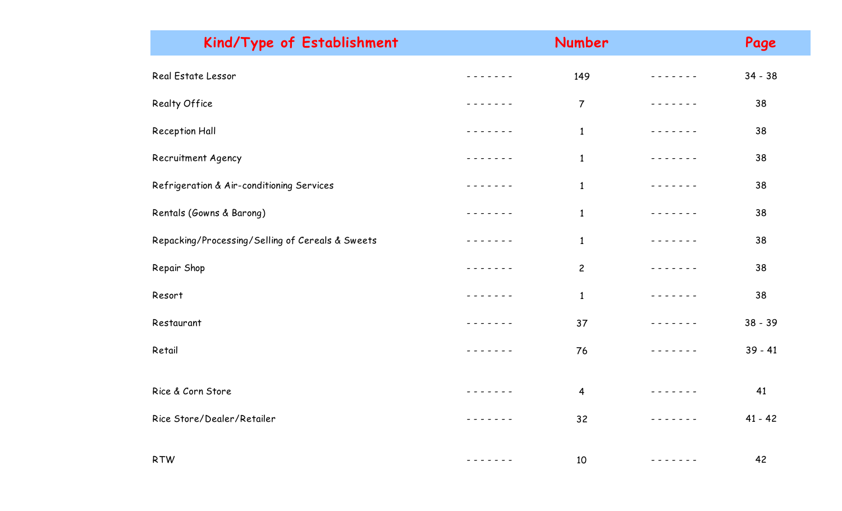| Kind/Type of Establishment                       |                 | Number         |               | Page      |
|--------------------------------------------------|-----------------|----------------|---------------|-----------|
| Real Estate Lessor                               |                 | 149            |               | $34 - 38$ |
| Realty Office                                    | - - - - - -     | $\overline{7}$ | -------       | 38        |
| Reception Hall                                   |                 | $\mathbf{1}$   |               | 38        |
| Recruitment Agency                               | - - - - - - -   | $\mathbf{1}$   | - - - - - - - | 38        |
| Refrigeration & Air-conditioning Services        |                 | $\mathbf{1}$   | -------       | 38        |
| Rentals (Gowns & Barong)                         | - - - - - - -   | $\mathbf{1}$   | - - - - - - - | 38        |
| Repacking/Processing/Selling of Cereals & Sweets | - - - - - - -   | $\mathbf{1}$   | -------       | 38        |
| Repair Shop                                      |                 | $\overline{c}$ | $- - - - -$   | 38        |
| Resort                                           | $- - - - - - -$ | $\mathbf{1}$   | $\frac{1}{2}$ | 38        |
| Restaurant                                       |                 | 37             | -------       | $38 - 39$ |
| Retail                                           | $\frac{1}{2}$   | 76             | $- - - - - -$ | $39 - 41$ |
|                                                  |                 |                |               |           |
| Rice & Corn Store                                | - - - - - - -   | $\overline{4}$ | -------       | 41        |
| Rice Store/Dealer/Retailer                       |                 | 32             | -----         | $41 - 42$ |
| <b>RTW</b>                                       | - - - - - - -   | 10             |               | 42        |
|                                                  |                 |                |               |           |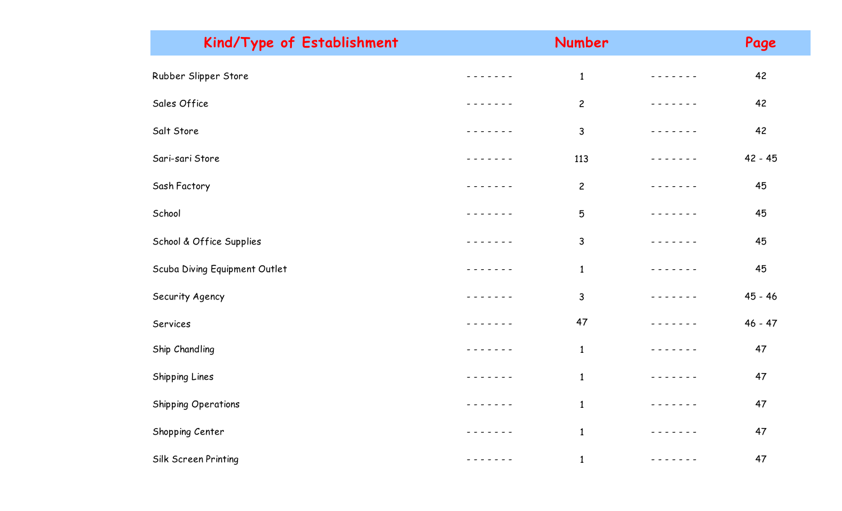| Kind/Type of Establishment    |                                                                                                                                                      | Number         |               | Page      |
|-------------------------------|------------------------------------------------------------------------------------------------------------------------------------------------------|----------------|---------------|-----------|
| Rubber Slipper Store          | $- - - - - - -$                                                                                                                                      | $\mathbf{1}$   |               | 42        |
| Sales Office                  | - - - - - - -                                                                                                                                        | $\overline{c}$ | - - - - - - - | 42        |
| Salt Store                    | $- - - - -$                                                                                                                                          | $\mathsf{3}$   | - - - - - - - | 42        |
| Sari-sari Store               | - - - - - - -                                                                                                                                        | 113            | - - - - - - - | 42 - 45   |
| Sash Factory                  |                                                                                                                                                      | $\overline{c}$ | - - - - - - - | 45        |
| School                        | - - - - - - -                                                                                                                                        | 5              | - - - - - - - | 45        |
| School & Office Supplies      | - - - - - - -                                                                                                                                        | $\mathsf{3}$   | - - - - - - - | 45        |
| Scuba Diving Equipment Outlet | $\frac{1}{2}$                                                                                                                                        | $\mathbf{1}$   |               | 45        |
| Security Agency               | - - - - - - -                                                                                                                                        | $\mathsf{3}$   | - - - - - - - | $45 - 46$ |
| Services                      | - - - - - - -                                                                                                                                        | 47             | -------       | $46 - 47$ |
| Ship Chandling                | $\frac{1}{2} \left( \frac{1}{2} \right) \left( \frac{1}{2} \right) \left( \frac{1}{2} \right) \left( \frac{1}{2} \right) \left( \frac{1}{2} \right)$ | $\mathbf{1}$   |               | 47        |
| Shipping Lines                | $- - - - - -$                                                                                                                                        | $\mathbf{1}$   | ------        | 47        |
| <b>Shipping Operations</b>    | - - - - - - -                                                                                                                                        | $\mathbf{1}$   | - - - - - - - | 47        |
| Shopping Center               | ----                                                                                                                                                 | $\mathbf{1}$   |               | 47        |
| Silk Screen Printing          | - - - - - - -                                                                                                                                        | $\mathbf{1}$   | - - - - - - - | 47        |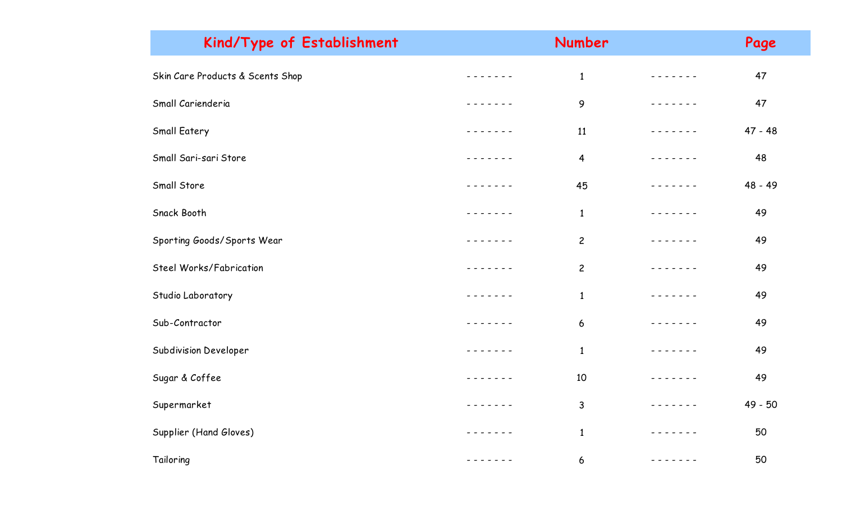| Kind/Type of Establishment       |                                                                                                                                                                                                                                                                                                                                                                                                                                                                            | Number                  |                                                                                                                                                                                                                                                                                                                                                                                                                                                                            | Page      |
|----------------------------------|----------------------------------------------------------------------------------------------------------------------------------------------------------------------------------------------------------------------------------------------------------------------------------------------------------------------------------------------------------------------------------------------------------------------------------------------------------------------------|-------------------------|----------------------------------------------------------------------------------------------------------------------------------------------------------------------------------------------------------------------------------------------------------------------------------------------------------------------------------------------------------------------------------------------------------------------------------------------------------------------------|-----------|
| Skin Care Products & Scents Shop |                                                                                                                                                                                                                                                                                                                                                                                                                                                                            | $\mathbf{1}$            |                                                                                                                                                                                                                                                                                                                                                                                                                                                                            | 47        |
| Small Carienderia                | - - - - - - -                                                                                                                                                                                                                                                                                                                                                                                                                                                              | 9                       | $- - - - - - - -$                                                                                                                                                                                                                                                                                                                                                                                                                                                          | 47        |
| Small Eatery                     | $- - - - - -$                                                                                                                                                                                                                                                                                                                                                                                                                                                              | 11                      | $- - - - - -$                                                                                                                                                                                                                                                                                                                                                                                                                                                              | $47 - 48$ |
| Small Sari-sari Store            |                                                                                                                                                                                                                                                                                                                                                                                                                                                                            | $\overline{\mathbf{4}}$ | $- - - - -$                                                                                                                                                                                                                                                                                                                                                                                                                                                                | 48        |
| Small Store                      | - - - - - -                                                                                                                                                                                                                                                                                                                                                                                                                                                                | 45                      | - - - - - - -                                                                                                                                                                                                                                                                                                                                                                                                                                                              | 48 - 49   |
| Snack Booth                      |                                                                                                                                                                                                                                                                                                                                                                                                                                                                            | $\mathbf{1}$            |                                                                                                                                                                                                                                                                                                                                                                                                                                                                            | 49        |
| Sporting Goods/Sports Wear       | $\frac{1}{2} \left( \frac{1}{2} \right) \left( \frac{1}{2} \right) \left( \frac{1}{2} \right) \left( \frac{1}{2} \right) \left( \frac{1}{2} \right) \left( \frac{1}{2} \right) \left( \frac{1}{2} \right) \left( \frac{1}{2} \right) \left( \frac{1}{2} \right) \left( \frac{1}{2} \right) \left( \frac{1}{2} \right) \left( \frac{1}{2} \right) \left( \frac{1}{2} \right) \left( \frac{1}{2} \right) \left( \frac{1}{2} \right) \left( \frac{1}{2} \right) \left( \frac$ | $\overline{c}$          | $\frac{1}{2} \left( \frac{1}{2} \right) \left( \frac{1}{2} \right) \left( \frac{1}{2} \right) \left( \frac{1}{2} \right) \left( \frac{1}{2} \right) \left( \frac{1}{2} \right) \left( \frac{1}{2} \right) \left( \frac{1}{2} \right) \left( \frac{1}{2} \right) \left( \frac{1}{2} \right) \left( \frac{1}{2} \right) \left( \frac{1}{2} \right) \left( \frac{1}{2} \right) \left( \frac{1}{2} \right) \left( \frac{1}{2} \right) \left( \frac{1}{2} \right) \left( \frac$ | 49        |
| Steel Works/Fabrication          | $- - - - -$                                                                                                                                                                                                                                                                                                                                                                                                                                                                | $\overline{c}$          | -----                                                                                                                                                                                                                                                                                                                                                                                                                                                                      | 49        |
| Studio Laboratory                | $\begin{array}{cccccccccccccc} - & - & - & - & - & - \end{array}$                                                                                                                                                                                                                                                                                                                                                                                                          | $\mathbf{1}$            | $- - - - -$                                                                                                                                                                                                                                                                                                                                                                                                                                                                | 49        |
| Sub-Contractor                   | - - - - - - -                                                                                                                                                                                                                                                                                                                                                                                                                                                              | 6                       | .                                                                                                                                                                                                                                                                                                                                                                                                                                                                          | 49        |
| Subdivision Developer            |                                                                                                                                                                                                                                                                                                                                                                                                                                                                            | $\mathbf{1}$            | $- - - - -$                                                                                                                                                                                                                                                                                                                                                                                                                                                                | 49        |
| Sugar & Coffee                   | - - - - - - -                                                                                                                                                                                                                                                                                                                                                                                                                                                              | 10                      |                                                                                                                                                                                                                                                                                                                                                                                                                                                                            | 49        |
| Supermarket                      | - - - - - - -                                                                                                                                                                                                                                                                                                                                                                                                                                                              | $\mathbf{3}$            |                                                                                                                                                                                                                                                                                                                                                                                                                                                                            | 49 - 50   |
| Supplier (Hand Gloves)           | $\frac{1}{2}$                                                                                                                                                                                                                                                                                                                                                                                                                                                              | $\mathbf{1}$            |                                                                                                                                                                                                                                                                                                                                                                                                                                                                            | 50        |
| Tailoring                        | - - - - - - -                                                                                                                                                                                                                                                                                                                                                                                                                                                              | 6                       | - - - - - - -                                                                                                                                                                                                                                                                                                                                                                                                                                                              | 50        |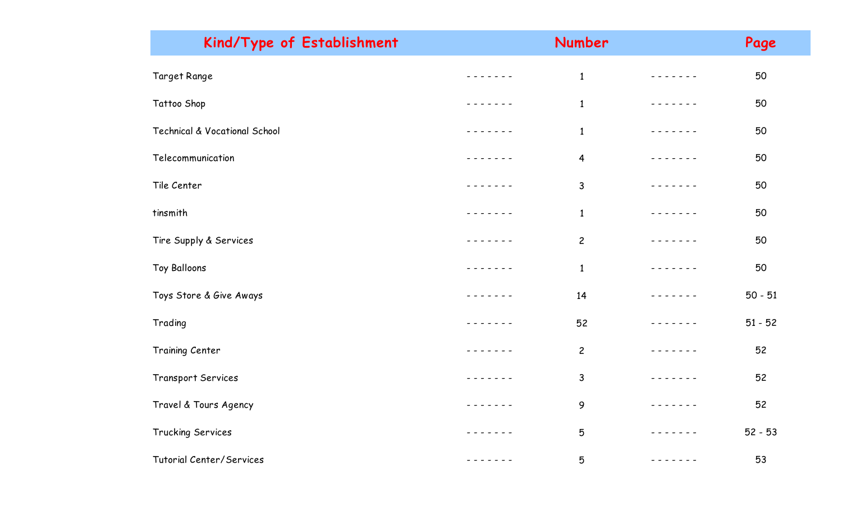| Kind/Type of Establishment               |               | Number         |               | Page      |
|------------------------------------------|---------------|----------------|---------------|-----------|
| Target Range                             |               | $\mathbf{1}$   |               | 50        |
| Tattoo Shop                              |               | $\mathbf{1}$   |               | 50        |
| <b>Technical &amp; Vocational School</b> |               | $\mathbf{1}$   | - - - - - -   | 50        |
| Telecommunication                        |               | $\overline{4}$ | - - - - - - - | 50        |
| Tile Center                              |               | 3              | - - - - - -   | 50        |
| tinsmith                                 | - - - - -     | $\mathbf{1}$   |               | 50        |
| Tire Supply & Services                   |               | $\overline{c}$ | - - - - - - - | 50        |
| Toy Balloons                             |               | $\mathbf{1}$   |               | 50        |
| Toys Store & Give Aways                  |               | 14             |               | $50 - 51$ |
| Trading                                  |               | 52             | - - - - - - - | $51 - 52$ |
| Training Center                          |               | $\overline{c}$ |               | 52        |
| Transport Services                       |               | 3              |               | 52        |
| Travel & Tours Agency                    | - - - - - - - | 9              | -------       | 52        |
| Trucking Services                        |               | 5              |               | $52 - 53$ |
| Tutorial Center/Services                 |               | 5              |               | 53        |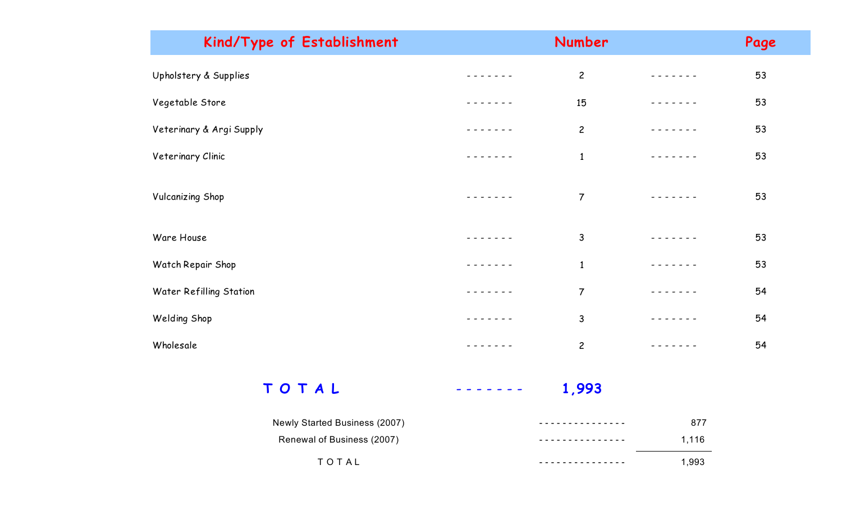| Kind/Type of Establishment |        | Number         |               | Page |
|----------------------------|--------|----------------|---------------|------|
| Upholstery & Supplies      |        | $\overline{c}$ | $- - - - - -$ | 53   |
| Vegetable Store            |        | 15             |               | 53   |
| Veterinary & Argi Supply   |        | $\overline{c}$ | - - - - - -   | 53   |
| Veterinary Clinic          |        | $\mathbf{1}$   |               | 53   |
| <b>Vulcanizing Shop</b>    |        | $\overline{7}$ |               | 53   |
| Ware House                 |        | $\mathsf{3}$   |               | 53   |
| Watch Repair Shop          |        | $\mathbf{1}$   |               | 53   |
| Water Refilling Station    | ------ | $\overline{7}$ | - - - - - - - | 54   |
| Welding Shop               |        | $\mathsf{3}$   | -----         | 54   |
| Wholesale                  |        | $\overline{c}$ |               | 54   |
|                            |        |                |               |      |

**T O T A L** - - - - - - - **1,993**

| Newly Started Business (2007) | 877   |
|-------------------------------|-------|
| Renewal of Business (2007)    | 1.116 |
| TOTAL                         | 1,993 |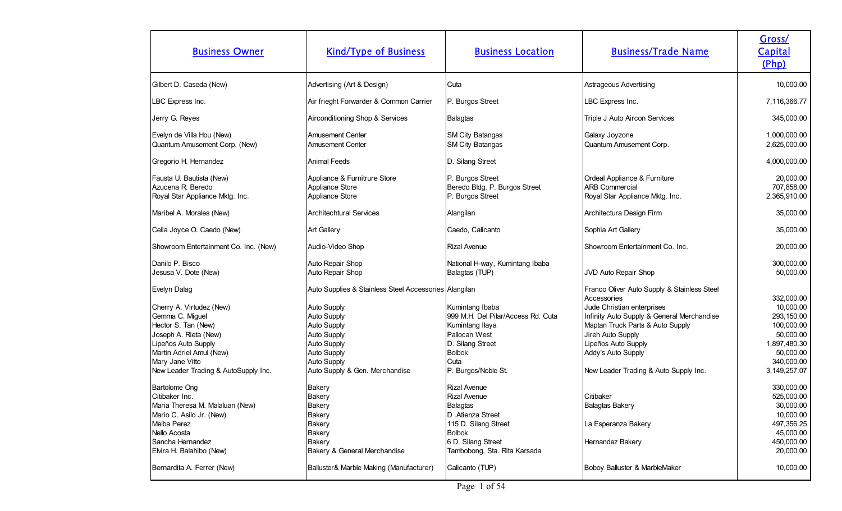| <b>Business Owner</b>                                                                                                                                                                                                                                                                                                                                                                 | <b>Kind/Type of Business</b>                                                                                                                                                                                                                                                                | <b>Business Location</b>                                                                                                                                                                                                                                                                | <b>Business/Trade Name</b>                                                                                                                                                                                                                                                                                                                                       | Gross/<br>Capital<br>(Php)                                                                                                                                                                                                   |
|---------------------------------------------------------------------------------------------------------------------------------------------------------------------------------------------------------------------------------------------------------------------------------------------------------------------------------------------------------------------------------------|---------------------------------------------------------------------------------------------------------------------------------------------------------------------------------------------------------------------------------------------------------------------------------------------|-----------------------------------------------------------------------------------------------------------------------------------------------------------------------------------------------------------------------------------------------------------------------------------------|------------------------------------------------------------------------------------------------------------------------------------------------------------------------------------------------------------------------------------------------------------------------------------------------------------------------------------------------------------------|------------------------------------------------------------------------------------------------------------------------------------------------------------------------------------------------------------------------------|
| Gilbert D. Caseda (New)                                                                                                                                                                                                                                                                                                                                                               | Advertising (Art & Design)                                                                                                                                                                                                                                                                  | Cuta                                                                                                                                                                                                                                                                                    | Astrageous Advertising                                                                                                                                                                                                                                                                                                                                           | 10,000.00                                                                                                                                                                                                                    |
| LBC Express Inc.                                                                                                                                                                                                                                                                                                                                                                      | Air frieght Forwarder & Common Carrier                                                                                                                                                                                                                                                      | P. Burgos Street                                                                                                                                                                                                                                                                        | LBC Express Inc.                                                                                                                                                                                                                                                                                                                                                 | 7,116,366.77                                                                                                                                                                                                                 |
| Jerry G. Reyes                                                                                                                                                                                                                                                                                                                                                                        | Airconditioning Shop & Services                                                                                                                                                                                                                                                             | Balagtas                                                                                                                                                                                                                                                                                | Triple J Auto Aircon Services                                                                                                                                                                                                                                                                                                                                    | 345,000.00                                                                                                                                                                                                                   |
| Evelyn de Villa Hou (New)<br>Quantum Amusement Corp. (New)                                                                                                                                                                                                                                                                                                                            | <b>Amusement Center</b><br>Amusement Center                                                                                                                                                                                                                                                 | SM City Batangas<br><b>SM City Batangas</b>                                                                                                                                                                                                                                             | Galaxy Joyzone<br>Quantum Amusement Corp.                                                                                                                                                                                                                                                                                                                        | 1,000,000.00<br>2,625,000.00                                                                                                                                                                                                 |
| Gregorio H. Hernandez                                                                                                                                                                                                                                                                                                                                                                 | <b>Animal Feeds</b>                                                                                                                                                                                                                                                                         | D. Silang Street                                                                                                                                                                                                                                                                        |                                                                                                                                                                                                                                                                                                                                                                  | 4,000,000.00                                                                                                                                                                                                                 |
| Fausta U. Bautista (New)<br>Azucena R. Beredo<br>Royal Star Appliance Mktg. Inc.                                                                                                                                                                                                                                                                                                      | Appliance & Furnitrure Store<br>Appliance Store<br>Appliance Store                                                                                                                                                                                                                          | P. Burgos Street<br>Beredo Bldg. P. Burgos Street<br>P. Burgos Street                                                                                                                                                                                                                   | Ordeal Appliance & Furniture<br><b>ARB Commercial</b><br>Royal Star Appliance Mktg. Inc.                                                                                                                                                                                                                                                                         | 20,000.00<br>707,858.00<br>2,365,910.00                                                                                                                                                                                      |
| Maribel A. Morales (New)                                                                                                                                                                                                                                                                                                                                                              | <b>Architechtural Services</b>                                                                                                                                                                                                                                                              | Alangilan                                                                                                                                                                                                                                                                               | Architectura Design Firm                                                                                                                                                                                                                                                                                                                                         | 35,000.00                                                                                                                                                                                                                    |
| Celia Joyce O. Caedo (New)                                                                                                                                                                                                                                                                                                                                                            | <b>Art Gallery</b>                                                                                                                                                                                                                                                                          | Caedo, Calicanto                                                                                                                                                                                                                                                                        | Sophia Art Gallery                                                                                                                                                                                                                                                                                                                                               | 35,000.00                                                                                                                                                                                                                    |
| Showroom Entertainment Co. Inc. (New)                                                                                                                                                                                                                                                                                                                                                 | Audio-Video Shop                                                                                                                                                                                                                                                                            | Rizal Avenue                                                                                                                                                                                                                                                                            | Showroom Entertainment Co. Inc.                                                                                                                                                                                                                                                                                                                                  | 20,000.00                                                                                                                                                                                                                    |
| Danilo P. Bisco<br>Jesusa V. Dote (New)                                                                                                                                                                                                                                                                                                                                               | Auto Repair Shop<br>Auto Repair Shop                                                                                                                                                                                                                                                        | National H-way, Kumintang Ibaba<br>Balagtas (TUP)                                                                                                                                                                                                                                       | JVD Auto Repair Shop                                                                                                                                                                                                                                                                                                                                             | 300,000.00<br>50,000.00                                                                                                                                                                                                      |
| Evelyn Dalag<br>Cherry A. Virtudez (New)<br>Gemma C. Miguel<br>Hector S. Tan (New)<br>Joseph A. Rieta (New)<br>Lipeños Auto Supply<br>Martin Adriel Amul (New)<br>Mary Jane Vitto<br>New Leader Trading & AutoSupply Inc.<br><b>Bartolome Ong</b><br>Citibaker Inc.<br>Maria Theresa M. Malaluan (New)<br>Mario C. Asilo Jr. (New)<br>Melba Perez<br>Nello Acosta<br>Sancha Hernandez | Auto Supplies & Stainless Steel Accessories Alangilan<br>Auto Supply<br>Auto Supply<br><b>Auto Supply</b><br>Auto Supply<br>Auto Supply<br>Auto Supply<br><b>Auto Supply</b><br>Auto Supply & Gen. Merchandise<br>Bakery<br>Bakery<br>Bakery<br>Bakery<br><b>Bakery</b><br>Bakery<br>Bakery | Kumintang Ibaba<br>999 M.H. Del Pilar/Access Rd. Cuta<br>Kumintang Ilaya<br>Pallocan West<br>D. Silang Street<br>Bolbok<br>Cuta<br>P. Burgos/Noble St.<br>Rizal Avenue<br>Rizal Avenue<br> Balagtas<br><b>D</b> .Atienza Street<br>115 D. Silang Street<br>Bolbok<br>6 D. Silang Street | Franco Oliver Auto Supply & Stainless Steel<br>Accessories<br>Jude Christian enterprises<br>Infinity Auto Supply & General Merchandise<br>Maptan Truck Parts & Auto Supply<br>Jireh Auto Supply<br>Lipeños Auto Supply<br>Addy's Auto Supply<br>New Leader Trading & Auto Supply Inc.<br>Citibaker<br>Balagtas Bakery<br>La Esperanza Bakery<br>Hernandez Bakery | 332,000.00<br>10,000.00<br>293,150.00<br>100,000.00<br>50,000.00<br>1,897,480.30<br>50,000.00<br>340,000.00<br>3, 149, 257.07<br>330,000.00<br>525,000.00<br>30,000.00<br>10,000.00<br>497,356.25<br>45,000.00<br>450,000.00 |
| Elvira H. Balahibo (New)<br>Bernardita A. Ferrer (New)                                                                                                                                                                                                                                                                                                                                | Bakery & General Merchandise<br>Balluster& Marble Making (Manufacturer)                                                                                                                                                                                                                     | Tambobong, Sta. Rita Karsada<br>Calicanto (TUP)                                                                                                                                                                                                                                         | Boboy Balluster & MarbleMaker                                                                                                                                                                                                                                                                                                                                    | 20,000.00<br>10,000.00                                                                                                                                                                                                       |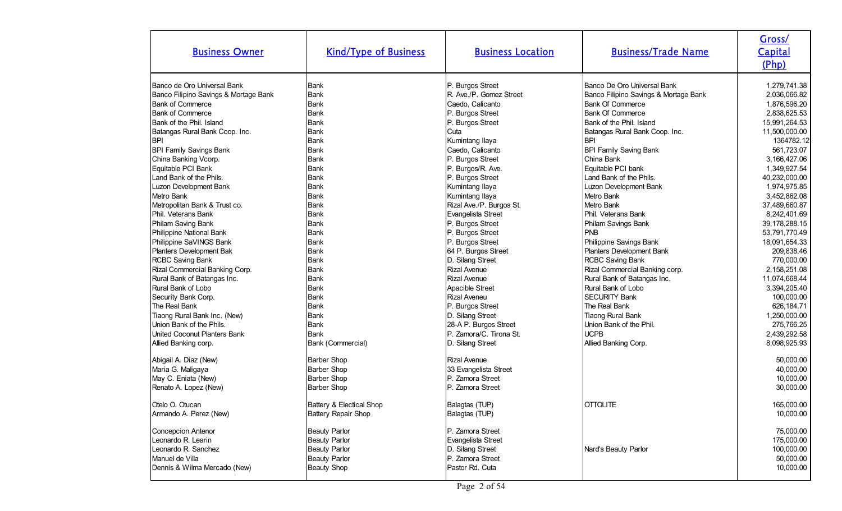| <b>Business Owner</b>                 | <b>Kind/Type of Business</b> | <b>Business Location</b> | <b>Business/Trade Name</b>            | Gross/<br>Capital<br>(Php) |
|---------------------------------------|------------------------------|--------------------------|---------------------------------------|----------------------------|
| Banco de Oro Universal Bank           | Bank                         | P. Burgos Street         | Banco De Oro Universal Bank           | 1,279,741.38               |
| Banco Filipino Savings & Mortage Bank | <b>Bank</b>                  | R. Ave./P. Gomez Street  | Banco Filipino Savings & Mortage Bank | 2,036,066.82               |
| <b>Bank of Commerce</b>               | <b>Bank</b>                  | Caedo, Calicanto         | <b>Bank Of Commerce</b>               | 1,876,596.20               |
| <b>Bank of Commerce</b>               | Bank                         | P. Burgos Street         | <b>Bank Of Commerce</b>               | 2,838,625.53               |
| Bank of the Phil. Island              | <b>Bank</b>                  | P. Burgos Street         | Bank of the Phil. Island              | 15,991,264.53              |
| Batangas Rural Bank Coop. Inc.        | <b>Bank</b>                  | Cuta                     | Batangas Rural Bank Coop. Inc.        | 11,500,000.00              |
| <b>BPI</b>                            | <b>Bank</b>                  | Kumintang Ilaya          | <b>BPI</b>                            | 1364782.12                 |
| <b>BPI Family Savings Bank</b>        | <b>Bank</b>                  | Caedo, Calicanto         | <b>BPI Family Saving Bank</b>         | 561,723.07                 |
| China Banking Vcorp.                  | <b>Bank</b>                  | P. Burgos Street         | China Bank                            | 3,166,427.06               |
| Equitable PCI Bank                    | <b>Bank</b>                  | P. Burgos/R. Ave.        | Equitable PCI bank                    | 1,349,927.54               |
| Land Bank of the Phils.               | <b>Bank</b>                  | P. Burgos Street         | Land Bank of the Phils.               | 40,232,000.00              |
| Luzon Development Bank                | <b>Bank</b>                  | Kumintang Ilaya          | Luzon Development Bank                | 1,974,975.85               |
| Metro Bank                            | <b>Bank</b>                  | Kumintang Ilaya          | Metro Bank                            | 3,452,862.08               |
| Metropolitan Bank & Trust co.         | <b>Bank</b>                  | Rizal Ave./P. Burgos St. | Metro Bank                            | 37,489,660.87              |
| Phil. Veterans Bank                   | <b>Bank</b>                  | Evangelista Street       | Phil. Veterans Bank                   | 8,242,401.69               |
| Philam Saving Bank                    | <b>Bank</b>                  | P. Burgos Street         | Philam Savings Bank                   | 39, 178, 288. 15           |
| Philippine National Bank              | <b>Bank</b>                  | P. Burgos Street         | <b>PNB</b>                            | 53,791,770.49              |
| Philippine SaVINGS Bank               | <b>Bank</b>                  | P. Burgos Street         | Philippine Savings Bank               | 18,091,654.33              |
| Planters Development Bak              | <b>Bank</b>                  | 64 P. Burgos Street      | Planters Development Bank             | 209,838.46                 |
| <b>RCBC Saving Bank</b>               | <b>Bank</b>                  | D. Silang Street         | <b>RCBC Saving Bank</b>               | 770,000.00                 |
| Rizal Commercial Banking Corp.        | <b>Bank</b>                  | <b>Rizal Avenue</b>      | Rizal Commercial Banking corp.        | 2,158,251.08               |
| Rural Bank of Batangas Inc.           | Bank                         | <b>Rizal Avenue</b>      | Rural Bank of Batangas Inc.           | 11,074,668.44              |
| Rural Bank of Lobo                    | <b>Bank</b>                  | Apacible Street          | Rural Bank of Lobo                    | 3,394,205.40               |
| Security Bank Corp.                   | <b>Bank</b>                  | <b>Rizal Aveneu</b>      | <b>SECURITY Bank</b>                  | 100,000.00                 |
| The Real Bank                         | <b>Bank</b>                  | P. Burgos Street         | The Real Bank                         | 626, 184. 71               |
| Tiaong Rural Bank Inc. (New)          | <b>Bank</b>                  | D. Silang Street         | <b>Tiaong Rural Bank</b>              | 1,250,000.00               |
| Union Bank of the Phils.              | Bank                         | 28-A P. Burgos Street    | Union Bank of the Phil.               | 275,766.25                 |
| United Coconut Planters Bank          | <b>Bank</b>                  | P. Zamora/C. Tirona St.  | <b>UCPB</b>                           | 2,439,292.58               |
| Allied Banking corp.                  | Bank (Commercial)            | D. Silang Street         | Allied Banking Corp.                  | 8,098,925.93               |
| Abigail A. Diaz (New)                 | <b>Barber Shop</b>           | <b>Rizal Avenue</b>      |                                       | 50,000.00                  |
| Maria G. Maligaya                     | <b>Barber Shop</b>           | 33 Evangelista Street    |                                       | 40,000.00                  |
| May C. Eniata (New)                   | <b>Barber Shop</b>           | P. Zamora Street         |                                       | 10,000.00                  |
| Renato A. Lopez (New)                 | <b>Barber Shop</b>           | P. Zamora Street         |                                       | 30,000.00                  |
| Otelo O. Otucan                       | Battery & Electical Shop     | Balagtas (TUP)           | <b>OTTOLITE</b>                       | 165,000.00                 |
| Armando A. Perez (New)                | Battery Repair Shop          | Balagtas (TUP)           |                                       | 10,000.00                  |
| Concepcion Antenor                    | <b>Beauty Parlor</b>         | P. Zamora Street         |                                       | 75,000.00                  |
| Leonardo R. Learin                    | <b>Beauty Parlor</b>         | Evangelista Street       |                                       | 175,000.00                 |
| Leonardo R. Sanchez                   | <b>Beauty Parlor</b>         | D. Silang Street         | Nard's Beauty Parlor                  | 100,000.00                 |
| Manuel de Villa                       | <b>Beauty Parlor</b>         | P. Zamora Street         |                                       | 50,000.00                  |
| Dennis & Wilma Mercado (New)          | <b>Beauty Shop</b>           | Pastor Rd. Cuta          |                                       | 10,000.00                  |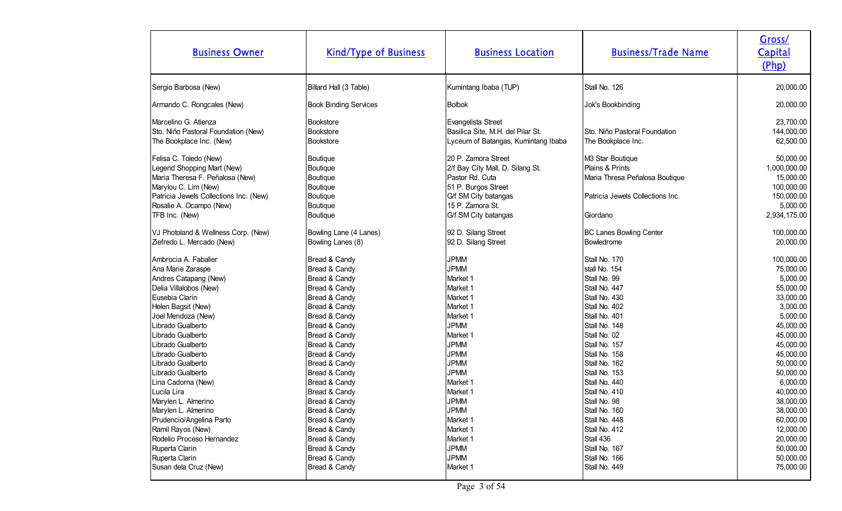| <b>Business Owner</b>                  | <b>Kind/Type of Business</b> | <b>Business Location</b>            | <b>Business/Trade Name</b>       | Gross/<br>Capital<br>(Php) |
|----------------------------------------|------------------------------|-------------------------------------|----------------------------------|----------------------------|
| Sergio Barbosa (New)                   | Billard Hall (3 Table)       | Kumintang Ibaba (TUP)               | Stall No. 126                    | 20,000.00                  |
| Armando C. Rongcales (New)             | <b>Book Binding Services</b> | <b>Bolbok</b>                       | Jok's Bookbinding                | 20,000.00                  |
| Marcelino G. Atienza                   | <b>Bookstore</b>             | Evangelista Street                  |                                  | 23,700.00                  |
| Sto. Niño Pastoral Foundation (New)    | Bookstore                    | Basilica Site, M.H. del Pilar St.   | Sto. Niño Pastoral Foundation    | 144,000.00                 |
| The Bookplace Inc. (New)               | Bookstore                    | Lyceum of Batangas, Kumintang Ibaba | The Bookplace Inc.               | 62,500.00                  |
| Felisa C. Toledo (New)                 | Boutique                     | 20 P. Zamora Street                 | M3 Star Boutique                 | 50,000.00                  |
| Legend Shopping Mart (New)             | Boutique                     | 2/f Bay City Mall, D. Silang St.    | Plains & Prints                  | 1,000,000.00               |
| Maria Theresa F. Peñalosa (New)        | Boutique                     | Pastor Rd. Cuta                     | Maria Thresa Peñalosa Boutique   | 15,000.00                  |
| Marylou C. Lim (New)                   | Boutique                     | 51 P. Burgos Street                 |                                  | 100,000.00                 |
| Patricia Jewels Collections Inc. (New) | Boutique                     | G/f SM City batangas                | Patricia Jewels Collections Inc. | 150,000.00                 |
| Rosalie A. Ocampo (New)                | Boutique                     | 15 P. Zamora St.                    |                                  | 5,000.00                   |
| TFB Inc. (New)                         | Boutique                     | G/f SM City batangas                | Giordano                         | 2,934,175.00               |
| VJ Photoland & Wellness Corp. (New)    | Bowling Lane (4 Lanes)       | 92 D. Silang Street                 | <b>BC Lanes Bowling Center</b>   | 100,000.00                 |
| Ziefredo L. Mercado (New)              | Bowling Lanes (8)            | 92 D. Silang Street                 | Bowledrome                       | 20,000.00                  |
| Ambrocia A. Fabalier                   | Bread & Candy                | <b>JPMM</b>                         | Stall No. 170                    | 100,000.00                 |
| Ana Marie Zaraspe                      | Bread & Candy                | <b>JPMM</b>                         | stall No. 154                    | 75,000.00                  |
| Andres Catapang (New)                  | Bread & Candy                | Market 1                            | Stall No. 99                     | 5,000.00                   |
| Delia Villalobos (New)                 | Bread & Candy                | Market 1                            | Stall No. 447                    | 55,000.00                  |
| Eusebia Clarin                         | Bread & Candy                | Market 1                            | Stall No. 430                    | 33,000.00                  |
| Helen Bagsit (New)                     | Bread & Candy                | Market 1                            | Stall No. 402                    | 3,000.00                   |
| Joel Mendoza (New)                     | Bread & Candy                | Market 1                            | Stall No. 401                    | 5,000.00                   |
| Librado Gualberto                      | Bread & Candy                | <b>JPMM</b>                         | Stall No. 148                    | 45,000.00                  |
| Librado Gualberto                      | Bread & Candy                | Market 1                            | Stall No. 02                     | 45,000.00                  |
| Librado Gualberto                      | Bread & Candy                | <b>JPMM</b>                         | Stall No. 157                    | 45,000.00                  |
| Librado Gualberto                      | Bread & Candy                | <b>JPMM</b>                         | Stall No. 158                    | 45,000.00                  |
| Librado Gualberto                      | Bread & Candy                | <b>JPMM</b>                         | Stall No. 162                    | 50,000.00                  |
| Librado Gualberto                      | Bread & Candy                | <b>JPMM</b>                         | Stall No. 153                    | 50,000.00                  |
| Lina Cadorna (New)                     | Bread & Candy                | Market 1                            | Stall No. 440                    | 6,000.00                   |
| Lucila Lira                            | Bread & Candy                | Market 1                            | Stall No. 410                    | 40,000.00                  |
| Marylen L. Almerino                    | Bread & Candy                | <b>JPMM</b>                         | Stall No. 98                     | 38,000.00                  |
| Marylen L. Almerino                    | Bread & Candy                | <b>JPMM</b>                         | Stall No. 160                    | 38,000.00                  |
| Prudencio/Angelina Parto               | Bread & Candy                | Market 1                            | Stall No. 448                    | 60,000.00                  |
| Ramil Rayos (New)                      | Bread & Candy                | Market 1                            | Stall No. 412                    | 12,000.00                  |
| Rodelio Proceso Hernandez              | Bread & Candy                | Market 1                            | Stall 436                        | 20,000.00                  |
| Ruperta Clarin                         | Bread & Candy                | <b>JPMM</b>                         | Stall No. 167                    | 50,000.00                  |
| Ruperta Clarin                         | Bread & Candy                | <b>JPMM</b>                         | Stall No. 166                    | 50,000.00                  |
| Susan dela Cruz (New)                  | Bread & Candy                | Market 1                            | Stall No. 449                    | 75,000.00                  |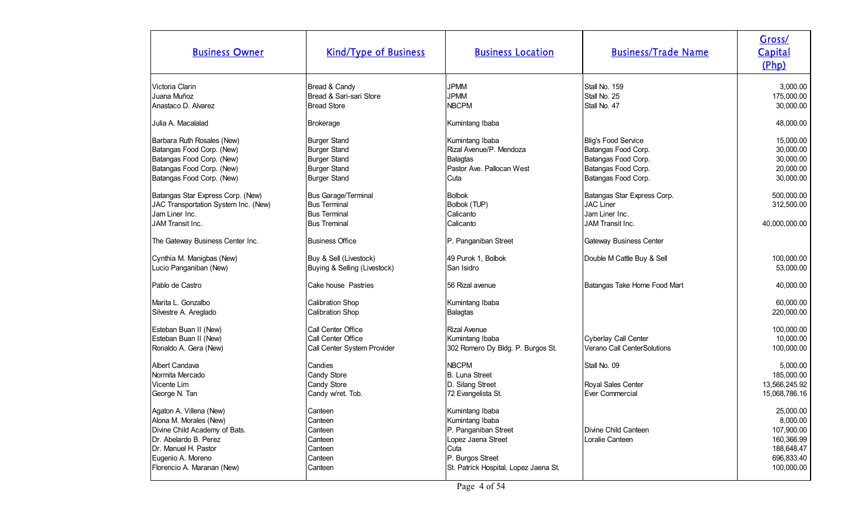| <b>Business Owner</b>                                                                                                                                                                  | <b>Kind/Type of Business</b>                                                                                    | <b>Business Location</b>                                                                                                                              | <b>Business/Trade Name</b>                                                                                      | Gross/<br>Capital<br>(Php)                                                                  |
|----------------------------------------------------------------------------------------------------------------------------------------------------------------------------------------|-----------------------------------------------------------------------------------------------------------------|-------------------------------------------------------------------------------------------------------------------------------------------------------|-----------------------------------------------------------------------------------------------------------------|---------------------------------------------------------------------------------------------|
| Victoria Clarin<br>Juana Muñoz<br>Anastaco D. Alvarez                                                                                                                                  | Bread & Candy<br>Bread & Sari-sari Store<br><b>Bread Store</b>                                                  | <b>JPMM</b><br><b>JPMM</b><br><b>NBCPM</b>                                                                                                            | Stall No. 159<br>Stall No. 25<br>Stall No. 47                                                                   | 3,000.00<br>175,000.00<br>30,000.00                                                         |
| Julia A. Macalalad                                                                                                                                                                     | <b>Brokerage</b>                                                                                                | Kumintang Ibaba                                                                                                                                       |                                                                                                                 | 48,000.00                                                                                   |
| Barbara Ruth Rosales (New)<br>Batangas Food Corp. (New)<br>Batangas Food Corp. (New)<br>Batangas Food Corp. (New)<br>Batangas Food Corp. (New)                                         | <b>Burger Stand</b><br><b>Burger Stand</b><br><b>Burger Stand</b><br><b>Burger Stand</b><br><b>Burger Stand</b> | Kumintang Ibaba<br>Rizal Avenue/P. Mendoza<br>Balagtas<br>Pastor Ave. Pallocan West<br>Cuta                                                           | Blig's Food Service<br>Batangas Food Corp.<br>Batangas Food Corp.<br>Batangas Food Corp.<br>Batangas Food Corp. | 15,000.00<br>30,000.00<br>30,000.00<br>20,000.00<br>30,000.00                               |
| Batangas Star Express Corp. (New)<br>JAC Transportation System Inc. (New)<br>Jam Liner Inc.<br>JAM Transit Inc.                                                                        | <b>Bus Garage/Terminal</b><br><b>Bus Terminal</b><br><b>Bus Terminal</b><br><b>Bus Treminal</b>                 | <b>Bolbok</b><br>Bolbok (TUP)<br>Calicanto<br>Calicanto                                                                                               | Batangas Star Express Corp.<br><b>JAC Liner</b><br>Jam Liner Inc.<br>JAM Transit Inc.                           | 500,000.00<br>312,500.00<br>40,000,000.00                                                   |
| The Gateway Business Center Inc.                                                                                                                                                       | <b>Business Office</b>                                                                                          | P. Panganiban Street                                                                                                                                  | <b>Gateway Business Center</b>                                                                                  |                                                                                             |
| Cynthia M. Manigbas (New)<br>Lucio Panganiban (New)                                                                                                                                    | Buy & Sell (Livestock)<br>Buying & Selling (Livestock)                                                          | 49 Purok 1, Bolbok<br>San Isidro                                                                                                                      | Double M Cattle Buy & Sell                                                                                      | 100,000.00<br>53,000.00                                                                     |
| Pablo de Castro                                                                                                                                                                        | Cake house Pastries                                                                                             | 56 Rizal avenue                                                                                                                                       | Batangas Take Home Food Mart                                                                                    | 40,000.00                                                                                   |
| Marita L. Gonzalbo<br>Silvestre A. Areglado                                                                                                                                            | Calibration Shop<br><b>Calibration Shop</b>                                                                     | Kumintang Ibaba<br>Balagtas                                                                                                                           |                                                                                                                 | 60,000.00<br>220,000.00                                                                     |
| Esteban Buan II (New)<br>Esteban Buan II (New)<br>Ronaldo A. Gera (New)                                                                                                                | Call Center Office<br>Call Center Office<br>Call Center System Provider                                         | Rizal Avenue<br>Kumintang Ibaba<br>302 Romero Dy Bldg. P. Burgos St.                                                                                  | Cyberlay Call Center<br>Verano Call CenterSolutions                                                             | 100,000.00<br>10,000.00<br>100,000.00                                                       |
| Albert Candava<br>Normita Mercado<br>Vicente Lim<br>George N. Tan                                                                                                                      | Candies<br>Candy Store<br>Candy Store<br>Candy w/ret. Tob.                                                      | <b>NBCPM</b><br>B. Luna Street<br>D. Silang Street<br>72 Evangelista St.                                                                              | Stall No. 09<br>Royal Sales Center<br>Ever Commercial                                                           | 5,000.00<br>185,000.00<br>13,566,245.92<br>15,068,786.16                                    |
| Agaton A. Villena (New)<br>Alona M. Morales (New)<br>Divine Child Academy of Bats.<br>Dr. Abelardo B. Perez<br>Dr. Manuel H. Pastor<br>Eugenio A. Moreno<br>Florencio A. Maranan (New) | Canteen<br>Canteen<br>Canteen<br>Canteen<br>Canteen<br>Canteen<br>Canteen                                       | Kumintang Ibaba<br>Kumintang Ibaba<br>P. Panganiban Street<br>Lopez Jaena Street<br>Cuta<br>P. Burgos Street<br>St. Patrick Hospital, Lopez Jaena St. | Divine Child Canteen<br>Loralie Canteen                                                                         | 25,000.00<br>8,000.00<br>107,900.00<br>160,366.99<br>188,648.47<br>696,833.40<br>100,000.00 |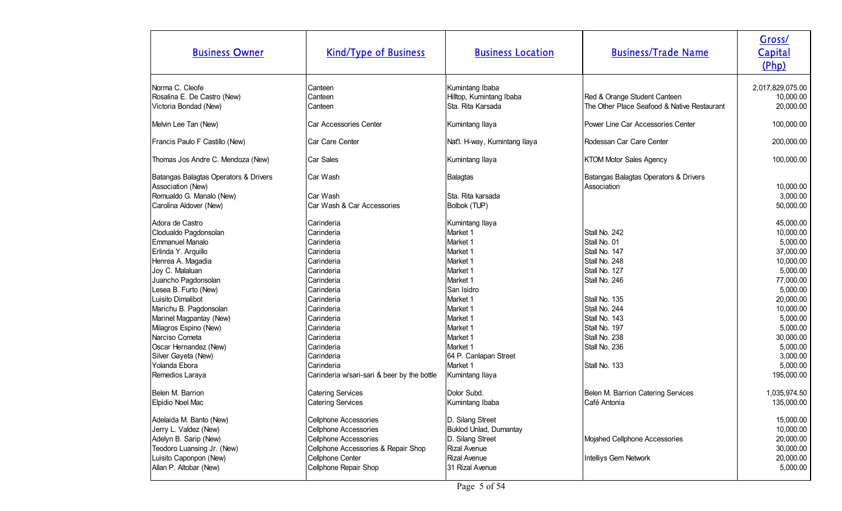| <b>Business Owner</b>                                                                                                                                                                                                                                                                                                                                                  | <b>Kind/Type of Business</b>                                                                                                                                                                                                                                                            | <b>Business Location</b>                                                                                                                                                                                                      | <b>Business/Trade Name</b>                                                                                                                                                                                               | Gross/<br>Capital<br>(Php)                                                                                                                                                                           |
|------------------------------------------------------------------------------------------------------------------------------------------------------------------------------------------------------------------------------------------------------------------------------------------------------------------------------------------------------------------------|-----------------------------------------------------------------------------------------------------------------------------------------------------------------------------------------------------------------------------------------------------------------------------------------|-------------------------------------------------------------------------------------------------------------------------------------------------------------------------------------------------------------------------------|--------------------------------------------------------------------------------------------------------------------------------------------------------------------------------------------------------------------------|------------------------------------------------------------------------------------------------------------------------------------------------------------------------------------------------------|
| Norma C. Cleofe<br>Rosalina E. De Castro (New)<br>Victoria Bondad (New)                                                                                                                                                                                                                                                                                                | Canteen<br>Canteen<br>Canteen                                                                                                                                                                                                                                                           | Kumintang Ibaba<br>Hilltop, Kumintang Ibaba<br>Sta. Rita Karsada                                                                                                                                                              | Red & Orange Student Canteen<br>The Other Place Seafood & Native Restaurant                                                                                                                                              | 2,017,829,075.00<br>10,000.00<br>20,000.00                                                                                                                                                           |
| Melvin Lee Tan (New)                                                                                                                                                                                                                                                                                                                                                   | Car Accessories Center                                                                                                                                                                                                                                                                  | Kumintang Ilaya                                                                                                                                                                                                               | Power Line Car Accessories Center                                                                                                                                                                                        | 100,000.00                                                                                                                                                                                           |
| Francis Paulo F Castillo (New)                                                                                                                                                                                                                                                                                                                                         | Car Care Center                                                                                                                                                                                                                                                                         | Nat'l. H-way, Kumintang Ilaya                                                                                                                                                                                                 | Rodessan Car Care Center                                                                                                                                                                                                 | 200,000.00                                                                                                                                                                                           |
| Thomas Jos Andre C. Mendoza (New)                                                                                                                                                                                                                                                                                                                                      | Car Sales                                                                                                                                                                                                                                                                               | Kumintang Ilaya                                                                                                                                                                                                               | <b>KTOM Motor Sales Agency</b>                                                                                                                                                                                           | 100,000.00                                                                                                                                                                                           |
| Batangas Balagtas Operators & Drivers<br>Association (New)<br>Romualdo G. Manalo (New)<br>Carolina Aldover (New)                                                                                                                                                                                                                                                       | Car Wash<br>Car Wash<br>Car Wash & Car Accessories                                                                                                                                                                                                                                      | Balagtas<br>Sta. Rita karsada<br>Bolbok (TUP)                                                                                                                                                                                 | Batangas Balagtas Operators & Drivers<br>Association                                                                                                                                                                     | 10,000.00<br>3,000.00<br>50,000.00                                                                                                                                                                   |
| Adora de Castro<br>Clodualdo Pagdonsolan<br><b>Emmanuel Manalo</b><br>Erlinda Y. Arquillo<br>Henrea A. Magadia<br>Joy C. Malaluan<br>Juancho Pagdonsolan<br>Lesea B. Furto (New)<br>Luisito Dimalibot<br>Marichu B. Pagdonsolan<br>Marinel Magpantay (New)<br>Milagros Espino (New)<br>Narciso Cometa<br>Oscar Hernandez (New)<br>Silver Gayeta (New)<br>Yolanda Ebora | Carinderia<br>Carinderia<br>Carinderia<br>Carinderia<br>Carinderia<br>Carinderia<br>Carinderia<br>Carinderia<br>Carinderia<br>Carinderia<br>Carinderia<br>Carinderia<br>Carinderia<br>Carinderia<br>Carinderia<br>Carinderia                                                            | Kumintang Ilaya<br>Market 1<br>Market <sub>1</sub><br>Market 1<br>Market 1<br>Market 1<br>Market 1<br>San Isidro<br>Market 1<br>Market 1<br>Market 1<br>Market 1<br>Market 1<br>Market 1<br>64 P. Canlapan Street<br>Market 1 | Stall No. 242<br>Stall No. 01<br>Stall No. 147<br>Stall No. 248<br>Stall No. 127<br>Stall No. 246<br>Stall No. 135<br>Stall No. 244<br>Stall No. 143<br>Stall No. 197<br>Stall No. 238<br>Stall No. 236<br>Stall No. 133 | 45,000.00<br>10,000.00<br>5,000.00<br>37,000.00<br>10,000.00<br>5,000.00<br>77,000.00<br>5,000.00<br>20,000.00<br>10,000.00<br>5,000.00<br>5,000.00<br>30,000.00<br>5,000.00<br>3,000.00<br>5,000.00 |
| Remedios Laraya<br>Belen M. Barrion<br>Elpidio Noel Mac<br>Adelaida M. Banto (New)<br>Jerry L. Valdez (New)<br>Adelyn B. Sarip (New)<br>Teodoro Luansing Jr. (New)<br>Luisito Caponpon (New)<br>Allan P. Altobar (New)                                                                                                                                                 | Carinderia w/sari-sari & beer by the bottle<br><b>Catering Services</b><br><b>Catering Services</b><br><b>Cellphone Accessories</b><br><b>Cellphone Accessories</b><br><b>Cellphone Accessories</b><br>Cellphone Accessories & Repair Shop<br>Cellphone Center<br>Cellphone Repair Shop | Kumintang Ilaya<br>Dolor Subd.<br>Kumintang Ibaba<br>D. Silang Street<br>Buklod Unlad, Dumantay<br>D. Silang Street<br><b>Rizal Avenue</b><br><b>Rizal Avenue</b><br>31 Rizal Avenue                                          | Belen M. Barrion Catering Services<br>Café Antonia<br>Mojahed Cellphone Accessories<br>Intelliys Gem Network                                                                                                             | 195,000.00<br>1,035,974.50<br>135,000.00<br>15,000.00<br>10,000.00<br>20,000.00<br>30,000.00<br>20,000.00<br>5,000.00                                                                                |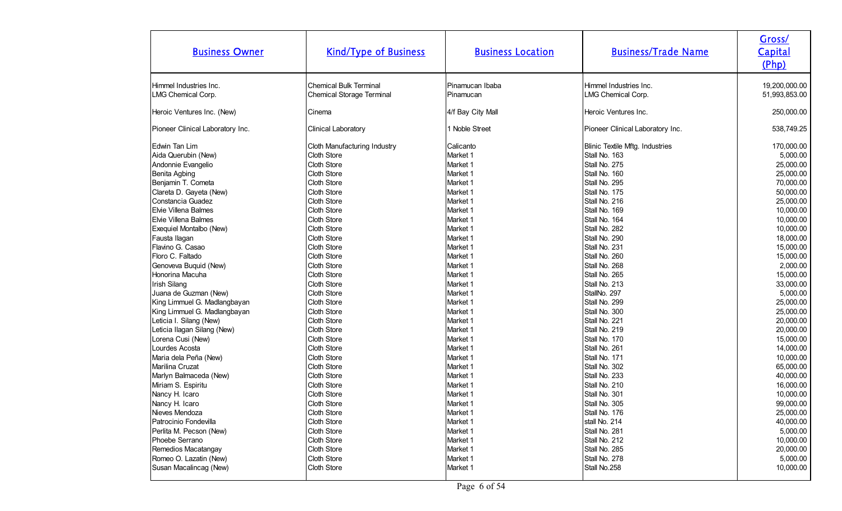| <b>Business Owner</b>            | <b>Kind/Type of Business</b>     | <b>Business Location</b> | <b>Business/Trade Name</b>             | Gross/<br>Capital<br>(Php) |
|----------------------------------|----------------------------------|--------------------------|----------------------------------------|----------------------------|
| Himmel Industries Inc.           | <b>Chemical Bulk Terminal</b>    | Pinamucan Ibaba          | Himmel Industries Inc.                 | 19,200,000.00              |
| LMG Chemical Corp.               | <b>Chemical Storage Terminal</b> | Pinamucan                | LMG Chemical Corp.                     | 51,993,853.00              |
| Heroic Ventures Inc. (New)       | Cinema                           | 4/f Bay City Mall        | Heroic Ventures Inc.                   | 250,000.00                 |
| Pioneer Clinical Laboratory Inc. | Clinical Laboratory              | 1 Noble Street           | Pioneer Clinical Laboratory Inc.       | 538,749.25                 |
| Edwin Tan Lim                    | Cloth Manufacturing Industry     | Calicanto                | <b>Blinic Textile Mftg. Industries</b> | 170,000.00                 |
| Aida Querubin (New)              | Cloth Store                      | Market 1                 | Stall No. 163                          | 5,000.00                   |
| Andonnie Evangelio               | Cloth Store                      | Market 1                 | Stall No. 275                          | 25,000.00                  |
| Benita Agbing                    | Cloth Store                      | Market 1                 | Stall No. 160                          | 25,000.00                  |
| Benjamin T. Cometa               | Cloth Store                      | Market 1                 | Stall No. 295                          | 70,000.00                  |
| Clareta D. Gayeta (New)          | Cloth Store                      | Market 1                 | Stall No. 175                          | 50,000.00                  |
| Constancia Guadez                | Cloth Store                      | Market 1                 | Stall No. 216                          | 25,000.00                  |
| <b>Elvie Villena Balmes</b>      | Cloth Store                      | Market 1                 | Stall No. 169                          | 10,000.00                  |
| Elvie Villena Balmes             | Cloth Store                      | Market 1                 | Stall No. 164                          | 10,000.00                  |
| Exequiel Montalbo (New)          | Cloth Store                      | Market 1                 | Stall No. 282                          | 10,000.00                  |
| Fausta Ilagan                    | Cloth Store                      | Market 1                 | Stall No. 290                          | 18,000.00                  |
| Flavino G. Casao                 | Cloth Store                      | Market 1                 | Stall No. 231                          | 15,000.00                  |
| Floro C. Faltado                 | Cloth Store                      | Market 1                 | Stall No. 260                          | 15,000.00                  |
| Genoveva Buquid (New)            | Cloth Store                      | Market 1                 | Stall No. 268                          | 2,000.00                   |
| Honorina Macuha                  | Cloth Store                      | Market 1                 | Stall No. 265                          | 15,000.00                  |
| <b>Irish Silang</b>              | Cloth Store                      | Market 1                 | Stall No. 213                          | 33,000.00                  |
| Juana de Guzman (New)            | Cloth Store                      | Market 1                 | StallNo. 297                           | 5,000.00                   |
| King Limmuel G. Madlangbayan     | Cloth Store                      | Market 1                 | Stall No. 299                          | 25,000.00                  |
| King Limmuel G. Madlangbayan     | Cloth Store                      | Market 1                 | Stall No. 300                          | 25,000.00                  |
| Leticia I. Silang (New)          | Cloth Store                      | Market 1                 | Stall No. 221                          | 20,000.00                  |
| Leticia Ilagan Silang (New)      | <b>Cloth Store</b>               | Market 1                 | Stall No. 219                          | 20,000.00                  |
| Lorena Cusi (New)                | Cloth Store                      | Market 1                 | Stall No. 170                          | 15,000.00                  |
| Lourdes Acosta                   | Cloth Store                      | Market 1                 | Stall No. 261                          | 14,000.00                  |
| Maria dela Peña (New)            | Cloth Store                      | Market 1                 | Stall No. 171                          | 10,000.00                  |
| Marilina Cruzat                  | Cloth Store                      | Market 1                 | Stall No. 302                          | 65,000.00                  |
| Marlyn Balmaceda (New)           | Cloth Store                      | Market 1                 | Stall No. 233                          | 40,000.00                  |
| Miriam S. Espiritu               | Cloth Store                      | Market 1                 | Stall No. 210                          | 16,000.00                  |
| Nancy H. Icaro                   | Cloth Store                      | Market 1                 | Stall No. 301                          | 10,000.00                  |
| Nancy H. Icaro                   | Cloth Store                      | Market 1                 | Stall No. 305                          | 99,000.00                  |
| Nieves Mendoza                   | Cloth Store                      | Market 1                 | Stall No. 176                          | 25,000.00                  |
| Patrocinio Fondevilla            | Cloth Store                      | Market 1                 | stall No. 214                          | 40,000.00                  |
| Perlita M. Pecson (New)          | Cloth Store                      | Market 1                 | Stall No. 281                          | 5,000.00                   |
| Phoebe Serrano                   | Cloth Store                      | Market 1                 | Stall No. 212                          | 10,000.00                  |
| Remedios Macatangay              | Cloth Store                      | Market 1                 | Stall No. 285                          | 20,000.00                  |
| Romeo O. Lazatin (New)           | Cloth Store                      | Market 1                 | Stall No. 278                          | 5,000.00                   |
| Susan Macalincag (New)           | Cloth Store                      | Market 1                 | Stall No.258                           | 10,000.00                  |
|                                  |                                  |                          |                                        |                            |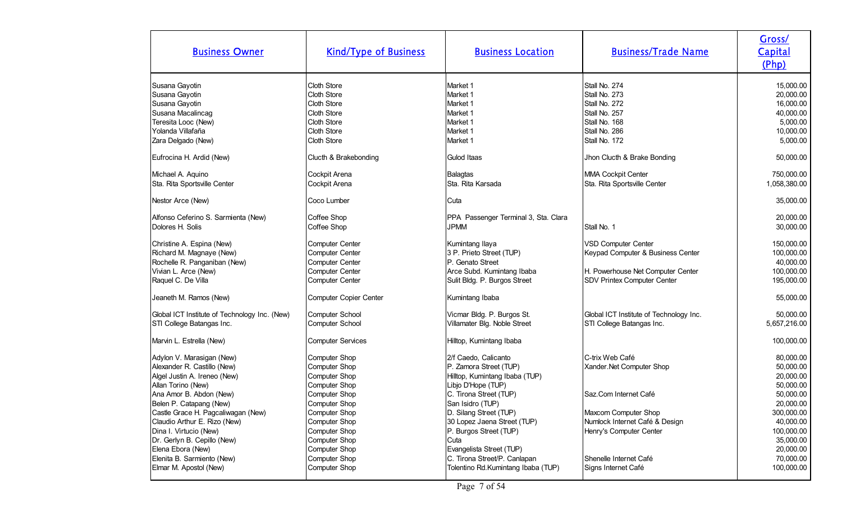| <b>Business Owner</b>                                                                                                                     | <b>Kind/Type of Business</b>                                                                          | <b>Business Location</b>                                                                                                         | <b>Business/Trade Name</b>                                                                                                          | Gross/<br>Capital<br>(Php)                                                            |
|-------------------------------------------------------------------------------------------------------------------------------------------|-------------------------------------------------------------------------------------------------------|----------------------------------------------------------------------------------------------------------------------------------|-------------------------------------------------------------------------------------------------------------------------------------|---------------------------------------------------------------------------------------|
| Susana Gayotin<br>Susana Gayotin<br>Susana Gayotin<br>Susana Macalincag<br>Teresita Looc (New)<br>Yolanda Villafaña<br>Zara Delgado (New) | Cloth Store<br>Cloth Store<br>Cloth Store<br>Cloth Store<br>Cloth Store<br>Cloth Store<br>Cloth Store | Market 1<br>Market 1<br>Market 1<br>Market 1<br>Market 1<br>Market 1<br>Market 1                                                 | Stall No. 274<br>Stall No. 273<br>Stall No. 272<br>Stall No. 257<br>Stall No. 168<br>Stall No. 286<br>Stall No. 172                 | 15,000.00<br>20,000.00<br>16,000.00<br>40,000.00<br>5,000.00<br>10,000.00<br>5,000.00 |
| Eufrocina H. Ardid (New)                                                                                                                  | Clucth & Brakebonding                                                                                 | Gulod Itaas                                                                                                                      | Jhon Clucth & Brake Bonding                                                                                                         | 50,000.00                                                                             |
| Michael A. Aquino<br>Sta. Rita Sportsville Center                                                                                         | Cockpit Arena<br>Cockpit Arena                                                                        | <b>Balagtas</b><br>Sta. Rita Karsada                                                                                             | MMA Cockpit Center<br>Sta. Rita Sportsville Center                                                                                  | 750,000.00<br>1,058,380.00                                                            |
| Nestor Arce (New)                                                                                                                         | Coco Lumber                                                                                           | Cuta                                                                                                                             |                                                                                                                                     | 35,000.00                                                                             |
| Alfonso Ceferino S. Sarmienta (New)<br>Dolores H. Solis                                                                                   | Coffee Shop<br>Coffee Shop                                                                            | PPA Passenger Terminal 3, Sta. Clara<br><b>JPMM</b>                                                                              | Stall No. 1                                                                                                                         | 20,000.00<br>30,000.00                                                                |
| Christine A. Espina (New)<br>Richard M. Magnaye (New)<br>Rochelle R. Panganiban (New)<br>Vivian L. Arce (New)<br>Raquel C. De Villa       | <b>Computer Center</b><br>Computer Center<br>Computer Center<br>Computer Center<br>Computer Center    | Kumintang Ilaya<br>3 P. Prieto Street (TUP)<br>P. Genato Street<br>Arce Subd. Kumintang Ibaba<br>Sulit Bldg. P. Burgos Street    | <b>VSD Computer Center</b><br>Keypad Computer & Business Center<br>H. Powerhouse Net Computer Center<br>SDV Printex Computer Center | 150,000.00<br>100,000.00<br>40,000.00<br>100,000.00<br>195,000.00                     |
| Jeaneth M. Ramos (New)                                                                                                                    | Computer Copier Center                                                                                | Kumintang Ibaba                                                                                                                  |                                                                                                                                     | 55,000.00                                                                             |
| Global ICT Institute of Technology Inc. (New)<br>STI College Batangas Inc.                                                                | <b>Computer School</b><br>Computer School                                                             | Vicmar Bldg. P. Burgos St.<br>Villamater Blg. Noble Street                                                                       | Global ICT Institute of Technology Inc.<br>STI College Batangas Inc.                                                                | 50,000.00<br>5,657,216.00                                                             |
| Marvin L. Estrella (New)                                                                                                                  | <b>Computer Services</b>                                                                              | Hilltop, Kumintang Ibaba                                                                                                         |                                                                                                                                     | 100,000.00                                                                            |
| Adylon V. Marasigan (New)<br>Alexander R. Castillo (New)<br>Algel Justin A. Ireneo (New)<br>Allan Torino (New)                            | Computer Shop<br>Computer Shop<br>Computer Shop<br>Computer Shop                                      | 2/f Caedo, Calicanto<br>P. Zamora Street (TUP)<br>Hilltop, Kumintang Ibaba (TUP)<br>Libjo D'Hope (TUP)                           | C-trix Web Café<br>Xander.Net Computer Shop                                                                                         | 80,000.00<br>50,000.00<br>20,000.00<br>50,000.00                                      |
| Ana Amor B. Abdon (New)<br>Belen P. Catapang (New)<br>Castle Grace H. Pagcaliwagan (New)<br>Claudio Arthur E. Rizo (New)                  | Computer Shop<br>Computer Shop<br>Computer Shop<br>Computer Shop                                      | C. Tirona Street (TUP)<br>San Isidro (TUP)<br>D. Silang Street (TUP)<br>30 Lopez Jaena Street (TUP)                              | Saz.Com Internet Café<br>Maxcom Computer Shop<br>Numlock Internet Café & Design                                                     | 50,000.00<br>20,000.00<br>300,000.00<br>40,000.00                                     |
| Dina I. Virtucio (New)<br>Dr. Gerlyn B. Cepillo (New)<br>Elena Ebora (New)<br>Elenita B. Sarmiento (New)<br>Elmar M. Apostol (New)        | Computer Shop<br>Computer Shop<br>Computer Shop<br>Computer Shop<br>Computer Shop                     | P. Burgos Street (TUP)<br>Cuta<br>Evangelista Street (TUP)<br>C. Tirona Street/P. Canlapan<br>Tolentino Rd.Kumintang Ibaba (TUP) | Henry's Computer Center<br>Shenelle Internet Café<br>Signs Internet Café                                                            | 100,000.00<br>35,000.00<br>20,000.00<br>70,000.00<br>100,000.00                       |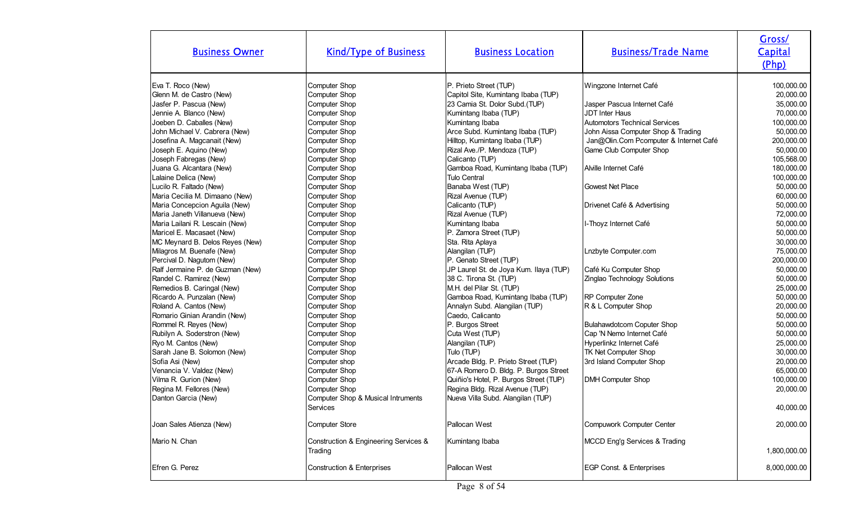| <b>Business Owner</b>                                                                                                                                                                                                                                                                                                                                                                                                                                                                                                                                                                                                                                                                                                                                                                                        | <b>Kind/Type of Business</b>                                                                                                                                                                                                                                                                                                                                                                                                                                            | <b>Business Location</b>                                                                                                                                                                                                                                                                                                                                                                                                                                                                                                                                                                                                                                                                                                                  | <b>Business/Trade Name</b>                                                                                                                                                                                                                                                                                                                                                                                                                                                                | Gross/<br>Capital<br>(Php)                                                                                                                                                                                                                                                                                                                                         |
|--------------------------------------------------------------------------------------------------------------------------------------------------------------------------------------------------------------------------------------------------------------------------------------------------------------------------------------------------------------------------------------------------------------------------------------------------------------------------------------------------------------------------------------------------------------------------------------------------------------------------------------------------------------------------------------------------------------------------------------------------------------------------------------------------------------|-------------------------------------------------------------------------------------------------------------------------------------------------------------------------------------------------------------------------------------------------------------------------------------------------------------------------------------------------------------------------------------------------------------------------------------------------------------------------|-------------------------------------------------------------------------------------------------------------------------------------------------------------------------------------------------------------------------------------------------------------------------------------------------------------------------------------------------------------------------------------------------------------------------------------------------------------------------------------------------------------------------------------------------------------------------------------------------------------------------------------------------------------------------------------------------------------------------------------------|-------------------------------------------------------------------------------------------------------------------------------------------------------------------------------------------------------------------------------------------------------------------------------------------------------------------------------------------------------------------------------------------------------------------------------------------------------------------------------------------|--------------------------------------------------------------------------------------------------------------------------------------------------------------------------------------------------------------------------------------------------------------------------------------------------------------------------------------------------------------------|
| Eva T. Roco (New)<br>Glenn M. de Castro (New)<br>Jasfer P. Pascua (New)<br>Jennie A. Blanco (New)<br>Joeben D. Caballes (New)<br>John Michael V. Cabrera (New)<br>Josefina A. Magcanait (New)<br>Joseph E. Aquino (New)<br>Joseph Fabregas (New)<br>Juana G. Alcantara (New)<br>Lalaine Delica (New)<br>Lucilo R. Faltado (New)<br>Maria Cecilia M. Dimaano (New)<br>Maria Concepcion Aguila (New)<br>Maria Janeth Villanueva (New)<br>Maria Lailani R. Lescain (New)<br>Maricel E. Macasaet (New)<br>MC Meynard B. Delos Reyes (New)<br>Milagros M. Buenafe (New)<br>Percival D. Nagutom (New)<br>Ralf Jermaine P. de Guzman (New)<br>Randel C. Ramirez (New)<br>Remedios B. Caringal (New)<br>Ricardo A. Punzalan (New)<br>Roland A. Cantos (New)<br>Romario Ginian Arandin (New)<br>Rommel R. Reyes (New) | Computer Shop<br>Computer Shop<br>Computer Shop<br>Computer Shop<br>Computer Shop<br>Computer Shop<br>Computer Shop<br>Computer Shop<br>Computer Shop<br>Computer Shop<br>Computer Shop<br>Computer Shop<br>Computer Shop<br>Computer Shop<br>Computer Shop<br>Computer Shop<br>Computer Shop<br>Computer Shop<br>Computer Shop<br>Computer Shop<br>Computer Shop<br>Computer Shop<br>Computer Shop<br>Computer Shop<br>Computer Shop<br>Computer Shop<br>Computer Shop | P. Prieto Street (TUP)<br>Capitol Site, Kumintang Ibaba (TUP)<br>23 Camia St. Dolor Subd.(TUP)<br>Kumintang Ibaba (TUP)<br>Kumintang Ibaba<br>Arce Subd. Kumintang Ibaba (TUP)<br>Hilltop, Kumintang Ibaba (TUP)<br>Rizal Ave./P. Mendoza (TUP)<br>Calicanto (TUP)<br>Gamboa Road, Kumintang Ibaba (TUP)<br>Tulo Central<br>Banaba West (TUP)<br>Rizal Avenue (TUP)<br>Calicanto (TUP)<br>Rizal Avenue (TUP)<br>Kumintang Ibaba<br>P. Zamora Street (TUP)<br>Sta. Rita Aplaya<br>Alangilan (TUP)<br>P. Genato Street (TUP)<br>JP Laurel St. de Joya Kum. Ilaya (TUP)<br>38 C. Tirona St. (TUP)<br>M.H. del Pilar St. (TUP)<br>Gamboa Road, Kumintang Ibaba (TUP)<br>Annalyn Subd. Alangilan (TUP)<br>Caedo, Calicanto<br>P. Burgos Street | Wingzone Internet Café<br>Jasper Pascua Internet Café<br><b>JDT Inter Haus</b><br>Automotors Technical Services<br>John Aissa Computer Shop & Trading<br>Jan@Olin.Com Pcomputer & Internet Café<br>Game Club Computer Shop<br>Alville Internet Café<br>Gowest Net Place<br>Drivenet Café & Advertising<br>I-Thoyz Internet Café<br>Lnzbyte Computer.com<br>Café Ku Computer Shop<br>Zinglao Technology Solutions<br>RP Computer Zone<br>R & L Computer Shop<br>Bulahawdotcom Coputer Shop | 100,000.00<br>20,000.00<br>35,000.00<br>70,000.00<br>100,000.00<br>50,000.00<br>200,000.00<br>50,000.00<br>105,568.00<br>180,000.00<br>100,000.00<br>50,000.00<br>60,000.00<br>50,000.00<br>72,000.00<br>50,000.00<br>50,000.00<br>30,000.00<br>75,000.00<br>200,000.00<br>50,000.00<br>50,000.00<br>25,000.00<br>50,000.00<br>20,000.00<br>50,000.00<br>50,000.00 |
| Rubilyn A. Soderstron (New)<br>Ryo M. Cantos (New)<br>Sarah Jane B. Solomon (New)<br>Sofia Asi (New)<br>Venancia V. Valdez (New)<br>Vilma R. Gurion (New)<br>Regina M. Fellores (New)<br>Danton Garcia (New)<br>Joan Sales Atienza (New)                                                                                                                                                                                                                                                                                                                                                                                                                                                                                                                                                                     | Computer Shop<br>Computer Shop<br>Computer Shop<br>Computer shop<br>Computer Shop<br>Computer Shop<br>Computer Shop<br>Computer Shop & Musical Intruments<br>Services<br>Computer Store<br>Construction & Engineering Services &                                                                                                                                                                                                                                        | Cuta West (TUP)<br>Alangilan (TUP)<br>Tulo (TUP)<br>Arcade Bldg. P. Prieto Street (TUP)<br>67-A Romero D. Bldg. P. Burgos Street<br>Quiñio's Hotel, P. Burgos Street (TUP)<br>Regina Bldg. Rizal Avenue (TUP)<br>Nueva Villa Subd. Alangilan (TUP)<br>Pallocan West                                                                                                                                                                                                                                                                                                                                                                                                                                                                       | Cap 'N Nemo Internet Café<br>Hyperlinkz Internet Café<br>TK Net Computer Shop<br>3rd Island Computer Shop<br><b>DMH Computer Shop</b><br>Compuwork Computer Center                                                                                                                                                                                                                                                                                                                        | 50,000.00<br>25,000.00<br>30,000.00<br>20,000.00<br>65,000.00<br>100,000.00<br>20,000.00<br>40,000.00<br>20,000.00                                                                                                                                                                                                                                                 |
| Mario N. Chan<br>Efren G. Perez                                                                                                                                                                                                                                                                                                                                                                                                                                                                                                                                                                                                                                                                                                                                                                              | Trading<br><b>Construction &amp; Enterprises</b>                                                                                                                                                                                                                                                                                                                                                                                                                        | Kumintang Ibaba<br>Pallocan West                                                                                                                                                                                                                                                                                                                                                                                                                                                                                                                                                                                                                                                                                                          | MCCD Eng'g Services & Trading<br>EGP Const. & Enterprises                                                                                                                                                                                                                                                                                                                                                                                                                                 | 1,800,000.00<br>8,000,000.00                                                                                                                                                                                                                                                                                                                                       |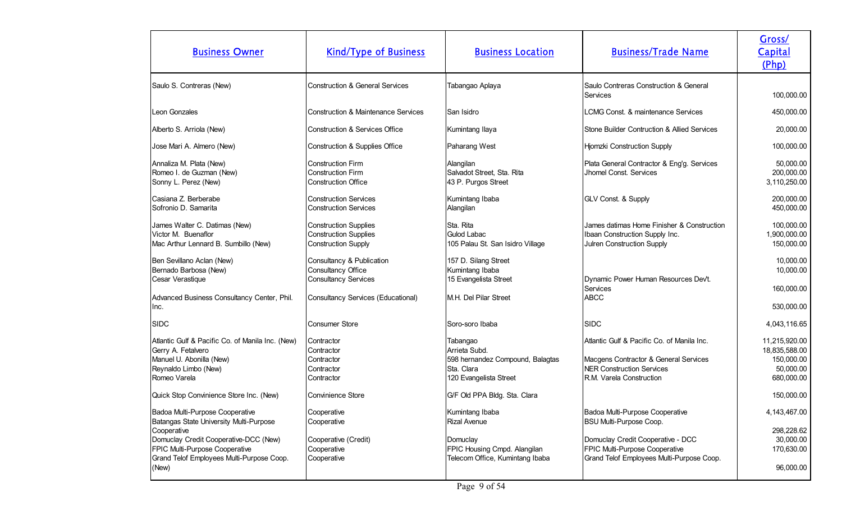| <b>Business Owner</b>                                                                                                                                                                                                      | <b>Kind/Type of Business</b>                                                                                         | <b>Business Location</b>                                                                                       | <b>Business/Trade Name</b>                                                                                                                                                     | Gross/<br>Capital<br>(Php)                                              |
|----------------------------------------------------------------------------------------------------------------------------------------------------------------------------------------------------------------------------|----------------------------------------------------------------------------------------------------------------------|----------------------------------------------------------------------------------------------------------------|--------------------------------------------------------------------------------------------------------------------------------------------------------------------------------|-------------------------------------------------------------------------|
| Saulo S. Contreras (New)                                                                                                                                                                                                   | <b>Construction &amp; General Services</b>                                                                           | Tabangao Aplaya                                                                                                | Saulo Contreras Construction & General<br>Services                                                                                                                             | 100,000.00                                                              |
| Leon Gonzales                                                                                                                                                                                                              | Construction & Maintenance Services                                                                                  | <b>San Isidro</b>                                                                                              | LCMG Const. & maintenance Services                                                                                                                                             | 450,000.00                                                              |
| Alberto S. Arriola (New)                                                                                                                                                                                                   | Construction & Services Office                                                                                       | Kumintang Ilaya                                                                                                | Stone Builder Contruction & Allied Services                                                                                                                                    | 20,000.00                                                               |
| Jose Mari A. Almero (New)                                                                                                                                                                                                  | Construction & Supplies Office                                                                                       | Paharang West                                                                                                  | Hjomzki Construction Supply                                                                                                                                                    | 100,000.00                                                              |
| Annaliza M. Plata (New)<br>Romeo I. de Guzman (New)<br>Sonny L. Perez (New)                                                                                                                                                | <b>Construction Firm</b><br>Construction Firm<br><b>Construction Office</b>                                          | Alangilan<br>Salvadot Street, Sta. Rita<br>43 P. Purgos Street                                                 | Plata General Contractor & Eng'g. Services<br>Jhomel Const. Services                                                                                                           | 50,000.00<br>200,000.00<br>3,110,250.00                                 |
| Casiana Z. Berberabe<br>Sofronio D. Samarita                                                                                                                                                                               | <b>Construction Services</b><br><b>Construction Services</b>                                                         | Kumintang Ibaba<br>Alangilan                                                                                   | GLV Const. & Supply                                                                                                                                                            | 200,000.00<br>450,000.00                                                |
| James Walter C. Datimas (New)<br>Victor M. Buenaflor<br>Mac Arthur Lennard B. Sumbillo (New)                                                                                                                               | <b>Construction Supplies</b><br><b>Construction Supplies</b><br><b>Construction Supply</b>                           | Sta. Rita<br><b>Gulod Labac</b><br>105 Palau St. San Isidro Village                                            | James datimas Home Finisher & Construction<br>Ibaan Construction Supply Inc.<br>Julren Construction Supply                                                                     | 100,000.00<br>1,900,000.00<br>150,000.00                                |
| Ben Sevillano Aclan (New)<br>Bernado Barbosa (New)<br>Cesar Verastique<br>Advanced Business Consultancy Center, Phil.<br>Inc.                                                                                              | Consultancy & Publication<br>Consultancy Office<br><b>Consultancy Services</b><br>Consultancy Services (Educational) | 157 D. Silang Street<br>Kumintang Ibaba<br>15 Evangelista Street<br>M.H. Del Pilar Street                      | Dynamic Power Human Resources Dev't.<br>Services<br><b>ABCC</b>                                                                                                                | 10,000.00<br>10,000.00<br>160,000.00<br>530,000.00                      |
| <b>SIDC</b>                                                                                                                                                                                                                | Consumer Store                                                                                                       | Soro-soro Ibaba                                                                                                | <b>SIDC</b>                                                                                                                                                                    | 4,043,116.65                                                            |
| Atlantic Gulf & Pacific Co. of Manila Inc. (New)<br>Gerry A. Fetalvero<br>Manuel U. Abonilla (New)<br>Reynaldo Limbo (New)<br>Romeo Varela                                                                                 | Contractor<br>Contractor<br>Contractor<br>Contractor<br>Contractor                                                   | Tabangao<br>Arrieta Subd.<br>598 hernandez Compound, Balagtas<br>Sta. Clara<br>120 Evangelista Street          | Atlantic Gulf & Pacific Co. of Manila Inc.<br>Macgens Contractor & General Services<br><b>NER Construction Services</b><br>R.M. Varela Construction                            | 11,215,920.00<br>18,835,588.00<br>150,000.00<br>50,000.00<br>680,000.00 |
| Quick Stop Convinience Store Inc. (New)                                                                                                                                                                                    | Convinience Store                                                                                                    | G/F Old PPA Bldg. Sta. Clara                                                                                   |                                                                                                                                                                                | 150,000.00                                                              |
| Badoa Multi-Purpose Cooperative<br>Batangas State University Multi-Purpose<br>Cooperative<br>Domuclay Credit Cooperative-DCC (New)<br>FPIC Multi-Purpose Cooperative<br>Grand Telof Employees Multi-Purpose Coop.<br>(New) | Cooperative<br>Cooperative<br>Cooperative (Credit)<br>Cooperative<br>Cooperative                                     | Kumintang Ibaba<br>Rizal Avenue<br>Domuclay<br>FPIC Housing Cmpd. Alangilan<br>Telecom Office, Kumintang Ibaba | Badoa Multi-Purpose Cooperative<br>BSU Multi-Purpose Coop.<br>Domuclay Credit Cooperative - DCC<br>FPIC Multi-Purpose Cooperative<br>Grand Telof Employees Multi-Purpose Coop. | 4, 143, 467.00<br>298,228.62<br>30,000.00<br>170,630.00<br>96,000.00    |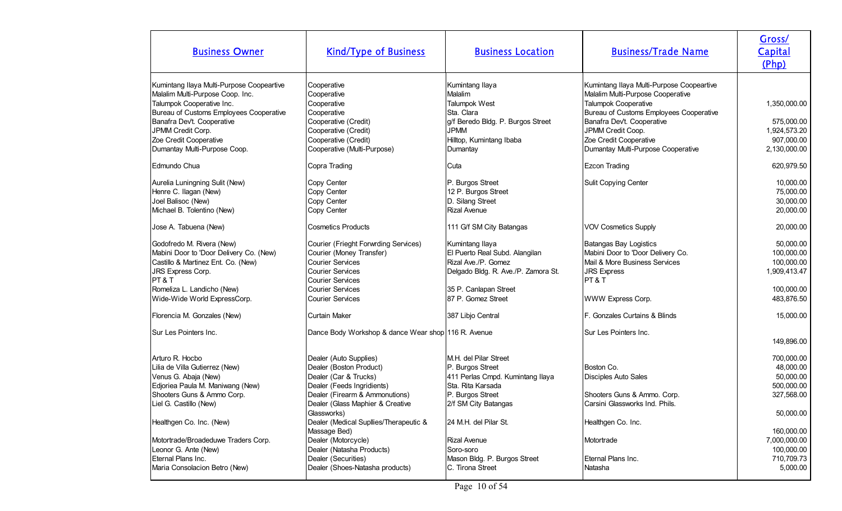| <b>Business Owner</b>                                                                                                                                                                                    | <b>Kind/Type of Business</b>                                                                                                                                                                            | <b>Business Location</b>                                                                                                                                       | <b>Business/Trade Name</b>                                                                                                                                                                           | Gross/<br>Capital<br>(Php)                                                        |
|----------------------------------------------------------------------------------------------------------------------------------------------------------------------------------------------------------|---------------------------------------------------------------------------------------------------------------------------------------------------------------------------------------------------------|----------------------------------------------------------------------------------------------------------------------------------------------------------------|------------------------------------------------------------------------------------------------------------------------------------------------------------------------------------------------------|-----------------------------------------------------------------------------------|
| Kumintang Ilaya Multi-Purpose Coopeartive<br>Malalim Multi-Purpose Coop. Inc.<br>Talumpok Cooperative Inc.<br>Bureau of Customs Employees Cooperative<br>Banafra Dev't. Cooperative<br>JPMM Credit Corp. | Cooperative<br>Cooperative<br>Cooperative<br>Cooperative<br>Cooperative (Credit)<br>Cooperative (Credit)                                                                                                | Kumintang Ilaya<br>Malalim<br>Talumpok West<br>Sta. Clara<br>g/f Beredo Bldg. P. Burgos Street<br><b>JPMM</b>                                                  | Kumintang Ilaya Multi-Purpose Coopeartive<br>Malalim Multi-Purpose Cooperative<br>Talumpok Cooperative<br>Bureau of Customs Employees Cooperative<br>Banafra Dev't. Cooperative<br>JPMM Credit Coop. | 1,350,000.00<br>575,000.00<br>1,924,573.20                                        |
| Zoe Credit Cooperative<br>Dumantay Multi-Purpose Coop.                                                                                                                                                   | Cooperative (Credit)<br>Cooperative (Multi-Purpose)                                                                                                                                                     | Hilltop, Kumintang Ibaba<br>Dumantay                                                                                                                           | Zoe Credit Cooperative<br>Dumantay Multi-Purpose Cooperative                                                                                                                                         | 907,000.00<br>2,130,000.00                                                        |
| Edmundo Chua                                                                                                                                                                                             | Copra Trading                                                                                                                                                                                           | Cuta                                                                                                                                                           | <b>Ezcon Trading</b>                                                                                                                                                                                 | 620,979.50                                                                        |
| Aurelia Luningning Sulit (New)<br>Henre C. Ilagan (New)<br>Joel Balisoc (New)<br>Michael B. Tolentino (New)                                                                                              | Copy Center<br>Copy Center<br>Copy Center<br>Copy Center                                                                                                                                                | P. Burgos Street<br>12 P. Burgos Street<br>D. Silang Street<br><b>Rizal Avenue</b>                                                                             | Sulit Copying Center                                                                                                                                                                                 | 10,000.00<br>75,000.00<br>30,000.00<br>20,000.00                                  |
| Jose A. Tabuena (New)                                                                                                                                                                                    | <b>Cosmetics Products</b>                                                                                                                                                                               | 111 G/f SM City Batangas                                                                                                                                       | <b>VOV Cosmetics Supply</b>                                                                                                                                                                          | 20,000.00                                                                         |
| Godofredo M. Rivera (New)<br>Mabini Door to 'Door Delivery Co. (New)<br>Castillo & Martinez Ent. Co. (New)<br>JRS Express Corp.<br>PT & T<br>Romeliza L. Landicho (New)<br>Wide-Wide World ExpressCorp.  | Courier (Frieght Forwrding Services)<br>Courier (Money Transfer)<br><b>Courier Services</b><br><b>Courier Services</b><br><b>Courier Services</b><br><b>Courier Services</b><br><b>Courier Services</b> | Kumintang Ilaya<br>El Puerto Real Subd. Alangilan<br>Rizal Ave./P. Gomez<br>Delgado Bldg. R. Ave./P. Zamora St.<br>35 P. Canlapan Street<br>87 P. Gomez Street | Batangas Bay Logistics<br>Mabini Door to 'Door Delivery Co.<br>Mail & More Business Services<br><b>JRS Express</b><br>PT&T<br>WWW Express Corp.                                                      | 50,000.00<br>100,000.00<br>100,000.00<br>1,909,413.47<br>100,000.00<br>483,876.50 |
| Florencia M. Gonzales (New)                                                                                                                                                                              | <b>Curtain Maker</b>                                                                                                                                                                                    | 387 Libjo Central                                                                                                                                              | F. Gonzales Curtains & Blinds                                                                                                                                                                        | 15,000.00                                                                         |
| Sur Les Pointers Inc.                                                                                                                                                                                    | Dance Body Workshop & dance Wear shop 116 R. Avenue                                                                                                                                                     |                                                                                                                                                                | Sur Les Pointers Inc.                                                                                                                                                                                | 149,896.00                                                                        |
| Arturo R. Hocbo<br>Lilia de Villa Gutierrez (New)<br>Venus G. Abaja (New)<br>Edjoriea Paula M. Maniwang (New)<br>Shooters Guns & Ammo Corp.<br>Liel G. Castillo (New)                                    | Dealer (Auto Supplies)<br>Dealer (Boston Product)<br>Dealer (Car & Trucks)<br>Dealer (Feeds Ingridients)<br>Dealer (Firearm & Ammonutions)<br>Dealer (Glass Maphier & Creative<br>Glassworks)           | M.H. del Pilar Street<br>P. Burgos Street<br>411 Perlas Cmpd. Kumintang Ilaya<br>Sta. Rita Karsada<br>P. Burgos Street<br>2/f SM City Batangas                 | Boston Co.<br>Disciples Auto Sales<br>Shooters Guns & Ammo. Corp.<br>Carsini Glassworks Ind. Phils.                                                                                                  | 700,000.00<br>48,000.00<br>50,000.00<br>500,000.00<br>327,568.00<br>50,000.00     |
| Healthgen Co. Inc. (New)                                                                                                                                                                                 | Dealer (Medical Supllies/Therapeutic &<br>Massage Bed)                                                                                                                                                  | 24 M.H. del Pilar St.                                                                                                                                          | Healthgen Co. Inc.                                                                                                                                                                                   | 160,000.00                                                                        |
| Motortrade/Broadeduwe Traders Corp.<br>Leonor G. Ante (New)<br>Eternal Plans Inc.<br>Maria Consolacion Betro (New)                                                                                       | Dealer (Motorcycle)<br>Dealer (Natasha Products)<br>Dealer (Securities)<br>Dealer (Shoes-Natasha products)                                                                                              | <b>Rizal Avenue</b><br>Soro-soro<br>Mason Bldg. P. Burgos Street<br>C. Tirona Street                                                                           | Motortrade<br>Eternal Plans Inc.<br>Natasha                                                                                                                                                          | 7,000,000.00<br>100,000.00<br>710,709.73<br>5,000.00                              |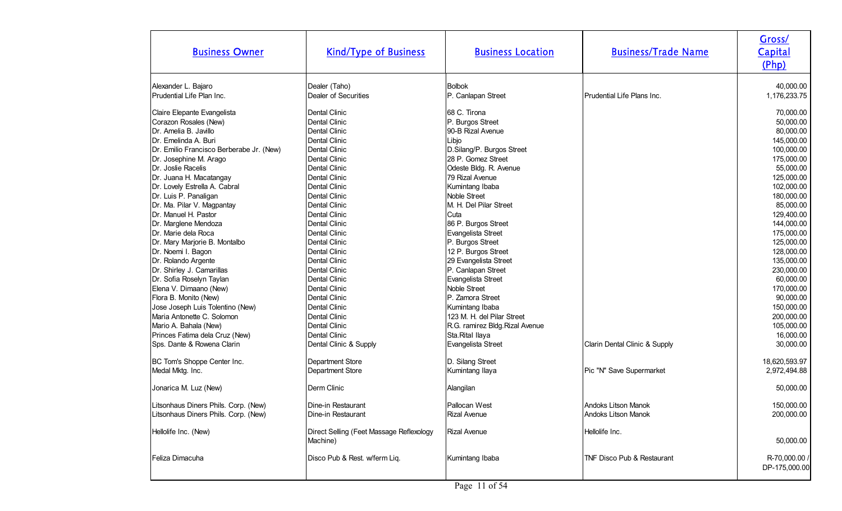| <b>Business Owner</b>                                                                                                                                                                                                                                                                                                                                                                                                                                                                                                                                                                                                                                                                                              | <b>Kind/Type of Business</b>                                                                                                                                                                                                                                                                                                                                                                                                                               | <b>Business Location</b>                                                                                                                                                                                                                                                                                                                                                                                                                                                                                                                          | <b>Business/Trade Name</b>                 | Gross/<br>Capital<br>(Php)                                                                                                                                                                                                                                                                                                                         |
|--------------------------------------------------------------------------------------------------------------------------------------------------------------------------------------------------------------------------------------------------------------------------------------------------------------------------------------------------------------------------------------------------------------------------------------------------------------------------------------------------------------------------------------------------------------------------------------------------------------------------------------------------------------------------------------------------------------------|------------------------------------------------------------------------------------------------------------------------------------------------------------------------------------------------------------------------------------------------------------------------------------------------------------------------------------------------------------------------------------------------------------------------------------------------------------|---------------------------------------------------------------------------------------------------------------------------------------------------------------------------------------------------------------------------------------------------------------------------------------------------------------------------------------------------------------------------------------------------------------------------------------------------------------------------------------------------------------------------------------------------|--------------------------------------------|----------------------------------------------------------------------------------------------------------------------------------------------------------------------------------------------------------------------------------------------------------------------------------------------------------------------------------------------------|
| Alexander L. Bajaro<br>Prudential Life Plan Inc.                                                                                                                                                                                                                                                                                                                                                                                                                                                                                                                                                                                                                                                                   | Dealer (Taho)<br>Dealer of Securities                                                                                                                                                                                                                                                                                                                                                                                                                      | <b>Bolbok</b><br>P. Canlapan Street                                                                                                                                                                                                                                                                                                                                                                                                                                                                                                               | Prudential Life Plans Inc.                 | 40,000.00<br>1,176,233.75                                                                                                                                                                                                                                                                                                                          |
| Claire Elepante Evangelista<br>Corazon Rosales (New)<br>Dr. Amelia B. Javillo<br>Dr. Emelinda A. Buri<br>Dr. Emilio Francisco Berberabe Jr. (New)<br>Dr. Josephine M. Arago<br>Dr. Joslie Racelis<br>Dr. Juana H. Macatangay<br>Dr. Lovely Estrella A. Cabral<br>Dr. Luis P. Panaligan<br>Dr. Ma. Pilar V. Magpantay<br>Dr. Manuel H. Pastor<br>Dr. Marglene Mendoza<br>Dr. Marie dela Roca<br>Dr. Mary Marjorie B. Montalbo<br>Dr. Noemi I. Bagon<br>Dr. Rolando Argente<br>Dr. Shirley J. Camarillas<br>Dr. Sofia Roselyn Taylan<br>Elena V. Dimaano (New)<br>Flora B. Monito (New)<br>Jose Joseph Luis Tolentino (New)<br>Maria Antonette C. Solomon<br>Mario A. Bahala (New)<br>Princes Fatima dela Cruz (New) | Dental Clinic<br>Dental Clinic<br><b>Dental Clinic</b><br>Dental Clinic<br>Dental Clinic<br>Dental Clinic<br>Dental Clinic<br>Dental Clinic<br>Dental Clinic<br>Dental Clinic<br>Dental Clinic<br>Dental Clinic<br><b>Dental Clinic</b><br>Dental Clinic<br>Dental Clinic<br>Dental Clinic<br><b>Dental Clinic</b><br>Dental Clinic<br>Dental Clinic<br>Dental Clinic<br>Dental Clinic<br>Dental Clinic<br>Dental Clinic<br>Dental Clinic<br>Dental Clinic | 68 C. Tirona<br>P. Burgos Street<br>90-B Rizal Avenue<br>Libjo<br>D.Silang/P. Burgos Street<br>28 P. Gomez Street<br>Odeste Bldg. R. Avenue<br>79 Rizal Avenue<br>Kumintang Ibaba<br><b>Noble Street</b><br>M. H. Del Pilar Street<br>Cuta<br>86 P. Burgos Street<br>Evangelista Street<br>P. Burgos Street<br>12 P. Burgos Street<br>29 Evangelista Street<br>P. Canlapan Street<br>Evangelista Street<br>Noble Street<br>P. Zamora Street<br>Kumintang Ibaba<br>123 M. H. del Pilar Street<br>R.G. ramirez Bldg.Rizal Avenue<br>Sta.Rital Ilaya |                                            | 70,000.00<br>50,000.00<br>80,000.00<br>145,000.00<br>100,000.00<br>175,000.00<br>55,000.00<br>125,000.00<br>102,000.00<br>180,000.00<br>85,000.00<br>129,400.00<br>144,000.00<br>175,000.00<br>125,000.00<br>128,000.00<br>135,000.00<br>230,000.00<br>60,000.00<br>170,000.00<br>90,000.00<br>150,000.00<br>200,000.00<br>105,000.00<br>16,000.00 |
| Sps. Dante & Rowena Clarin                                                                                                                                                                                                                                                                                                                                                                                                                                                                                                                                                                                                                                                                                         | Dental Clinic & Supply                                                                                                                                                                                                                                                                                                                                                                                                                                     | Evangelista Street                                                                                                                                                                                                                                                                                                                                                                                                                                                                                                                                | Clarin Dental Clinic & Supply              | 30,000.00                                                                                                                                                                                                                                                                                                                                          |
| BC Tom's Shoppe Center Inc.<br>Medal Mktg. Inc.                                                                                                                                                                                                                                                                                                                                                                                                                                                                                                                                                                                                                                                                    | Department Store<br>Department Store                                                                                                                                                                                                                                                                                                                                                                                                                       | D. Silang Street<br>Kumintang Ilaya                                                                                                                                                                                                                                                                                                                                                                                                                                                                                                               | Pic "N" Save Supermarket                   | 18,620,593.97<br>2,972,494.88                                                                                                                                                                                                                                                                                                                      |
| Jonarica M. Luz (New)                                                                                                                                                                                                                                                                                                                                                                                                                                                                                                                                                                                                                                                                                              | Derm Clinic                                                                                                                                                                                                                                                                                                                                                                                                                                                | Alangilan                                                                                                                                                                                                                                                                                                                                                                                                                                                                                                                                         |                                            | 50,000.00                                                                                                                                                                                                                                                                                                                                          |
| Litsonhaus Diners Phils. Corp. (New)<br>Litsonhaus Diners Phils. Corp. (New)                                                                                                                                                                                                                                                                                                                                                                                                                                                                                                                                                                                                                                       | Dine-in Restaurant<br>Dine-in Restaurant                                                                                                                                                                                                                                                                                                                                                                                                                   | Pallocan West<br><b>Rizal Avenue</b>                                                                                                                                                                                                                                                                                                                                                                                                                                                                                                              | Andoks Litson Manok<br>Andoks Litson Manok | 150,000.00<br>200,000.00                                                                                                                                                                                                                                                                                                                           |
| Hellolife Inc. (New)                                                                                                                                                                                                                                                                                                                                                                                                                                                                                                                                                                                                                                                                                               | Direct Selling (Feet Massage Reflexology<br>Machine)                                                                                                                                                                                                                                                                                                                                                                                                       | <b>Rizal Avenue</b>                                                                                                                                                                                                                                                                                                                                                                                                                                                                                                                               | Hellolife Inc.                             | 50,000.00                                                                                                                                                                                                                                                                                                                                          |
| Feliza Dimacuha                                                                                                                                                                                                                                                                                                                                                                                                                                                                                                                                                                                                                                                                                                    | Disco Pub & Rest. w/ferm Liq.                                                                                                                                                                                                                                                                                                                                                                                                                              | Kumintang Ibaba                                                                                                                                                                                                                                                                                                                                                                                                                                                                                                                                   | <b>ITNF Disco Pub &amp; Restaurant</b>     | R-70,000.00 /<br>DP-175,000.00                                                                                                                                                                                                                                                                                                                     |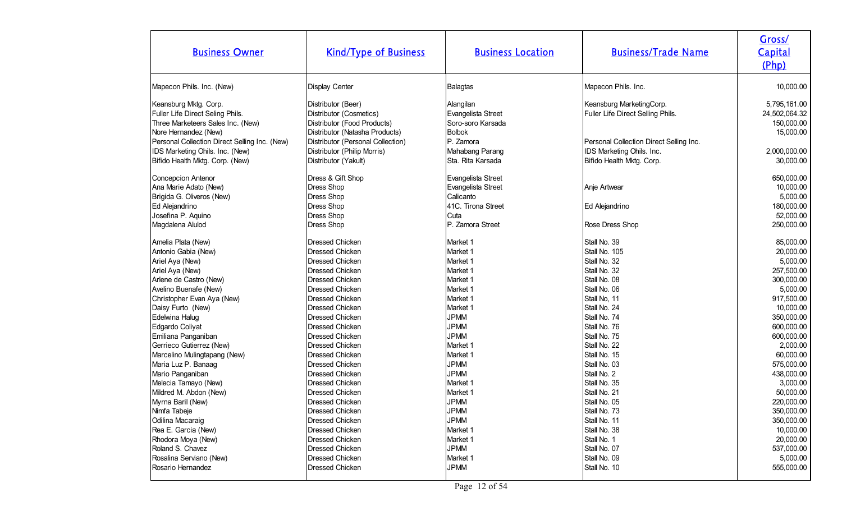| <b>Business Owner</b>                         | <b>Kind/Type of Business</b>      | <b>Business Location</b> | <b>Business/Trade Name</b>              | Gross/<br>Capital<br>(Php) |
|-----------------------------------------------|-----------------------------------|--------------------------|-----------------------------------------|----------------------------|
| Mapecon Phils. Inc. (New)                     | <b>Display Center</b>             | Balagtas                 | Mapecon Phils. Inc.                     | 10,000.00                  |
| Keansburg Mktg. Corp.                         | Distributor (Beer)                | Alangilan                | Keansburg MarketingCorp.                | 5,795,161.00               |
| Fuller Life Direct Seling Phils.              | Distributor (Cosmetics)           | Evangelista Street       | Fuller Life Direct Selling Phils.       | 24,502,064.32              |
| Three Marketeers Sales Inc. (New)             | Distributor (Food Products)       | Soro-soro Karsada        |                                         | 150,000.00                 |
| Nore Hernandez (New)                          | Distributor (Natasha Products)    | Bolbok                   |                                         | 15,000.00                  |
| Personal Collection Direct Selling Inc. (New) | Distributor (Personal Collection) | P. Zamora                | Personal Collection Direct Selling Inc. |                            |
| IDS Marketing Ohils. Inc. (New)               | Distributor (Philip Morris)       | Mahabang Parang          | IDS Marketing Ohils. Inc.               | 2,000,000.00               |
| Bifido Health Mktg. Corp. (New)               | Distributor (Yakult)              | Sta. Rita Karsada        | Bifido Health Mktg. Corp.               | 30,000.00                  |
| Concepcion Antenor                            | Dress & Gift Shop                 | Evangelista Street       |                                         | 650,000.00                 |
| Ana Marie Adato (New)                         | <b>Dress Shop</b>                 | Evangelista Street       | Anje Artwear                            | 10,000.00                  |
| Brigida G. Oliveros (New)                     | <b>Dress Shop</b>                 | Calicanto                |                                         | 5,000.00                   |
| Ed Alejandrino                                | <b>Dress Shop</b>                 | 41C. Tirona Street       | Ed Alejandrino                          | 180,000.00                 |
| Josefina P. Aquino                            | <b>Dress Shop</b>                 | Cuta                     |                                         | 52,000.00                  |
| Magdalena Alulod                              | <b>Dress Shop</b>                 | P. Zamora Street         | Rose Dress Shop                         | 250,000.00                 |
| Amelia Plata (New)                            | <b>Dressed Chicken</b>            | Market 1                 | Stall No. 39                            | 85,000.00                  |
| Antonio Gabia (New)                           | Dressed Chicken                   | Market 1                 | Stall No. 105                           | 20,000.00                  |
| Ariel Aya (New)                               | Dressed Chicken                   | Market 1                 | Stall No. 32                            | 5,000.00                   |
| Ariel Aya (New)                               | <b>Dressed Chicken</b>            | Market 1                 | Stall No. 32                            | 257,500.00                 |
| Arlene de Castro (New)                        | <b>Dressed Chicken</b>            | Market 1                 | Stall No. 08                            | 300,000.00                 |
| Avelino Buenafe (New)                         | <b>Dressed Chicken</b>            | Market 1                 | Stall No. 06                            | 5,000.00                   |
| Christopher Evan Aya (New)                    | <b>Dressed Chicken</b>            | Market 1                 | Stall No, 11                            | 917,500.00                 |
| Daisy Furto (New)                             | <b>Dressed Chicken</b>            | Market <sub>1</sub>      | Stall No. 24                            | 10,000.00                  |
| Edelwina Halug                                | <b>Dressed Chicken</b>            | <b>JPMM</b>              | Stall No. 74                            | 350,000.00                 |
| Edgardo Coliyat                               | Dressed Chicken                   | <b>JPMM</b>              | Stall No. 76                            | 600,000.00                 |
| Emiliana Panganiban                           | <b>Dressed Chicken</b>            | <b>JPMM</b>              | Stall No. 75                            | 600,000.00                 |
| Gerrieco Gutierrez (New)                      | <b>Dressed Chicken</b>            | Market 1                 | Stall No. 22                            | 2,000.00                   |
| Marcelino Mulingtapang (New)                  | <b>Dressed Chicken</b>            | Market 1                 | Stall No. 15                            | 60,000.00                  |
| Maria Luz P. Banaag                           | Dressed Chicken                   | <b>JPMM</b>              | Stall No. 03                            | 575,000.00                 |
| Mario Panganiban                              | <b>Dressed Chicken</b>            | <b>JPMM</b>              | Stall No. 2                             | 438,000.00                 |
| Melecia Tamayo (New)                          | <b>Dressed Chicken</b>            | Market <sub>1</sub>      | Stall No. 35                            | 3,000.00                   |
| Mildred M. Abdon (New)                        | Dressed Chicken                   | Market 1                 | Stall No. 21                            | 50,000.00                  |
| Myrna Baril (New)                             | Dressed Chicken                   | <b>JPMM</b>              | Stall No. 05                            | 220,000.00                 |
| Nimfa Tabeje                                  | <b>Dressed Chicken</b>            | <b>JPMM</b>              | Stall No. 73                            | 350,000.00                 |
| Odilina Macaraig                              | <b>Dressed Chicken</b>            | <b>JPMM</b>              | Stall No. 11                            | 350,000.00                 |
| Rea E. Garcia (New)                           | <b>Dressed Chicken</b>            | Market 1                 | Stall No. 38                            | 10,000.00                  |
| Rhodora Moya (New)                            | <b>Dressed Chicken</b>            | Market 1                 | Stall No. 1                             | 20,000.00                  |
| Roland S. Chavez                              | <b>Dressed Chicken</b>            | <b>JPMM</b>              | Stall No. 07                            | 537,000.00                 |
| Rosalina Serviano (New)                       | <b>Dressed Chicken</b>            | Market 1                 | Stall No. 09                            | 5,000.00                   |
| Rosario Hernandez                             | Dressed Chicken                   | <b>JPMM</b>              | Stall No. 10                            | 555,000.00                 |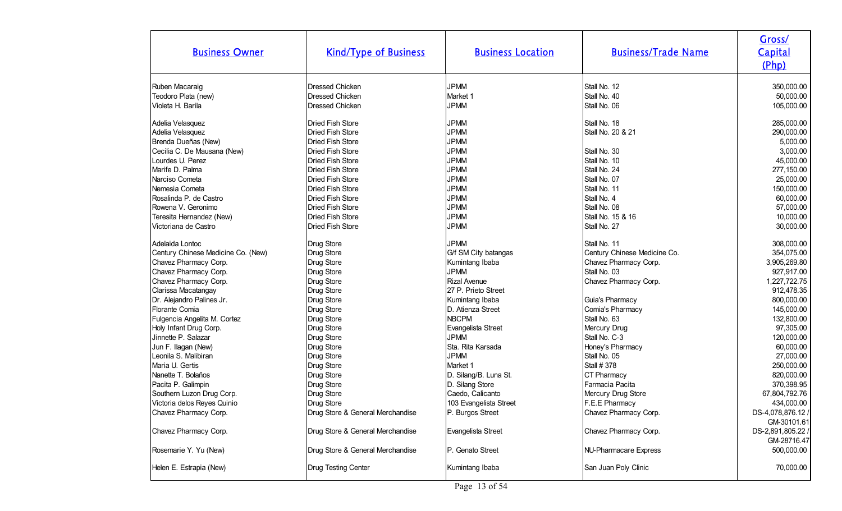| <b>Business Owner</b>              | <b>Kind/Type of Business</b>     | <b>Business Location</b> | <b>Business/Trade Name</b>   | Gross/<br>Capital<br>(Php) |
|------------------------------------|----------------------------------|--------------------------|------------------------------|----------------------------|
| Ruben Macaraig                     | <b>Dressed Chicken</b>           | <b>JPMM</b>              | Stall No. 12                 | 350,000.00                 |
| Teodoro Plata (new)                | <b>Dressed Chicken</b>           | Market 1                 | Stall No. 40                 | 50,000.00                  |
| Violeta H. Barila                  | Dressed Chicken                  | <b>JPMM</b>              | Stall No. 06                 | 105,000.00                 |
| Adelia Velasquez                   | Dried Fish Store                 | <b>JPMM</b>              | Stall No. 18                 | 285,000.00                 |
| Adelia Velasquez                   | <b>Dried Fish Store</b>          | <b>JPMM</b>              | Stall No. 20 & 21            | 290,000.00                 |
| Brenda Dueñas (New)                | <b>Dried Fish Store</b>          | <b>JPMM</b>              |                              | 5,000.00                   |
| Cecilia C. De Mausana (New)        | Dried Fish Store                 | <b>JPMM</b>              | Stall No. 30                 | 3,000.00                   |
| Lourdes U. Perez                   | Dried Fish Store                 | <b>JPMM</b>              | Stall No. 10                 | 45,000.00                  |
| Marife D. Palma                    | Dried Fish Store                 | <b>JPMM</b>              | Stall No. 24                 | 277,150.00                 |
| Narciso Cometa                     | Dried Fish Store                 | <b>JPMM</b>              | Stall No. 07                 | 25,000.00                  |
| Nemesia Cometa                     | Dried Fish Store                 | <b>JPMM</b>              | Stall No. 11                 | 150,000.00                 |
| Rosalinda P. de Castro             | <b>Dried Fish Store</b>          | <b>JPMM</b>              | Stall No. 4                  | 60,000.00                  |
| Rowena V. Geronimo                 | Dried Fish Store                 | <b>JPMM</b>              | Stall No. 08                 | 57,000.00                  |
| Teresita Hernandez (New)           | <b>Dried Fish Store</b>          | <b>JPMM</b>              | Stall No. 15 & 16            | 10,000.00                  |
| Victoriana de Castro               | Dried Fish Store                 | <b>JPMM</b>              | Stall No. 27                 | 30,000.00                  |
| Adelaida Lontoc                    | Drug Store                       | <b>JPMM</b>              | Stall No. 11                 | 308,000.00                 |
| Century Chinese Medicine Co. (New) | Drug Store                       | G/f SM City batangas     | Century Chinese Medicine Co. | 354,075.00                 |
| Chavez Pharmacy Corp.              | Drug Store                       | Kumintang Ibaba          | Chavez Pharmacy Corp.        | 3,905,269.80               |
| Chavez Pharmacy Corp.              | Drug Store                       | <b>JPMM</b>              | Stall No. 03                 | 927,917.00                 |
| Chavez Pharmacy Corp.              | Drug Store                       | <b>Rizal Avenue</b>      | Chavez Pharmacy Corp.        | 1,227,722.75               |
| Clarissa Macatangay                | Drug Store                       | 27 P. Prieto Street      |                              | 912,478.35                 |
| Dr. Alejandro Palines Jr.          | Drug Store                       | Kumintang Ibaba          | Guia's Pharmacy              | 800,000.00                 |
| Florante Comia                     | Drug Store                       | D. Atienza Street        | Comia's Pharmacy             | 145,000.00                 |
| Fulgencia Angelita M. Cortez       | Drug Store                       | <b>NBCPM</b>             | Stall No. 63                 | 132,800.00                 |
| Holy Infant Drug Corp.             | Drug Store                       | Evangelista Street       | Mercury Drug                 | 97,305.00                  |
| Jinnette P. Salazar                | Drug Store                       | <b>JPMM</b>              | Stall No. C-3                | 120,000.00                 |
| Jun F. Ilagan (New)                | Drug Store                       | Sta. Rita Karsada        | Honey's Pharmacy             | 60,000.00                  |
| Leonila S. Malibiran               | Drug Store                       | <b>JPMM</b>              | Stall No. 05                 | 27,000.00                  |
| Maria U. Gertis                    | Drug Store                       | Market 1                 | Stall # 378                  | 250,000.00                 |
| Nanette T. Bolaños                 | Drug Store                       | D. Silang/B. Luna St.    | <b>CT Pharmacy</b>           | 820,000.00                 |
| Pacita P. Galimpin                 | Drug Store                       | D. Silang Store          | Farmacia Pacita              | 370,398.95                 |
| Southern Luzon Drug Corp.          | Drug Store                       | Caedo, Calicanto         | Mercury Drug Store           | 67,804,792.76              |
| Victoria delos Reyes Quinio        | Drug Store                       | 103 Evangelista Street   | F.E.E Pharmacy               | 434,000.00                 |
| Chavez Pharmacy Corp.              | Drug Store & General Merchandise | P. Burgos Street         | Chavez Pharmacy Corp.        | DS-4,078,876.12 /          |
|                                    |                                  |                          |                              | GM-30101.61                |
| Chavez Pharmacy Corp.              | Drug Store & General Merchandise | Evangelista Street       | Chavez Pharmacy Corp.        | DS-2,891,805.22 /          |
|                                    |                                  |                          |                              | GM-28716.47                |
| Rosemarie Y. Yu (New)              | Drug Store & General Merchandise | P. Genato Street         | NU-Pharmacare Express        | 500,000.00                 |
| Helen E. Estrapia (New)            | Drug Testing Center              | Kumintang Ibaba          | San Juan Poly Clinic         | 70,000.00                  |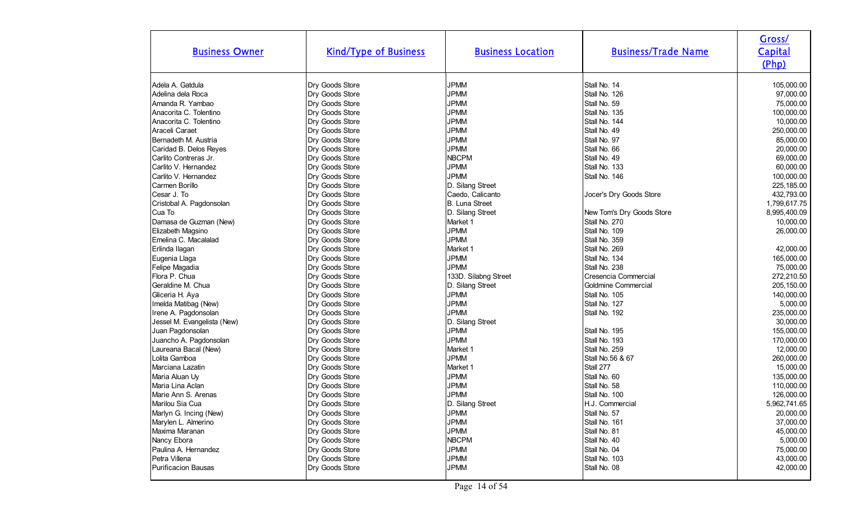| <b>Business Owner</b>       | <b>Kind/Type of Business</b> | <b>Business Location</b> | <b>Business/Trade Name</b> | Gross/<br>Capital<br>(Php) |
|-----------------------------|------------------------------|--------------------------|----------------------------|----------------------------|
| Adela A. Gatdula            | Dry Goods Store              | <b>JPMM</b>              | Stall No. 14               | 105,000.00                 |
| Adelina dela Roca           | Dry Goods Store              | <b>JPMM</b>              | Stall No. 126              | 97,000.00                  |
| Amanda R. Yambao            | Dry Goods Store              | <b>JPMM</b>              | Stall No. 59               | 75,000.00                  |
| Anacorita C. Tolentino      | Dry Goods Store              | <b>JPMM</b>              | Stall No. 135              | 100,000.00                 |
| Anacorita C. Tolentino      | Dry Goods Store              | <b>JPMM</b>              | Stall No. 144              | 10,000.00                  |
| Araceli Caraet              | Dry Goods Store              | <b>JPMM</b>              | Stall No. 49               | 250,000.00                 |
| Bernadeth M. Austria        | Dry Goods Store              | <b>JPMM</b>              | Stall No. 97               | 85,000.00                  |
| Caridad B. Delos Reyes      | Dry Goods Store              | <b>JPMM</b>              | Stall No. 66               | 20,000.00                  |
| Carlito Contreras Jr.       | Dry Goods Store              | NBCPM                    | Stall No. 49               | 69,000.00                  |
| Carlito V. Hernandez        | Dry Goods Store              | <b>JPMM</b>              | Stall No. 133              | 60,000.00                  |
| Carlito V. Hernandez        | Dry Goods Store              | <b>JPMM</b>              | Stall No. 146              | 100,000.00                 |
| Carmen Borillo              | Dry Goods Store              | D. Silang Street         |                            | 225,185.00                 |
| Cesar J. To                 | Dry Goods Store              | Caedo, Calicanto         | Jocer's Dry Goods Store    | 432,793.00                 |
| Cristobal A. Pagdonsolan    | Dry Goods Store              | B. Luna Street           |                            | 1,799,617.75               |
| Cua To                      | Dry Goods Store              | D. Silang Street         | New Tom's Dry Goods Store  | 8,995,400.09               |
| Damasa de Guzman (New)      | Dry Goods Store              | Market 1                 | Stall No. 270              | 10,000.00                  |
| Elizabeth Magsino           | Dry Goods Store              | <b>JPMM</b>              | Stall No. 109              | 26,000.00                  |
| Emelina C. Macalalad        | Dry Goods Store              | <b>JPMM</b>              | Stall No. 359              |                            |
| Erlinda Ilagan              | Dry Goods Store              | Market 1                 | Stall No. 269              | 42,000.00                  |
| Eugenia Llaga               | Dry Goods Store              | <b>JPMM</b>              | Stall No. 134              | 165,000.00                 |
| Felipe Magadia              | Dry Goods Store              | <b>JPMM</b>              | Stall No. 238              | 75,000.00                  |
| Flora P. Chua               | Dry Goods Store              | 133D. Silabng Street     | Cresencia Commercial       | 272,210.50                 |
| Geraldine M. Chua           | Dry Goods Store              | D. Silang Street         | Goldmine Commercial        | 205,150.00                 |
| Gliceria H. Aya             | Dry Goods Store              | <b>JPMM</b>              | Stall No. 105              | 140,000.00                 |
| Imelda Matibag (New)        | Dry Goods Store              | <b>JPMM</b>              | Stall No. 127              | 5,000.00                   |
| Irene A. Pagdonsolan        | Dry Goods Store              | <b>JPMM</b>              | Stall No. 192              | 235,000.00                 |
| Jessel M. Evangelista (New) | Dry Goods Store              | D. Silang Street         |                            | 30,000.00                  |
| Juan Pagdonsolan            | Dry Goods Store              | <b>JPMM</b>              | Stall No. 195              | 155,000.00                 |
| Juancho A. Pagdonsolan      | Dry Goods Store              | <b>JPMM</b>              | Stall No. 193              | 170,000.00                 |
| Laureana Bacal (New)        | Dry Goods Store              | Market 1                 | Stall No. 259              | 12,000.00                  |
| Lolita Gamboa               | Dry Goods Store              | <b>JPMM</b>              | Stall No.56 & 67           | 260,000.00                 |
| Marciana Lazatin            | Dry Goods Store              | Market 1                 | Stall 277                  | 15,000.00                  |
| Maria Aluan Uy              | Dry Goods Store              | <b>JPMM</b>              | Stall No. 60               | 135,000.00                 |
| Maria Lina Aclan            | Dry Goods Store              | <b>JPMM</b>              | Stall No. 58               | 110,000.00                 |
| Marie Ann S. Arenas         | Dry Goods Store              | <b>JPMM</b>              | Stall No. 100              | 126,000.00                 |
| Marilou Sia Cua             | Dry Goods Store              | D. Silang Street         | H.J. Commercial            | 5,962,741.65               |
| Marlyn G. Incing (New)      | Dry Goods Store              | JPMM                     | Stall No. 57               | 20,000.00                  |
| Marylen L. Almerino         | Dry Goods Store              | <b>JPMM</b>              | Stall No. 161              | 37,000.00                  |
| Maxima Maranan              | Dry Goods Store              | <b>JPMM</b>              | Stall No. 81               | 45,000.00                  |
| Nancy Ebora                 | Dry Goods Store              | <b>NBCPM</b>             | Stall No. 40               | 5,000.00                   |
| Paulina A. Hernandez        | Dry Goods Store              | <b>JPMM</b>              | Stall No. 04               | 75,000.00                  |
| Petra Villena               | Dry Goods Store              | <b>JPMM</b>              | Stall No. 103              | 43,000.00                  |
| <b>Purificacion Bausas</b>  | Dry Goods Store              | <b>JPMM</b>              | Stall No. 08               | 42,000.00                  |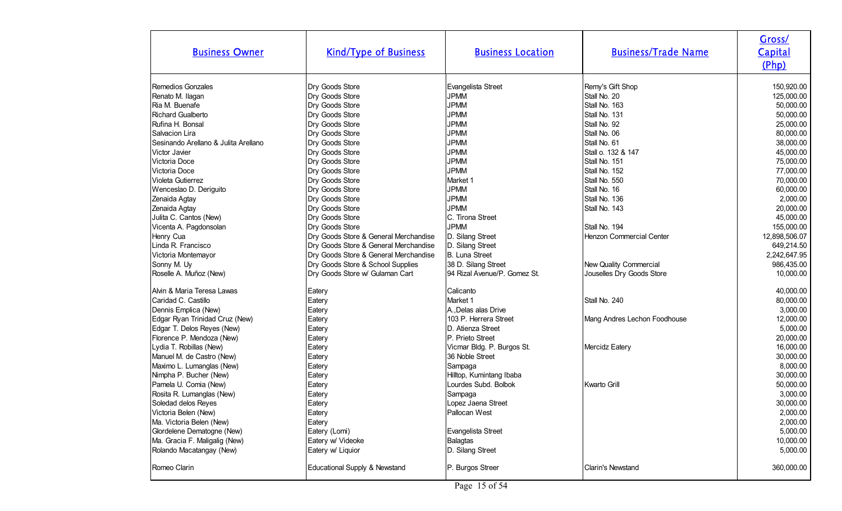| <b>Business Owner</b>                | <b>Kind/Type of Business</b>          | <b>Business Location</b>     | <b>Business/Trade Name</b>   | Gross/<br>Capital<br>(Php) |
|--------------------------------------|---------------------------------------|------------------------------|------------------------------|----------------------------|
| Remedios Gonzales                    | Dry Goods Store                       | Evangelista Street           | Remy's Gift Shop             | 150,920.00                 |
| Renato M. Ilagan                     | Dry Goods Store                       | <b>JPMM</b>                  | Stall No. 20                 | 125,000.00                 |
| Ria M. Buenafe                       | Dry Goods Store                       | <b>JPMM</b>                  | Stall No. 163                | 50,000.00                  |
| <b>Richard Gualberto</b>             | Dry Goods Store                       | <b>JPMM</b>                  | Stall No. 131                | 50,000.00                  |
| Rufina H. Bonsal                     | Dry Goods Store                       | <b>JPMM</b>                  | Stall No. 92                 | 25,000.00                  |
| Salvacion Lira                       | Dry Goods Store                       | <b>JPMM</b>                  | Stall No. 06                 | 80,000.00                  |
| Sesinando Arellano & Julita Arellano | Dry Goods Store                       | <b>JPMM</b>                  | Stall No. 61                 | 38,000.00                  |
| Victor Javier                        | Dry Goods Store                       | <b>JPMM</b>                  | Stall o. 132 & 147           | 45,000.00                  |
| Victoria Doce                        | Dry Goods Store                       | <b>JPMM</b>                  | Stall No. 151                | 75,000.00                  |
| Victoria Doce                        | Dry Goods Store                       | <b>JPMM</b>                  | Stall No. 152                | 77,000.00                  |
| Violeta Gutierrez                    | Dry Goods Store                       | Market 1                     | Stall No. 550                | 70,000.00                  |
| Wenceslao D. Deriguito               | Dry Goods Store                       | <b>JPMM</b>                  | Stall No. 16                 | 60,000.00                  |
| Zenaida Agtay                        | Dry Goods Store                       | <b>JPMM</b>                  | Stall No. 136                | 2,000.00                   |
| Zenaida Agtay                        | Dry Goods Store                       | <b>JPMM</b>                  | Stall No. 143                | 20,000.00                  |
| Julita C. Cantos (New)               | Dry Goods Store                       | C. Tirona Street             |                              | 45,000.00                  |
| Vicenta A. Pagdonsolan               | Dry Goods Store                       | <b>JPMM</b>                  | Stall No. 194                | 155,000.00                 |
| Henry Cua                            | Dry Goods Store & General Merchandise | D. Silang Street             | Henzon Commercial Center     | 12,898,506.07              |
| Linda R. Francisco                   | Dry Goods Store & General Merchandise | D. Silang Street             |                              | 649,214.50                 |
| Victoria Montemayor                  | Dry Goods Store & General Merchandise | B. Luna Street               |                              | 2,242,647.95               |
| Sonny M. Uy                          | Dry Goods Store & School Supplies     | 38 D. Silang Street          | New Quality Commercial       | 986,435.00                 |
| Roselle A. Muñoz (New)               | Dry Goods Store w/ Gulaman Cart       | 94 Rizal Avenue/P. Gomez St. | Jouselles Dry Goods Store    | 10,000.00                  |
| Alvin & Maria Teresa Lawas           | Eatery                                | Calicanto                    |                              | 40,000.00                  |
| Caridad C. Castillo                  | Eatery                                | Market 1                     | Stall No. 240                | 80,000.00                  |
| Dennis Emplica (New)                 | Eatery                                | A. Delas alas Drive          |                              | 3,000.00                   |
| Edgar Ryan Trinidad Cruz (New)       | Eatery                                | 103 P. Herrera Street        | Mang Andres Lechon Foodhouse | 12,000.00                  |
| Edgar T. Delos Reyes (New)           | Eatery                                | D. Atienza Street            |                              | 5,000.00                   |
| Florence P. Mendoza (New)            | Eatery                                | P. Prieto Street             |                              | 20,000.00                  |
| Lydia T. Robillas (New)              | Eatery                                | Vicmar Bldg. P. Burgos St.   | Mercidz Eatery               | 16,000.00                  |
| Manuel M. de Castro (New)            | Eatery                                | 36 Noble Street              |                              | 30,000.00                  |
| Maximo L. Lumanglas (New)            | Eatery                                | Sampaga                      |                              | 8,000.00                   |
| Nimpha P. Bucher (New)               | Eatery                                | Hilltop, Kumintang Ibaba     |                              | 30,000.00                  |
| Pamela U. Comia (New)                | Eatery                                | Lourdes Subd. Bolbok         | <b>Kwarto Grill</b>          | 50,000.00                  |
| Rosita R. Lumanglas (New)            | Eatery                                | Sampaga                      |                              | 3,000.00                   |
| Soledad delos Reyes                  | Eatery                                | Lopez Jaena Street           |                              | 30,000.00                  |
| Victoria Belen (New)                 | Eatery                                | Pallocan West                |                              | 2,000.00                   |
| Ma. Victoria Belen (New)             | Eatery                                |                              |                              | 2,000.00                   |
| Glordelene Dematogne (New)           | Eatery (Lomi)                         | Evangelista Street           |                              | 5,000.00                   |
| Ma. Gracia F. Maligalig (New)        | Eatery w/ Videoke                     | <b>Balagtas</b>              |                              | 10,000.00                  |
| Rolando Macatangay (New)             | Eatery w/ Liquior                     | D. Silang Street             |                              | 5,000.00                   |
| Romeo Clarin                         | Educational Supply & Newstand         | P. Burgos Streer             | <b>Clarin's Newstand</b>     | 360,000.00                 |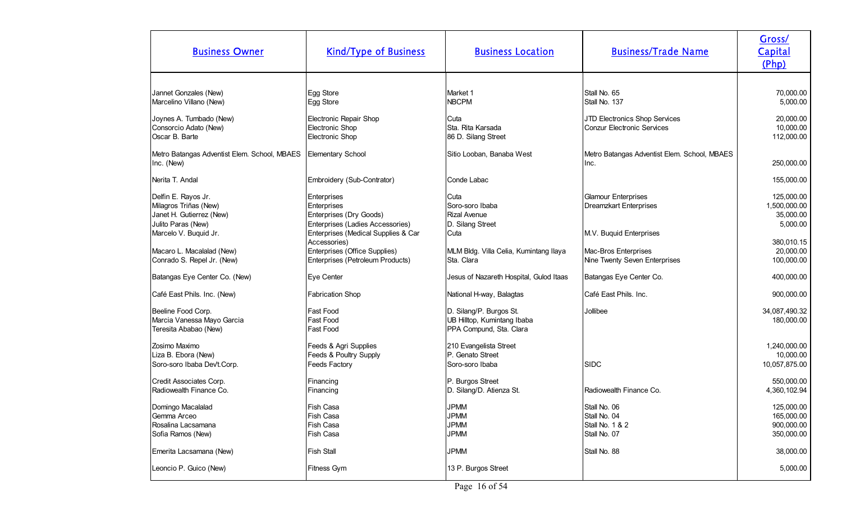| 70,000.00<br>Jannet Gonzales (New)<br>Egg Store<br>Market 1<br>Stall No. 65<br><b>NBCPM</b><br>Marcelino Villano (New)<br>Stall No. 137<br>5,000.00<br>Egg Store<br>Joynes A. Tumbado (New)<br>Electronic Repair Shop<br>JTD Electronics Shop Services<br>20,000.00<br>Cuta<br>Sta. Rita Karsada<br>Consorcio Adato (New)<br>Electronic Shop<br><b>Conzur Electronic Services</b><br>10,000.00<br>Oscar B. Barte<br>Electronic Shop<br>86 D. Silang Street<br>112,000.00<br>Metro Batangas Adventist Elem. School, MBAES<br>Elementary School<br>Sitio Looban, Banaba West<br>Metro Batangas Adventist Elem. School, MBAES<br>250,000.00<br>Inc. (New)<br>Inc.<br>Nerita T. Andal<br>Embroidery (Sub-Contrator)<br>Conde Labac<br>155,000.00<br>125,000.00<br>Delfin E. Rayos Jr.<br>Cuta<br><b>Glamour Enterprises</b><br>Enterprises<br>Soro-soro Ibaba<br>Milagros Triñas (New)<br>Dreamzkart Enterprises<br>1,500,000.00<br><b>Enterprises</b><br>Janet H. Gutierrez (New)<br>Enterprises (Dry Goods)<br><b>Rizal Avenue</b><br>35,000.00<br>Enterprises (Ladies Accessories)<br>D. Silang Street<br>5,000.00<br>Julito Paras (New)<br>Marcelo V. Buquid Jr.<br>Enterprises (Medical Supplies & Car<br>Cuta<br>M.V. Buquid Enterprises<br>380,010.15<br>Accessories)<br>Enterprises (Office Supplies)<br>20,000.00<br>Macaro L. Macalalad (New)<br>MLM Bldg. Villa Celia, Kumintang Ilaya<br>Mac-Bros Enterprises<br>Conrado S. Repel Jr. (New)<br>Enterprises (Petroleum Products)<br>Sta. Clara<br>Nine Twenty Seven Enterprises<br>100,000.00<br>400,000.00<br>Batangas Eye Center Co. (New)<br>Eye Center<br>Jesus of Nazareth Hospital, Gulod Itaas<br>Batangas Eye Center Co.<br><b>Fabrication Shop</b><br><b>I</b> Café East Phils. Inc.<br>900,000.00<br>Café East Phils. Inc. (New)<br>National H-way, Balagtas<br>D. Silang/P. Burgos St.<br>Beeline Food Corp.<br>Fast Food<br>Jollibee<br>34,087,490.32<br>Fast Food<br>UB Hilltop, Kumintang Ibaba<br>Marcia Vanessa Mayo Garcia<br>180,000.00<br>Teresita Ababao (New)<br><b>Fast Food</b><br>PPA Compund, Sta. Clara<br>Zosimo Maximo<br>Feeds & Agri Supplies<br>210 Evangelista Street<br>1,240,000.00<br>P. Genato Street<br>Feeds & Poultry Supply<br>10,000.00<br>Liza B. Ebora (New)<br>SIDC<br>Soro-soro Ibaba Dev't.Corp.<br><b>Feeds Factory</b><br>Soro-soro Ibaba<br>10,057,875.00<br>Credit Associates Corp.<br>P. Burgos Street<br>550,000.00<br>Financing<br>Radiowealth Finance Co.<br>Radiowealth Finance Co.<br>D. Silang/D. Atienza St.<br>4,360,102.94<br>Financing<br><b>JPMM</b><br>125,000.00<br>Fish Casa<br>Domingo Macalalad<br>Stall No. 06<br><b>JPMM</b><br>Fish Casa<br>Stall No. 04<br>165,000.00<br>Gemma Arceo<br>Rosalina Lacsamana<br>Fish Casa<br><b>JPMM</b><br>Stall No. 1 & 2<br>900,000.00<br><b>JPMM</b><br>Stall No. 07<br>Sofia Ramos (New)<br>Fish Casa<br>350,000.00<br><b>JPMM</b><br>38,000.00<br>Emerita Lacsamana (New)<br><b>Fish Stall</b><br>Stall No. 88<br>13 P. Burgos Street<br>Leoncio P. Guico (New)<br>Fitness Gym<br>5,000.00 | <b>Business Owner</b> | <b>Kind/Type of Business</b> | <b>Business Location</b> | <b>Business/Trade Name</b> | Gross/<br>Capital<br>(Php) |
|--------------------------------------------------------------------------------------------------------------------------------------------------------------------------------------------------------------------------------------------------------------------------------------------------------------------------------------------------------------------------------------------------------------------------------------------------------------------------------------------------------------------------------------------------------------------------------------------------------------------------------------------------------------------------------------------------------------------------------------------------------------------------------------------------------------------------------------------------------------------------------------------------------------------------------------------------------------------------------------------------------------------------------------------------------------------------------------------------------------------------------------------------------------------------------------------------------------------------------------------------------------------------------------------------------------------------------------------------------------------------------------------------------------------------------------------------------------------------------------------------------------------------------------------------------------------------------------------------------------------------------------------------------------------------------------------------------------------------------------------------------------------------------------------------------------------------------------------------------------------------------------------------------------------------------------------------------------------------------------------------------------------------------------------------------------------------------------------------------------------------------------------------------------------------------------------------------------------------------------------------------------------------------------------------------------------------------------------------------------------------------------------------------------------------------------------------------------------------------------------------------------------------------------------------------------------------------------------------------------------------------------------------------------------------------------------------------------------------------------------------------------------------------------------------------------------------------------------------------------------------------------------------------------------------------------------------------------------------------------------------------------------------------------------------------------|-----------------------|------------------------------|--------------------------|----------------------------|----------------------------|
|                                                                                                                                                                                                                                                                                                                                                                                                                                                                                                                                                                                                                                                                                                                                                                                                                                                                                                                                                                                                                                                                                                                                                                                                                                                                                                                                                                                                                                                                                                                                                                                                                                                                                                                                                                                                                                                                                                                                                                                                                                                                                                                                                                                                                                                                                                                                                                                                                                                                                                                                                                                                                                                                                                                                                                                                                                                                                                                                                                                                                                                              |                       |                              |                          |                            |                            |
|                                                                                                                                                                                                                                                                                                                                                                                                                                                                                                                                                                                                                                                                                                                                                                                                                                                                                                                                                                                                                                                                                                                                                                                                                                                                                                                                                                                                                                                                                                                                                                                                                                                                                                                                                                                                                                                                                                                                                                                                                                                                                                                                                                                                                                                                                                                                                                                                                                                                                                                                                                                                                                                                                                                                                                                                                                                                                                                                                                                                                                                              |                       |                              |                          |                            |                            |
|                                                                                                                                                                                                                                                                                                                                                                                                                                                                                                                                                                                                                                                                                                                                                                                                                                                                                                                                                                                                                                                                                                                                                                                                                                                                                                                                                                                                                                                                                                                                                                                                                                                                                                                                                                                                                                                                                                                                                                                                                                                                                                                                                                                                                                                                                                                                                                                                                                                                                                                                                                                                                                                                                                                                                                                                                                                                                                                                                                                                                                                              |                       |                              |                          |                            |                            |
|                                                                                                                                                                                                                                                                                                                                                                                                                                                                                                                                                                                                                                                                                                                                                                                                                                                                                                                                                                                                                                                                                                                                                                                                                                                                                                                                                                                                                                                                                                                                                                                                                                                                                                                                                                                                                                                                                                                                                                                                                                                                                                                                                                                                                                                                                                                                                                                                                                                                                                                                                                                                                                                                                                                                                                                                                                                                                                                                                                                                                                                              |                       |                              |                          |                            |                            |
|                                                                                                                                                                                                                                                                                                                                                                                                                                                                                                                                                                                                                                                                                                                                                                                                                                                                                                                                                                                                                                                                                                                                                                                                                                                                                                                                                                                                                                                                                                                                                                                                                                                                                                                                                                                                                                                                                                                                                                                                                                                                                                                                                                                                                                                                                                                                                                                                                                                                                                                                                                                                                                                                                                                                                                                                                                                                                                                                                                                                                                                              |                       |                              |                          |                            |                            |
|                                                                                                                                                                                                                                                                                                                                                                                                                                                                                                                                                                                                                                                                                                                                                                                                                                                                                                                                                                                                                                                                                                                                                                                                                                                                                                                                                                                                                                                                                                                                                                                                                                                                                                                                                                                                                                                                                                                                                                                                                                                                                                                                                                                                                                                                                                                                                                                                                                                                                                                                                                                                                                                                                                                                                                                                                                                                                                                                                                                                                                                              |                       |                              |                          |                            |                            |
|                                                                                                                                                                                                                                                                                                                                                                                                                                                                                                                                                                                                                                                                                                                                                                                                                                                                                                                                                                                                                                                                                                                                                                                                                                                                                                                                                                                                                                                                                                                                                                                                                                                                                                                                                                                                                                                                                                                                                                                                                                                                                                                                                                                                                                                                                                                                                                                                                                                                                                                                                                                                                                                                                                                                                                                                                                                                                                                                                                                                                                                              |                       |                              |                          |                            |                            |
|                                                                                                                                                                                                                                                                                                                                                                                                                                                                                                                                                                                                                                                                                                                                                                                                                                                                                                                                                                                                                                                                                                                                                                                                                                                                                                                                                                                                                                                                                                                                                                                                                                                                                                                                                                                                                                                                                                                                                                                                                                                                                                                                                                                                                                                                                                                                                                                                                                                                                                                                                                                                                                                                                                                                                                                                                                                                                                                                                                                                                                                              |                       |                              |                          |                            |                            |
|                                                                                                                                                                                                                                                                                                                                                                                                                                                                                                                                                                                                                                                                                                                                                                                                                                                                                                                                                                                                                                                                                                                                                                                                                                                                                                                                                                                                                                                                                                                                                                                                                                                                                                                                                                                                                                                                                                                                                                                                                                                                                                                                                                                                                                                                                                                                                                                                                                                                                                                                                                                                                                                                                                                                                                                                                                                                                                                                                                                                                                                              |                       |                              |                          |                            |                            |
|                                                                                                                                                                                                                                                                                                                                                                                                                                                                                                                                                                                                                                                                                                                                                                                                                                                                                                                                                                                                                                                                                                                                                                                                                                                                                                                                                                                                                                                                                                                                                                                                                                                                                                                                                                                                                                                                                                                                                                                                                                                                                                                                                                                                                                                                                                                                                                                                                                                                                                                                                                                                                                                                                                                                                                                                                                                                                                                                                                                                                                                              |                       |                              |                          |                            |                            |
|                                                                                                                                                                                                                                                                                                                                                                                                                                                                                                                                                                                                                                                                                                                                                                                                                                                                                                                                                                                                                                                                                                                                                                                                                                                                                                                                                                                                                                                                                                                                                                                                                                                                                                                                                                                                                                                                                                                                                                                                                                                                                                                                                                                                                                                                                                                                                                                                                                                                                                                                                                                                                                                                                                                                                                                                                                                                                                                                                                                                                                                              |                       |                              |                          |                            |                            |
|                                                                                                                                                                                                                                                                                                                                                                                                                                                                                                                                                                                                                                                                                                                                                                                                                                                                                                                                                                                                                                                                                                                                                                                                                                                                                                                                                                                                                                                                                                                                                                                                                                                                                                                                                                                                                                                                                                                                                                                                                                                                                                                                                                                                                                                                                                                                                                                                                                                                                                                                                                                                                                                                                                                                                                                                                                                                                                                                                                                                                                                              |                       |                              |                          |                            |                            |
|                                                                                                                                                                                                                                                                                                                                                                                                                                                                                                                                                                                                                                                                                                                                                                                                                                                                                                                                                                                                                                                                                                                                                                                                                                                                                                                                                                                                                                                                                                                                                                                                                                                                                                                                                                                                                                                                                                                                                                                                                                                                                                                                                                                                                                                                                                                                                                                                                                                                                                                                                                                                                                                                                                                                                                                                                                                                                                                                                                                                                                                              |                       |                              |                          |                            |                            |
|                                                                                                                                                                                                                                                                                                                                                                                                                                                                                                                                                                                                                                                                                                                                                                                                                                                                                                                                                                                                                                                                                                                                                                                                                                                                                                                                                                                                                                                                                                                                                                                                                                                                                                                                                                                                                                                                                                                                                                                                                                                                                                                                                                                                                                                                                                                                                                                                                                                                                                                                                                                                                                                                                                                                                                                                                                                                                                                                                                                                                                                              |                       |                              |                          |                            |                            |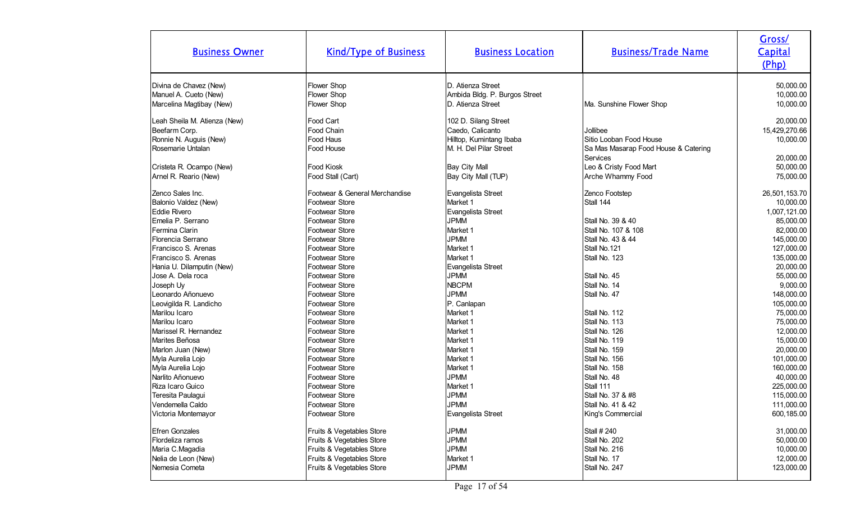| <b>Business Owner</b>                 | <b>Kind/Type of Business</b>                           | <b>Business Location</b>      | <b>Business/Trade Name</b>                       | Gross/<br>Capital<br>(Php) |
|---------------------------------------|--------------------------------------------------------|-------------------------------|--------------------------------------------------|----------------------------|
| Divina de Chavez (New)                | <b>Flower Shop</b>                                     | D. Atienza Street             |                                                  | 50,000.00                  |
| Manuel A. Cueto (New)                 | Flower Shop                                            | Ambida Bldg. P. Burgos Street |                                                  | 10,000.00                  |
| Marcelina Magtibay (New)              | Flower Shop                                            | D. Atienza Street             | Ma. Sunshine Flower Shop                         | 10,000.00                  |
| Leah Sheila M. Atienza (New)          | Food Cart                                              | 102 D. Silang Street          |                                                  | 20,000.00                  |
| Beefarm Corp.                         | Food Chain                                             | Caedo, Calicanto              | Jollibee                                         | 15,429,270.66              |
| Ronnie N. Auguis (New)                | Food Haus                                              | Hilltop, Kumintang Ibaba      | Sitio Looban Food House                          | 10,000.00                  |
| Rosemarie Untalan                     | Food House                                             | M. H. Del Pilar Street        | Sa Mas Masarap Food House & Catering<br>Services | 20,000.00                  |
| Cristeta R. Ocampo (New)              | <b>Food Kiosk</b>                                      | Bay City Mall                 | Leo & Cristy Food Mart                           | 50,000.00                  |
| Arnel R. Reario (New)                 | Food Stall (Cart)                                      | Bay City Mall (TUP)           | Arche Whammy Food                                | 75,000.00                  |
| Zenco Sales Inc.                      | Footwear & General Merchandise                         | Evangelista Street            | Zenco Footstep                                   | 26,501,153.70              |
| Balonio Valdez (New)                  | Footwear Store                                         | Market 1                      | Stall 144                                        | 10,000.00                  |
| <b>Eddie Rivero</b>                   | Footwear Store                                         | Evangelista Street            |                                                  | 1,007,121.00               |
| Emelia P. Serrano                     | Footwear Store                                         | <b>JPMM</b>                   | Stall No. 39 & 40                                | 85,000.00                  |
| Fermina Clarin                        | Footwear Store                                         | Market 1                      | Stall No. 107 & 108                              | 82,000.00                  |
| Florencia Serrano                     | Footwear Store                                         | <b>JPMM</b>                   | Stall No. 43 & 44                                | 145,000.00                 |
| Francisco S. Arenas                   | Footwear Store                                         | Market 1                      | Stall No.121                                     | 127,000.00                 |
| Francisco S. Arenas                   | Footwear Store                                         | Market 1                      | Stall No. 123                                    | 135,000.00                 |
| Hania U. Dilamputin (New)             | <b>Footwear Store</b>                                  | Evangelista Street            |                                                  | 20,000.00                  |
| Jose A. Dela roca                     | Footwear Store                                         | <b>JPMM</b>                   | Stall No. 45                                     | 55,000.00                  |
| Joseph Uy                             | Footwear Store                                         | <b>NBCPM</b>                  | Stall No. 14                                     | 9,000.00                   |
| Leonardo Añonuevo                     | Footwear Store                                         | <b>JPMM</b>                   | Stall No. 47                                     | 148,000.00                 |
| Leovigilda R. Landicho                | Footwear Store                                         | P. Canlapan                   |                                                  | 105,000.00                 |
| Marilou Icaro                         | Footwear Store                                         | Market 1                      | Stall No. 112                                    | 75,000.00                  |
| Marilou Icaro                         | <b>Footwear Store</b>                                  | Market 1                      | Stall No. 113                                    | 75,000.00                  |
| Marissel R. Hernandez                 | Footwear Store                                         | Market 1                      | Stall No. 126                                    | 12,000.00                  |
| Marites Beñosa                        | Footwear Store                                         | Market 1                      | Stall No. 119                                    | 15,000.00                  |
| Marlon Juan (New)                     | Footwear Store                                         | Market <sub>1</sub>           | Stall No. 159                                    | 20,000.00                  |
| Myla Aurelia Lojo                     | Footwear Store                                         | Market 1                      | Stall No. 156                                    | 101,000.00                 |
| Myla Aurelia Lojo                     | Footwear Store                                         | Market <sub>1</sub>           | Stall No. 158                                    | 160,000.00                 |
| Narlito Añonuevo                      | Footwear Store                                         | <b>JPMM</b>                   | Stall No. 48                                     | 40,000.00                  |
| Riza Icaro Guico                      | Footwear Store                                         | Market 1                      | Stall 111                                        | 225,000.00                 |
| Teresita Paulagui                     | Footwear Store                                         | <b>JPMM</b>                   | Stall No. 37 & #8                                | 115,000.00                 |
| Vendemella Caldo                      | Footwear Store                                         | JPMM                          | Stall No. 41 & 42                                | 111,000.00                 |
| Victoria Montemayor                   | Footwear Store                                         | Evangelista Street            | King's Commercial                                | 600,185.00                 |
| <b>Efren Gonzales</b>                 | Fruits & Vegetables Store                              | <b>JPMM</b>                   | Stall # 240                                      | 31,000.00                  |
| Flordeliza ramos                      | Fruits & Vegetables Store                              | <b>JPMM</b>                   | Stall No. 202                                    | 50,000.00                  |
| Maria C.Magadia                       | Fruits & Vegetables Store                              | <b>JPMM</b>                   | Stall No. 216                                    | 10,000.00                  |
|                                       |                                                        | Market 1                      | Stall No. 17                                     | 12,000.00                  |
| Nelia de Leon (New)<br>Nemesia Cometa | Fruits & Vegetables Store<br>Fruits & Vegetables Store | <b>JPMM</b>                   | Stall No. 247                                    | 123,000.00                 |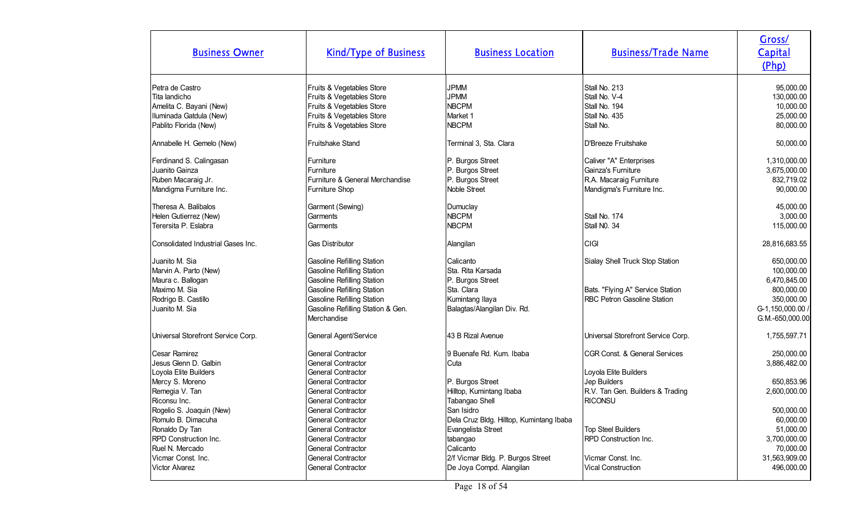| <b>Business Owner</b>                                                                                                           | <b>Kind/Type of Business</b>                                                                                                                                                                                                              | <b>Business Location</b>                                                                                                                                 | <b>Business/Trade Name</b>                                                                            | Gross/<br>Capital<br>(Php)                                                                                  |
|---------------------------------------------------------------------------------------------------------------------------------|-------------------------------------------------------------------------------------------------------------------------------------------------------------------------------------------------------------------------------------------|----------------------------------------------------------------------------------------------------------------------------------------------------------|-------------------------------------------------------------------------------------------------------|-------------------------------------------------------------------------------------------------------------|
| Petra de Castro<br>Tita landicho<br>Amelita C. Bayani (New)<br>Iluminada Gatdula (New)<br>Pablito Florida (New)                 | Fruits & Vegetables Store<br>Fruits & Vegetables Store<br>Fruits & Vegetables Store<br>Fruits & Vegetables Store<br>Fruits & Vegetables Store                                                                                             | <b>JPMM</b><br><b>JPMM</b><br><b>NBCPM</b><br>Market 1<br><b>NBCPM</b>                                                                                   | Stall No. 213<br>Stall No. V-4<br>Stall No. 194<br>Stall No. 435<br>Stall No.                         | 95,000.00<br>130,000.00<br>10,000.00<br>25,000.00<br>80,000.00                                              |
| Annabelle H. Gemelo (New)                                                                                                       | Fruitshake Stand                                                                                                                                                                                                                          | Terminal 3, Sta. Clara                                                                                                                                   | D'Breeze Fruitshake                                                                                   | 50,000.00                                                                                                   |
| Ferdinand S. Calingasan<br>Juanito Gainza<br>Ruben Macaraig Jr.<br>Mandigma Furniture Inc.                                      | <b>IFurniture</b><br>Furniture<br>Furniture & General Merchandise<br>Furniture Shop                                                                                                                                                       | P. Burgos Street<br>P. Burgos Street<br>P. Burgos Street<br>Noble Street                                                                                 | Caliver "A" Enterprises<br>Gainza's Furniture<br>R.A. Macaraig Furniture<br>Mandigma's Furniture Inc. | 1,310,000.00<br>3,675,000.00<br>832,719.02<br>90,000.00                                                     |
| Theresa A. Balibalos<br>Helen Gutierrez (New)<br>Terersita P. Eslabra                                                           | Garment (Sewing)<br>Garments<br>Garments                                                                                                                                                                                                  | Dumuclay<br><b>NBCPM</b><br><b>NBCPM</b>                                                                                                                 | Stall No. 174<br>Stall NO. 34                                                                         | 45,000.00<br>3,000.00<br>115,000.00                                                                         |
| Consolidated Industrial Gases Inc.                                                                                              | <b>Gas Distributor</b>                                                                                                                                                                                                                    | Alangilan                                                                                                                                                | <b>CIGI</b>                                                                                           | 28,816,683.55                                                                                               |
| Juanito M. Sia<br>Marvin A. Parto (New)<br>Maura c. Ballogan<br>Maximo M. Sia<br>Rodrigo B. Castillo<br>Juanito M. Sia          | <b>Gasoline Refilling Station</b><br><b>Gasoline Refilling Station</b><br><b>Gasoline Refilling Station</b><br><b>Gasoline Refilling Station</b><br><b>Gasoline Refilling Station</b><br>Gasoline Refilling Station & Gen.<br>Merchandise | Calicanto<br>Sta. Rita Karsada<br>P. Burgos Street<br>Sta. Clara<br>Kumintang Ilaya<br>Balagtas/Alangilan Div. Rd.                                       | Sialay Shell Truck Stop Station<br>Bats. "Flying A" Service Station<br>RBC Petron Gasoline Station    | 650,000.00<br>100,000.00<br>6,470,845.00<br>800,000.00<br>350,000.00<br>G-1,150,000.00 /<br>G.M.-650,000.00 |
| Universal Storefront Service Corp.                                                                                              | General Agent/Service                                                                                                                                                                                                                     | 43 B Rizal Avenue                                                                                                                                        | Universal Storefront Service Corp.                                                                    | 1,755,597.71                                                                                                |
| Cesar Ramirez<br>Jesus Glenn D. Galbin<br>Loyola Elite Builders                                                                 | General Contractor<br>General Contractor<br>General Contractor                                                                                                                                                                            | 9 Buenafe Rd. Kum. Ibaba<br>Cuta                                                                                                                         | CGR Const. & General Services<br>Loyola Elite Builders                                                | 250,000.00<br>3,886,482.00                                                                                  |
| Mercy S. Moreno<br>Remegia V. Tan<br>Riconsu Inc.<br>Rogelio S. Joaquin (New)                                                   | <b>General Contractor</b><br><b>General Contractor</b><br>General Contractor<br>General Contractor                                                                                                                                        | P. Burgos Street<br>Hilltop, Kumintang Ibaba<br>Tabangao Shell<br>San Isidro                                                                             | Jep Builders<br>R.V. Tan Gen. Builders & Trading<br>RICONSU                                           | 650,853.96<br>2,600,000.00<br>500,000.00                                                                    |
| Romulo B. Dimacuha<br>Ronaldo Dy Tan<br>RPD Construction Inc.<br>Ruel N. Mercado<br>Vicmar Const. Inc.<br><b>Victor Alvarez</b> | General Contractor<br>General Contractor<br>General Contractor<br><b>General Contractor</b><br>General Contractor<br>General Contractor                                                                                                   | Dela Cruz Bldg. Hilltop, Kumintang Ibaba<br>Evangelista Street<br>tabangao<br>Calicanto<br>2/f Vicmar Bldg. P. Burgos Street<br>De Joya Compd. Alangilan | <b>Top Steel Builders</b><br>RPD Construction Inc.<br>Vicmar Const. Inc.<br><b>Vical Construction</b> | 60,000.00<br>51,000.00<br>3,700,000.00<br>70,000.00<br>31,563,909.00<br>496,000.00                          |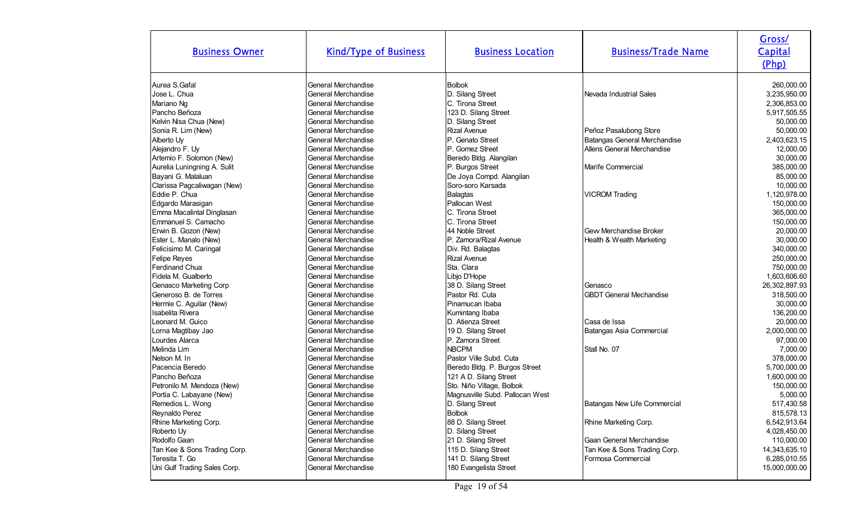| <b>Business Owner</b>        | <b>Kind/Type of Business</b> | <b>Business Location</b>        | <b>Business/Trade Name</b>     | Gross/<br>Capital<br>(Php) |
|------------------------------|------------------------------|---------------------------------|--------------------------------|----------------------------|
| Aurea S. Gafal               | General Merchandise          | <b>Bolbok</b>                   |                                | 260,000.00                 |
| Jose L. Chua                 | General Merchandise          | D. Silang Street                | Nevada Industrial Sales        | 3,235,950.00               |
| Mariano Ng                   | General Merchandise          | C. Tirona Street                |                                | 2,306,853.00               |
| Pancho Beñoza                | General Merchandise          | 123 D. Silang Street            |                                | 5,917,505.55               |
| Kelvin Nisa Chua (New)       | General Merchandise          | D. Silang Street                |                                | 50,000.00                  |
| Sonia R. Lim (New)           | General Merchandise          | <b>Rizal Avenue</b>             | Peñoz Pasalubong Store         | 50,000.00                  |
| Alberto Uy                   | General Merchandise          | IP. Genato Street               | Batangas General Merchandise   | 2,403,623.15               |
| Alejandro F. Uy              | General Merchandise          | P. Gomez Street                 | Allens General Merchandise     | 12,000.00                  |
| Artemio F. Solomon (New)     | General Merchandise          | Beredo Bldg. Alangilan          |                                | 30,000.00                  |
| Aurelia Luningning A. Sulit  | <b>General Merchandise</b>   | P. Burgos Street                | Marife Commercial              | 385,000.00                 |
| Bayani G. Malaluan           | <b>General Merchandise</b>   | De Joya Compd. Alangilan        |                                | 85,000.00                  |
| Clarissa Pagcaliwagan (New)  | General Merchandise          | Soro-soro Karsada               |                                | 10,000.00                  |
| Eddie P. Chua                | General Merchandise          | Balagtas                        | <b>VICROM Trading</b>          | 1,120,978.00               |
| Edgardo Marasigan            | General Merchandise          | Pallocan West                   |                                | 150,000.00                 |
| Emma Macalintal Dinglasan    | General Merchandise          | C. Tirona Street                |                                | 365,000.00                 |
| Emmanuel S. Camacho          | <b>General Merchandise</b>   | C. Tirona Street                |                                | 150,000.00                 |
| Erwin B. Gozon (New)         | General Merchandise          | 44 Noble Street                 | Gew Merchandise Broker         | 20,000.00                  |
| Ester L. Manalo (New)        | <b>General Merchandise</b>   | IP. Zamora/Rizal Avenue         | Health & Wealth Marketing      | 30,000.00                  |
| Felicisimo M. Caringal       | General Merchandise          | Div. Rd. Balagtas               |                                | 340,000.00                 |
| Felipe Reyes                 | General Merchandise          | <b>Rizal Avenue</b>             |                                | 250,000.00                 |
| Ferdinand Chua               | General Merchandise          | Sta. Clara                      |                                | 750,000.00                 |
| Fidela M. Gualberto          | <b>General Merchandise</b>   | Libjo D'Hope                    |                                | 1,603,606.60               |
| Genasco Marketing Corp       | General Merchandise          | 38 D. Silang Street             | Genasco                        | 26,302,897.93              |
| Generoso B. de Torres        | <b>General Merchandise</b>   | Pastor Rd. Cuta                 | <b>GBDT General Mechandise</b> | 318,500.00                 |
| Hermie C. Aguilar (New)      | General Merchandise          | Pinamucan Ibaba                 |                                | 30,000.00                  |
| Isabelita Rivera             | General Merchandise          | Kumintang Ibaba                 |                                | 136,200.00                 |
| Leonard M. Guico             | General Merchandise          | D. Atienza Street               | Casa de Issa                   | 20,000.00                  |
| Lorna Magtibay Jao           | General Merchandise          | 19 D. Silang Street             | Batangas Asia Commercial       | 2,000,000.00               |
| Lourdes Alarca               | General Merchandise          | P. Zamora Street                |                                | 97,000.00                  |
| Melinda Lim                  | General Merchandise          | <b>NBCPM</b>                    | Stall No. 07                   | 7,000.00                   |
| Nelson M. In                 | General Merchandise          | Pastor Ville Subd. Cuta         |                                | 378,000.00                 |
| Pacencia Beredo              | General Merchandise          | Beredo Bldg. P. Burgos Street   |                                | 5,700,000.00               |
| Pancho Beñoza                | General Merchandise          | 121 A D. Silang Street          |                                | 1,600,000.00               |
| Petronilo M. Mendoza (New)   | General Merchandise          | Sto. Niño Village, Bolbok       |                                | 150,000.00                 |
| Portia C. Labayane (New)     | General Merchandise          | Magnusville Subd. Pallocan West |                                | 5,000.00                   |
| Remedios L. Wong             | General Merchandise          | D. Silang Street                | Batangas New Life Commercial   | 517,430.58                 |
| Reynaldo Perez               | General Merchandise          | <b>Bolbok</b>                   |                                | 815,578.13                 |
| Rhine Marketing Corp.        | General Merchandise          | 88 D. Silang Street             | Rhine Marketing Corp.          | 6,542,913.64               |
| Roberto Uy                   | General Merchandise          | D. Silang Street                |                                | 4,028,450.00               |
| Rodolfo Gaan                 | General Merchandise          | 21 D. Silang Street             | Gaan General Merchandise       | 110,000.00                 |
| Tan Kee & Sons Trading Corp. | General Merchandise          | 115 D. Silang Street            | Tan Kee & Sons Trading Corp.   | 14,343,635.10              |
| Teresita T. Go               | General Merchandise          | 141 D. Silang Street            | Formosa Commercial             | 6,285,010.55               |
| Uni Gulf Trading Sales Corp. | General Merchandise          | 180 Evangelista Street          |                                | 15,000,000.00              |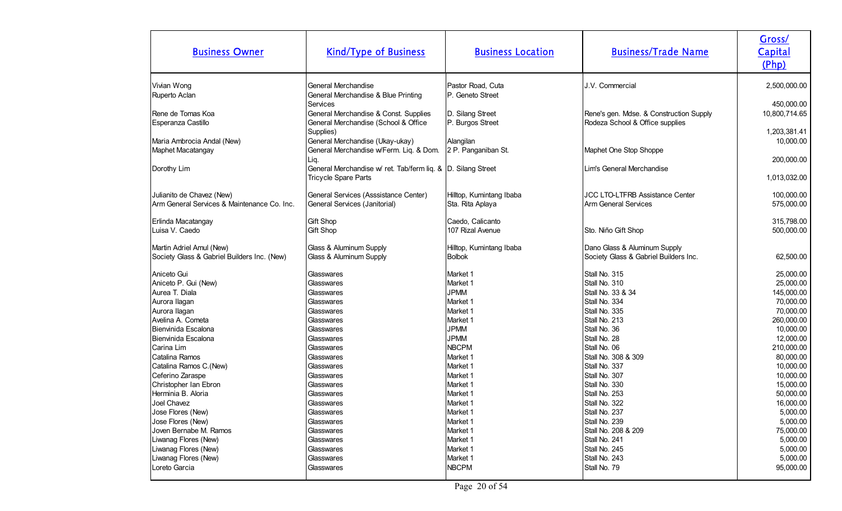| <b>Business Owner</b>                           | <b>Kind/Type of Business</b>                                               | <b>Business Location</b>              | <b>Business/Trade Name</b>              | Gross/<br>Capital<br>(Php)  |
|-------------------------------------------------|----------------------------------------------------------------------------|---------------------------------------|-----------------------------------------|-----------------------------|
| Vivian Wong<br>Ruperto Aclan                    | General Merchandise<br>General Merchandise & Blue Printing                 | Pastor Road, Cuta<br>P. Geneto Street | J.V. Commercial                         | 2,500,000.00                |
| Rene de Tomas Koa                               | Services<br>General Merchandise & Const. Supplies                          | D. Silang Street                      | Rene's gen. Mdse. & Construction Supply | 450,000.00<br>10,800,714.65 |
| Esperanza Castillo                              | General Merchandise (School & Office<br>Supplies)                          | P. Burgos Street                      | Rodeza School & Office supplies         | 1,203,381.41                |
| Maria Ambrocia Andal (New)<br>Maphet Macatangay | General Merchandise (Ukay-ukay)<br>General Merchandise w/Ferm. Liq. & Dom. | Alangilan<br>2 P. Panganiban St.      | Maphet One Stop Shoppe                  | 10,000.00                   |
| Dorothy Lim                                     | Liq.<br>General Merchandise w/ ret. Tab/ferm liq. & D. Silang Street       |                                       | Lim's General Merchandise               | 200,000.00                  |
|                                                 | Tricycle Spare Parts                                                       |                                       |                                         | 1,013,032.00                |
| Julianito de Chavez (New)                       | General Services (Asssistance Center)                                      | Hilltop, Kumintang Ibaba              | <b>JCC LTO-LTFRB Assistance Center</b>  | 100,000.00                  |
| Arm General Services & Maintenance Co. Inc.     | General Services (Janitorial)                                              | Sta. Rita Aplaya                      | <b>Arm General Services</b>             | 575,000.00                  |
| Erlinda Macatangay                              | <b>Gift Shop</b>                                                           | Caedo, Calicanto                      | Sto. Niño Gift Shop                     | 315,798.00                  |
| Luisa V. Caedo                                  | <b>Gift Shop</b>                                                           | 107 Rizal Avenue                      |                                         | 500,000.00                  |
| Martin Adriel Amul (New)                        | Glass & Aluminum Supply                                                    | Hilltop, Kumintang Ibaba              | Dano Glass & Aluminum Supply            | 62,500.00                   |
| Society Glass & Gabriel Builders Inc. (New)     | Glass & Aluminum Supply                                                    | <b>Bolbok</b>                         | Society Glass & Gabriel Builders Inc.   |                             |
| Aniceto Gui                                     | Glasswares                                                                 | Market 1                              | Stall No. 315                           | 25,000.00                   |
| Aniceto P. Gui (New)                            | Glasswares                                                                 | Market 1                              | Stall No. 310                           | 25,000.00                   |
| Aurea T. Diala                                  | Glasswares                                                                 | <b>JPMM</b>                           | Stall No. 33 & 34                       | 145,000.00                  |
| Aurora Ilagan                                   | <b>Glasswares</b>                                                          | Market 1                              | Stall No. 334                           | 70,000.00                   |
| Aurora Ilagan                                   | Glasswares                                                                 | Market 1                              | Stall No. 335                           | 70,000.00                   |
| Avelina A. Cometa                               | Glasswares                                                                 | Market 1                              | Stall No. 213                           | 260,000.00                  |
| Bienvinida Escalona                             | Glasswares                                                                 | <b>JPMM</b>                           | Stall No. 36                            | 10,000.00                   |
| Bienvinida Escalona                             | Glasswares                                                                 | <b>JPMM</b>                           | Stall No. 28                            | 12,000.00                   |
| Carina Lim                                      | Glasswares                                                                 | <b>NBCPM</b>                          | Stall No. 06                            | 210,000.00                  |
| Catalina Ramos                                  | <b>Glasswares</b>                                                          | Market 1                              | Stall No. 308 & 309                     | 80,000.00                   |
| Catalina Ramos C.(New)                          | Glasswares                                                                 | Market 1                              | Stall No. 337                           | 10,000.00                   |
| Ceferino Zaraspe                                | Glasswares                                                                 | Market 1                              | Stall No. 307                           | 10,000.00                   |
| Christopher Ian Ebron                           | Glasswares                                                                 | Market 1                              | Stall No. 330                           | 15,000.00                   |
| Herminia B. Aloria                              | Glasswares                                                                 | Market 1                              | Stall No. 253                           | 50,000.00                   |
| Joel Chavez                                     | Glasswares                                                                 | Market 1                              | Stall No. 322                           | 16,000.00                   |
| Jose Flores (New)                               | Glasswares                                                                 | Market 1                              | Stall No. 237                           | 5,000.00                    |
| Jose Flores (New)                               | Glasswares                                                                 | Market 1                              | Stall No. 239                           | 5,000.00                    |
| Joven Bernabe M. Ramos                          | Glasswares                                                                 | Market 1                              | Stall No. 208 & 209                     | 75,000.00                   |
| Liwanag Flores (New)                            | Glasswares                                                                 | Market 1                              | Stall No. 241                           | 5,000.00                    |
| Liwanag Flores (New)                            | <b>Glasswares</b>                                                          | Market 1                              | Stall No. 245                           | 5,000.00                    |
| Liwanag Flores (New)                            | Glasswares                                                                 | Market 1                              | Stall No. 243                           | 5,000.00                    |
| Loreto Garcia                                   | Glasswares                                                                 | <b>NBCPM</b>                          | Stall No. 79                            | 95,000.00                   |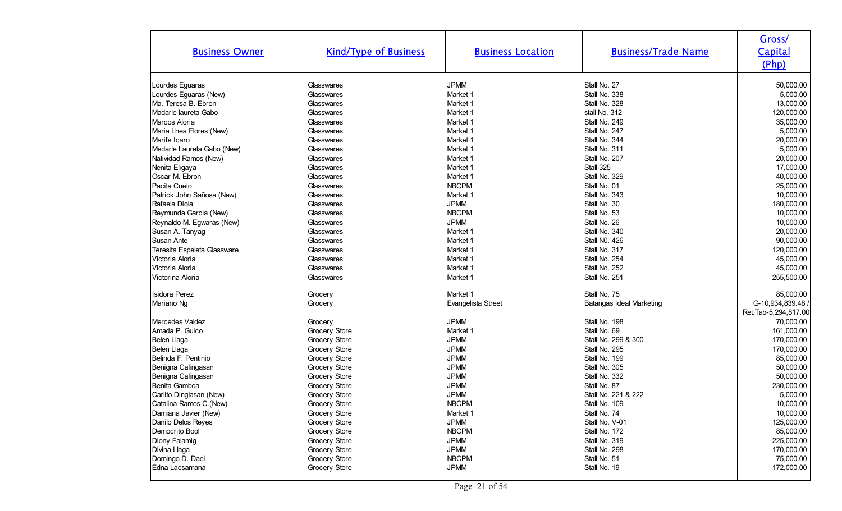| <b>Business Owner</b>       | <b>Kind/Type of Business</b> | <b>Business Location</b> | <b>Business/Trade Name</b> | Gross/<br>Capital<br>(Php) |
|-----------------------------|------------------------------|--------------------------|----------------------------|----------------------------|
| Lourdes Eguaras             | Glasswares                   | <b>JPMM</b>              | Stall No. 27               | 50,000.00                  |
| Lourdes Eguaras (New)       | Glasswares                   | Market 1                 | Stall No. 338              | 5,000.00                   |
| Ma. Teresa B. Ebron         | Glasswares                   | Market 1                 | Stall No. 328              | 13,000.00                  |
| Madarle laureta Gabo        | Glasswares                   | Market 1                 | stall No. 312              | 120,000.00                 |
| Marcos Aloria               | Glasswares                   | Market 1                 | Stall No. 249              | 35,000.00                  |
| Maria Lhea Flores (New)     | Glasswares                   | Market 1                 | Stall No. 247              | 5,000.00                   |
| Marife Icaro                | Glasswares                   | Market 1                 | Stall No. 344              | 20,000.00                  |
| Medarle Laureta Gabo (New)  | Glasswares                   | Market 1                 | Stall No. 311              | 5,000.00                   |
| Natividad Ramos (New)       | Glasswares                   | Market 1                 | Stall No. 207              | 20,000.00                  |
| Nenita Eligaya              | Glasswares                   | Market 1                 | Stall 325                  | 17,000.00                  |
| Oscar M. Ebron              | Glasswares                   | Market 1                 | Stall No. 329              | 40,000.00                  |
| Pacita Cueto                | Glasswares                   | <b>NBCPM</b>             | Stall No. 01               | 25,000.00                  |
| Patrick John Sañosa (New)   | Glasswares                   | Market 1                 | Stall No. 343              | 10,000.00                  |
| Rafaela Diola               | Glasswares                   | <b>JPMM</b>              | Stall No. 30               | 180,000.00                 |
| Reymunda Garcia (New)       | Glasswares                   | <b>NBCPM</b>             | Stall No. 53               | 10,000.00                  |
| Reynaldo M. Egwaras (New)   | Glasswares                   | <b>JPMM</b>              | Stall No. 26               | 10,000.00                  |
| Susan A. Tanyag             | Glasswares                   | Market 1                 | Stall No. 340              | 20,000.00                  |
| Susan Ante                  | Glasswares                   | Market 1                 | Stall NO. 426              | 90,000.00                  |
| Teresita Espeleta Glassware | Glasswares                   | Market 1                 | Stall No. 317              | 120,000.00                 |
| Victoria Aloria             | Glasswares                   | Market 1                 | Stall No. 254              | 45,000.00                  |
| Victoria Aloria             | Glasswares                   | Market 1                 | Stall No. 252              | 45,000.00                  |
|                             |                              |                          |                            |                            |
| Victorina Aloria            | Glasswares                   | Market 1                 | Stall No. 251              | 255,500.00                 |
| Isidora Perez               | Grocery                      | Market 1                 | Stall No. 75               | 85,000.00                  |
| Mariano Ng                  | Grocery                      | Evangelista Street       | Batangas Ideal Marketing   | G-10,934,839.48 /          |
|                             |                              |                          |                            | Ret.Tab-5,294,817.00       |
| Mercedes Valdez             | Grocery                      | <b>JPMM</b>              | Stall No. 198              | 70,000.00                  |
| Amada P. Guico              | Grocery Store                | Market 1                 | Stall No. 69               | 161,000.00                 |
| Belen Llaga                 | Grocery Store                | <b>JPMM</b>              | Stall No. 299 & 300        | 170,000.00                 |
| Belen Llaga                 | Grocery Store                | <b>JPMM</b>              | Stall No. 295              | 170,000.00                 |
| Belinda F. Pentinio         | Grocery Store                | <b>JPMM</b>              | Stall No. 199              | 85,000.00                  |
| Benigna Calingasan          | Grocery Store                | <b>JPMM</b>              | Stall No. 305              | 50,000.00                  |
| Benigna Calingasan          | Grocery Store                | <b>JPMM</b>              | Stall No. 332              | 50,000.00                  |
| Benita Gamboa               | Grocery Store                | <b>JPMM</b>              | Stall No. 87               | 230,000.00                 |
| Carlito Dinglasan (New)     | Grocery Store                | <b>JPMM</b>              | Stall No. 221 & 222        | 5,000.00                   |
| Catalina Ramos C.(New)      | Grocery Store                | <b>NBCPM</b>             | Stall No. 109              | 10,000.00                  |
| Damiana Javier (New)        | Grocery Store                | Market 1                 | Stall No. 74               | 10,000.00                  |
| Danilo Delos Reyes          | Grocery Store                | <b>JPMM</b>              | Stall No. V-01             | 125,000.00                 |
| Democrito Bool              | Grocery Store                | <b>NBCPM</b>             | Stall No. 172              | 85,000.00                  |
| Diony Falamig               | Grocery Store                | <b>JPMM</b>              | Stall No. 319              | 225,000.00                 |
| Divina Llaga                | Grocery Store                | <b>JPMM</b>              | Stall No. 298              | 170,000.00                 |
| Domingo D. Dael             | Grocery Store                | <b>NBCPM</b>             | Stall No. 51               | 75,000.00                  |
| Edna Lacsamana              | Grocery Store                | <b>JPMM</b>              | Stall No. 19               | 172,000.00                 |
|                             |                              |                          |                            |                            |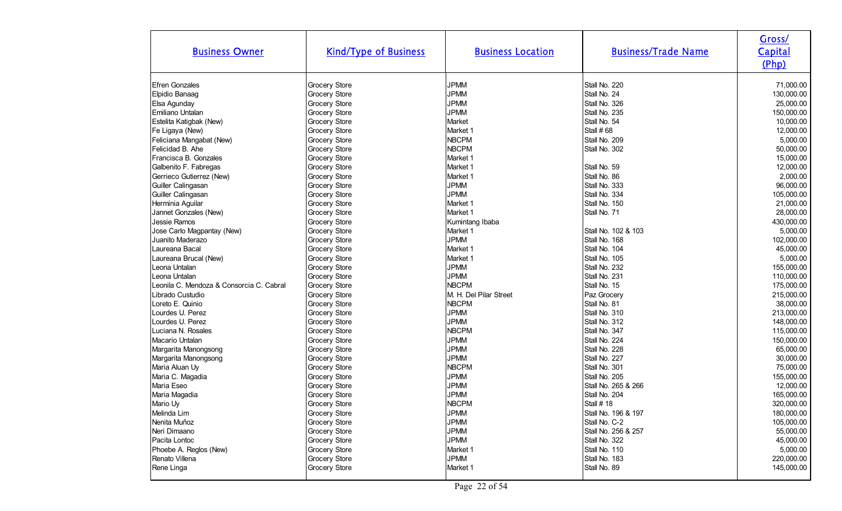| <b>Business Owner</b>                    | <b>Kind/Type of Business</b> | <b>Business Location</b> | <b>Business/Trade Name</b> | Gross/<br>Capital<br>(Php) |
|------------------------------------------|------------------------------|--------------------------|----------------------------|----------------------------|
| <b>Efren Gonzales</b>                    | Grocery Store                | <b>JPMM</b>              | Stall No. 220              | 71,000.00                  |
| Elpidio Banaag                           | Grocery Store                | <b>JPMM</b>              | Stall No. 24               | 130,000.00                 |
| Elsa Agunday                             | Grocery Store                | <b>JPMM</b>              | Stall No. 326              | 25,000.00                  |
| Emiliano Untalan                         | Grocery Store                | <b>JPMM</b>              | Stall No. 235              | 150,000.00                 |
| Estelita Katigbak (New)                  | Grocery Store                | Market                   | Stall No. 54               | 10,000.00                  |
| Fe Ligaya (New)                          | Grocery Store                | Market 1                 | Stall #68                  | 12,000.00                  |
| Feliciana Mangabat (New)                 | Grocery Store                | <b>NBCPM</b>             | Stall No. 209              | 5,000.00                   |
| Felicidad B. Ahe                         | Grocery Store                | <b>NBCPM</b>             | Stall No. 302              | 50,000.00                  |
| Francisca B. Gonzales                    | Grocery Store                | Market 1                 |                            | 15,000.00                  |
| Galbenito F. Fabregas                    | Grocery Store                | Market 1                 | Stall No. 59               | 12,000.00                  |
| Gerrieco Gutierrez (New)                 | Grocery Store                | Market 1                 | Stall No. 86               | 2,000.00                   |
| Guiller Calingasan                       | Grocery Store                | <b>JPMM</b>              | Stall No. 333              | 96,000.00                  |
| Guiller Calingasan                       | Grocery Store                | <b>JPMM</b>              | Stall No. 334              | 105,000.00                 |
| Herminia Aguilar                         | Grocery Store                | Market 1                 | Stall No. 150              | 21,000.00                  |
| Jannet Gonzales (New)                    | Grocery Store                | Market 1                 | Stall No. 71               | 28,000.00                  |
| Jessie Ramos                             | Grocery Store                | Kumintang Ibaba          |                            | 430,000.00                 |
| Jose Carlo Magpantay (New)               | Grocery Store                | Market 1                 | Stall No. 102 & 103        | 5,000.00                   |
| Juanito Maderazo                         | Grocery Store                | <b>JPMM</b>              | Stall No. 168              | 102,000.00                 |
| Laureana Bacal                           | Grocery Store                | Market 1                 | Stall No. 104              | 45,000.00                  |
| Laureana Brucal (New)                    | Grocery Store                | Market 1                 | Stall No. 105              | 5,000.00                   |
| Leona Untalan                            | Grocery Store                | <b>JPMM</b>              | Stall No. 232              | 155,000.00                 |
| Leona Untalan                            | Grocery Store                | <b>JPMM</b>              | Stall No. 231              | 110,000.00                 |
| Leonila C. Mendoza & Consorcia C. Cabral | Grocery Store                | <b>NBCPM</b>             | Stall No. 15               | 175,000.00                 |
| Librado Custudio                         | Grocery Store                | M. H. Del Pilar Street   | Paz Grocery                | 215,000.00                 |
| Loreto E. Quinio                         | Grocery Store                | <b>NBCPM</b>             | Stall No. 81               | 38,000.00                  |
| Lourdes U. Perez                         | Grocery Store                | <b>JPMM</b>              | Stall No. 310              | 213,000.00                 |
| Lourdes U. Perez                         | Grocery Store                | <b>JPMM</b>              | Stall No. 312              | 148,000.00                 |
| Luciana N. Rosales                       | Grocery Store                | <b>NBCPM</b>             | Stall No. 347              | 115,000.00                 |
| Macario Untalan                          | Grocery Store                | <b>JPMM</b>              | Stall No. 224              | 150,000.00                 |
| Margarita Manongsong                     | Grocery Store                | <b>JPMM</b>              | Stall No. 228              | 65,000.00                  |
| Margarita Manongsong                     | Grocery Store                | <b>JPMM</b>              | Stall No. 227              | 30,000.00                  |
| Maria Aluan Uy                           | Grocery Store                | <b>NBCPM</b>             | Stall No. 301              | 75,000.00                  |
| Maria C. Magadia                         | Grocery Store                | <b>JPMM</b>              | Stall No. 205              | 155,000.00                 |
| Maria Eseo                               | Grocery Store                | <b>JPMM</b>              | Stall No. 265 & 266        | 12,000.00                  |
| Maria Magadia                            | Grocery Store                | <b>JPMM</b>              | Stall No. 204              | 165,000.00                 |
| Mario Uy                                 | Grocery Store                | <b>NBCPM</b>             | <b>Stall #18</b>           | 320,000.00                 |
| Melinda Lim                              | Grocery Store                | <b>JPMM</b>              | Stall No. 196 & 197        | 180,000.00                 |
| Nenita Muñoz                             | Grocery Store                | <b>JPMM</b>              | Stall No. C-2              | 105,000.00                 |
| Neri Dimaano                             | Grocery Store                | <b>JPMM</b>              | Stall No. 256 & 257        | 55,000.00                  |
| Pacita Lontoc                            | Grocery Store                | <b>JPMM</b>              | Stall No. 322              | 45,000.00                  |
| Phoebe A. Reglos (New)                   | Grocery Store                | Market 1                 | Stall No. 110              | 5,000.00                   |
| Renato Villena                           | Grocery Store                | <b>JPMM</b>              | Stall No. 183              | 220,000.00                 |
| Rene Linga                               | Grocery Store                | Market 1                 | Stall No. 89               | 145,000.00                 |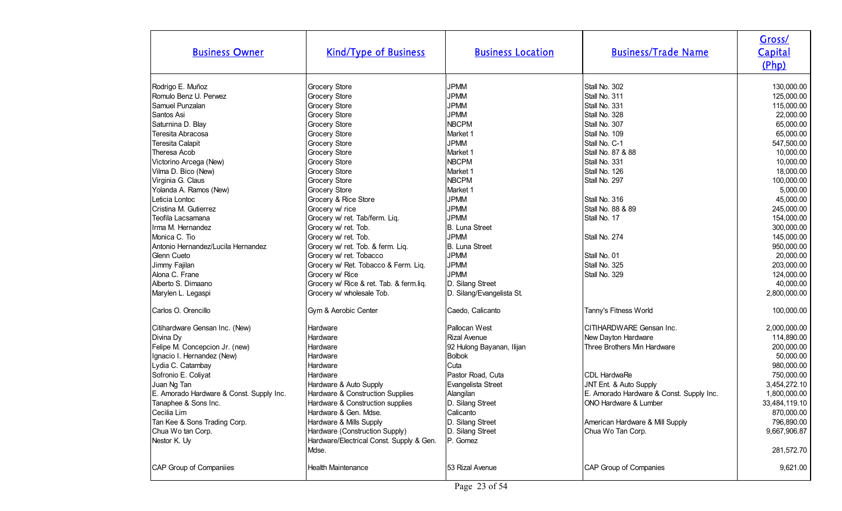| <b>Business Owner</b>                    | <b>Kind/Type of Business</b>             | <b>Business Location</b>  | <b>Business/Trade Name</b>               | Gross/<br>Capital<br>(Php) |
|------------------------------------------|------------------------------------------|---------------------------|------------------------------------------|----------------------------|
| Rodrigo E. Muñoz                         | Grocery Store                            | <b>JPMM</b>               | Stall No. 302                            | 130,000.00                 |
| Romulo Benz U. Perwez                    | Grocery Store                            | <b>JPMM</b>               | Stall No. 311                            | 125,000.00                 |
| Samuel Punzalan                          | Grocery Store                            | <b>JPMM</b>               | Stall No. 331                            | 115,000.00                 |
| Santos Asi                               | Grocery Store                            | <b>JPMM</b>               | Stall No. 328                            | 22,000.00                  |
| Saturnina D. Blay                        | Grocery Store                            | <b>NBCPM</b>              | Stall No. 307                            | 65,000.00                  |
| Teresita Abracosa                        | Grocery Store                            | Market 1                  | Stall No. 109                            | 65,000.00                  |
| Teresita Calapit                         | Grocery Store                            | <b>JPMM</b>               | Stall No. C-1                            | 547,500.00                 |
| Theresa Acob                             | Grocery Store                            | Market 1                  | Stall No. 87 & 88                        | 10,000.00                  |
| Victorino Arcega (New)                   | Grocery Store                            | NBCPM                     | Stall No. 331                            | 10,000.00                  |
| Vilma D. Bico (New)                      | Grocery Store                            | Market 1                  | Stall No. 126                            | 18,000.00                  |
| Virginia G. Claus                        | Grocery Store                            | <b>NBCPM</b>              | Stall No. 297                            | 100,000.00                 |
| Yolanda A. Ramos (New)                   | Grocery Store                            | Market 1                  |                                          | 5,000.00                   |
| Leticia Lontoc                           | Grocery & Rice Store                     | <b>JPMM</b>               | Stall No. 316                            | 45,000.00                  |
| Cristina M. Gutierrez                    | Grocery w/ rice                          | <b>JPMM</b>               | Stall No. 88 & 89                        | 245,000.00                 |
| Teofila Lacsamana                        | Grocery w/ ret. Tab/ferm. Liq.           | <b>JPMM</b>               | Stall No. 17                             | 154,000.00                 |
| Irma M. Hernandez                        | Grocery w/ ret. Tob.                     | B. Luna Street            |                                          | 300,000.00                 |
| Monica C. Tio                            | Grocery w/ ret. Tob.                     | <b>JPMM</b>               | Stall No. 274                            | 145,000.00                 |
| Antonio Hernandez/Lucila Hernandez       | Grocery w/ ret. Tob. & ferm. Liq.        | B. Luna Street            |                                          | 950,000.00                 |
| Glenn Cueto                              | Grocery w/ ret. Tobacco                  | <b>JPMM</b>               | Stall No. 01                             | 20,000.00                  |
| Jimmy Fajilan                            | Grocery w/ Ret. Tobacco & Ferm. Liq.     | <b>JPMM</b>               | Stall No. 325                            | 203,000.00                 |
| Alona C. Frane                           | Grocery w/ Rice                          | <b>JPMM</b>               | Stall No. 329                            | 124,000.00                 |
| Alberto S. Dimaano                       | Grocery w/ Rice & ret. Tab. & ferm.liq.  | D. Silang Street          |                                          | 40,000.00                  |
| Marylen L. Legaspi                       | Grocery w/ wholesale Tob.                | D. Silang/Evangelista St. |                                          | 2,800,000.00               |
| Carlos O. Orencillo                      | Gym & Aerobic Center                     | Caedo, Calicanto          | Tanny's Fitness World                    | 100,000.00                 |
| Citihardware Gensan Inc. (New)           | Hardware                                 | Pallocan West             | CITIHARDWARE Gensan Inc.                 | 2,000,000.00               |
| Divina Dy                                | Hardware                                 | <b>Rizal Avenue</b>       | New Dayton Hardware                      | 114,890.00                 |
| Felipe M. Concepcion Jr. (new)           | Hardware                                 | 92 Hulong Bayanan, Ilijan | Three Brothers Min Hardware              | 200,000.00                 |
| Ignacio I. Hernandez (New)               | Hardware                                 | <b>Bolbok</b>             |                                          | 50,000.00                  |
| Lydia C. Catambay                        | Hardware                                 | Cuta                      |                                          | 980,000.00                 |
| Sofronio E. Coliyat                      | Hardware                                 | Pastor Road, Cuta         | CDL HardwaRe                             | 750,000.00                 |
| Juan Ng Tan                              | Hardware & Auto Supply                   | Evangelista Street        | JNT Ent. & Auto Supply                   | 3,454,272.10               |
| E. Amorado Hardware & Const. Supply Inc. | Hardware & Construction Supplies         | Alangilan                 | E. Amorado Hardware & Const. Supply Inc. | 1,800,000.00               |
| Tanaphee & Sons Inc.                     | Hardware & Construction supplies         | D. Silang Street          | ONO Hardware & Lumber                    | 33,484,119.10              |
| Cecilia Lim                              | Hardware & Gen. Mdse.                    | Calicanto                 |                                          | 870,000.00                 |
| Tan Kee & Sons Trading Corp.             | Hardware & Mills Supply                  | D. Silang Street          | American Hardware & Mill Supply          | 796,890.00                 |
| Chua Wo tan Corp.                        | Hardware (Construction Supply)           | D. Silang Street          | Chua Wo Tan Corp.                        | 9,667,906.87               |
| Nestor K. Uy                             | Hardware/Electrical Const. Supply & Gen. | P. Gomez                  |                                          |                            |
|                                          | Mdse.                                    |                           |                                          | 281,572.70                 |
| CAP Group of Companiies                  | <b>Health Maintenance</b>                | 153 Rizal Avenue          | CAP Group of Companies                   | 9,621.00                   |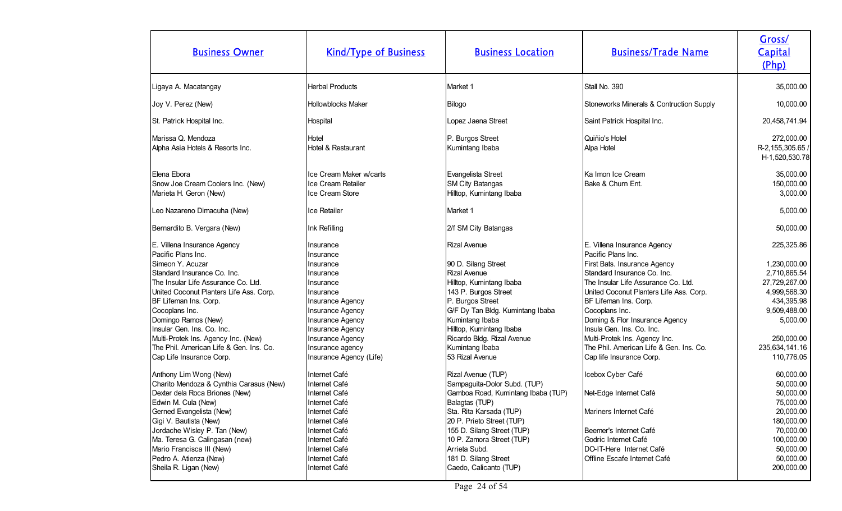| <b>Business Owner</b>                                                                                                                                                                                                                                                                                                                           | <b>Kind/Type of Business</b>                                                                                                                                                                        | <b>Business Location</b>                                                                                                                                                                                                                                                                         | <b>Business/Trade Name</b>                                                                                                                                                                                                                                                                                                                                      | Gross/<br><b>Capital</b><br>(Php)                                                                                                                     |
|-------------------------------------------------------------------------------------------------------------------------------------------------------------------------------------------------------------------------------------------------------------------------------------------------------------------------------------------------|-----------------------------------------------------------------------------------------------------------------------------------------------------------------------------------------------------|--------------------------------------------------------------------------------------------------------------------------------------------------------------------------------------------------------------------------------------------------------------------------------------------------|-----------------------------------------------------------------------------------------------------------------------------------------------------------------------------------------------------------------------------------------------------------------------------------------------------------------------------------------------------------------|-------------------------------------------------------------------------------------------------------------------------------------------------------|
| Ligaya A. Macatangay                                                                                                                                                                                                                                                                                                                            | <b>Herbal Products</b>                                                                                                                                                                              | Market 1                                                                                                                                                                                                                                                                                         | Stall No. 390                                                                                                                                                                                                                                                                                                                                                   | 35,000.00                                                                                                                                             |
| Joy V. Perez (New)                                                                                                                                                                                                                                                                                                                              | <b>Hollowblocks Maker</b>                                                                                                                                                                           | Bilogo                                                                                                                                                                                                                                                                                           | Stoneworks Minerals & Contruction Supply                                                                                                                                                                                                                                                                                                                        | 10,000.00                                                                                                                                             |
| St. Patrick Hospital Inc.                                                                                                                                                                                                                                                                                                                       | Hospital                                                                                                                                                                                            | Lopez Jaena Street                                                                                                                                                                                                                                                                               | Saint Patrick Hospital Inc.                                                                                                                                                                                                                                                                                                                                     | 20,458,741.94                                                                                                                                         |
| Marissa Q. Mendoza<br>Alpha Asia Hotels & Resorts Inc.                                                                                                                                                                                                                                                                                          | Hotel<br>Hotel & Restaurant                                                                                                                                                                         | P. Burgos Street<br>Kumintang Ibaba                                                                                                                                                                                                                                                              | <b>Quiñio's Hotel</b><br>Alpa Hotel                                                                                                                                                                                                                                                                                                                             | 272,000.00<br>R-2, 155, 305.65 /<br>H-1,520,530.78                                                                                                    |
| Elena Ebora<br>Snow Joe Cream Coolers Inc. (New)<br>Marieta H. Geron (New)                                                                                                                                                                                                                                                                      | Ice Cream Maker w/carts<br>Ice Cream Retailer<br>Ice Cream Store                                                                                                                                    | Evangelista Street<br><b>SM City Batangas</b><br>Hilltop, Kumintang Ibaba                                                                                                                                                                                                                        | Ka Imon Ice Cream<br>Bake & Churn Ent.                                                                                                                                                                                                                                                                                                                          | 35,000.00<br>150,000.00<br>3,000.00                                                                                                                   |
| Leo Nazareno Dimacuha (New)                                                                                                                                                                                                                                                                                                                     | Ice Retailer                                                                                                                                                                                        | Market 1                                                                                                                                                                                                                                                                                         |                                                                                                                                                                                                                                                                                                                                                                 | 5,000.00                                                                                                                                              |
| Bernardito B. Vergara (New)                                                                                                                                                                                                                                                                                                                     | Ink Refilling                                                                                                                                                                                       | 2/f SM City Batangas                                                                                                                                                                                                                                                                             |                                                                                                                                                                                                                                                                                                                                                                 | 50,000.00                                                                                                                                             |
| E. Villena Insurance Agency<br>Pacific Plans Inc.                                                                                                                                                                                                                                                                                               | Insurance<br>Insurance                                                                                                                                                                              | <b>Rizal Avenue</b>                                                                                                                                                                                                                                                                              | E. Villena Insurance Agency<br>Pacific Plans Inc.                                                                                                                                                                                                                                                                                                               | 225,325.86                                                                                                                                            |
| Simeon Y. Acuzar<br>Standard Insurance Co. Inc.<br>The Insular Life Assurance Co. Ltd.<br>United Coconut Planters Life Ass. Corp.<br>BF Lifeman Ins. Corp.<br>Cocoplans Inc.<br>Domingo Ramos (New)<br>Insular Gen. Ins. Co. Inc.<br>Multi-Protek Ins. Agency Inc. (New)<br>The Phil. American Life & Gen. Ins. Co.<br>Cap Life Insurance Corp. | Insurance<br>Insurance<br>Insurance<br>Insurance<br>Insurance Agency<br>Insurance Agency<br>Insurance Agency<br>Insurance Agency<br>Insurance Agency<br>Insurance agency<br>Insurance Agency (Life) | 90 D. Silang Street<br><b>Rizal Avenue</b><br>Hilltop, Kumintang Ibaba<br>143 P. Burgos Street<br>P. Burgos Street<br>G/F Dy Tan Bldg. Kumintang Ibaba<br>Kumintang Ibaba<br>Hilltop, Kumintang Ibaba<br>Ricardo Bldg. Rizal Avenue<br>Kumintang Ibaba<br>53 Rizal Avenue                        | First Bats. Insurance Agency<br>Standard Insurance Co. Inc.<br>The Insular Life Assurance Co. Ltd.<br>United Coconut Planters Life Ass. Corp.<br>BF Lifeman Ins. Corp.<br>Cocoplans Inc.<br>Doming & Flor Insurance Agency<br>Insula Gen. Ins. Co. Inc.<br>Multi-Protek Ins. Agency Inc.<br>The Phil. American Life & Gen. Ins. Co.<br>Cap life Insurance Corp. | 1,230,000.00<br>2,710,865.54<br>27,729,267.00<br>4,999,568.30<br>434,395.98<br>9,509,488.00<br>5,000.00<br>250,000.00<br>235,634,141.16<br>110,776.05 |
| Anthony Lim Wong (New)<br>Charito Mendoza & Cynthia Carasus (New)<br>Dexter dela Roca Briones (New)<br>Edwin M. Cula (New)<br>Gerned Evangelista (New)<br>Gigi V. Bautista (New)<br>Jordache Wisley P. Tan (New)<br>Ma. Teresa G. Calingasan (new)<br>Mario Francisca III (New)<br>Pedro A. Atienza (New)<br>Sheila R. Ligan (New)              | Internet Café<br>Internet Café<br>Internet Café<br>Internet Café<br>Internet Café<br>Internet Café<br>Internet Café<br>Internet Café<br>Internet Café<br>Internet Café<br>Internet Café             | Rizal Avenue (TUP)<br>Sampaguita-Dolor Subd. (TUP)<br>Gamboa Road, Kumintang Ibaba (TUP)<br>Balagtas (TUP)<br>Sta. Rita Karsada (TUP)<br>20 P. Prieto Street (TUP)<br>155 D. Silang Street (TUP)<br>10 P. Zamora Street (TUP)<br>Arrieta Subd.<br>181 D. Silang Street<br>Caedo, Calicanto (TUP) | Icebox Cyber Café<br>Net-Edge Internet Café<br>Mariners Internet Café<br>Beemer's Internet Café<br>Godric Internet Café<br>DO-IT-Here Internet Café<br>Offline Escafe Internet Café                                                                                                                                                                             | 60,000.00<br>50,000.00<br>50,000.00<br>75,000.00<br>20,000.00<br>180,000.00<br>70,000.00<br>100,000.00<br>50,000.00<br>50,000.00<br>200,000.00        |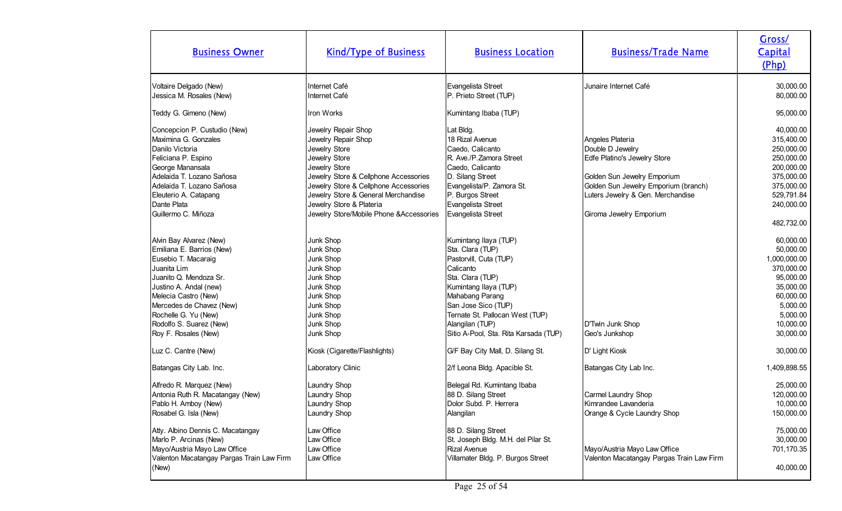| <b>Business Owner</b>                                                                                                                                                                                                                                                         | <b>Kind/Type of Business</b>                                                                                                                                                                                                                                                                   | <b>Business Location</b>                                                                                                                                                                                                                                               | <b>Business/Trade Name</b>                                                                                                                                                                                  | Gross/<br>Capital<br>(Php)                                                                                                                    |
|-------------------------------------------------------------------------------------------------------------------------------------------------------------------------------------------------------------------------------------------------------------------------------|------------------------------------------------------------------------------------------------------------------------------------------------------------------------------------------------------------------------------------------------------------------------------------------------|------------------------------------------------------------------------------------------------------------------------------------------------------------------------------------------------------------------------------------------------------------------------|-------------------------------------------------------------------------------------------------------------------------------------------------------------------------------------------------------------|-----------------------------------------------------------------------------------------------------------------------------------------------|
| Voltaire Delgado (New)<br>Jessica M. Rosales (New)                                                                                                                                                                                                                            | Internet Café<br>Internet Café                                                                                                                                                                                                                                                                 | Evangelista Street<br>P. Prieto Street (TUP)                                                                                                                                                                                                                           | Junaire Internet Café                                                                                                                                                                                       | 30,000.00<br>80,000.00                                                                                                                        |
| Teddy G. Gimeno (New)                                                                                                                                                                                                                                                         | Iron Works                                                                                                                                                                                                                                                                                     | Kumintang Ibaba (TUP)                                                                                                                                                                                                                                                  |                                                                                                                                                                                                             | 95,000.00                                                                                                                                     |
| Concepcion P. Custudio (New)<br>Maximina G. Gonzales<br>Danilo Victoria<br>Feliciana P. Espino<br>George Manansala<br>Adelaida T. Lozano Sañosa<br>Adelaida T. Lozano Sañosa<br>Eleuterio A. Catapang<br>Dante Plata<br>Guillermo C. Miñoza                                   | Jewelry Repair Shop<br>Jewelry Repair Shop<br>Jewelry Store<br>Jewelry Store<br>Jewelry Store<br>Jewelry Store & Cellphone Accessories<br>Jewelry Store & Cellphone Accessories<br>Jewelry Store & General Merchandise<br>Jewelry Store & Plateria<br>Jewelry Store/Mobile Phone & Accessories | Lat Bldg.<br>18 Rizal Avenue<br>Caedo, Calicanto<br>R. Ave./P. Zamora Street<br>Caedo, Calicanto<br>D. Silang Street<br>Evangelista/P. Zamora St.<br>P. Burgos Street<br>Evangelista Street<br>Evangelista Street                                                      | Angeles Plateria<br>Double D Jewelry<br>Edfe Platino's Jewelry Store<br>Golden Sun Jewelry Emporium<br>Golden Sun Jewelry Emporium (branch)<br>Luters Jewelry & Gen. Merchandise<br>Giroma Jewelry Emporium | 40,000.00<br>315,400.00<br>250,000.00<br>250,000.00<br>200,000.00<br>375,000.00<br>375,000.00<br>529,791.84<br>240,000.00<br>482,732.00       |
| Alvin Bay Alvarez (New)<br>Emiliana E. Barrios (New)<br>Eusebio T. Macaraig<br>Juanita Lim<br>Juanito Q. Mendoza Sr.<br>Justino A. Andal (new)<br>Melecia Castro (New)<br>Mercedes de Chavez (New)<br>Rochelle G. Yu (New)<br>Rodolfo S. Suarez (New)<br>Roy F. Rosales (New) | Junk Shop<br>Junk Shop<br>Junk Shop<br>Junk Shop<br>Junk Shop<br>Junk Shop<br>Junk Shop<br>Junk Shop<br>Junk Shop<br>Junk Shop<br>Junk Shop                                                                                                                                                    | Kumintang Ilaya (TUP)<br>Sta. Clara (TUP)<br>Pastorvill, Cuta (TUP)<br>Calicanto<br>Sta. Clara (TUP)<br>Kumintang Ilaya (TUP)<br>Mahabang Parang<br>San Jose Sico (TUP)<br>Ternate St. Pallocan West (TUP)<br>Alangilan (TUP)<br>Sitio A-Pool, Sta. Rita Karsada (TUP) | D'Twin Junk Shop<br>Geo's Junkshop                                                                                                                                                                          | 60,000.00<br>50,000.00<br>1,000,000.00<br>370,000.00<br>95,000.00<br>35,000.00<br>60,000.00<br>5,000.00<br>5,000.00<br>10,000.00<br>30,000.00 |
| Luz C. Cantre (New)                                                                                                                                                                                                                                                           | Kiosk (Cigarette/Flashlights)                                                                                                                                                                                                                                                                  | G/F Bay City Mall, D. Silang St.                                                                                                                                                                                                                                       | D' Light Kiosk                                                                                                                                                                                              | 30,000.00                                                                                                                                     |
| Batangas City Lab. Inc.                                                                                                                                                                                                                                                       | Laboratory Clinic                                                                                                                                                                                                                                                                              | 2/f Leona Bldg. Apacible St.                                                                                                                                                                                                                                           | Batangas City Lab Inc.                                                                                                                                                                                      | 1,409,898.55                                                                                                                                  |
| Alfredo R. Marquez (New)<br>Antonia Ruth R. Macatangay (New)<br>Pablo H. Amboy (New)<br>Rosabel G. Isla (New)<br>Atty. Albino Dennis C. Macatangay<br>Marlo P. Arcinas (New)<br>Mayo/Austria Mayo Law Office<br>Valenton Macatangay Pargas Train Law Firm                     | Laundry Shop<br>Laundry Shop<br>Laundry Shop<br>Laundry Shop<br>Law Office<br>Law Office<br>Law Office<br>Law Office                                                                                                                                                                           | Belegal Rd. Kumintang Ibaba<br>88 D. Silang Street<br>Dolor Subd. P. Herrera<br>Alangilan<br>88 D. Silang Street<br>St. Joseph Bldg. M.H. del Pilar St.<br><b>Rizal Avenue</b><br>Villamater Bldg. P. Burgos Street                                                    | Carmel Laundry Shop<br>Kimrandee Lavanderia<br>Orange & Cycle Laundry Shop<br>Mayo/Austria Mayo Law Office<br>Valenton Macatangay Pargas Train Law Firm                                                     | 25,000.00<br>120,000.00<br>10,000.00<br>150,000.00<br>75,000.00<br>30,000.00<br>701,170.35                                                    |
| (New)                                                                                                                                                                                                                                                                         |                                                                                                                                                                                                                                                                                                |                                                                                                                                                                                                                                                                        |                                                                                                                                                                                                             | 40,000.00                                                                                                                                     |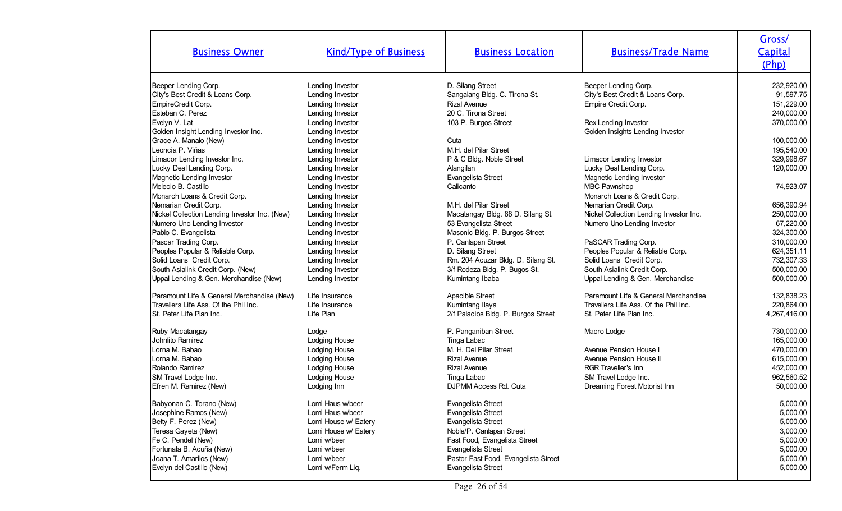| <b>Business Owner</b>                                                                                                                        | <b>Kind/Type of Business</b>                                                                              | <b>Business Location</b>                                                                                                                     | <b>Business/Trade Name</b>                                                                                                                      | Gross/<br>Capital<br>(Php)                                                                    |
|----------------------------------------------------------------------------------------------------------------------------------------------|-----------------------------------------------------------------------------------------------------------|----------------------------------------------------------------------------------------------------------------------------------------------|-------------------------------------------------------------------------------------------------------------------------------------------------|-----------------------------------------------------------------------------------------------|
| Beeper Lending Corp.                                                                                                                         | Lending Investor                                                                                          | D. Silang Street                                                                                                                             | Beeper Lending Corp.                                                                                                                            | 232,920.00                                                                                    |
| City's Best Credit & Loans Corp.                                                                                                             | Lending Investor                                                                                          | Sangalang Bldg. C. Tirona St.                                                                                                                | City's Best Credit & Loans Corp.                                                                                                                | 91,597.75                                                                                     |
| EmpireCredit Corp.                                                                                                                           | Lending Investor                                                                                          | <b>Rizal Avenue</b>                                                                                                                          | Empire Credit Corp.                                                                                                                             | 151,229.00                                                                                    |
| Esteban C. Perez<br>Evelyn V. Lat<br>Golden Insight Lending Investor Inc.                                                                    | Lending Investor<br>Lending Investor<br>Lending Investor                                                  | 20 C. Tirona Street<br>103 P. Burgos Street                                                                                                  | Rex Lending Investor<br>Golden Insights Lending Investor                                                                                        | 240,000.00<br>370,000.00                                                                      |
| Grace A. Manalo (New)                                                                                                                        | Lending Investor                                                                                          | Cuta                                                                                                                                         | Limacor Lending Investor                                                                                                                        | 100,000.00                                                                                    |
| Leoncia P. Viñas                                                                                                                             | Lending Investor                                                                                          | M.H. del Pilar Street                                                                                                                        |                                                                                                                                                 | 195,540.00                                                                                    |
| Limacor Lending Investor Inc.                                                                                                                | Lending Investor                                                                                          | P & C Bldg. Noble Street                                                                                                                     |                                                                                                                                                 | 329,998.67                                                                                    |
| Lucky Deal Lending Corp.<br>Magnetic Lending Investor<br>Melecio B. Castillo                                                                 | Lending Investor<br>Lending Investor<br>Lending Investor                                                  | Alangilan<br>Evangelista Street<br>Calicanto                                                                                                 | Lucky Deal Lending Corp.<br>Magnetic Lending Investor<br>MBC Pawnshop                                                                           | 120,000.00<br>74,923.07                                                                       |
| Monarch Loans & Credit Corp.<br>Nemarian Credit Corp.<br>Nickel Collection Lending Investor Inc. (New)                                       | Lending Investor<br>Lending Investor<br>Lending Investor                                                  | IM.H. del Pilar Street<br>Macatangay Bldg. 88 D. Silang St.                                                                                  | Monarch Loans & Credit Corp.<br>Nemarian Credit Corp.<br>Nickel Collection Lending Investor Inc.                                                | 656,390.94<br>250,000.00                                                                      |
| Numero Uno Lending Investor<br>Pablo C. Evangelista<br>Pascar Trading Corp.                                                                  | Lending Investor<br>Lending Investor<br>Lending Investor                                                  | 53 Evangelista Street<br>Masonic Bldg. P. Burgos Street<br>P. Canlapan Street                                                                | Numero Uno Lending Investor<br>PaSCAR Trading Corp.                                                                                             | 67,220.00<br>324,300.00<br>310,000.00                                                         |
| Peoples Popular & Reliable Corp.                                                                                                             | Lending Investor                                                                                          | D. Silang Street                                                                                                                             | Peoples Popular & Reliable Corp.                                                                                                                | 624,351.11                                                                                    |
| Solid Loans Credit Corp.                                                                                                                     | Lending Investor                                                                                          | Rm. 204 Acuzar Bldg. D. Silang St.                                                                                                           | Solid Loans Credit Corp.                                                                                                                        | 732,307.33                                                                                    |
| South Asialink Credit Corp. (New)                                                                                                            | Lending Investor                                                                                          | 3/f Rodeza Bldg. P. Bugos St.                                                                                                                | South Asialink Credit Corp.                                                                                                                     | 500,000.00                                                                                    |
| Uppal Lending & Gen. Merchandise (New)                                                                                                       | Lending Investor                                                                                          | Kumintang Ibaba                                                                                                                              | Uppal Lending & Gen. Merchandise                                                                                                                | 500,000.00                                                                                    |
| Paramount Life & General Merchandise (New)                                                                                                   | Life Insurance                                                                                            | Apacible Street                                                                                                                              | Paramount Life & General Merchandise                                                                                                            | 132,838.23                                                                                    |
| Travellers Life Ass. Of the Phil Inc.                                                                                                        | Life Insurance                                                                                            | Kumintang Ilaya                                                                                                                              | Travellers Life Ass. Of the Phil Inc.                                                                                                           | 220,864.00                                                                                    |
| St. Peter Life Plan Inc.                                                                                                                     | Life Plan                                                                                                 | 2/f Palacios Bldg. P. Burgos Street                                                                                                          | ISt. Peter Life Plan Inc.                                                                                                                       | 4,267,416.00                                                                                  |
| Ruby Macatangay<br>Johnlito Ramirez<br>Lorna M. Babao<br>Lorna M. Babao<br>Rolando Ramirez<br>SM Travel Lodge Inc.<br>Efren M. Ramirez (New) | Lodge<br>Lodging House<br>Lodging House<br>Lodging House<br>Lodging House<br>Lodging House<br>Lodging Inn | P. Panganiban Street<br>Tinga Labac<br>M. H. Del Pilar Street<br>Rizal Avenue<br>Rizal Avenue<br>Tinga Labac<br><b>DJPMM Access Rd. Cuta</b> | Macro Lodge<br>Avenue Pension House I<br>Avenue Pension House II<br>RGR Traveller's Inn<br>SM Travel Lodge Inc.<br>Dreaming Forest Motorist Inn | 730,000.00<br>165,000.00<br>470,000.00<br>615,000.00<br>452,000.00<br>962,560.52<br>50,000.00 |
| Babyonan C. Torano (New)                                                                                                                     | Lomi Haus w/beer                                                                                          | Evangelista Street                                                                                                                           |                                                                                                                                                 | 5,000.00                                                                                      |
| Josephine Ramos (New)                                                                                                                        | Lomi Haus w/beer                                                                                          | Evangelista Street                                                                                                                           |                                                                                                                                                 | 5,000.00                                                                                      |
| Betty F. Perez (New)                                                                                                                         | Lomi House w/ Eatery                                                                                      | Evangelista Street                                                                                                                           |                                                                                                                                                 | 5,000.00                                                                                      |
| Teresa Gayeta (New)                                                                                                                          | Lomi House w/ Eatery                                                                                      | Noble/P. Canlapan Street                                                                                                                     |                                                                                                                                                 | 3,000.00                                                                                      |
| Fe C. Pendel (New)                                                                                                                           | Lomi w/beer                                                                                               | Fast Food, Evangelista Street                                                                                                                |                                                                                                                                                 | 5,000.00                                                                                      |
| Fortunata B. Acuña (New)                                                                                                                     | Lomi w/beer                                                                                               | Evangelista Street                                                                                                                           |                                                                                                                                                 | 5,000.00                                                                                      |
| Joana T. Amarilos (New)                                                                                                                      | Lomi w/beer                                                                                               | Pastor Fast Food, Evangelista Street                                                                                                         |                                                                                                                                                 | 5,000.00                                                                                      |
| Evelyn del Castillo (New)                                                                                                                    | Lomi w/Ferm Liq.                                                                                          | Evangelista Street                                                                                                                           |                                                                                                                                                 | 5,000.00                                                                                      |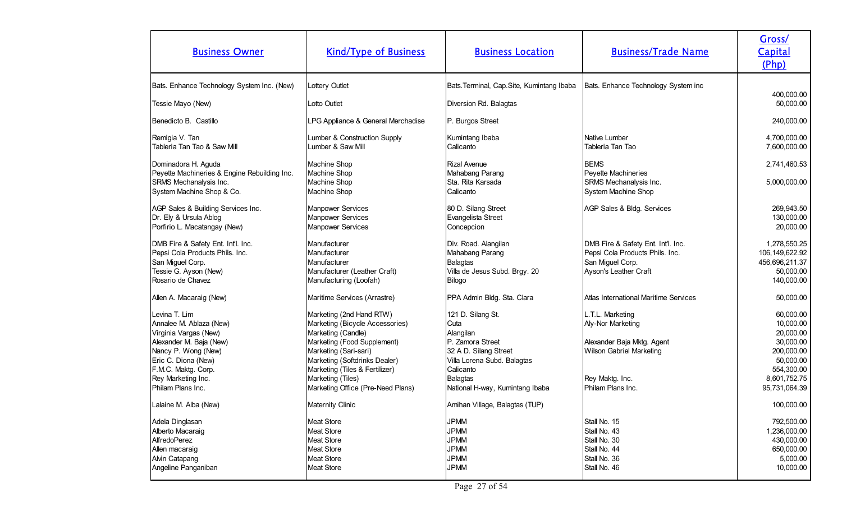| <b>Business Owner</b>                        | <b>Kind/Type of Business</b>       | <b>Business Location</b>                   | <b>Business/Trade Name</b>            | Gross/<br><b>Capital</b><br>(Php) |
|----------------------------------------------|------------------------------------|--------------------------------------------|---------------------------------------|-----------------------------------|
| Bats. Enhance Technology System Inc. (New)   | Lottery Outlet                     | Bats. Terminal, Cap. Site, Kumintang Ibaba | Bats. Enhance Technology System inc   |                                   |
| Tessie Mayo (New)                            | Lotto Outlet                       | Diversion Rd. Balagtas                     |                                       | 400,000.00<br>50,000.00           |
|                                              |                                    |                                            |                                       |                                   |
| Benedicto B. Castillo                        | LPG Appliance & General Merchadise | P. Burgos Street                           |                                       | 240,000.00                        |
| Remigia V. Tan                               | Lumber & Construction Supply       | Kumintang Ibaba                            | Native Lumber                         | 4,700,000.00                      |
| Tableria Tan Tao & Saw Mill                  | Lumber & Saw Mill                  | Calicanto                                  | Tableria Tan Tao                      | 7,600,000.00                      |
| Dominadora H. Aguda                          | Machine Shop                       | Rizal Avenue                               | <b>BEMS</b>                           | 2,741,460.53                      |
| Peyette Machineries & Engine Rebuilding Inc. | Machine Shop                       | Mahabang Parang                            | Peyette Machineries                   |                                   |
| SRMS Mechanalysis Inc.                       | Machine Shop                       | Sta. Rita Karsada                          | SRMS Mechanalysis Inc.                | 5,000,000.00                      |
| System Machine Shop & Co.                    | Machine Shop                       | Calicanto                                  | System Machine Shop                   |                                   |
| AGP Sales & Building Services Inc.           | <b>Manpower Services</b>           | 80 D. Silang Street                        | AGP Sales & Bldg. Services            | 269,943.50                        |
| Dr. Ely & Ursula Ablog                       | <b>Manpower Services</b>           | Evangelista Street                         |                                       | 130,000.00                        |
| Porfirio L. Macatangay (New)                 | Manpower Services                  | Concepcion                                 |                                       | 20,000.00                         |
| DMB Fire & Safety Ent. Int'l. Inc.           | Manufacturer                       | Div. Road. Alangilan                       | DMB Fire & Safety Ent. Int'l. Inc.    | 1,278,550.25                      |
| Pepsi Cola Products Phils. Inc.              | Manufacturer                       | Mahabang Parang                            | Pepsi Cola Products Phils. Inc.       | 106, 149, 622. 92                 |
| San Miguel Corp.                             | Manufacturer                       | Balagtas                                   | San Miguel Corp.                      | 456,696,211.37                    |
| Tessie G. Ayson (New)                        | Manufacturer (Leather Craft)       | Villa de Jesus Subd. Brgy. 20              | Ayson's Leather Craft                 | 50,000.00                         |
| Rosario de Chavez                            | Manufacturing (Loofah)             | Bilogo                                     |                                       | 140,000.00                        |
| Allen A. Macaraig (New)                      | Maritime Services (Arrastre)       | PPA Admin Bldg. Sta. Clara                 | Atlas International Maritime Services | 50,000.00                         |
| Levina T. Lim                                | Marketing (2nd Hand RTW)           | 121 D. Silang St.                          | L.T.L. Marketing                      | 60,000.00                         |
| Annalee M. Ablaza (New)                      | Marketing (Bicycle Accessories)    | Cuta                                       | Aly-Nor Marketing                     | 10,000.00                         |
| Virginia Vargas (New)                        | Marketing (Candle)                 | Alangilan                                  |                                       | 20,000.00                         |
| Alexander M. Baja (New)                      | Marketing (Food Supplement)        | P. Zamora Street                           | Alexander Baja Mktg. Agent            | 30,000.00                         |
| Nancy P. Wong (New)                          | Marketing (Sari-sari)              | 32 A D. Silang Street                      | Wilson Gabriel Marketing              | 200,000.00                        |
| Eric C. Diona (New)                          | Marketing (Softdrinks Dealer)      | Villa Lorena Subd. Balagtas                |                                       | 50,000.00                         |
| F.M.C. Maktg. Corp.                          | Marketing (Tiles & Fertilizer)     | Calicanto                                  |                                       | 554,300.00                        |
| Rey Marketing Inc.                           | Marketing (Tiles)                  | Balagtas                                   | Rey Maktg. Inc.                       | 8,601,752.75                      |
| Philam Plans Inc.                            | Marketing Office (Pre-Need Plans)  | National H-way, Kumintang Ibaba            | Philam Plans Inc.                     | 95,731,064.39                     |
| Lalaine M. Alba (New)                        | Maternity Clinic                   | Amihan Village, Balagtas (TUP)             |                                       | 100,000.00                        |
| Adela Dinglasan                              | Meat Store                         | <b>JPMM</b>                                | Stall No. 15                          | 792,500.00                        |
| Alberto Macaraig                             | Meat Store                         | <b>JPMM</b>                                | Stall No. 43                          | 1,236,000.00                      |
| AlfredoPerez                                 | Meat Store                         | <b>JPMM</b>                                | Stall No. 30                          | 430,000.00                        |
| Allen macaraig                               | Meat Store                         | <b>JPMM</b>                                | Stall No. 44                          | 650,000.00                        |
| Alvin Catapang                               | Meat Store                         | <b>JPMM</b>                                | Stall No. 36                          | 5,000.00                          |
| Angeline Panganiban                          | <b>Meat Store</b>                  | <b>JPMM</b>                                | Stall No. 46                          | 10,000.00                         |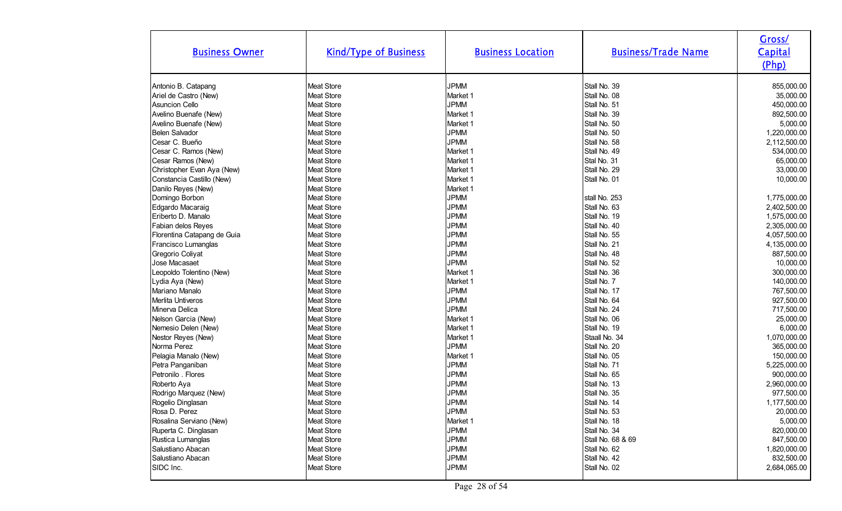| <b>Business Owner</b>       | <b>Kind/Type of Business</b> | <b>Business Location</b> | <b>Business/Trade Name</b> | Gross/<br>Capital<br>(Php) |
|-----------------------------|------------------------------|--------------------------|----------------------------|----------------------------|
| Antonio B. Catapang         | <b>Meat Store</b>            | <b>JPMM</b>              | Stall No. 39               | 855,000.00                 |
| Ariel de Castro (New)       | <b>Meat Store</b>            | Market 1                 | Stall No. 08               | 35,000.00                  |
| <b>Asuncion Cello</b>       | Meat Store                   | <b>JPMM</b>              | Stall No. 51               | 450,000.00                 |
| Avelino Buenafe (New)       | <b>Meat Store</b>            | Market 1                 | Stall No. 39               | 892,500.00                 |
| Avelino Buenafe (New)       | <b>Meat Store</b>            | Market 1                 | Stall No. 50               | 5,000.00                   |
| Belen Salvador              | Meat Store                   | <b>JPMM</b>              | Stall No. 50               | 1,220,000.00               |
| Cesar C. Bueño              | Meat Store                   | <b>JPMM</b>              | Stall No. 58               | 2,112,500.00               |
| Cesar C. Ramos (New)        | <b>Meat Store</b>            | Market 1                 | Stall No. 49               | 534,000.00                 |
| Cesar Ramos (New)           | <b>Meat Store</b>            | Market 1                 | Stal No. 31                | 65,000.00                  |
| Christopher Evan Aya (New)  | <b>Meat Store</b>            | Market 1                 | Stall No. 29               | 33,000.00                  |
| Constancia Castillo (New)   | <b>Meat Store</b>            | Market 1                 | Stall No. 01               | 10,000.00                  |
| Danilo Reyes (New)          | <b>Meat Store</b>            | Market 1                 |                            |                            |
| Domingo Borbon              | Meat Store                   | <b>JPMM</b>              | stall No. 253              | 1,775,000.00               |
| Edgardo Macaraig            | Meat Store                   | <b>JPMM</b>              | Stall No. 63               | 2,402,500.00               |
| Eriberto D. Manalo          | <b>Meat Store</b>            | <b>JPMM</b>              | Stall No. 19               | 1,575,000.00               |
| Fabian delos Reyes          | <b>Meat Store</b>            | <b>JPMM</b>              | Stall No. 40               | 2,305,000.00               |
| Florentina Catapang de Guia | Meat Store                   | <b>JPMM</b>              | Stall No. 55               | 4,057,500.00               |
| Francisco Lumanglas         | <b>Meat Store</b>            | <b>JPMM</b>              | Stall No. 21               | 4,135,000.00               |
| Gregorio Coliyat            | <b>Meat Store</b>            | <b>JPMM</b>              | Stall No. 48               | 887,500.00                 |
| Jose Macasaet               | Meat Store                   | <b>JPMM</b>              | Stall No. 52               | 10,000.00                  |
| Leopoldo Tolentino (New)    | Meat Store                   | Market 1                 | Stall No. 36               | 300,000.00                 |
| Lydia Aya (New)             | <b>Meat Store</b>            | Market 1                 | Stall No. 7                | 140,000.00                 |
| Mariano Manalo              | <b>Meat Store</b>            | <b>JPMM</b>              | Stall No. 17               | 767,500.00                 |
| Merlita Untiveros           | Meat Store                   | <b>JPMM</b>              | Stall No. 64               | 927,500.00                 |
| Minerva Delica              | <b>Meat Store</b>            | <b>JPMM</b>              | Stall No. 24               | 717,500.00                 |
| Nelson Garcia (New)         | <b>Meat Store</b>            | Market 1                 | Stall No. 06               | 25,000.00                  |
| Nemesio Delen (New)         | Meat Store                   | Market 1                 | Stall No. 19               | 6,000.00                   |
| Nestor Reyes (New)          | Meat Store                   | Market 1                 | Staall No. 34              | 1,070,000.00               |
| Norma Perez                 | <b>Meat Store</b>            | <b>JPMM</b>              | Stall No. 20               | 365,000.00                 |
| Pelagia Manalo (New)        | <b>Meat Store</b>            | Market 1                 | Stall No. 05               | 150,000.00                 |
| Petra Panganiban            | Meat Store                   | <b>JPMM</b>              | Stall No. 71               | 5,225,000.00               |
| Petronilo . Flores          | <b>Meat Store</b>            | <b>JPMM</b>              | Stall No. 65               | 900,000.00                 |
| Roberto Aya                 | <b>Meat Store</b>            | <b>JPMM</b>              | Stall No. 13               | 2,960,000.00               |
| Rodrigo Marquez (New)       | Meat Store                   | <b>JPMM</b>              | Stall No. 35               | 977,500.00                 |
| Rogelio Dinglasan           | Meat Store                   | <b>JPMM</b>              | Stall No. 14               | 1,177,500.00               |
| Rosa D. Perez               | <b>Meat Store</b>            | <b>JPMM</b>              | Stall No. 53               | 20,000.00                  |
| Rosalina Serviano (New)     | Meat Store                   | Market 1                 | Stall No. 18               | 5,000.00                   |
| Ruperta C. Dinglasan        | Meat Store                   | <b>JPMM</b>              | Stall No. 34               | 820,000.00                 |
| Rustica Lumanglas           | Meat Store                   | <b>JPMM</b>              | Stall No. 68 & 69          | 847,500.00                 |
| Salustiano Abacan           | Meat Store                   | <b>JPMM</b>              | Stall No. 62               | 1,820,000.00               |
| Salustiano Abacan           | Meat Store                   | <b>JPMM</b>              | Stall No. 42               | 832,500.00                 |
| SIDC Inc.                   | Meat Store                   | <b>JPMM</b>              | Stall No. 02               | 2,684,065.00               |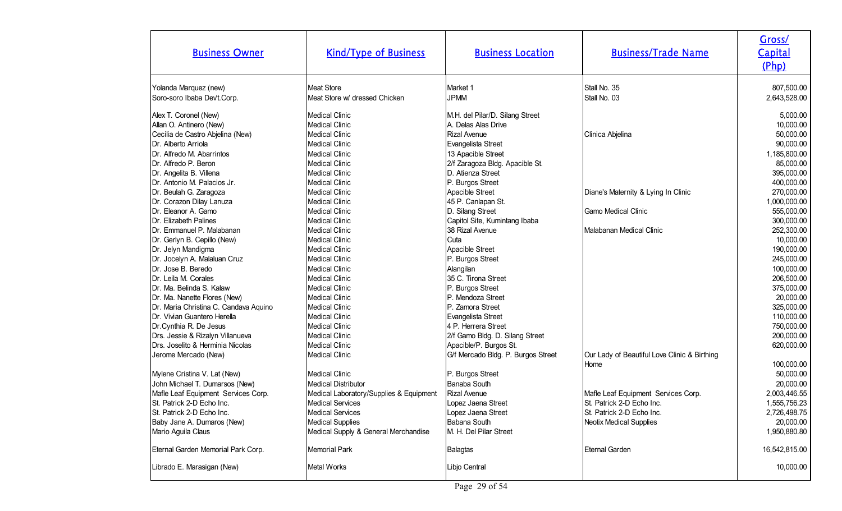| <b>Business Owner</b>                                                                                                                                                                                                                                                                                                                                                                                                                                                                            | <b>Kind/Type of Business</b>                                                                                                                                                                                                                                                                                                                                                                                                                            | <b>Business Location</b>                                                                                                                                                                                                                                                                                                                                                                                  | <b>Business/Trade Name</b>                                                                                                                        | Gross/<br>Capital<br>(Php)                                                                                                                                                                                                                            |
|--------------------------------------------------------------------------------------------------------------------------------------------------------------------------------------------------------------------------------------------------------------------------------------------------------------------------------------------------------------------------------------------------------------------------------------------------------------------------------------------------|---------------------------------------------------------------------------------------------------------------------------------------------------------------------------------------------------------------------------------------------------------------------------------------------------------------------------------------------------------------------------------------------------------------------------------------------------------|-----------------------------------------------------------------------------------------------------------------------------------------------------------------------------------------------------------------------------------------------------------------------------------------------------------------------------------------------------------------------------------------------------------|---------------------------------------------------------------------------------------------------------------------------------------------------|-------------------------------------------------------------------------------------------------------------------------------------------------------------------------------------------------------------------------------------------------------|
| Yolanda Marquez (new)<br>Soro-soro Ibaba Dev't.Corp.                                                                                                                                                                                                                                                                                                                                                                                                                                             | <b>Meat Store</b><br>Meat Store w/ dressed Chicken                                                                                                                                                                                                                                                                                                                                                                                                      | Market 1<br><b>JPMM</b>                                                                                                                                                                                                                                                                                                                                                                                   | Stall No. 35<br>Stall No. 03                                                                                                                      | 807,500.00<br>2,643,528.00                                                                                                                                                                                                                            |
| Alex T. Coronel (New)<br>Allan O. Antinero (New)<br>Cecilia de Castro Abjelina (New)<br>Dr. Alberto Arriola<br>Dr. Alfredo M. Abarrintos<br>Dr. Alfredo P. Beron<br>Dr. Angelita B. Villena<br>Dr. Antonio M. Palacios Jr.<br>Dr. Beulah G. Zaragoza<br>Dr. Corazon Dilay Lanuza<br>Dr. Eleanor A. Gamo<br>Dr. Elizabeth Palines<br>Dr. Emmanuel P. Malabanan<br>Dr. Gerlyn B. Cepillo (New)<br>Dr. Jelyn Mandigma<br>Dr. Jocelyn A. Malaluan Cruz<br>Dr. Jose B. Beredo<br>Dr. Leila M. Corales | <b>Medical Clinic</b><br><b>Medical Clinic</b><br><b>Medical Clinic</b><br><b>Medical Clinic</b><br><b>Medical Clinic</b><br><b>Medical Clinic</b><br><b>Medical Clinic</b><br><b>Medical Clinic</b><br><b>Medical Clinic</b><br><b>Medical Clinic</b><br><b>Medical Clinic</b><br><b>Medical Clinic</b><br>Medical Clinic<br><b>Medical Clinic</b><br><b>Medical Clinic</b><br><b>Medical Clinic</b><br><b>Medical Clinic</b><br><b>Medical Clinic</b> | M.H. del Pilar/D. Silang Street<br>A. Delas Alas Drive<br><b>Rizal Avenue</b><br>Evangelista Street<br>13 Apacible Street<br>2/f Zaragoza Bldg. Apacible St.<br>D. Atienza Street<br>P. Burgos Street<br>Apacible Street<br>45 P. Canlapan St.<br>D. Silang Street<br>Capitol Site, Kumintang Ibaba<br>38 Rizal Avenue<br>Cuta<br>Apacible Street<br>P. Burgos Street<br>Alangilan<br>35 C. Tirona Street | Clinica Abjelina<br>Diane's Maternity & Lying In Clinic<br><b>Gamo Medical Clinic</b><br>Malabanan Medical Clinic                                 | 5,000.00<br>10,000.00<br>50,000.00<br>90,000.00<br>1,185,800.00<br>85,000.00<br>395,000.00<br>400,000.00<br>270,000.00<br>1,000,000.00<br>555,000.00<br>300,000.00<br>252,300.00<br>10,000.00<br>190,000.00<br>245,000.00<br>100,000.00<br>206,500.00 |
| Dr. Ma. Belinda S. Kalaw<br>Dr. Ma. Nanette Flores (New)<br>Dr. Maria Christina C. Candava Aquino<br>Dr. Vivian Guantero Herella<br>Dr.Cynthia R. De Jesus<br>Drs. Jessie & Rizalyn Villanueva<br>Drs. Joselito & Herminia Nicolas<br>Jerome Mercado (New)<br>Mylene Cristina V. Lat (New)<br>John Michael T. Dumarsos (New)                                                                                                                                                                     | <b>Medical Clinic</b><br><b>Medical Clinic</b><br><b>Medical Clinic</b><br><b>Medical Clinic</b><br><b>Medical Clinic</b><br><b>Medical Clinic</b><br><b>Medical Clinic</b><br><b>Medical Clinic</b><br><b>Medical Clinic</b><br><b>Medical Distributor</b>                                                                                                                                                                                             | P. Burgos Street<br>P. Mendoza Street<br>P. Zamora Street<br>Evangelista Street<br>4 P. Herrera Street<br>2/f Gamo Bldg. D. Silang Street<br>Apacible/P. Burgos St.<br>G/f Mercado Bldg. P. Burgos Street<br>P. Burgos Street<br>Banaba South                                                                                                                                                             | Our Lady of Beautiful Love Clinic & Birthing<br>Home                                                                                              | 375,000.00<br>20,000.00<br>325,000.00<br>110,000.00<br>750,000.00<br>200,000.00<br>620,000.00<br>100,000.00<br>50,000.00<br>20,000.00                                                                                                                 |
| Mafle Leaf Equipment Services Corp.<br>St. Patrick 2-D Echo Inc.<br>St. Patrick 2-D Echo Inc.<br>Baby Jane A. Dumaros (New)<br>Mario Aguila Claus<br>Eternal Garden Memorial Park Corp.                                                                                                                                                                                                                                                                                                          | Medical Laboratory/Supplies & Equipment<br>Medical Services<br><b>Medical Services</b><br><b>Medical Supplies</b><br>Medical Supply & General Merchandise<br><b>Memorial Park</b>                                                                                                                                                                                                                                                                       | <b>Rizal Avenue</b><br>Lopez Jaena Street<br>Lopez Jaena Street<br>Babana South<br>M. H. Del Pilar Street<br><b>Balagtas</b>                                                                                                                                                                                                                                                                              | Mafle Leaf Equipment Services Corp.<br>St. Patrick 2-D Echo Inc.<br>St. Patrick 2-D Echo Inc.<br><b>Neotix Medical Supplies</b><br>Eternal Garden | 2,003,446.55<br>1,555,756.23<br>2,726,498.75<br>20,000.00<br>1,950,880.80<br>16,542,815.00                                                                                                                                                            |
| Librado E. Marasigan (New)                                                                                                                                                                                                                                                                                                                                                                                                                                                                       | Metal Works                                                                                                                                                                                                                                                                                                                                                                                                                                             | Libjo Central                                                                                                                                                                                                                                                                                                                                                                                             |                                                                                                                                                   | 10,000.00                                                                                                                                                                                                                                             |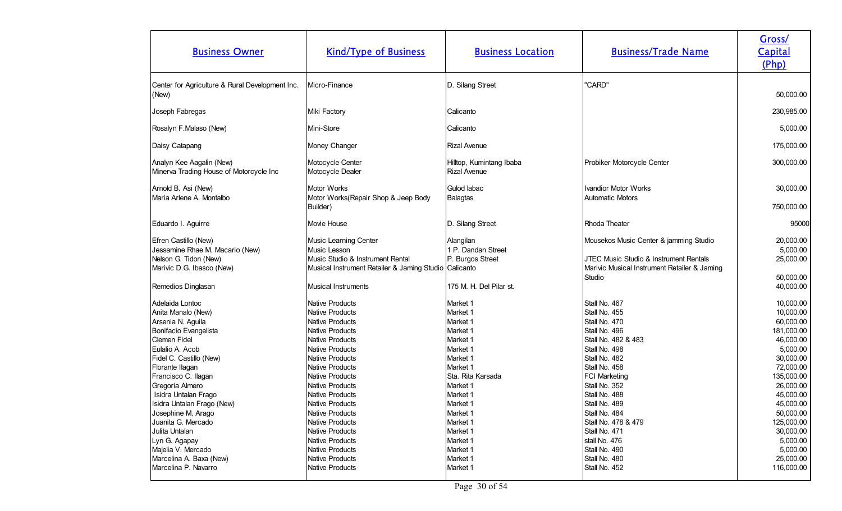| <b>Business Owner</b>                                                                                                  | <b>Kind/Type of Business</b>                                                                                                                             | <b>Business Location</b>                                             | <b>Business/Trade Name</b>                                                                                                                 | Gross/<br>Capital<br>(Php)                                                 |
|------------------------------------------------------------------------------------------------------------------------|----------------------------------------------------------------------------------------------------------------------------------------------------------|----------------------------------------------------------------------|--------------------------------------------------------------------------------------------------------------------------------------------|----------------------------------------------------------------------------|
| Center for Agriculture & Rural Development Inc.<br>(New)                                                               | Micro-Finance                                                                                                                                            | D. Silang Street                                                     | "CARD"                                                                                                                                     | 50,000.00                                                                  |
| Joseph Fabregas                                                                                                        | Miki Factory                                                                                                                                             | Calicanto                                                            |                                                                                                                                            | 230,985.00                                                                 |
| Rosalyn F.Malaso (New)                                                                                                 | Mini-Store                                                                                                                                               | Calicanto                                                            |                                                                                                                                            | 5,000.00                                                                   |
| Daisy Catapang                                                                                                         | Money Changer                                                                                                                                            | <b>Rizal Avenue</b>                                                  |                                                                                                                                            | 175,000.00                                                                 |
| Analyn Kee Aagalin (New)<br>Minerva Trading House of Motorcycle Inc                                                    | Motocycle Center<br>Motocycle Dealer                                                                                                                     | Hilltop, Kumintang Ibaba<br><b>Rizal Avenue</b>                      | Probiker Motorcycle Center                                                                                                                 | 300,000.00                                                                 |
| Arnold B. Asi (New)<br>Maria Arlene A. Montalbo                                                                        | <b>Motor Works</b><br>Motor Works(Repair Shop & Jeep Body                                                                                                | Gulod labac<br><b>Balagtas</b>                                       | <b>Ivandior Motor Works</b><br>Automatic Motors                                                                                            | 30,000.00                                                                  |
| Eduardo I. Aguirre                                                                                                     | Builder)<br>Movie House                                                                                                                                  | D. Silang Street                                                     | Rhoda Theater                                                                                                                              | 750,000.00<br>95000                                                        |
| Efren Castillo (New)<br>Jessamine Rhae M. Macario (New)<br>Nelson G. Tidon (New)<br>Marivic D.G. Ibasco (New)          | Music Learning Center<br>Music Lesson<br>Music Studio & Instrument Rental<br>Musical Instrument Retailer & Jaming Studio   Calicanto                     | Alangilan<br>1 P. Dandan Street<br>P. Burgos Street                  | Mousekos Music Center & jamming Studio<br>JTEC Music Studio & Instrument Rentals<br>Marivic Musical Instrument Retailer & Jaming<br>Studio | 20,000.00<br>5,000.00<br>25,000.00<br>50,000.00                            |
| Remedios Dinglasan                                                                                                     | <b>Musical Instruments</b>                                                                                                                               | 175 M. H. Del Pilar st.                                              |                                                                                                                                            | 40,000.00                                                                  |
| Adelaida Lontoc<br>Anita Manalo (New)<br>Arsenia N. Aguila<br>Bonifacio Evangelista<br>Clemen Fidel<br>Eulalio A. Acob | <b>Native Products</b><br><b>Native Products</b><br><b>Native Products</b><br><b>Native Products</b><br><b>Native Products</b><br><b>Native Products</b> | Market 1<br>Market 1<br>Market 1<br>Market 1<br>Market 1<br>Market 1 | Stall No. 467<br>Stall No. 455<br>Stall No. 470<br>Stall No. 496<br>Stall No. 482 & 483<br>Stall No. 498                                   | 10,000.00<br>10,000.00<br>60,000.00<br>181,000.00<br>46,000.00<br>5,000.00 |
| Fidel C. Castillo (New)<br>Florante Ilagan<br>Francisco C. Ilagan<br>Gregoria Almero                                   | <b>Native Products</b><br><b>Native Products</b><br><b>Native Products</b><br>Native Products                                                            | Market 1<br>Market 1<br>Sta. Rita Karsada<br>Market 1                | Stall No. 482<br>Stall No. 458<br><b>FCI Marketing</b><br>Stall No. 352                                                                    | 30,000.00<br>72,000.00<br>135,000.00<br>26,000.00                          |
| Isidra Untalan Frago<br>Isidra Untalan Frago (New)<br>Josephine M. Arago<br>Juanita G. Mercado<br>Julita Untalan       | <b>Native Products</b><br>Native Products<br><b>Native Products</b><br><b>Native Products</b><br><b>Native Products</b>                                  | Market 1<br>Market 1<br>Market 1<br>Market 1<br>Market 1             | Stall No. 488<br>Stall No. 489<br>Stall No. 484<br>Stall No. 478 & 479<br>Stall No. 471                                                    | 45,000.00<br>45,000.00<br>50,000.00<br>125,000.00<br>30,000.00             |
| Lyn G. Agapay<br>Majelia V. Mercado<br>Marcelina A. Baxa (New)<br>Marcelina P. Navarro                                 | <b>Native Products</b><br><b>Native Products</b><br><b>Native Products</b><br>Native Products                                                            | Market 1<br>Market 1<br>Market 1<br>Market 1                         | stall No. 476<br>Stall No. 490<br>Stall No. 480<br>Stall No. 452                                                                           | 5,000.00<br>5,000.00<br>25,000.00<br>116,000.00                            |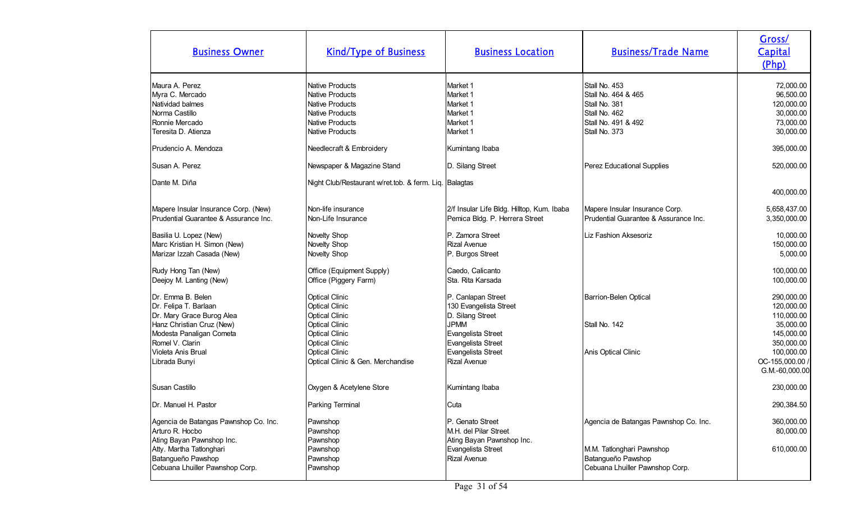| <b>Business Owner</b>                                                                                                                                                                      | <b>Kind/Type of Business</b>                                                                                                                                                                                     | <b>Business Location</b>                                                                                                                                                 | <b>Business/Trade Name</b>                                                                                     | Gross/<br>Capital<br>(Php)                                                                                                         |
|--------------------------------------------------------------------------------------------------------------------------------------------------------------------------------------------|------------------------------------------------------------------------------------------------------------------------------------------------------------------------------------------------------------------|--------------------------------------------------------------------------------------------------------------------------------------------------------------------------|----------------------------------------------------------------------------------------------------------------|------------------------------------------------------------------------------------------------------------------------------------|
| Maura A. Perez<br>Myra C. Mercado<br>Natividad balmes<br>Norma Castillo<br>Ronnie Mercado<br>Teresita D. Atienza                                                                           | <b>Native Products</b><br><b>Native Products</b><br>Native Products<br>Native Products<br><b>Native Products</b><br><b>Native Products</b>                                                                       | Market 1<br>Market 1<br>Market 1<br>Market 1<br>Market 1<br>Market 1                                                                                                     | Stall No. 453<br>Stall No. 464 & 465<br>Stall No. 381<br>Stall No. 462<br>Stall No. 491 & 492<br>Stall No. 373 | 72,000.00<br>96,500.00<br>120,000.00<br>30,000.00<br>73,000.00<br>30,000.00                                                        |
| Prudencio A. Mendoza                                                                                                                                                                       | Needlecraft & Embroidery                                                                                                                                                                                         | Kumintang Ibaba                                                                                                                                                          |                                                                                                                | 395,000.00                                                                                                                         |
| Susan A. Perez                                                                                                                                                                             | Newspaper & Magazine Stand                                                                                                                                                                                       | D. Silang Street                                                                                                                                                         | Perez Educational Supplies                                                                                     | 520,000.00                                                                                                                         |
| Dante M. Diña                                                                                                                                                                              | Night Club/Restaurant w/ret.tob. & ferm. Liq. Balagtas                                                                                                                                                           |                                                                                                                                                                          |                                                                                                                | 400,000.00                                                                                                                         |
| Mapere Insular Insurance Corp. (New)<br>Prudential Guarantee & Assurance Inc.                                                                                                              | Non-life insurance<br>Non-Life Insurance                                                                                                                                                                         | 2/f Insular Life Bldg. Hilltop, Kum. Ibaba<br>Pemica Bldg. P. Herrera Street                                                                                             | Mapere Insular Insurance Corp.<br>Prudential Guarantee & Assurance Inc.                                        | 5,658,437.00<br>3,350,000.00                                                                                                       |
| Basilia U. Lopez (New)<br>Marc Kristian H. Simon (New)<br>Marizar Izzah Casada (New)                                                                                                       | Novelty Shop<br>Novelty Shop<br>Novelty Shop                                                                                                                                                                     | P. Zamora Street<br><b>Rizal Avenue</b><br>P. Burgos Street                                                                                                              | Liz Fashion Aksesoriz                                                                                          | 10,000.00<br>150,000.00<br>5,000.00                                                                                                |
| Rudy Hong Tan (New)<br>Deejoy M. Lanting (New)                                                                                                                                             | Office (Equipment Supply)<br>Office (Piggery Farm)                                                                                                                                                               | Caedo, Calicanto<br>Sta. Rita Karsada                                                                                                                                    |                                                                                                                | 100,000.00<br>100,000.00                                                                                                           |
| Dr. Emma B. Belen<br>Dr. Felipa T. Barlaan<br>Dr. Mary Grace Burog Alea<br>Hanz Christian Cruz (New)<br>Modesta Panaligan Cometa<br>Romel V. Clarin<br>Violeta Anis Brual<br>Librada Bunyi | <b>Optical Clinic</b><br><b>Optical Clinic</b><br><b>Optical Clinic</b><br><b>Optical Clinic</b><br><b>Optical Clinic</b><br><b>Optical Clinic</b><br><b>Optical Clinic</b><br>Optical Clinic & Gen. Merchandise | P. Canlapan Street<br>130 Evangelista Street<br>D. Silang Street<br><b>JPMM</b><br>Evangelista Street<br>Evangelista Street<br>Evangelista Street<br><b>Rizal Avenue</b> | Barrion-Belen Optical<br>Stall No. 142<br>Anis Optical Clinic                                                  | 290,000.00<br>120,000.00<br>110,000.00<br>35,000.00<br>145,000.00<br>350,000.00<br>100,000.00<br>OC-155,000.00 /<br>G.M.-60,000.00 |
| Susan Castillo                                                                                                                                                                             | Oxygen & Acetylene Store                                                                                                                                                                                         | Kumintang Ibaba                                                                                                                                                          |                                                                                                                | 230,000.00                                                                                                                         |
| Dr. Manuel H. Pastor                                                                                                                                                                       | Parking Terminal                                                                                                                                                                                                 | Cuta                                                                                                                                                                     |                                                                                                                | 290,384.50                                                                                                                         |
| Agencia de Batangas Pawnshop Co. Inc.<br>Arturo R. Hocbo<br>Ating Bayan Pawnshop Inc.                                                                                                      | Pawnshop<br>Pawnshop<br>Pawnshop                                                                                                                                                                                 | IP. Genato Street<br>M.H. del Pilar Street<br>Ating Bayan Pawnshop Inc.                                                                                                  | Agencia de Batangas Pawnshop Co. Inc.                                                                          | 360,000.00<br>80,000.00                                                                                                            |
| Atty. Martha Tatlonghari<br>Batangueño Pawshop<br>Cebuana Lhuiller Pawnshop Corp.                                                                                                          | Pawnshop<br>Pawnshop<br>Pawnshop                                                                                                                                                                                 | Evangelista Street<br><b>Rizal Avenue</b>                                                                                                                                | M.M. Tatlonghari Pawnshop<br>Batangueño Pawshop<br>Cebuana Lhuiller Pawnshop Corp.                             | 610,000.00                                                                                                                         |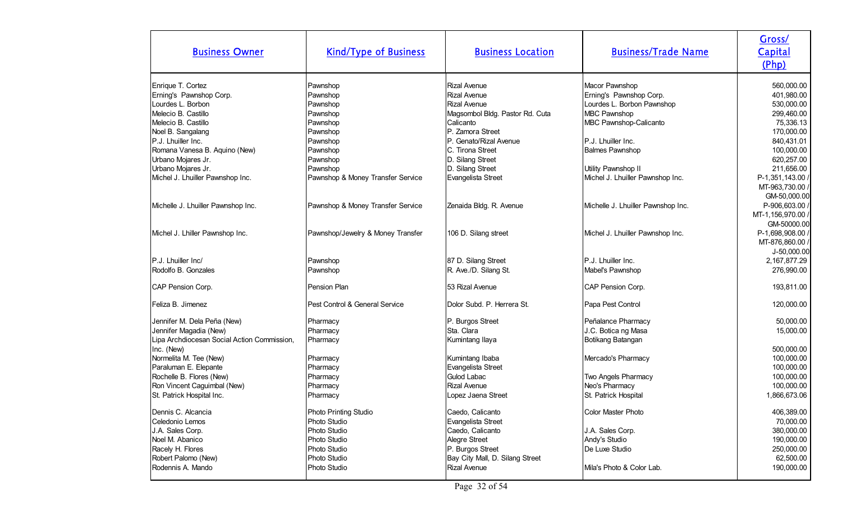| <b>Business Owner</b>                       | <b>Kind/Type of Business</b>      | <b>Business Location</b>        | <b>Business/Trade Name</b>         | Gross/<br>Capital<br>(Php) |
|---------------------------------------------|-----------------------------------|---------------------------------|------------------------------------|----------------------------|
| Enrique T. Cortez                           | Pawnshop                          | Rizal Avenue                    | Macor Pawnshop                     | 560,000.00                 |
| Erning's Pawnshop Corp.                     | Pawnshop                          | Rizal Avenue                    | Erning's Pawnshop Corp.            | 401,980.00                 |
| Lourdes L. Borbon                           | Pawnshop                          | Rizal Avenue                    | Lourdes L. Borbon Pawnshop         | 530,000.00                 |
| Melecio B. Castillo                         | Pawnshop                          | Magsombol Bldg. Pastor Rd. Cuta | <b>MBC Pawnshop</b>                | 299,460.00                 |
| Melecio B. Castillo                         | Pawnshop                          | Calicanto                       | MBC Pawnshop-Calicanto             | 75,336.13                  |
| Noel B. Sangalang                           | Pawnshop                          | P. Zamora Street                |                                    | 170,000.00                 |
| P.J. Lhuiller Inc.                          | Pawnshop                          | . Genato/Rizal Avenue<br>IP.    | P.J. Lhuiller Inc.                 | 840,431.01                 |
| Romana Vanesa B. Aquino (New)               | Pawnshop                          | C. Tirona Street                | <b>Balmes Pawnshop</b>             | 100,000.00                 |
| Urbano Mojares Jr.                          | Pawnshop                          | D. Silang Street                |                                    | 620,257.00                 |
| Urbano Mojares Jr.                          | Pawnshop                          | D. Silang Street                | Utility Pawnshop II                | 211,656.00                 |
| Michel J. Lhuiller Pawnshop Inc.            | Pawnshop & Money Transfer Service | Evangelista Street              | Michel J. Lhuiller Pawnshop Inc.   | P-1,351,143.00 /           |
|                                             |                                   |                                 |                                    | MT-963,730.00 /            |
|                                             |                                   |                                 |                                    | GM-50,000.00               |
| Michelle J. Lhuiller Pawnshop Inc.          | Pawnshop & Money Transfer Service | Zenaida Bldg. R. Avenue         | Michelle J. Lhuiller Pawnshop Inc. | P-906,603.00 /             |
|                                             |                                   |                                 |                                    | MT-1,156,970.00 /          |
|                                             |                                   |                                 |                                    | GM-50000.00                |
| Michel J. Lhiller Pawnshop Inc.             | Pawnshop/Jewelry & Money Transfer | 106 D. Silang street            | Michel J. Lhuiller Pawnshop Inc.   | P-1,698,908.00 /           |
|                                             |                                   |                                 |                                    | MT-876,860.00 /            |
|                                             |                                   |                                 |                                    | J-50,000.00                |
| P.J. Lhuiller Inc/                          | Pawnshop                          | 87 D. Silang Street             | P.J. Lhuiller Inc.                 | 2,167,877.29               |
| Rodolfo B. Gonzales                         | Pawnshop                          | R. Ave./D. Silang St.           | Mabel's Pawnshop                   | 276,990.00                 |
| CAP Pension Corp.                           | Pension Plan                      | 53 Rizal Avenue                 | CAP Pension Corp.                  | 193,811.00                 |
| Feliza B. Jimenez                           | Pest Control & General Service    | Dolor Subd. P. Herrera St.      | Papa Pest Control                  | 120,000.00                 |
| Jennifer M. Dela Peña (New)                 | Pharmacy                          | P. Burgos Street                | Peñalance Pharmacy                 | 50,000.00                  |
| Jennifer Magadia (New)                      | Pharmacy                          | Sta. Clara                      | J.C. Botica ng Masa                | 15,000.00                  |
| Lipa Archdiocesan Social Action Commission, | Pharmacy                          | Kumintang Ilaya                 | Botikang Batangan                  |                            |
| Inc. (New)                                  |                                   |                                 |                                    | 500,000.00                 |
| Normelita M. Tee (New)                      | Pharmacy                          | Kumintang Ibaba                 | Mercado's Pharmacy                 | 100,000.00                 |
| Paraluman E. Elepante                       | Pharmacy                          | Evangelista Street              |                                    | 100,000.00                 |
| Rochelle B. Flores (New)                    | Pharmacy                          | Gulod Labac                     | Two Angels Pharmacy                | 100,000.00                 |
| Ron Vincent Caguimbal (New)                 | Pharmacy                          | Rizal Avenue                    | Neo's Pharmacy                     | 100,000.00                 |
| St. Patrick Hospital Inc.                   | Pharmacy                          | Lopez Jaena Street              | St. Patrick Hospital               | 1,866,673.06               |
| Dennis C. Alcancia                          | Photo Printing Studio             | Caedo, Calicanto                | Color Master Photo                 | 406,389.00                 |
| Celedonio Lemos                             | Photo Studio                      | Evangelista Street              |                                    | 70,000.00                  |
| J.A. Sales Corp.                            | Photo Studio                      | Caedo, Calicanto                | J.A. Sales Corp.                   | 380,000.00                 |
| Noel M. Abanico                             | Photo Studio                      | Alegre Street                   | Andy's Studio                      | 190,000.00                 |
| Racely H. Flores                            | Photo Studio                      | P. Burgos Street                | De Luxe Studio                     | 250,000.00                 |
| Robert Palomo (New)                         | Photo Studio                      | Bay City Mall, D. Silang Street |                                    | 62,500.00                  |
| Rodennis A. Mando                           | Photo Studio                      | Rizal Avenue                    | Mila's Photo & Color Lab.          | 190,000.00                 |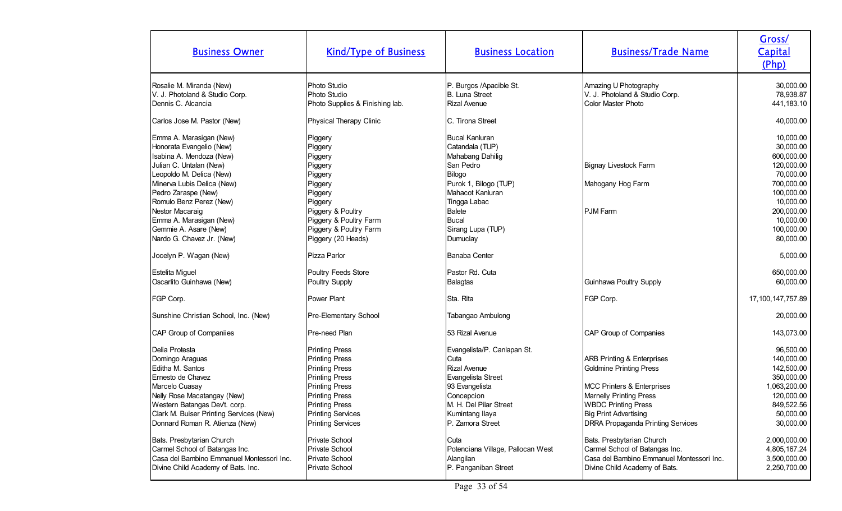| <b>Business Owner</b>                                                                                                                                                                                                                     | <b>Kind/Type of Business</b>                                                                                                                                                                                                        | <b>Business Location</b>                                                                                                                                                          | <b>Business/Trade Name</b>                                                                                                                                                                                                                     | Gross/<br>Capital<br>(Php)                                                                                                |
|-------------------------------------------------------------------------------------------------------------------------------------------------------------------------------------------------------------------------------------------|-------------------------------------------------------------------------------------------------------------------------------------------------------------------------------------------------------------------------------------|-----------------------------------------------------------------------------------------------------------------------------------------------------------------------------------|------------------------------------------------------------------------------------------------------------------------------------------------------------------------------------------------------------------------------------------------|---------------------------------------------------------------------------------------------------------------------------|
| Rosalie M. Miranda (New)<br>V. J. Photoland & Studio Corp.<br>Dennis C. Alcancia                                                                                                                                                          | Photo Studio<br>Photo Studio<br>Photo Supplies & Finishing lab.                                                                                                                                                                     | P. Burgos /Apacible St.<br>B. Luna Street<br><b>Rizal Avenue</b>                                                                                                                  | Amazing U Photography<br>V. J. Photoland & Studio Corp.<br><b>Color Master Photo</b>                                                                                                                                                           | 30,000.00<br>78,938.87<br>441,183.10                                                                                      |
| Carlos Jose M. Pastor (New)                                                                                                                                                                                                               | Physical Therapy Clinic                                                                                                                                                                                                             | <b>IC. Tirona Street</b>                                                                                                                                                          |                                                                                                                                                                                                                                                | 40,000.00                                                                                                                 |
| Emma A. Marasigan (New)<br>Honorata Evangelio (New)<br>Isabina A. Mendoza (New)<br>Julian C. Untalan (New)<br>Leopoldo M. Delica (New)<br>Minerva Lubis Delica (New)<br>Pedro Zaraspe (New)<br>Romulo Benz Perez (New)<br>Nestor Macaraig | Piggery<br>Piggery<br>Piggery<br>Piggery<br>Piggery<br>Piggery<br>Piggery<br>Piggery<br>Piggery & Poultry                                                                                                                           | <b>Bucal Kanluran</b><br>Catandala (TUP)<br>Mahabang Dahilig<br>San Pedro<br>Bilogo<br>Purok 1, Bilogo (TUP)<br>Mahacot Kanluran<br>Tingga Labac<br>Balete                        | Bignay Livestock Farm<br>Mahogany Hog Farm<br><b>PJM Farm</b>                                                                                                                                                                                  | 10,000.00<br>30,000.00<br>600,000.00<br>120,000.00<br>70,000.00<br>700,000.00<br>100,000.00<br>10,000.00<br>200,000.00    |
| Emma A. Marasigan (New)<br>Gemmie A. Asare (New)                                                                                                                                                                                          | Piggery & Poultry Farm<br>Piggery & Poultry Farm                                                                                                                                                                                    | Bucal<br>Sirang Lupa (TUP)                                                                                                                                                        |                                                                                                                                                                                                                                                | 10,000.00<br>100,000.00                                                                                                   |
| Nardo G. Chavez Jr. (New)                                                                                                                                                                                                                 | Piggery (20 Heads)                                                                                                                                                                                                                  | Dumuclay                                                                                                                                                                          |                                                                                                                                                                                                                                                | 80,000.00                                                                                                                 |
| Jocelyn P. Wagan (New)                                                                                                                                                                                                                    | Pizza Parlor                                                                                                                                                                                                                        | Banaba Center                                                                                                                                                                     |                                                                                                                                                                                                                                                | 5,000.00                                                                                                                  |
| Estelita Miguel                                                                                                                                                                                                                           | Poultry Feeds Store                                                                                                                                                                                                                 | Pastor Rd. Cuta                                                                                                                                                                   |                                                                                                                                                                                                                                                | 650,000.00                                                                                                                |
| Oscarlito Guinhawa (New)                                                                                                                                                                                                                  | Poultry Supply                                                                                                                                                                                                                      | <b>Balagtas</b>                                                                                                                                                                   | Guinhawa Poultry Supply                                                                                                                                                                                                                        | 60,000.00                                                                                                                 |
| FGP Corp.                                                                                                                                                                                                                                 | Power Plant                                                                                                                                                                                                                         | Sta. Rita                                                                                                                                                                         | FGP Corp.                                                                                                                                                                                                                                      | 17, 100, 147, 757.89                                                                                                      |
| Sunshine Christian School, Inc. (New)                                                                                                                                                                                                     | Pre-Elementary School                                                                                                                                                                                                               | Tabangao Ambulong                                                                                                                                                                 |                                                                                                                                                                                                                                                | 20,000.00                                                                                                                 |
| CAP Group of Companiies                                                                                                                                                                                                                   | Pre-need Plan                                                                                                                                                                                                                       | 53 Rizal Avenue                                                                                                                                                                   | CAP Group of Companies                                                                                                                                                                                                                         | 143,073.00                                                                                                                |
| Delia Protesta<br>Domingo Araguas<br>Editha M. Santos<br>Ernesto de Chavez<br>Marcelo Cuasay<br>Nelly Rose Macatangay (New)<br>Western Batangas Dev't. corp.<br>Clark M. Buiser Printing Services (New)<br>Donnard Roman R. Atienza (New) | <b>Printing Press</b><br><b>Printing Press</b><br><b>Printing Press</b><br><b>Printing Press</b><br><b>Printing Press</b><br><b>Printing Press</b><br><b>Printing Press</b><br><b>Printing Services</b><br><b>Printing Services</b> | Evangelista/P. Canlapan St.<br>Cuta<br><b>Rizal Avenue</b><br>Evangelista Street<br>93 Evangelista<br>Concepcion<br>M. H. Del Pilar Street<br>Kumintang Ilaya<br>P. Zamora Street | <b>ARB Printing &amp; Enterprises</b><br>Goldmine Printing Press<br><b>MCC Printers &amp; Enterprises</b><br><b>Marnelly Printing Press</b><br><b>WBDC Printing Press</b><br>Big Print Advertising<br><b>DRRA Propaganda Printing Services</b> | 96,500.00<br>140,000.00<br>142,500.00<br>350,000.00<br>1,063,200.00<br>120,000.00<br>849,522.56<br>50,000.00<br>30,000.00 |
| Bats. Presbytarian Church<br>Carmel School of Batangas Inc.<br>Casa del Bambino Emmanuel Montessori Inc.<br>Divine Child Academy of Bats. Inc.                                                                                            | Private School<br>Private School<br>Private School<br>Private School                                                                                                                                                                | Cuta<br>Potenciana Village, Pallocan West<br>Alangilan<br>P. Panganiban Street                                                                                                    | Bats. Presbytarian Church<br>Carmel School of Batangas Inc.<br>Casa del Bambino Emmanuel Montessori Inc.<br>Divine Child Academy of Bats.                                                                                                      | 2,000,000.00<br>4,805,167.24<br>3,500,000.00<br>2,250,700.00                                                              |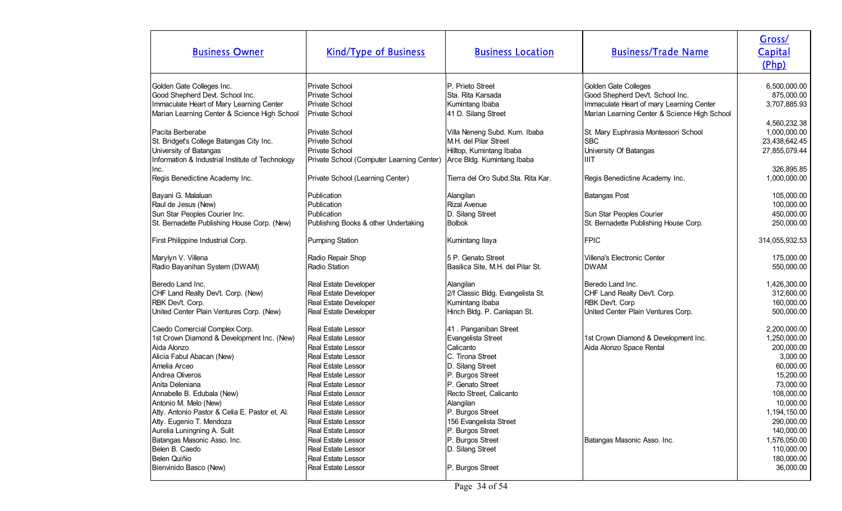| <b>Business Owner</b>                            | <b>Kind/Type of Business</b>              | <b>Business Location</b>           | <b>Business/Trade Name</b>                   | Gross/<br>Capital<br>(Php) |
|--------------------------------------------------|-------------------------------------------|------------------------------------|----------------------------------------------|----------------------------|
| Golden Gate Colleges Inc.                        | <b>Private School</b>                     | P. Prieto Street                   | Golden Gate Colleges                         | 6,500,000.00               |
| Good Shepherd Devt. School Inc.                  | Private School                            | Sta. Rita Karsada                  | Good Shepherd Dev't. School Inc.             | 875,000.00                 |
| Immaculate Heart of Mary Learning Center         | Private School                            | Kumintang Ibaba                    | Immaculate Heart of mary Learning Center     | 3,707,885.93               |
| Marian Learning Center & Science High School     | Private School                            | 41 D. Silang Street                | Marian Learning Center & Science High School |                            |
|                                                  |                                           |                                    |                                              | 4,560,232.38               |
| Pacita Berberabe                                 | <b>Private School</b>                     | Villa Neneng Subd. Kum. Ibaba      | St. Mary Euphrasia Montessori School         | 1,000,000.00               |
| St. Bridget's College Batangas City Inc.         | <b>Private School</b>                     | M.H. del Pilar Street              | <b>SBC</b>                                   | 23,438,642.45              |
| University of Batangas                           | Private School                            | Hilltop, Kumintang Ibaba           | University Of Batangas                       | 27,855,079.44              |
| Information & Industrial Institute of Technology | Private School (Computer Learning Center) | Arce Bldg. Kumintang Ibaba         | <b>IIIT</b>                                  |                            |
| Inc.                                             |                                           |                                    |                                              | 326,895.85                 |
| Regis Benedictine Academy Inc.                   | Private School (Learning Center)          | Tierra del Oro Subd.Sta. Rita Kar. | Regis Benedictine Academy Inc.               | 1,000,000.00               |
|                                                  |                                           |                                    |                                              |                            |
| Bayani G. Malaluan                               | Publication                               | Alangilan                          | <b>Batangas Post</b>                         | 105,000.00                 |
| Raul de Jesus (New)                              | Publication                               | <b>Rizal Avenue</b>                |                                              | 100,000.00                 |
| Sun Star Peoples Courier Inc.                    | Publication                               | D. Silang Street                   | Sun Star Peoples Courier                     | 450,000.00                 |
| St. Bernadette Publishing House Corp. (New)      | Publishing Books & other Undertaking      | Bolbok                             | St. Bernadette Publishing House Corp.        | 250,000.00                 |
| First Philippine Industrial Corp.                | <b>Pumping Station</b>                    | Kumintang Ilaya                    | <b>FPIC</b>                                  | 314,055,932.53             |
| Marylyn V. Villena                               | Radio Repair Shop                         | 5 P. Genato Street                 | <b>Villena's Electronic Center</b>           | 175,000.00                 |
| Radio Bayanihan System (DWAM)                    | Radio Station                             | Basilica Site, M.H. del Pilar St.  | <b>DWAM</b>                                  | 550,000.00                 |
| Beredo Land Inc.                                 | Real Estate Developer                     | Alangilan                          | Beredo Land Inc.                             | 1,426,300.00               |
| CHF Land Realty Dev't. Corp. (New)               | Real Estate Developer                     | 2/f Classic Bldg. Evangelista St.  | CHF Land Realty Dev't. Corp.                 | 312,600.00                 |
| RBK Dev't. Corp.                                 | Real Estate Developer                     | Kumintang Ibaba                    | RBK Devt. Corp                               | 160,000.00                 |
| United Center Plain Ventures Corp. (New)         | Real Estate Developer                     | Hinch Bldg. P. Canlapan St.        | United Center Plain Ventures Corp.           | 500,000.00                 |
| Caedo Comercial Complex Corp.                    | Real Estate Lessor                        | 41. Panganiban Street              |                                              | 2,200,000.00               |
| 1st Crown Diamond & Development Inc. (New)       | Real Estate Lessor                        | Evangelista Street                 | 1st Crown Diamond & Development Inc.         | 1,250,000.00               |
| Aida Alonzo                                      | <b>Real Estate Lessor</b>                 | Calicanto                          | Aida Alonzo Space Rental                     | 200,000.00                 |
| Alicia Fabul Abacan (New)                        | Real Estate Lessor                        | C. Tirona Street                   |                                              | 3,000.00                   |
| Amelia Arceo                                     | Real Estate Lessor                        | D. Silang Street                   |                                              | 60,000.00                  |
| Andrea Oliveros                                  | Real Estate Lessor                        | P. Burgos Street                   |                                              | 15,200.00                  |
| Anita Deleniana                                  | Real Estate Lessor                        | P. Genato Street                   |                                              | 73,000.00                  |
| Annabelle B. Edubala (New)                       | Real Estate Lessor                        | Recto Street, Calicanto            |                                              | 108,000.00                 |
| Antonio M. Melo (New)                            | Real Estate Lessor                        | Alangilan                          |                                              | 10,000.00                  |
| Atty. Antonio Pastor & Celia E. Pastor et. Al.   | <b>Real Estate Lessor</b>                 | P. Burgos Street                   |                                              | 1,194,150.00               |
| Atty. Eugenio T. Mendoza                         | <b>Real Estate Lessor</b>                 | 156 Evangelista Street             |                                              | 290,000.00                 |
| Aurelia Luningning A. Sulit                      | Real Estate Lessor                        | P. Burgos Street                   |                                              | 140,000.00                 |
| Batangas Masonic Asso. Inc.                      | Real Estate Lessor                        | P. Burgos Street                   | Batangas Masonic Asso. Inc.                  | 1,576,050.00               |
| Belen B. Caedo                                   | Real Estate Lessor                        | D. Silang Street                   |                                              | 110,000.00                 |
| Belen Quiñio                                     | Real Estate Lessor                        |                                    |                                              | 180,000.00                 |
| Bienvinido Basco (New)                           | Real Estate Lessor                        | P. Burgos Street                   |                                              | 36,000.00                  |
|                                                  |                                           |                                    |                                              |                            |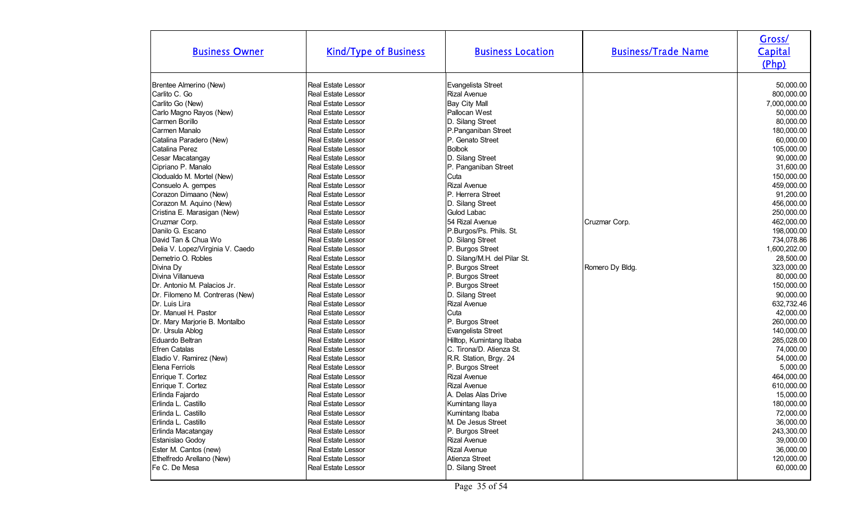| <b>Business Owner</b>                                                                                                                                                                                                                                                                                                                                                                                                                                                                                                                                                                                                                                                                                                                                                                                                                                                                                                                                                       | <b>Kind/Type of Business</b>                                                                                                                                                                                                                                                                                                                                                                                                                                                                                                                                                                                                                                                                                                                                                                                                                                                                                                                                                                                                                       | <b>Business Location</b>                                                                                                                                                                                                                                                                                                                                                                                                                                                                                                                                                                                                                                                                                                                                                                                                                            | <b>Business/Trade Name</b>       | Gross/<br>Capital<br>(Php)                                                                                                                                                                                                                                                                                                                                                                                                                                                                                                                                                 |
|-----------------------------------------------------------------------------------------------------------------------------------------------------------------------------------------------------------------------------------------------------------------------------------------------------------------------------------------------------------------------------------------------------------------------------------------------------------------------------------------------------------------------------------------------------------------------------------------------------------------------------------------------------------------------------------------------------------------------------------------------------------------------------------------------------------------------------------------------------------------------------------------------------------------------------------------------------------------------------|----------------------------------------------------------------------------------------------------------------------------------------------------------------------------------------------------------------------------------------------------------------------------------------------------------------------------------------------------------------------------------------------------------------------------------------------------------------------------------------------------------------------------------------------------------------------------------------------------------------------------------------------------------------------------------------------------------------------------------------------------------------------------------------------------------------------------------------------------------------------------------------------------------------------------------------------------------------------------------------------------------------------------------------------------|-----------------------------------------------------------------------------------------------------------------------------------------------------------------------------------------------------------------------------------------------------------------------------------------------------------------------------------------------------------------------------------------------------------------------------------------------------------------------------------------------------------------------------------------------------------------------------------------------------------------------------------------------------------------------------------------------------------------------------------------------------------------------------------------------------------------------------------------------------|----------------------------------|----------------------------------------------------------------------------------------------------------------------------------------------------------------------------------------------------------------------------------------------------------------------------------------------------------------------------------------------------------------------------------------------------------------------------------------------------------------------------------------------------------------------------------------------------------------------------|
| Brentee Almerino (New)<br>Carlito C. Go<br>Carlito Go (New)<br>Carlo Magno Rayos (New)<br>Carmen Borillo<br>Carmen Manalo<br>Catalina Paradero (New)<br>Catalina Perez<br>Cesar Macatangay<br>Cipriano P. Manalo<br>Clodualdo M. Mortel (New)<br>Consuelo A. gempes<br>Corazon Dimaano (New)<br>Corazon M. Aquino (New)<br>Cristina E. Marasigan (New)<br>Cruzmar Corp.<br>Danilo G. Escano<br>David Tan & Chua Wo<br>Delia V. Lopez/Virginia V. Caedo<br>Demetrio O. Robles<br>Divina Dy<br>Divina Villanueva<br>Dr. Antonio M. Palacios Jr.<br>Dr. Filomeno M. Contreras (New)<br>Dr. Luis Lira<br>Dr. Manuel H. Pastor<br>Dr. Mary Marjorie B. Montalbo<br>Dr. Ursula Ablog<br>Eduardo Beltran<br><b>Efren Catalas</b><br>Eladio V. Ramirez (New)<br>Elena Ferriols<br>Enrique T. Cortez<br>Enrique T. Cortez<br>Erlinda Fajardo<br>Erlinda L. Castillo<br>Erlinda L. Castillo<br>Erlinda L. Castillo<br>Erlinda Macatangay<br>Estanislao Godoy<br>Ester M. Cantos (new) | <b>Real Estate Lessor</b><br><b>Real Estate Lessor</b><br><b>Real Estate Lessor</b><br><b>Real Estate Lessor</b><br>Real Estate Lessor<br>Real Estate Lessor<br>Real Estate Lessor<br><b>Real Estate Lessor</b><br>Real Estate Lessor<br>Real Estate Lessor<br><b>Real Estate Lessor</b><br>Real Estate Lessor<br>Real Estate Lessor<br>Real Estate Lessor<br><b>Real Estate Lessor</b><br><b>Real Estate Lessor</b><br>Real Estate Lessor<br>Real Estate Lessor<br><b>Real Estate Lessor</b><br>Real Estate Lessor<br><b>Real Estate Lessor</b><br><b>Real Estate Lessor</b><br>Real Estate Lessor<br>Real Estate Lessor<br><b>Real Estate Lessor</b><br><b>Real Estate Lessor</b><br><b>Real Estate Lessor</b><br>Real Estate Lessor<br>Real Estate Lessor<br>Real Estate Lessor<br>Real Estate Lessor<br>Real Estate Lessor<br>Real Estate Lessor<br>Real Estate Lessor<br>Real Estate Lessor<br>Real Estate Lessor<br><b>Real Estate Lessor</b><br>Real Estate Lessor<br>Real Estate Lessor<br><b>Real Estate Lessor</b><br>Real Estate Lessor | Evangelista Street<br>Rizal Avenue<br><b>Bay City Mall</b><br>Pallocan West<br>D. Silang Street<br>P.Panganiban Street<br>P. Genato Street<br><b>Bolbok</b><br>D. Silang Street<br>P. Panganiban Street<br>Cuta<br>Rizal Avenue<br>P. Herrera Street<br>D. Silang Street<br>Gulod Labac<br>54 Rizal Avenue<br>P.Burgos/Ps. Phils. St.<br>D. Silang Street<br>P. Burgos Street<br>D. Silang/M.H. del Pilar St.<br>P. Burgos Street<br>P. Burgos Street<br>P. Burgos Street<br>D. Silang Street<br>Rizal Avenue<br>Cuta<br>P. Burgos Street<br>Evangelista Street<br>Hilltop, Kumintang Ibaba<br>C. Tirona/D. Atienza St.<br>R.R. Station, Brgy. 24<br>P. Burgos Street<br>Rizal Avenue<br>Rizal Avenue<br>A. Delas Alas Drive<br>Kumintang Ilaya<br>Kumintang Ibaba<br>M. De Jesus Street<br>P. Burgos Street<br><b>Rizal Avenue</b><br>Rizal Avenue | Cruzmar Corp.<br>Romero Dy Bldg. | 50,000.00<br>800,000.00<br>7,000,000.00<br>50,000.00<br>80,000.00<br>180,000.00<br>60,000.00<br>105,000.00<br>90,000.00<br>31,600.00<br>150,000.00<br>459,000.00<br>91,200.00<br>456,000.00<br>250,000.00<br>462,000.00<br>198,000.00<br>734,078.86<br>1,600,202.00<br>28,500.00<br>323,000.00<br>80,000.00<br>150,000.00<br>90,000.00<br>632,732.46<br>42,000.00<br>260,000.00<br>140,000.00<br>285,028.00<br>74,000.00<br>54,000.00<br>5,000.00<br>464,000.00<br>610,000.00<br>15,000.00<br>180,000.00<br>72,000.00<br>36,000.00<br>243,300.00<br>39,000.00<br>36,000.00 |
| Ethelfredo Arellano (New)<br>Fe C. De Mesa                                                                                                                                                                                                                                                                                                                                                                                                                                                                                                                                                                                                                                                                                                                                                                                                                                                                                                                                  | Real Estate Lessor<br>Real Estate Lessor                                                                                                                                                                                                                                                                                                                                                                                                                                                                                                                                                                                                                                                                                                                                                                                                                                                                                                                                                                                                           | Atienza Street<br>D. Silang Street                                                                                                                                                                                                                                                                                                                                                                                                                                                                                                                                                                                                                                                                                                                                                                                                                  |                                  | 120,000.00<br>60,000.00                                                                                                                                                                                                                                                                                                                                                                                                                                                                                                                                                    |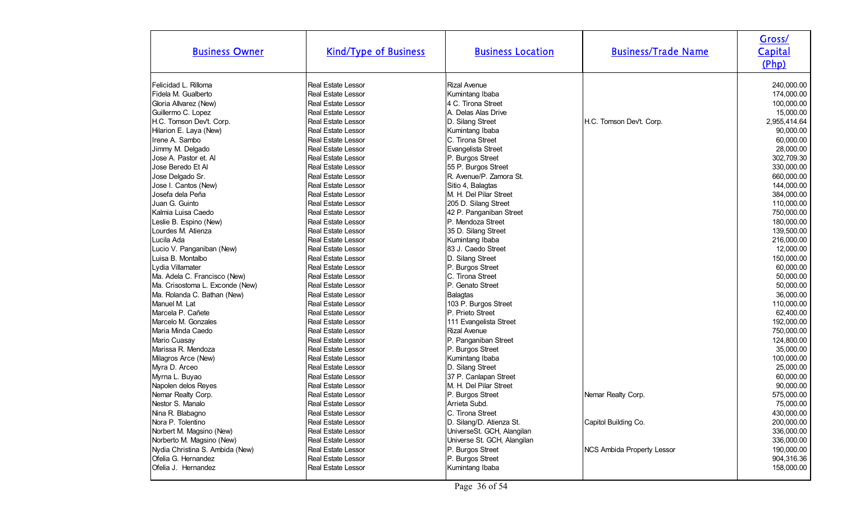| <b>Business Owner</b>           | <b>Kind/Type of Business</b> | <b>Business Location</b>    | <b>Business/Trade Name</b> | Gross/<br>Capital<br>(Php) |
|---------------------------------|------------------------------|-----------------------------|----------------------------|----------------------------|
| Felicidad L. Rilloma            | <b>Real Estate Lessor</b>    | <b>Rizal Avenue</b>         |                            | 240,000.00                 |
| Fidela M. Gualberto             | <b>Real Estate Lessor</b>    | Kumintang Ibaba             |                            | 174,000.00                 |
| Gloria Allvarez (New)           | Real Estate Lessor           | 4 C. Tirona Street          |                            | 100,000.00                 |
| Guillermo C. Lopez              | <b>Real Estate Lessor</b>    | A. Delas Alas Drive         |                            | 15,000.00                  |
| H.C. Tomson Dev't. Corp.        | Real Estate Lessor           | D. Silang Street            | H.C. Tomson Dev't. Corp.   | 2,955,414.64               |
| Hilarion E. Laya (New)          | Real Estate Lessor           | Kumintang Ibaba             |                            | 90,000.00                  |
| Irene A. Sambo                  | Real Estate Lessor           | C. Tirona Street            |                            | 60,000.00                  |
| Jimmy M. Delgado                | <b>Real Estate Lessor</b>    | Evangelista Street          |                            | 28,000.00                  |
| Jose A. Pastor et. Al           | Real Estate Lessor           | P. Burgos Street            |                            | 302,709.30                 |
| Jose Beredo Et Al               | <b>Real Estate Lessor</b>    | 55 P. Burgos Street         |                            | 330,000.00                 |
| Jose Delgado Sr.                | <b>Real Estate Lessor</b>    | R. Avenue/P. Zamora St.     |                            | 660,000.00                 |
| Jose I. Cantos (New)            | Real Estate Lessor           | Sitio 4, Balagtas           |                            | 144,000.00                 |
| Josefa dela Peña                | <b>Real Estate Lessor</b>    | M. H. Del Pilar Street      |                            | 384,000.00                 |
| Juan G. Guinto                  | <b>Real Estate Lessor</b>    | 205 D. Silang Street        |                            | 110,000.00                 |
| Kalmia Luisa Caedo              | Real Estate Lessor           | 42 P. Panganiban Street     |                            | 750,000.00                 |
| Leslie B. Espino (New)          | <b>Real Estate Lessor</b>    | P. Mendoza Street           |                            | 180,000.00                 |
| Lourdes M. Atienza              | Real Estate Lessor           | 35 D. Silang Street         |                            | 139,500.00                 |
| Lucila Ada                      | <b>Real Estate Lessor</b>    | Kumintang Ibaba             |                            | 216,000.00                 |
| Lucio V. Panganiban (New)       | Real Estate Lessor           | 83 J. Caedo Street          |                            | 12,000.00                  |
| Luisa B. Montalbo               | <b>Real Estate Lessor</b>    | D. Silang Street            |                            | 150,000.00                 |
| Lydia Villamater                | <b>Real Estate Lessor</b>    | P. Burgos Street            |                            | 60,000.00                  |
| Ma. Adela C. Francisco (New)    | <b>Real Estate Lessor</b>    | C. Tirona Street            |                            | 50,000.00                  |
| Ma. Crisostoma L. Exconde (New) | Real Estate Lessor           | P. Genato Street            |                            | 50,000.00                  |
| Ma. Rolanda C. Bathan (New)     | <b>Real Estate Lessor</b>    | <b>Balagtas</b>             |                            | 36,000.00                  |
| Manuel M. Lat                   | <b>Real Estate Lessor</b>    | 103 P. Burgos Street        |                            | 110,000.00                 |
| Marcela P. Cañete               | <b>Real Estate Lessor</b>    | P. Prieto Street            |                            | 62,400.00                  |
| Marcelo M. Gonzales             | <b>Real Estate Lessor</b>    | 111 Evangelista Street      |                            | 192,000.00                 |
| Maria Minda Caedo               | Real Estate Lessor           | <b>Rizal Avenue</b>         |                            | 750,000.00                 |
| Mario Cuasay                    | Real Estate Lessor           | P. Panganiban Street        |                            | 124,800.00                 |
| Marissa R. Mendoza              | <b>Real Estate Lessor</b>    | P. Burgos Street            |                            | 35,000.00                  |
| Milagros Arce (New)             | Real Estate Lessor           | Kumintang Ibaba             |                            | 100,000.00                 |
| Myra D. Arceo                   | Real Estate Lessor           | D. Silang Street            |                            | 25,000.00                  |
| Myrna L. Buyao                  | Real Estate Lessor           | 37 P. Canlapan Street       |                            | 60,000.00                  |
| Napolen delos Reyes             | <b>Real Estate Lessor</b>    | M. H. Del Pilar Street      |                            | 90,000.00                  |
| Nemar Realty Corp.              | Real Estate Lessor           | P. Burgos Street            | Nemar Realty Corp.         | 575,000.00                 |
| Nestor S. Manalo                | Real Estate Lessor           | Arrieta Subd.               |                            | 75,000.00                  |
| Nina R. Blabagno                | <b>Real Estate Lessor</b>    | C. Tirona Street            |                            | 430,000.00                 |
| Nora P. Tolentino               | Real Estate Lessor           | D. Silang/D. Atienza St.    | Capitol Building Co.       | 200,000.00                 |
| Norbert M. Magsino (New)        | <b>Real Estate Lessor</b>    | UniverseSt. GCH, Alangilan  |                            | 336,000.00                 |
| Norberto M. Magsino (New)       | <b>Real Estate Lessor</b>    | Universe St. GCH, Alangilan |                            | 336,000.00                 |
| Nydia Christina S. Ambida (New) | Real Estate Lessor           | P. Burgos Street            | NCS Ambida Property Lessor | 190,000.00                 |
| Ofelia G. Hernandez             | Real Estate Lessor           | P. Burgos Street            |                            | 904,316.36                 |
| Ofelia J. Hernandez             | Real Estate Lessor           | Kumintang Ibaba             |                            | 158,000.00                 |
|                                 |                              |                             |                            |                            |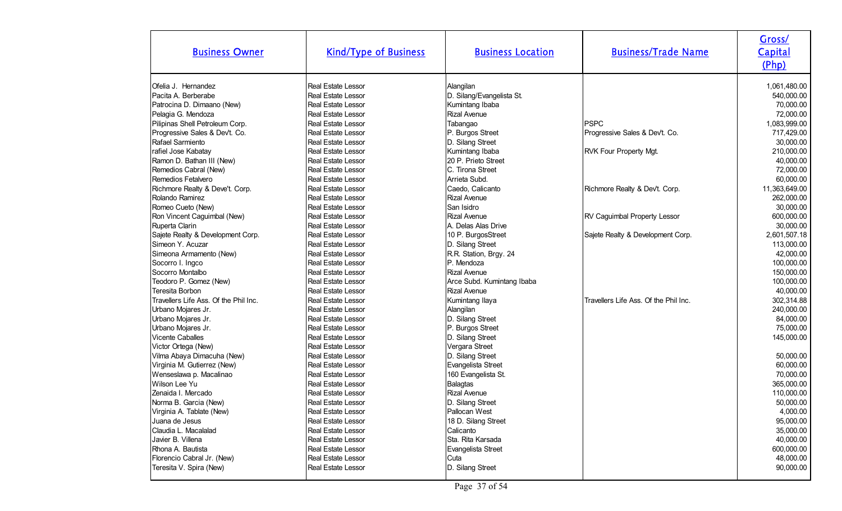| <b>Business Owner</b>                 | <b>Kind/Type of Business</b> | <b>Business Location</b>   | <b>Business/Trade Name</b>            | Gross/<br>Capital<br>(Php) |
|---------------------------------------|------------------------------|----------------------------|---------------------------------------|----------------------------|
| Ofelia J. Hernandez                   | <b>Real Estate Lessor</b>    | Alangilan                  |                                       | 1,061,480.00               |
| Pacita A. Berberabe                   | Real Estate Lessor           | D. Silang/Evangelista St.  |                                       | 540,000.00                 |
| Patrocina D. Dimaano (New)            | <b>Real Estate Lessor</b>    | Kumintang Ibaba            |                                       | 70,000.00                  |
| Pelagia G. Mendoza                    | <b>Real Estate Lessor</b>    | <b>Rizal Avenue</b>        |                                       | 72,000.00                  |
| Pilipinas Shell Petroleum Corp.       | Real Estate Lessor           | Tabangao                   | <b>PSPC</b>                           | 1,083,999.00               |
| Progressive Sales & Dev't. Co.        | Real Estate Lessor           | P. Burgos Street           | Progressive Sales & Dev't. Co.        | 717,429.00                 |
| Rafael Sarmiento                      | Real Estate Lessor           | D. Silang Street           |                                       | 30,000.00                  |
| rafiel Jose Kabatay                   | <b>Real Estate Lessor</b>    | Kumintang Ibaba            | <b>RVK Four Property Mgt.</b>         | 210,000.00                 |
| Ramon D. Bathan III (New)             | Real Estate Lessor           | 20 P. Prieto Street        |                                       | 40,000.00                  |
| Remedios Cabral (New)                 | <b>Real Estate Lessor</b>    | C. Tirona Street           |                                       | 72,000.00                  |
| Remedios Fetalvero                    | Real Estate Lessor           | Arrieta Subd.              |                                       | 60,000.00                  |
| Richmore Realty & Deve't. Corp.       | Real Estate Lessor           | Caedo, Calicanto           | Richmore Realty & Dev't. Corp.        | 11,363,649.00              |
| Rolando Ramirez                       | Real Estate Lessor           | Rizal Avenue               |                                       | 262,000.00                 |
| Romeo Cueto (New)                     | <b>Real Estate Lessor</b>    | San Isidro                 |                                       | 30,000.00                  |
| Ron Vincent Caguimbal (New)           | Real Estate Lessor           | <b>Rizal Avenue</b>        | <b>RV Caguimbal Property Lessor</b>   | 600,000.00                 |
| Ruperta Clarin                        | Real Estate Lessor           | A. Delas Alas Drive        |                                       | 30,000.00                  |
| Sajete Realty & Development Corp.     | <b>Real Estate Lessor</b>    | 10 P. BurgosStreet         | Sajete Realty & Development Corp.     | 2,601,507.18               |
| Simeon Y. Acuzar                      | <b>Real Estate Lessor</b>    | D. Silang Street           |                                       | 113,000.00                 |
| Simeona Armamento (New)               | Real Estate Lessor           | R.R. Station, Brgy. 24     |                                       | 42,000.00                  |
| Socorro I. Ingco                      | <b>Real Estate Lessor</b>    | P. Mendoza                 |                                       | 100,000.00                 |
| Socorro Montalbo                      | Real Estate Lessor           | Rizal Avenue               |                                       | 150,000.00                 |
| Teodoro P. Gomez (New)                | <b>Real Estate Lessor</b>    | Arce Subd. Kumintang Ibaba |                                       | 100,000.00                 |
| Teresita Borbon                       | Real Estate Lessor           | Rizal Avenue               |                                       | 40,000.00                  |
| Travellers Life Ass. Of the Phil Inc. | <b>Real Estate Lessor</b>    | Kumintang Ilaya            | Travellers Life Ass. Of the Phil Inc. | 302,314.88                 |
| Urbano Mojares Jr.                    | Real Estate Lessor           | Alangilan                  |                                       | 240,000.00                 |
| Urbano Mojares Jr.                    | Real Estate Lessor           | D. Silang Street           |                                       | 84,000.00                  |
| Urbano Mojares Jr.                    | <b>Real Estate Lessor</b>    | P. Burgos Street           |                                       | 75,000.00                  |
| <b>Vicente Caballes</b>               | <b>Real Estate Lessor</b>    | D. Silang Street           |                                       | 145,000.00                 |
| Victor Ortega (New)                   | <b>Real Estate Lessor</b>    | Vergara Street             |                                       |                            |
| Vilma Abaya Dimacuha (New)            | Real Estate Lessor           | D. Silang Street           |                                       | 50,000.00                  |
| Virginia M. Gutierrez (New)           | <b>Real Estate Lessor</b>    | Evangelista Street         |                                       | 60,000.00                  |
| Wenseslawa p. Macalinao               | Real Estate Lessor           | 160 Evangelista St.        |                                       | 70,000.00                  |
| Wilson Lee Yu                         | Real Estate Lessor           | <b>Balagtas</b>            |                                       | 365,000.00                 |
| Zenaida I. Mercado                    | Real Estate Lessor           | <b>Rizal Avenue</b>        |                                       | 110,000.00                 |
| Norma B. Garcia (New)                 | <b>Real Estate Lessor</b>    | D. Silang Street           |                                       | 50,000.00                  |
| Virginia A. Tablate (New)             | Real Estate Lessor           | Pallocan West              |                                       | 4,000.00                   |
| Juana de Jesus                        | Real Estate Lessor           | 18 D. Silang Street        |                                       | 95,000.00                  |
| Claudia L. Macalalad                  | Real Estate Lessor           | Calicanto                  |                                       | 35,000.00                  |
| Javier B. Villena                     | Real Estate Lessor           | Sta. Rita Karsada          |                                       | 40,000.00                  |
| Rhona A. Bautista                     | Real Estate Lessor           | Evangelista Street         |                                       | 600,000.00                 |
| Florencio Cabral Jr. (New)            | Real Estate Lessor           | Cuta                       |                                       | 48,000.00                  |
| Teresita V. Spira (New)               | Real Estate Lessor           | D. Silang Street           |                                       | 90,000.00                  |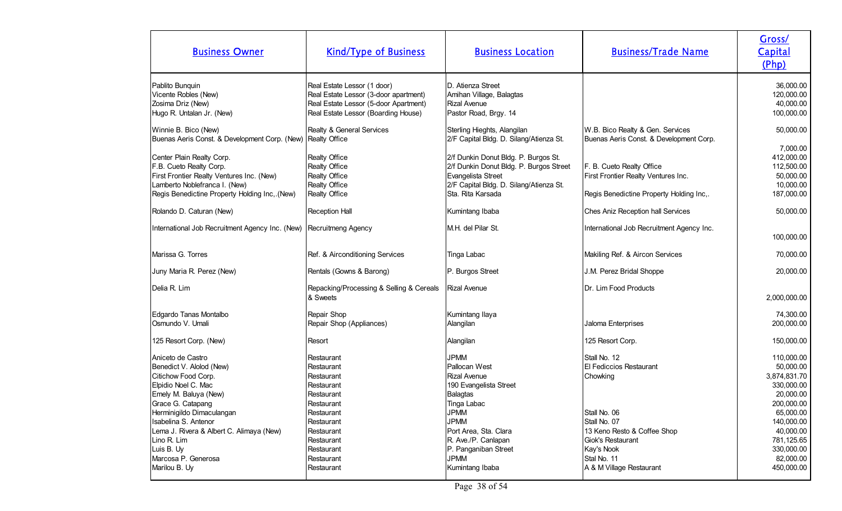| <b>Business Owner</b>                                                                                                                                                                                                                                                   | <b>Kind/Type of Business</b>                                                                                                                           | <b>Business Location</b>                                                                                                                                                                                              | <b>Business/Trade Name</b>                                                                                                                            | Gross/<br>Capital<br>(Php)                                                                                                                           |
|-------------------------------------------------------------------------------------------------------------------------------------------------------------------------------------------------------------------------------------------------------------------------|--------------------------------------------------------------------------------------------------------------------------------------------------------|-----------------------------------------------------------------------------------------------------------------------------------------------------------------------------------------------------------------------|-------------------------------------------------------------------------------------------------------------------------------------------------------|------------------------------------------------------------------------------------------------------------------------------------------------------|
| Pablito Bunquin<br>Vicente Robles (New)<br>Zosima Driz (New)<br>Hugo R. Untalan Jr. (New)                                                                                                                                                                               | Real Estate Lessor (1 door)<br>Real Estate Lessor (3-door apartment)<br>Real Estate Lessor (5-door Apartment)<br>Real Estate Lessor (Boarding House)   | D. Atienza Street<br>Amihan Village, Balagtas<br><b>Rizal Avenue</b><br>Pastor Road, Brgy. 14                                                                                                                         |                                                                                                                                                       | 36,000.00<br>120,000.00<br>40,000.00<br>100,000.00                                                                                                   |
| Winnie B. Bico (New)<br>Buenas Aeris Const. & Development Corp. (New) Realty Office                                                                                                                                                                                     | Realty & General Services                                                                                                                              | Sterling Hieghts, Alangilan<br>2/F Capital Bldg. D. Silang/Atienza St.                                                                                                                                                | W.B. Bico Realty & Gen. Services<br>Buenas Aeris Const. & Development Corp.                                                                           | 50,000.00<br>7,000.00                                                                                                                                |
| Center Plain Realty Corp.<br>F.B. Cueto Realty Corp.<br>First Frontier Realty Ventures Inc. (New)<br>Lamberto Noblefranca I. (New)<br>Regis Benedictine Property Holding Inc,.(New)                                                                                     | Realty Office<br>Realty Office<br>Realty Office<br>Realty Office<br>Realty Office                                                                      | 2/f Dunkin Donut Bldg. P. Burgos St.<br>2/f Dunkin Donut Bldg. P. Burgos Street<br>Evangelista Street<br>2/F Capital Bldg. D. Silang/Atienza St.<br>Sta. Rita Karsada                                                 | F. B. Cueto Realty Office<br>First Frontier Realty Ventures Inc.<br>Regis Benedictine Property Holding Inc,.                                          | 412,000.00<br>112,500.00<br>50,000.00<br>10,000.00<br>187,000.00                                                                                     |
| Rolando D. Caturan (New)                                                                                                                                                                                                                                                | Reception Hall                                                                                                                                         | Kumintang Ibaba                                                                                                                                                                                                       | Ches Aniz Reception hall Services                                                                                                                     | 50,000.00                                                                                                                                            |
| International Job Recruitment Agency Inc. (New)                                                                                                                                                                                                                         | Recruitmeng Agency                                                                                                                                     | M.H. del Pilar St.                                                                                                                                                                                                    | International Job Recruitment Agency Inc.                                                                                                             | 100,000.00                                                                                                                                           |
| Marissa G. Torres                                                                                                                                                                                                                                                       | Ref. & Airconditioning Services                                                                                                                        | Tinga Labac                                                                                                                                                                                                           | Makiling Ref. & Aircon Services                                                                                                                       | 70,000.00                                                                                                                                            |
| Juny Maria R. Perez (New)                                                                                                                                                                                                                                               | Rentals (Gowns & Barong)                                                                                                                               | P. Burgos Street                                                                                                                                                                                                      | J.M. Perez Bridal Shoppe                                                                                                                              | 20,000.00                                                                                                                                            |
| Delia R. Lim                                                                                                                                                                                                                                                            | Repacking/Processing & Selling & Cereals<br>& Sweets                                                                                                   | <b>Rizal Avenue</b>                                                                                                                                                                                                   | Dr. Lim Food Products                                                                                                                                 | 2,000,000.00                                                                                                                                         |
| Edgardo Tanas Montalbo<br>Osmundo V. Umali                                                                                                                                                                                                                              | Repair Shop<br>Repair Shop (Appliances)                                                                                                                | Kumintang Ilaya<br>Alangilan                                                                                                                                                                                          | Jaloma Enterprises                                                                                                                                    | 74,300.00<br>200,000.00                                                                                                                              |
| 125 Resort Corp. (New)                                                                                                                                                                                                                                                  | Resort                                                                                                                                                 | Alangilan                                                                                                                                                                                                             | 125 Resort Corp.                                                                                                                                      | 150,000.00                                                                                                                                           |
| Aniceto de Castro<br>Benedict V. Alolod (New)<br>Citichow Food Corp.<br>Elpidio Noel C. Mac<br>Emely M. Baluya (New)<br>Grace G. Catapang<br>Herminigildo Dimaculangan<br>Isabelina S. Antenor<br>Lema J. Rivera & Albert C. Alimaya (New)<br>Lino R. Lim<br>Luis B. Uy | Restaurant<br>Restaurant<br>Restaurant<br>Restaurant<br>Restaurant<br>Restaurant<br>Restaurant<br>Restaurant<br>Restaurant<br>Restaurant<br>Restaurant | <b>JPMM</b><br>Pallocan West<br><b>Rizal Avenue</b><br>190 Evangelista Street<br><b>Balagtas</b><br>Tinga Labac<br><b>JPMM</b><br><b>JPMM</b><br>Port Area, Sta. Clara<br>R. Ave./P. Canlapan<br>P. Panganiban Street | Stall No. 12<br>El Fediccios Restaurant<br>Chowking<br>Stall No. 06<br>Stall No. 07<br>13 Keno Resto & Coffee Shop<br>Giok's Restaurant<br>Kay's Nook | 110,000.00<br>50,000.00<br>3,874,831.70<br>330.000.00<br>20,000.00<br>200,000.00<br>65,000.00<br>140,000.00<br>40,000.00<br>781,125.65<br>330,000.00 |
| Marcosa P. Generosa<br>Marilou B. Uy                                                                                                                                                                                                                                    | Restaurant<br>Restaurant                                                                                                                               | <b>JPMM</b><br>Kumintang Ibaba                                                                                                                                                                                        | Stal No. 11<br>A & M Village Restaurant                                                                                                               | 82,000.00<br>450,000.00                                                                                                                              |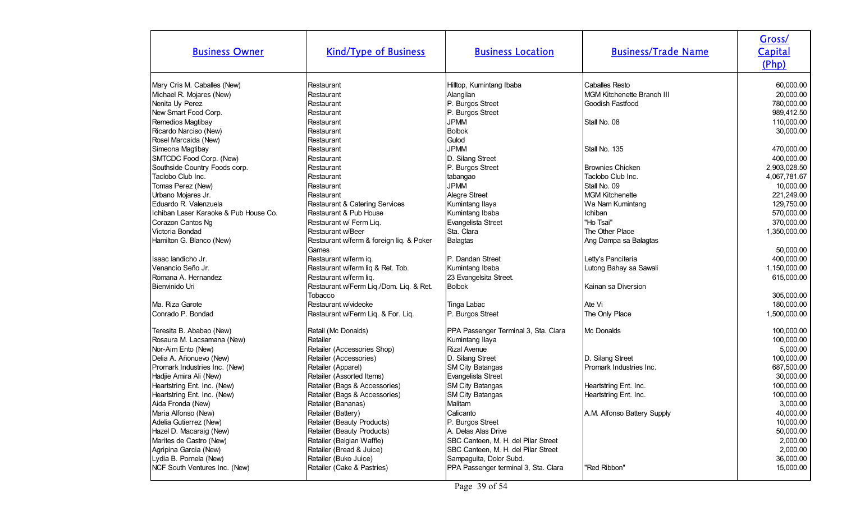| <b>Business Owner</b>                 | <b>Kind/Type of Business</b>             | <b>Business Location</b>             | <b>Business/Trade Name</b>        | Gross/<br>Capital<br>(Php) |
|---------------------------------------|------------------------------------------|--------------------------------------|-----------------------------------|----------------------------|
| Mary Cris M. Caballes (New)           | Restaurant                               | Hilltop, Kumintang Ibaba             | <b>Caballes Resto</b>             | 60,000.00                  |
| Michael R. Mojares (New)              | Restaurant                               | Alangilan                            | <b>MGM Kitchenette Branch III</b> | 20,000.00                  |
| Nenita Uy Perez                       | Restaurant                               | P. Burgos Street                     | Goodish Fastfood                  | 780,000.00                 |
| New Smart Food Corp.                  | Restaurant                               | P. Burgos Street                     |                                   | 989,412.50                 |
| Remedios Magtibay                     | Restaurant                               | <b>JPMM</b>                          | Stall No. 08                      | 110,000.00                 |
| Ricardo Narciso (New)                 | Restaurant                               | <b>Bolbok</b>                        |                                   | 30,000.00                  |
| Rosel Marcaida (New)                  | Restaurant                               | Gulod                                |                                   |                            |
| Simeona Magtibay                      | Restaurant                               | <b>JPMM</b>                          | Stall No. 135                     | 470,000.00                 |
| SMTCDC Food Corp. (New)               | Restaurant                               | D. Silang Street                     |                                   | 400,000.00                 |
| Southside Country Foods corp.         | Restaurant                               | P. Burgos Street                     | Brownies Chicken                  | 2,903,028.50               |
| Taclobo Club Inc.                     | Restaurant                               | tabangao                             | Taclobo Club Inc.                 | 4,067,781.67               |
| Tomas Perez (New)                     | Restaurant                               | <b>JPMM</b>                          | Stall No. 09                      | 10,000.00                  |
| Urbano Mojares Jr.                    | Restaurant                               | Alegre Street                        | MGM Kitchenette                   | 221,249.00                 |
| Eduardo R. Valenzuela                 | Restaurant & Catering Services           | Kumintang Ilaya                      | Wa Nam Kumintang                  | 129,750.00                 |
| Ichiban Laser Karaoke & Pub House Co. | Restaurant & Pub House                   | Kumintang Ibaba                      | Ichiban                           | 570,000.00                 |
| Corazon Cantos Ng                     | Restaurant w/ Ferm Liq.                  | Evangelista Street                   | "Ho Tsai"                         | 370,000.00                 |
| Victoria Bondad                       | <b>Restaurant w/Beer</b>                 | Sta. Clara                           | The Other Place                   | 1,350,000.00               |
| Hamilton G. Blanco (New)              | Restaurant w/ferm & foreign liq. & Poker | <b>Balagtas</b>                      | Ang Dampa sa Balagtas             |                            |
|                                       | Games                                    |                                      |                                   | 50,000.00                  |
| Isaac landicho Jr.                    | Restaurant w/ferm iq.                    | P. Dandan Street                     | Letty's Panciteria                | 400,000.00                 |
| Venancio Seño Jr.                     | Restaurant w/ferm liq & Ret. Tob.        | Kumintang Ibaba                      | Lutong Bahay sa Sawali            | 1,150,000.00               |
| Romana A. Hernandez                   | Restaurant w/ferm liq.                   | 23 Evangelsita Street.               |                                   | 615,000.00                 |
| Bienvinido Uri                        | Restaurant w/Ferm Liq./Dom. Liq. & Ret.  | <b>Bolbok</b>                        | Kainan sa Diversion               |                            |
|                                       | Tobacco                                  |                                      |                                   | 305,000.00                 |
| Ma. Riza Garote                       | Restaurant w/videoke                     | Tinga Labac                          | Ate Vi                            | 180,000.00                 |
| Conrado P. Bondad                     | Restaurant w/Ferm Liq. & For. Liq.       | P. Burgos Street                     | The Only Place                    | 1,500,000.00               |
| Teresita B. Ababao (New)              | Retail (Mc Donalds)                      | PPA Passenger Terminal 3, Sta. Clara | Mc Donalds                        | 100,000.00                 |
| Rosaura M. Lacsamana (New)            | Retailer                                 | Kumintang Ilaya                      |                                   | 100,000.00                 |
| Nor-Aim Ento (New)                    | Retailer (Accessories Shop)              | <b>Rizal Avenue</b>                  |                                   | 5,000.00                   |
| Delia A. Añonuevo (New)               | Retailer (Accessories)                   | D. Silang Street                     | D. Silang Street                  | 100,000.00                 |
| Promark Industries Inc. (New)         | Retailer (Apparel)                       | SM City Batangas                     | Promark Industries Inc.           | 687,500.00                 |
| Hadjie Amira Ali (New)                | Retailer (Assorted Items)                | Evangelista Street                   |                                   | 30,000.00                  |
| Heartstring Ent. Inc. (New)           | Retailer (Bags & Accessories)            | SM City Batangas                     | Heartstring Ent. Inc.             | 100,000.00                 |
| Heartstring Ent. Inc. (New)           | Retailer (Bags & Accessories)            | SM City Batangas                     | Heartstring Ent. Inc.             | 100,000.00                 |
| Aida Fronda (New)                     | Retailer (Bananas)                       | Malitam                              |                                   | 3,000.00                   |
| Maria Alfonso (New)                   | Retailer (Battery)                       | Calicanto                            | A.M. Alfonso Battery Supply       | 40,000.00                  |
| Adelia Gutierrez (New)                | Retailer (Beauty Products)               | P. Burgos Street                     |                                   | 10,000.00                  |
| Hazel D. Macaraig (New)               | Retailer (Beauty Products)               | A. Delas Alas Drive                  |                                   | 50,000.00                  |
| Marites de Castro (New)               | Retailer (Belgian Waffle)                | SBC Canteen, M. H. del Pilar Street  |                                   | 2,000.00                   |
| Agripina Garcia (New)                 | Retailer (Bread & Juice)                 | SBC Canteen, M. H. del Pilar Street  |                                   | 2,000.00                   |
| Lydia B. Pornela (New)                | Retailer (Buko Juice)                    | Sampaguita, Dolor Subd.              |                                   | 36,000.00                  |
| NCF South Ventures Inc. (New)         | Retailer (Cake & Pastries)               | PPA Passenger terminal 3, Sta. Clara | 'Red Ribbon"                      | 15,000.00                  |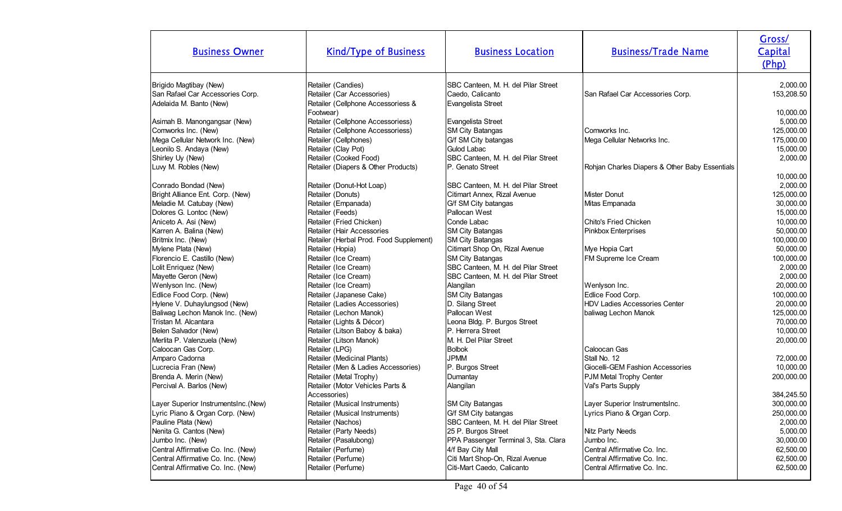| <b>Business Owner</b>                               | <b>Kind/Type of Business</b>                                           | <b>Business Location</b>                      | <b>Business/Trade Name</b>                     | Gross/<br>Capital<br>(Php) |
|-----------------------------------------------------|------------------------------------------------------------------------|-----------------------------------------------|------------------------------------------------|----------------------------|
| Brigido Magtibay (New)                              | Retailer (Candies)                                                     | SBC Canteen, M. H. del Pilar Street           |                                                | 2,000.00                   |
| San Rafael Car Accessories Corp.                    | Retailer (Car Accessories)                                             | Caedo, Calicanto                              | San Rafael Car Accessories Corp.               | 153,208.50                 |
| Adelaida M. Banto (New)                             | Retailer (Cellphone Accessoriess &                                     | Evangelista Street                            |                                                |                            |
|                                                     | Footwear)                                                              |                                               |                                                | 10,000.00                  |
| Asimah B. Manongangsar (New)<br>Comworks Inc. (New) | Retailer (Cellphone Accessoriess)<br>Retailer (Cellphone Accessoriess) | Evangelista Street<br><b>SM City Batangas</b> | Comworks Inc.                                  | 5,000.00                   |
| Mega Cellular Network Inc. (New)                    | Retailer (Cellphones)                                                  | G/f SM City batangas                          | Mega Cellular Networks Inc.                    | 125,000.00<br>175,000.00   |
| Leonilo S. Andaya (New)                             | Retailer (Clay Pot)                                                    | Gulod Labac                                   |                                                | 15,000.00                  |
| Shirley Uy (New)                                    | Retailer (Cooked Food)                                                 | SBC Canteen, M. H. del Pilar Street           |                                                | 2,000.00                   |
| Luvy M. Robles (New)                                | Retailer (Diapers & Other Products)                                    | P. Genato Street                              | Rohjan Charles Diapers & Other Baby Essentials |                            |
|                                                     |                                                                        |                                               |                                                | 10,000.00                  |
| Conrado Bondad (New)                                | Retailer (Donut-Hot Loap)                                              | SBC Canteen, M. H. del Pilar Street           |                                                | 2,000.00                   |
| Bright Alliance Ent. Corp. (New)                    | Retailer (Donuts)                                                      | Citimart Annex, Rizal Avenue                  | Mister Donut                                   | 125,000.00                 |
| Meladie M. Catubay (New)                            | Retailer (Empanada)                                                    | G/f SM City batangas                          | Mitas Empanada                                 | 30,000.00                  |
| Dolores G. Lontoc (New)                             | Retailer (Feeds)                                                       | Pallocan West                                 |                                                | 15,000.00                  |
| Aniceto A. Asi (New)                                | Retailer (Fried Chicken)                                               | Conde Labac                                   | Chito's Fried Chicken                          | 10,000.00                  |
| Karren A. Balina (New)                              | Retailer (Hair Accessories                                             | <b>SM City Batangas</b>                       | Pinkbox Enterprises                            | 50,000.00                  |
| Britmix Inc. (New)                                  | Retailer (Herbal Prod. Food Supplement)                                | <b>SM City Batangas</b>                       |                                                | 100,000.00                 |
| Mylene Plata (New)                                  | Retailer (Hopia)                                                       | Citimart Shop On, Rizal Avenue                | Mye Hopia Cart                                 | 50,000.00                  |
| Florencio E. Castillo (New)                         | Retailer (Ice Cream)                                                   | SM City Batangas                              | FM Supreme Ice Cream                           | 100,000.00                 |
| Lolit Enriquez (New)                                | Retailer (Ice Cream)                                                   | SBC Canteen, M. H. del Pilar Street           |                                                | 2,000.00                   |
| Mayette Geron (New)                                 | Retailer (Ice Cream)                                                   | SBC Canteen, M. H. del Pilar Street           |                                                | 2,000.00                   |
| Wenlyson Inc. (New)                                 | Retailer (Ice Cream)                                                   | Alangilan                                     | Wenlyson Inc.                                  | 20,000.00                  |
| Edlice Food Corp. (New)                             | Retailer (Japanese Cake)                                               | SM City Batangas                              | Edlice Food Corp.                              | 100,000.00                 |
| Hylene V. Duhaylungsod (New)                        | Retailer (Ladies Accessories)                                          | D. Silang Street                              | HDV Ladies Accessories Center                  | 20,000.00                  |
| Baliwag Lechon Manok Inc. (New)                     | Retailer (Lechon Manok)                                                | Pallocan West                                 | baliwag Lechon Manok                           | 125,000.00                 |
| Tristan M. Alcantara                                | Retailer (Lights & Décor)                                              | Leona Bldg. P. Burgos Street                  |                                                | 70,000.00                  |
| Belen Salvador (New)                                | Retailer (Litson Baboy & baka)                                         | P. Herrera Street                             |                                                | 10,000.00                  |
| Merlita P. Valenzuela (New)                         | Retailer (Litson Manok)                                                | M. H. Del Pilar Street                        |                                                | 20,000.00                  |
| Caloocan Gas Corp.                                  | Retailer (LPG)                                                         | <b>Bolbok</b>                                 | Caloocan Gas                                   |                            |
| Amparo Cadorna                                      | Retailer (Medicinal Plants)                                            | <b>JPMM</b>                                   | Stall No. 12                                   | 72,000.00                  |
| Lucrecia Fran (New)                                 | Retailer (Men & Ladies Accessories)                                    | P. Burgos Street                              | Giocelli-GEM Fashion Accessories               | 10,000.00                  |
| Brenda A. Merin (New)                               | Retailer (Metal Trophy)                                                | Dumantay                                      | PJM Metal Trophy Center                        | 200,000.00                 |
| Percival A. Barlos (New)                            | Retailer (Motor Vehicles Parts &                                       | Alangilan                                     | Val's Parts Supply                             |                            |
|                                                     | Accessories)                                                           |                                               |                                                | 384,245.50                 |
| Layer Superior InstrumentsInc.(New)                 | Retailer (Musical Instruments)                                         | SM City Batangas                              | Layer Superior InstrumentsInc.                 | 300,000.00                 |
| Lyric Piano & Organ Corp. (New)                     | Retailer (Musical Instruments)                                         | G/f SM City batangas                          | Lyrics Piano & Organ Corp.                     | 250,000.00                 |
| Pauline Plata (New)                                 | Retailer (Nachos)                                                      | SBC Canteen, M. H. del Pilar Street           |                                                | 2,000.00                   |
| Nenita G. Cantos (New)                              | Retailer (Party Needs)                                                 | 25 P. Burgos Street                           | Nitz Party Needs                               | 5,000.00                   |
| Jumbo Inc. (New)                                    | Retailer (Pasalubong)                                                  | PPA Passenger Terminal 3, Sta. Clara          | Jumbo Inc.                                     | 30,000.00                  |
| Central Affirmative Co. Inc. (New)                  | Retailer (Perfume)                                                     | 4/f Bay City Mall                             | Central Affirmative Co. Inc.                   | 62,500.00                  |
| Central Affirmative Co. Inc. (New)                  | Retailer (Perfume)                                                     | Citi Mart Shop-On, Rizal Avenue               | Central Affirmative Co. Inc.                   | 62,500.00                  |
| Central Affirmative Co. Inc. (New)                  | Retailer (Perfume)                                                     | Citi-Mart Caedo, Calicanto                    | Central Affirmative Co. Inc.                   | 62,500.00                  |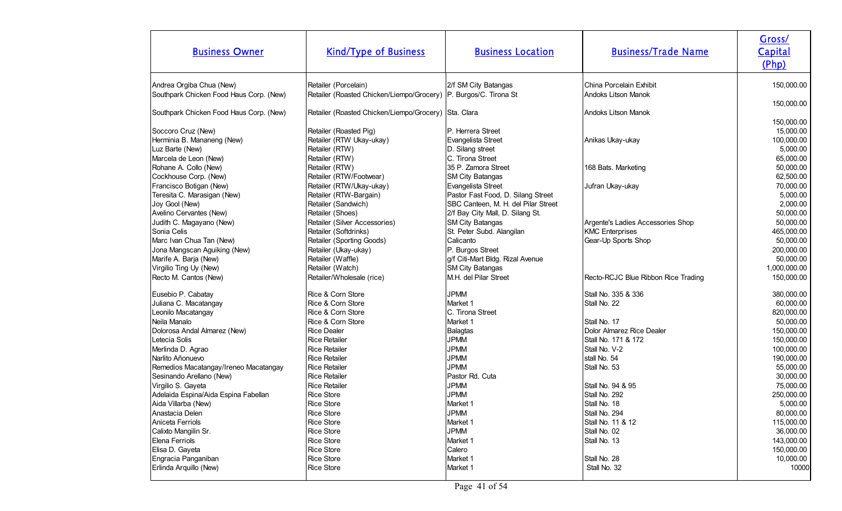| <b>Business Owner</b>                                                                                                                                                                                                                                                                                                                                        | <b>Kind/Type of Business</b>                                                                                                                                                                                                                                                                                                                        | <b>Business Location</b>                                                                                                                                                                                                                                                                                                                                          | <b>Business/Trade Name</b>                                                                                                                        | Gross/<br>Capital<br>(Php)                                                                                                                                                                       |
|--------------------------------------------------------------------------------------------------------------------------------------------------------------------------------------------------------------------------------------------------------------------------------------------------------------------------------------------------------------|-----------------------------------------------------------------------------------------------------------------------------------------------------------------------------------------------------------------------------------------------------------------------------------------------------------------------------------------------------|-------------------------------------------------------------------------------------------------------------------------------------------------------------------------------------------------------------------------------------------------------------------------------------------------------------------------------------------------------------------|---------------------------------------------------------------------------------------------------------------------------------------------------|--------------------------------------------------------------------------------------------------------------------------------------------------------------------------------------------------|
| Andrea Orgiba Chua (New)<br>Southpark Chicken Food Haus Corp. (New)                                                                                                                                                                                                                                                                                          | Retailer (Porcelain)<br>Retailer (Roasted Chicken/Liempo/Grocery)   P. Burgos/C. Tirona St                                                                                                                                                                                                                                                          | 2/f SM City Batangas                                                                                                                                                                                                                                                                                                                                              | China Porcelain Exhibit<br>Andoks Litson Manok                                                                                                    | 150,000.00                                                                                                                                                                                       |
| Southpark Chicken Food Haus Corp. (New)                                                                                                                                                                                                                                                                                                                      | Retailer (Roasted Chicken/Liempo/Grocery) Sta. Clara                                                                                                                                                                                                                                                                                                |                                                                                                                                                                                                                                                                                                                                                                   | <b>Andoks Litson Manok</b>                                                                                                                        | 150,000.00                                                                                                                                                                                       |
| Soccoro Cruz (New)<br>Herminia B. Mananeng (New)<br>Luz Barte (New)<br>Marcela de Leon (New)<br>Rohane A. Collo (New)<br>Cockhouse Corp. (New)<br>Francisco Botigan (New)<br>Teresita C. Marasigan (New)<br>Joy Gool (New)<br>Avelino Cervantes (New)<br>Judith C. Magayano (New)<br>Sonia Celis<br>Marc Ivan Chua Tan (New)<br>Jona Mangscan Aguiking (New) | Retailer (Roasted Pig)<br>Retailer (RTW Ukay-ukay)<br>Retailer (RTW)<br>Retailer (RTW)<br>Retailer (RTW)<br>Retailer (RTW/Footwear)<br>Retailer (RTW/Ukay-ukay)<br>Retailer (RTW-Bargain)<br>Retailer (Sandwich)<br>Retailer (Shoes)<br>Retailer (Silver Accessories)<br>Retailer (Softdrinks)<br>Retailer (Sporting Goods)<br>Retailer (Ukay-ukay) | P. Herrera Street<br>Evangelista Street<br>D. Silang street<br>C. Tirona Street<br>35 P. Zamora Street<br><b>SM City Batangas</b><br>Evangelista Street<br>Pastor Fast Food, D. Silang Street<br>SBC Canteen, M. H. del Pilar Street<br>2/f Bay City Mall, D. Silang St.<br><b>SM City Batangas</b><br>St. Peter Subd. Alangilan<br>Calicanto<br>P. Burgos Street | Anikas Ukay-ukay<br>168 Bats. Marketing<br>Jufran Ukay-ukay<br>Argente's Ladies Accessories Shop<br><b>KMC Enterprises</b><br>Gear-Up Sports Shop | 150,000.00<br>15,000.00<br>100,000.00<br>5,000.00<br>65,000.00<br>50,000.00<br>62,500.00<br>70,000.00<br>5,000.00<br>2,000.00<br>50,000.00<br>50,000.00<br>465,000.00<br>50,000.00<br>200,000.00 |
| Marife A. Barja (New)<br>Virgilio Ting Uy (New)<br>Recto M. Cantos (New)                                                                                                                                                                                                                                                                                     | Retailer (Waffle)<br>Retailer (Watch)<br>Retailer/Wholesale (rice)                                                                                                                                                                                                                                                                                  | g/f Citi-Mart Bldg. Rizal Avenue<br><b>SM City Batangas</b><br>M.H. del Pilar Street                                                                                                                                                                                                                                                                              | Recto-RCJC Blue Ribbon Rice Trading                                                                                                               | 50,000.00<br>1,000,000.00<br>150,000.00                                                                                                                                                          |
| Eusebio P. Cabatay<br>Juliana C. Macatangay<br>Leonilo Macatangay<br>Neila Manalo<br>Dolorosa Andal Almarez (New)<br>Letecia Solis                                                                                                                                                                                                                           | Rice & Corn Store<br>Rice & Corn Store<br>Rice & Corn Store<br>Rice & Corn Store<br><b>Rice Dealer</b><br><b>Rice Retailer</b>                                                                                                                                                                                                                      | <b>JPMM</b><br>Market 1<br>C. Tirona Street<br>Market 1<br>Balagtas<br><b>JPMM</b>                                                                                                                                                                                                                                                                                | Stall No. 335 & 336<br>Stall No. 22<br>Stall No. 17<br>Dolor Almarez Rice Dealer<br>Stall No. 171 & 172                                           | 380,000.00<br>60,000.00<br>820,000.00<br>50,000.00<br>150,000.00<br>150,000.00                                                                                                                   |
| Merlinda D. Agrao<br>Narlito Añonuevo<br>Remedios Macatangay/Ireneo Macatangay<br>Sesinando Arellano (New)<br>Virgilio S. Gayeta<br>Adelaida Espina/Aida Espina Fabellan<br>Aida Villarba (New)<br>Anastacia Delen                                                                                                                                           | <b>Rice Retailer</b><br><b>Rice Retailer</b><br><b>Rice Retailer</b><br><b>Rice Retailer</b><br><b>Rice Retailer</b><br><b>Rice Store</b><br>Rice Store<br><b>Rice Store</b>                                                                                                                                                                        | <b>JPMM</b><br><b>JPMM</b><br><b>JPMM</b><br>Pastor Rd. Cuta<br><b>JPMM</b><br><b>JPMM</b><br>Market 1<br><b>JPMM</b>                                                                                                                                                                                                                                             | Stall No. V-2<br>stall No. 54<br>Stall No. 53<br>Stall No. 94 & 95<br>Stall No. 292<br>Stall No. 18<br>Stall No. 294                              | 100,000.00<br>190,000.00<br>55,000.00<br>30,000.00<br>75,000.00<br>250,000.00<br>5,000.00<br>80,000.00                                                                                           |
| Aniceta Ferriols<br>Calixto Mangilin Sr.<br>Elena Ferriols<br>Elisa D. Gayeta<br>Engracia Panganiban<br>Erlinda Arquillo (New)                                                                                                                                                                                                                               | <b>Rice Store</b><br><b>Rice Store</b><br>Rice Store<br><b>Rice Store</b><br><b>Rice Store</b><br><b>Rice Store</b>                                                                                                                                                                                                                                 | Market 1<br><b>JPMM</b><br>Market 1<br>Calero<br>Market 1<br>Market 1                                                                                                                                                                                                                                                                                             | Stall No. 11 & 12<br>Stall No. 02<br>Stall No. 13<br>Stall No. 28<br>Stall No. 32                                                                 | 115,000.00<br>36,000.00<br>143,000.00<br>150,000.00<br>10,000.00<br>10000                                                                                                                        |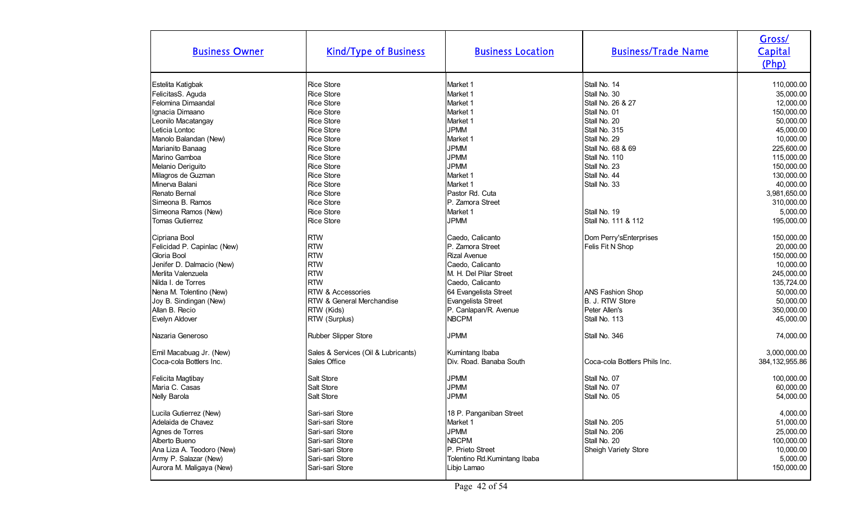| <b>Business Owner</b>       | <b>Kind/Type of Business</b>        | <b>Business Location</b>     | <b>Business/Trade Name</b>    | Gross/<br>Capital<br>(Php) |
|-----------------------------|-------------------------------------|------------------------------|-------------------------------|----------------------------|
| Estelita Katigbak           | <b>Rice Store</b>                   | Market 1                     | Stall No. 14                  | 110,000.00                 |
| FelicitasS. Aguda           | <b>Rice Store</b>                   | Market 1                     | Stall No. 30                  | 35,000.00                  |
| Felomina Dimaandal          | <b>Rice Store</b>                   | Market 1                     | Stall No. 26 & 27             | 12,000.00                  |
| Ignacia Dimaano             | <b>Rice Store</b>                   | Market 1                     | Stall No. 01                  | 150,000.00                 |
| Leonilo Macatangay          | <b>Rice Store</b>                   | Market 1                     | Stall No. 20                  | 50,000.00                  |
| Leticia Lontoc              | <b>Rice Store</b>                   | <b>JPMM</b>                  | Stall No. 315                 | 45,000.00                  |
| Manolo Balandan (New)       | <b>Rice Store</b>                   | Market 1                     | Stall No. 29                  | 10,000.00                  |
| Marianito Banaag            | <b>Rice Store</b>                   | <b>JPMM</b>                  | Stall No. 68 & 69             | 225,600.00                 |
| Marino Gamboa               | <b>Rice Store</b>                   | <b>JPMM</b>                  | Stall No. 110                 | 115,000.00                 |
| Melanio Deriguito           | <b>Rice Store</b>                   | <b>JPMM</b>                  | Stall No. 23                  | 150,000.00                 |
| Milagros de Guzman          | <b>Rice Store</b>                   | Market 1                     | Stall No. 44                  | 130,000.00                 |
| Minerva Balani              | <b>Rice Store</b>                   | Market 1                     | Stall No. 33                  | 40,000.00                  |
| Renato Bernal               | <b>Rice Store</b>                   | Pastor Rd. Cuta              |                               | 3,981,650.00               |
| Simeona B. Ramos            | <b>Rice Store</b>                   | P. Zamora Street             |                               | 310,000.00                 |
| Simeona Ramos (New)         | <b>Rice Store</b>                   | Market 1                     | Stall No. 19                  | 5,000.00                   |
| <b>Tomas Gutierrez</b>      | <b>Rice Store</b>                   | <b>JPMM</b>                  | Stall No. 111 & 112           | 195,000.00                 |
| Cipriana Bool               | <b>RTW</b>                          | Caedo, Calicanto             | Dom Perry's Enterprises       | 150,000.00                 |
| Felicidad P. Capinlac (New) | <b>RTW</b>                          | P. Zamora Street             | Felis Fit N Shop              | 20,000.00                  |
| Gloria Bool                 | <b>RTW</b>                          | <b>Rizal Avenue</b>          |                               | 150,000.00                 |
| Jenifer D. Dalmacio (New)   | <b>RTW</b>                          | Caedo, Calicanto             |                               | 10,000.00                  |
| Merlita Valenzuela          | <b>RTW</b>                          | M. H. Del Pilar Street       |                               | 245,000.00                 |
| Nilda I. de Torres          | <b>RTW</b>                          | Caedo, Calicanto             |                               | 135,724.00                 |
| Nena M. Tolentino (New)     | <b>RTW &amp; Accessories</b>        | 64 Evangelista Street        | <b>ANS Fashion Shop</b>       | 50,000.00                  |
| Joy B. Sindingan (New)      | RTW & General Merchandise           | Evangelista Street           | B. J. RTW Store               | 50,000.00                  |
| Allan B. Recio              | RTW (Kids)                          | P. Canlapan/R. Avenue        | Peter Allen's                 | 350,000.00                 |
| Evelyn Aldover              | RTW (Surplus)                       | <b>NBCPM</b>                 | Stall No. 113                 | 45,000.00                  |
| Nazaria Generoso            | Rubber Slipper Store                | <b>JPMM</b>                  | Stall No. 346                 | 74,000.00                  |
| Emil Macabuag Jr. (New)     | Sales & Services (Oil & Lubricants) | Kumintang Ibaba              |                               | 3,000,000.00               |
| Coca-cola Bottlers Inc.     | Sales Office                        | Div. Road. Banaba South      | Coca-cola Bottlers Phils Inc. | 384, 132, 955.86           |
| Felicita Magtibay           | Salt Store                          | <b>JPMM</b>                  | Stall No. 07                  | 100,000.00                 |
| Maria C. Casas              | Salt Store                          | <b>JPMM</b>                  | Stall No. 07                  | 60,000.00                  |
| Nelly Barola                | Salt Store                          | <b>JPMM</b>                  | Stall No. 05                  | 54,000.00                  |
| Lucila Gutierrez (New)      | Sari-sari Store                     | 18 P. Panganiban Street      |                               | 4,000.00                   |
| Adelaida de Chavez          | Sari-sari Store                     | Market 1                     | Stall No. 205                 | 51,000.00                  |
| Agnes de Torres             | Sari-sari Store                     | <b>JPMM</b>                  | Stall No. 206                 | 25,000.00                  |
| Alberto Bueno               | Sari-sari Store                     | <b>NBCPM</b>                 | Stall No. 20                  | 100,000.00                 |
| Ana Liza A. Teodoro (New)   | Sari-sari Store                     | P. Prieto Street             | Sheigh Variety Store          | 10,000.00                  |
| Army P. Salazar (New)       | Sari-sari Store                     | Tolentino Rd.Kumintang Ibaba |                               | 5,000.00                   |
| Aurora M. Maligaya (New)    | Sari-sari Store                     | Libjo Lamao                  |                               | 150,000.00                 |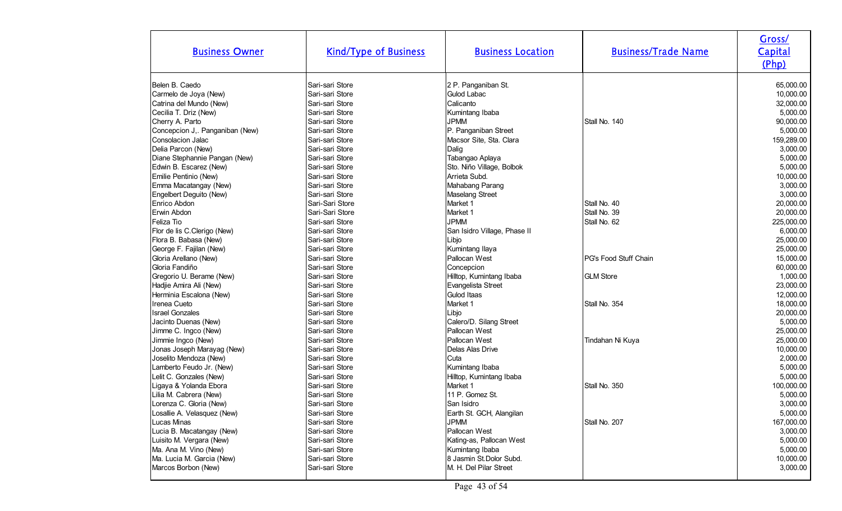| <b>Business Owner</b>           | <b>Kind/Type of Business</b> | <b>Business Location</b>     | <b>Business/Trade Name</b>   | Gross/<br>Capital<br>(Php) |
|---------------------------------|------------------------------|------------------------------|------------------------------|----------------------------|
| Belen B. Caedo                  | Sari-sari Store              | 2 P. Panganiban St.          |                              | 65,000.00                  |
| Carmelo de Joya (New)           | Sari-sari Store              | Gulod Labac                  |                              | 10,000.00                  |
| Catrina del Mundo (New)         | Sari-sari Store              | Calicanto                    |                              | 32,000.00                  |
| Cecilia T. Driz (New)           | Sari-sari Store              | Kumintang Ibaba              |                              | 5,000.00                   |
| Cherry A. Parto                 | Sari-sari Store              | <b>JPMM</b>                  | Stall No. 140                | 90,000.00                  |
| Concepcion J,. Panganiban (New) | Sari-sari Store              | P. Panganiban Street         |                              | 5,000.00                   |
| Consolacion Jalac               | Sari-sari Store              | Macsor Site, Sta. Clara      |                              | 159,289.00                 |
| Delia Parcon (New)              | Sari-sari Store              | Dalig                        |                              | 3,000.00                   |
| Diane Stephannie Pangan (New)   | Sari-sari Store              | Tabangao Aplaya              |                              | 5,000.00                   |
| Edwin B. Escarez (New)          | Sari-sari Store              | Sto. Niño Village, Bolbok    |                              | 5,000.00                   |
| Emilie Pentinio (New)           | Sari-sari Store              | Arrieta Subd.                |                              | 10,000.00                  |
| Emma Macatangay (New)           | Sari-sari Store              | Mahabang Parang              |                              | 3,000.00                   |
| Engelbert Deguito (New)         | Sari-sari Store              | Maselang Street              |                              | 3,000.00                   |
| Enrico Abdon                    | Sari-Sari Store              | Market 1                     | Stall No. 40                 | 20,000.00                  |
| Erwin Abdon                     | Sari-Sari Store              | Market 1                     | Stall No. 39                 | 20,000.00                  |
| Feliza Tio                      | Sari-sari Store              | <b>JPMM</b>                  | Stall No. 62                 | 225,000.00                 |
| Flor de lis C.Clerigo (New)     | Sari-sari Store              | San Isidro Village, Phase II |                              | 6,000.00                   |
| Flora B. Babasa (New)           | Sari-sari Store              | Libjo                        |                              | 25,000.00                  |
| George F. Fajilan (New)         | Sari-sari Store              | Kumintang Ilaya              |                              | 25,000.00                  |
| Gloria Arellano (New)           | Sari-sari Store              | Pallocan West                | <b>PG's Food Stuff Chain</b> | 15,000.00                  |
| Gloria Fandiño                  | Sari-sari Store              | Concepcion                   |                              | 60,000.00                  |
| Gregorio U. Berame (New)        | Sari-sari Store              | Hilltop, Kumintang Ibaba     | <b>GLM Store</b>             | 1,000.00                   |
| Hadjie Amira Ali (New)          | Sari-sari Store              | Evangelista Street           |                              | 23,000.00                  |
| Herminia Escalona (New)         | Sari-sari Store              | Gulod Itaas                  |                              | 12,000.00                  |
| Irenea Cueto                    | Sari-sari Store              | Market 1                     | Stall No. 354                | 18,000.00                  |
| <b>Israel Gonzales</b>          | Sari-sari Store              | Libjo                        |                              | 20,000.00                  |
| Jacinto Duenas (New)            | Sari-sari Store              | Calero/D. Silang Street      |                              | 5,000.00                   |
| Jimme C. Ingco (New)            | Sari-sari Store              | Pallocan West                |                              | 25,000.00                  |
| Jimmie Ingco (New)              | Sari-sari Store              | Pallocan West                | Tindahan Ni Kuya             | 25,000.00                  |
| Jonas Joseph Marayag (New)      | Sari-sari Store              | Delas Alas Drive             |                              | 10,000.00                  |
| Joselito Mendoza (New)          | Sari-sari Store              | Cuta                         |                              | 2,000.00                   |
| Lamberto Feudo Jr. (New)        | Sari-sari Store              | Kumintang Ibaba              |                              | 5,000.00                   |
| Lelit C. Gonzales (New)         | Sari-sari Store              | Hilltop, Kumintang Ibaba     |                              | 5,000.00                   |
| Ligaya & Yolanda Ebora          | Sari-sari Store              | Market 1                     | Stall No. 350                | 100,000.00                 |
| Lilia M. Cabrera (New)          | Sari-sari Store              | 11 P. Gomez St.              |                              | 5,000.00                   |
| Lorenza C. Gloria (New)         | Sari-sari Store              | San Isidro                   |                              | 3,000.00                   |
| Losallie A. Velasquez (New)     | Sari-sari Store              | Earth St. GCH, Alangilan     |                              | 5,000.00                   |
| Lucas Minas                     | Sari-sari Store              | <b>JPMM</b>                  | Stall No. 207                | 167,000.00                 |
| Lucia B. Macatangay (New)       | Sari-sari Store              | Pallocan West                |                              | 3,000.00                   |
| Luisito M. Vergara (New)        | Sari-sari Store              | Kating-as, Pallocan West     |                              | 5,000.00                   |
| Ma. Ana M. Vino (New)           | Sari-sari Store              | Kumintang Ibaba              |                              | 5,000.00                   |
| Ma. Lucia M. Garcia (New)       | Sari-sari Store              | 8 Jasmin St.Dolor Subd.      |                              | 10,000.00                  |
| Marcos Borbon (New)             | Sari-sari Store              | M. H. Del Pilar Street       |                              | 3,000.00                   |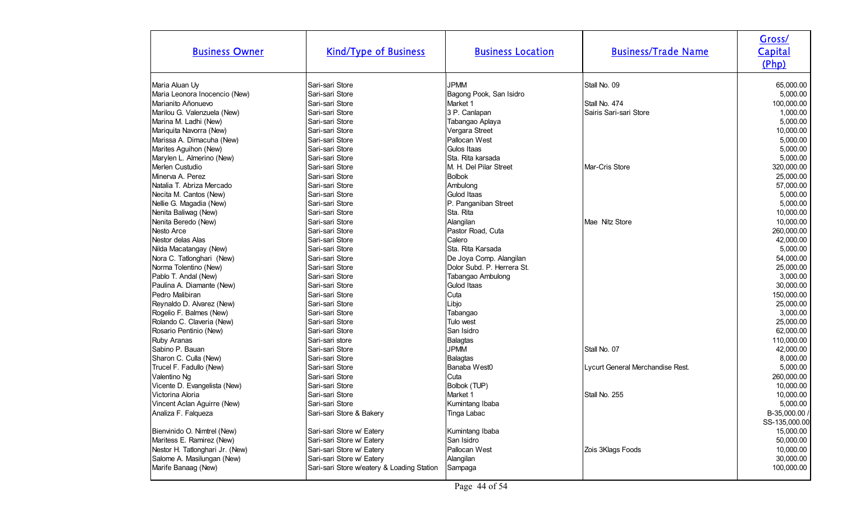| <b>Business Owner</b>           | <b>Kind/Type of Business</b>               | <b>Business Location</b>   | <b>Business/Trade Name</b>       | Gross/<br>Capital<br>(Php) |
|---------------------------------|--------------------------------------------|----------------------------|----------------------------------|----------------------------|
| Maria Aluan Uy                  | Sari-sari Store                            | <b>JPMM</b>                | Stall No. 09                     | 65,000.00                  |
| Maria Leonora Inocencio (New)   | Sari-sari Store                            | Bagong Pook, San Isidro    |                                  | 5,000.00                   |
| Marianito Añonuevo              | Sari-sari Store                            | Market 1                   | Stall No. 474                    | 100,000.00                 |
| Marilou G. Valenzuela (New)     | Sari-sari Store                            | 3 P. Canlapan              | Sairis Sari-sari Store           | 1,000.00                   |
| Marina M. Ladhi (New)           | Sari-sari Store                            | Tabangao Aplaya            |                                  | 5,000.00                   |
| Mariquita Navorra (New)         | Sari-sari Store                            | Vergara Street             |                                  | 10,000.00                  |
| Marissa A. Dimacuha (New)       | Sari-sari Store                            | Pallocan West              |                                  | 5,000.00                   |
| Marites Aguihon (New)           | Sari-sari Store                            | Gulos Itaas                |                                  | 5,000.00                   |
| Marylen L. Almerino (New)       | Sari-sari Store                            | Sta. Rita karsada          |                                  | 5,000.00                   |
| Merlen Custudio                 | Sari-sari Store                            | IM. H. Del Pilar Street    | Mar-Cris Store                   | 320,000.00                 |
| Minerva A. Perez                | Sari-sari Store                            | <b>Bolbok</b>              |                                  | 25,000.00                  |
| Natalia T. Abriza Mercado       | Sari-sari Store                            | Ambulong                   |                                  | 57,000.00                  |
| Necita M. Cantos (New)          | Sari-sari Store                            | Gulod Itaas                |                                  | 5,000.00                   |
| Nellie G. Magadia (New)         | Sari-sari Store                            | P. Panganiban Street       |                                  | 5,000.00                   |
| Nenita Baliwag (New)            | Sari-sari Store                            | Sta. Rita                  |                                  | 10,000.00                  |
| Nenita Beredo (New)             | Sari-sari Store                            | Alangilan                  | Mae Nitz Store                   | 10,000.00                  |
| Nesto Arce                      | Sari-sari Store                            | Pastor Road, Cuta          |                                  | 260,000.00                 |
| Nestor delas Alas               | Sari-sari Store                            | Calero                     |                                  | 42,000.00                  |
| Nilda Macatangay (New)          | Sari-sari Store                            | Sta. Rita Karsada          |                                  | 5,000.00                   |
| Nora C. Tatlonghari (New)       | Sari-sari Store                            | De Joya Comp. Alangilan    |                                  | 54,000.00                  |
| Norma Tolentino (New)           | Sari-sari Store                            | Dolor Subd. P. Herrera St. |                                  | 25,000.00                  |
| Pablo T. Andal (New)            | Sari-sari Store                            | Tabangao Ambulong          |                                  | 3,000.00                   |
| Paulina A. Diamante (New)       | Sari-sari Store                            | Gulod Itaas                |                                  | 30,000.00                  |
| Pedro Malibiran                 | Sari-sari Store                            | Cuta                       |                                  | 150,000.00                 |
| Reynaldo D. Alvarez (New)       | Sari-sari Store                            | Libjo                      |                                  | 25,000.00                  |
| Rogelio F. Balmes (New)         | Sari-sari Store                            | Tabangao                   |                                  | 3,000.00                   |
| Rolando C. Claveria (New)       | Sari-sari Store                            | Tulo west                  |                                  | 25,000.00                  |
| Rosario Pentinio (New)          | Sari-sari Store                            | San Isidro                 |                                  | 62,000.00                  |
| Ruby Aranas                     | Sari-sari store                            | <b>Balagtas</b>            |                                  | 110,000.00                 |
| Sabino P. Bauan                 | Sari-sari Store                            | <b>JPMM</b>                | Stall No. 07                     | 42,000.00                  |
| Sharon C. Culla (New)           | Sari-sari Store                            | <b>Balagtas</b>            |                                  | 8,000.00                   |
| Trucel F. Fadullo (New)         | Sari-sari Store                            | Banaba West0               | Lycurt General Merchandise Rest. | 5,000.00                   |
| Valentino Ng                    | Sari-sari Store                            | Cuta                       |                                  | 260,000.00                 |
| Vicente D. Evangelista (New)    | Sari-sari Store                            | Bolbok (TUP)               |                                  | 10,000.00                  |
| Victorina Aloria                | Sari-sari Store                            | Market 1                   | Stall No. 255                    | 10,000.00                  |
| Vincent Aclan Aguirre (New)     | Sari-sari Store                            | Kumintang Ibaba            |                                  | 5,000.00                   |
| Analiza F. Falqueza             | Sari-sari Store & Bakery                   | Tinga Labac                |                                  | B-35,000.00 /              |
|                                 |                                            |                            |                                  | SS-135,000.00              |
| Bienvinido O. Nimtrel (New)     | Sari-sari Store w/ Eatery                  | Kumintang Ibaba            |                                  | 15,000.00                  |
| Maritess E. Ramirez (New)       | Sari-sari Store w/ Eatery                  | San Isidro                 |                                  | 50,000.00                  |
| Nestor H. Tatlonghari Jr. (New) | Sari-sari Store w/ Eatery                  | Pallocan West              | Zois 3Klags Foods                | 10,000.00                  |
| Salome A. Masilungan (New)      | Sari-sari Store w/ Eatery                  | Alangilan                  |                                  | 30,000.00                  |
| Marife Banaag (New)             | Sari-sari Store w/eatery & Loading Station | Sampaga                    |                                  | 100,000.00                 |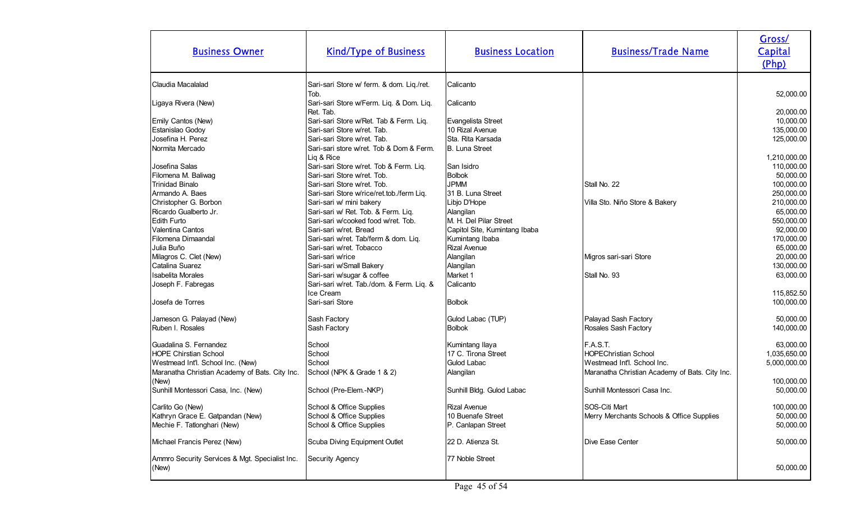| <b>Business Owner</b>                                                                                                                         | <b>Kind/Type of Business</b>                                                                                                                      | <b>Business Location</b>                                                     | <b>Business/Trade Name</b>                                                                                               | Gross/<br>Capital<br>(Php)                |
|-----------------------------------------------------------------------------------------------------------------------------------------------|---------------------------------------------------------------------------------------------------------------------------------------------------|------------------------------------------------------------------------------|--------------------------------------------------------------------------------------------------------------------------|-------------------------------------------|
| Claudia Macalalad                                                                                                                             | Sari-sari Store w/ ferm. & dom. Liq./ret.<br>Tob.                                                                                                 | Calicanto                                                                    |                                                                                                                          | 52,000.00                                 |
| Ligaya Rivera (New)                                                                                                                           | Sari-sari Store w/Ferm. Liq. & Dom. Liq.<br>Ret. Tab.                                                                                             | Calicanto                                                                    |                                                                                                                          | 20,000.00                                 |
| Emily Cantos (New)<br>Estanislao Godoy<br>Josefina H. Perez<br>Normita Mercado                                                                | Sari-sari Store w/Ret. Tab & Ferm. Liq.<br>Sari-sari Store w/ret. Tab.<br>Sari-sari Store w/ret. Tab.<br>Sari-sari store w/ret. Tob & Dom & Ferm. | Evangelista Street<br>10 Rizal Avenue<br>Sta. Rita Karsada<br>B. Luna Street |                                                                                                                          | 10,000.00<br>135,000.00<br>125,000.00     |
| Josefina Salas<br>Filomena M. Baliwag                                                                                                         | Liq & Rice<br>Sari-sari Store w/ret. Tob & Ferm. Liq.<br>Sari-sari Store w/ret. Tob.                                                              | <b>San Isidro</b><br>Bolbok                                                  |                                                                                                                          | 1,210,000.00<br>110,000.00<br>50,000.00   |
| <b>Trinidad Binalo</b><br>Armando A. Baes<br>Christopher G. Borbon                                                                            | Sari-sari Store w/ret. Tob.<br>Sari-sari Store w/rice/ret.tob./ferm Liq.<br>Sari-sari w/ mini bakery                                              | <b>JPMM</b><br>31 B. Luna Street<br>Libjo D'Hope                             | Stall No. 22<br>Villa Sto. Niño Store & Bakery                                                                           | 100,000.00<br>250,000.00<br>210,000.00    |
| Ricardo Gualberto Jr.<br><b>Edith Furto</b><br>Valentina Cantos                                                                               | Sari-sari w/ Ret. Tob. & Ferm. Liq.<br>Sari-sari w/cooked food w/ret. Tob.<br>Sari-sari w/ret. Bread                                              | Alangilan<br>M. H. Del Pilar Street<br>Capitol Site, Kumintang Ibaba         |                                                                                                                          | 65,000.00<br>550,000.00<br>92,000.00      |
| Filomena Dimaandal<br>Julia Buño<br>Milagros C. Clet (New)                                                                                    | Sari-sari w/ret. Tab/ferm & dom. Liq.<br>Sari-sari w/ret. Tobacco<br>Sari-sari w/rice                                                             | Kumintang Ibaba<br>Rizal Avenue<br>Alangilan                                 | Migros sari-sari Store                                                                                                   | 170,000.00<br>65,000.00<br>20,000.00      |
| Catalina Suarez<br><b>Isabelita Morales</b><br>Joseph F. Fabregas                                                                             | Sari-sari w/Small Bakery<br>Sari-sari w/sugar & coffee<br>Sari-sari w/ret. Tab./dom. & Ferm. Liq. &                                               | Alangilan<br>Market 1<br>Calicanto                                           | Stall No. 93                                                                                                             | 130,000.00<br>63,000.00                   |
| Josefa de Torres                                                                                                                              | Ice Cream<br>Sari-sari Store                                                                                                                      | Bolbok                                                                       |                                                                                                                          | 115,852.50<br>100,000.00                  |
| Jameson G. Palayad (New)<br>Ruben I. Rosales                                                                                                  | Sash Factory<br>Sash Factory                                                                                                                      | Gulod Labac (TUP)<br>Bolbok                                                  | Palayad Sash Factory<br>Rosales Sash Factory                                                                             | 50,000.00<br>140,000.00                   |
| Guadalina S. Fernandez<br><b>HOPE Chirstian School</b><br>Westmead Int'l. School Inc. (New)<br>Maranatha Christian Academy of Bats. City Inc. | School<br>School<br>School<br>School (NPK & Grade 1 & 2)                                                                                          | Kumintang Ilaya<br>17 C. Tirona Street<br>Gulod Labac<br>Alangilan           | F.A.S.T.<br><b>HOPEChristian School</b><br>Westmead Int'l. School Inc.<br>Maranatha Christian Academy of Bats. City Inc. | 63,000.00<br>1,035,650.00<br>5,000,000.00 |
| (New)<br>Sunhill Montessori Casa, Inc. (New)                                                                                                  | School (Pre-Elem.-NKP)                                                                                                                            | Sunhill Bldg. Gulod Labac                                                    | Sunhill Montessori Casa Inc.                                                                                             | 100,000.00<br>50,000.00                   |
| Carlito Go (New)<br>Kathryn Grace E. Gatpandan (New)<br>Mechie F. Tatlonghari (New)                                                           | School & Office Supplies<br>School & Office Supplies<br>School & Office Supplies                                                                  | Rizal Avenue<br>10 Buenafe Street<br>P. Canlapan Street                      | SOS-Citi Mart<br>Merry Merchants Schools & Office Supplies                                                               | 100,000.00<br>50,000.00<br>50,000.00      |
| Michael Francis Perez (New)                                                                                                                   | Scuba Diving Equipment Outlet                                                                                                                     | 22 D. Atienza St.                                                            | Dive Ease Center                                                                                                         | 50,000.00                                 |
| Ammro Security Services & Mgt. Specialist Inc.<br>(New)                                                                                       | Security Agency                                                                                                                                   | 77 Noble Street                                                              |                                                                                                                          | 50,000.00                                 |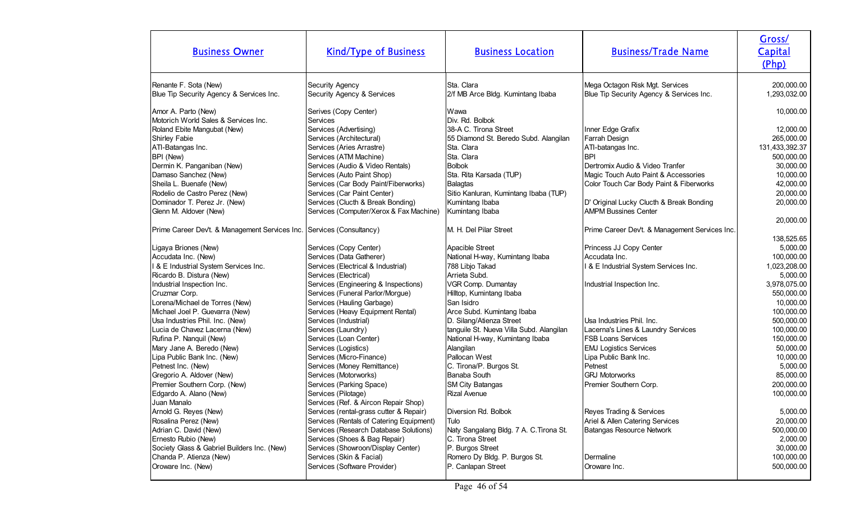| <b>Business Owner</b>                                                 | <b>Kind/Type of Business</b>                  | <b>Business Location</b>                        | <b>Business/Trade Name</b>                                                  | Gross/<br>Capital<br>(Php) |
|-----------------------------------------------------------------------|-----------------------------------------------|-------------------------------------------------|-----------------------------------------------------------------------------|----------------------------|
| Renante F. Sota (New)<br>Blue Tip Security Agency & Services Inc.     | Security Agency<br>Security Agency & Services | Sta. Clara<br>2/f MB Arce Bldg. Kumintang Ibaba | Mega Octagon Risk Mgt. Services<br>Blue Tip Security Agency & Services Inc. | 200,000.00<br>1,293,032.00 |
| Amor A. Parto (New)<br>Motorich World Sales & Services Inc.           | Serives (Copy Center)<br>Services             | Wawa<br>Div. Rd. Bolbok                         |                                                                             | 10,000.00                  |
| Roland Ebite Mangubat (New)                                           | Services (Advertising)                        | 38-A C. Tirona Street                           | Inner Edge Grafix                                                           | 12,000.00                  |
| <b>Shirley Fabie</b>                                                  | Services (Architectural)                      | 55 Diamond St. Beredo Subd. Alangilan           | Farrah Design                                                               | 265,000.00                 |
| ATI-Batangas Inc.                                                     | Services (Aries Arrastre)                     | Sta. Clara                                      | ATI-batangas Inc.                                                           | 131,433,392.37             |
| BPI (New)                                                             | Services (ATM Machine)                        | Sta. Clara                                      | <b>IBPI</b>                                                                 | 500,000.00                 |
| Dermin K. Panganiban (New)                                            | Services (Audio & Video Rentals)              | Bolbok                                          | Dertromix Audio & Video Tranfer                                             | 30,000.00                  |
| Damaso Sanchez (New)                                                  | Services (Auto Paint Shop)                    | Sta. Rita Karsada (TUP)                         | Magic Touch Auto Paint & Accessories                                        | 10,000.00                  |
| Sheila L. Buenafe (New)                                               | Services (Car Body Paint/Fiberworks)          | Balagtas                                        | Color Touch Car Body Paint & Fiberworks                                     | 42,000.00                  |
| Rodelio de Castro Perez (New)                                         | Services (Car Paint Center)                   | Sitio Kanluran, Kumintang Ibaba (TUP)           |                                                                             | 20,000.00                  |
| Dominador T. Perez Jr. (New)                                          | Services (Clucth & Break Bonding)             | Kumintang Ibaba                                 | D' Original Lucky Clucth & Break Bonding                                    | 20,000.00                  |
| Glenn M. Aldover (New)                                                | Services (Computer/Xerox & Fax Machine)       | Kumintang Ibaba                                 | <b>AMPM Bussines Center</b>                                                 |                            |
| Prime Career Dev't. & Management Services Inc. Services (Consultancy) |                                               | M. H. Del Pilar Street                          | Prime Career Dev't. & Management Services Inc.                              | 20,000.00<br>138,525.65    |
| Ligaya Briones (New)                                                  | Services (Copy Center)                        | Apacible Street                                 | Princess JJ Copy Center                                                     | 5,000.00                   |
| Accudata Inc. (New)                                                   | Services (Data Gatherer)                      | National H-way, Kumintang Ibaba                 | Accudata Inc.                                                               | 100,000.00                 |
| I & E Industrial System Services Inc.                                 | Services (Electrical & Industrial)            | 788 Libjo Takad                                 | 8 E Industrial System Services Inc.                                         | 1,023,208.00               |
| Ricardo B. Distura (New)                                              | Services (Electrical)                         | Arrieta Subd.                                   |                                                                             | 5,000.00                   |
| Industrial Inspection Inc.                                            | Services (Engineering & Inspections)          | VGR Comp. Dumantay                              | Industrial Inspection Inc.                                                  | 3,978,075.00               |
| Cruzmar Corp.                                                         | Services (Funeral Parlor/Morgue)              | Hilltop, Kumintang Ibaba                        |                                                                             | 550,000.00                 |
| Lorena/Michael de Torres (New)                                        | Services (Hauling Garbage)                    | San Isidro                                      |                                                                             | 10,000.00                  |
| Michael Joel P. Guevarra (New)                                        | Services (Heavy Equipment Rental)             | Arce Subd. Kumintang Ibaba                      |                                                                             | 100,000.00                 |
| Usa Industries Phil. Inc. (New)                                       | Services (Industrial)                         | D. Silang/Atienza Street                        | Usa Industries Phil. Inc.                                                   | 500,000.00                 |
| Lucia de Chavez Lacerna (New)                                         | Services (Laundry)                            | tanguile St. Nueva Villa Subd. Alangilan        | Lacerna's Lines & Laundry Services                                          | 100,000.00                 |
| Rufina P. Nanquil (New)                                               | Services (Loan Center)                        | National H-way, Kumintang Ibaba                 | <b>IFSB Loans Services</b>                                                  | 150,000.00                 |
| Mary Jane A. Beredo (New)                                             | Services (Logistics)                          | Alangilan                                       | <b>EMJ Logistics Services</b>                                               | 50,000.00                  |
| Lipa Public Bank Inc. (New)                                           | Services (Micro-Finance)                      | Pallocan West                                   | Lipa Public Bank Inc.                                                       | 10,000.00                  |
| Petnest Inc. (New)                                                    | Services (Money Remittance)                   | C. Tirona/P. Burgos St.                         | <b>Petnest</b>                                                              | 5,000.00                   |
| Gregorio A. Aldover (New)                                             | Services (Motorworks)                         | Banaba South                                    | <b>GRJ Motorworks</b>                                                       | 85,000.00                  |
| Premier Southern Corp. (New)                                          | Services (Parking Space)                      | <b>SM City Batangas</b>                         | Premier Southern Corp.                                                      | 200,000.00                 |
| Edgardo A. Alano (New)                                                | Services (Pilotage)                           | Rizal Avenue                                    |                                                                             | 100,000.00                 |
| Juan Manalo                                                           | Services (Ref. & Aircon Repair Shop)          |                                                 |                                                                             |                            |
| Arnold G. Reyes (New)                                                 | Services (rental-grass cutter & Repair)       | Diversion Rd. Bolbok                            | Reyes Trading & Services                                                    | 5,000.00                   |
| Rosalina Perez (New)                                                  | Services (Rentals of Catering Equipment)      | Tulo                                            | Ariel & Allen Catering Services                                             | 20,000.00                  |
| Adrian C. David (New)                                                 | Services (Research Database Solutions)        | Naty Sangalang Bldg. 7 A. C. Tirona St.         | Batangas Resource Network                                                   | 500,000.00                 |
| Ernesto Rubio (New)                                                   | Services (Shoes & Bag Repair)                 | C. Tirona Street                                |                                                                             | 2,000.00                   |
| Society Glass & Gabriel Builders Inc. (New)                           | Services (Showroon/Display Center)            | P. Burgos Street                                |                                                                             | 30,000.00                  |
| Chanda P. Atienza (New)                                               | Services (Skin & Facial)                      | Romero Dy Bldg. P. Burgos St.                   | Dermaline                                                                   | 100,000.00                 |
| Oroware Inc. (New)                                                    | Services (Software Provider)                  | P. Canlapan Street                              | Oroware Inc.                                                                | 500,000.00                 |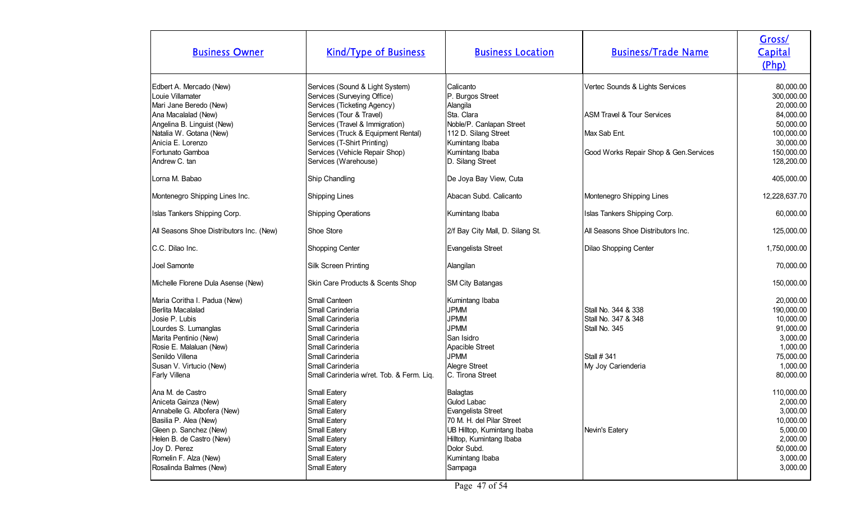| <b>Business Owner</b>                                                                                                                                                                                                     | <b>Kind/Type of Business</b>                                                                                                                                                                                                                                                                 | <b>Business Location</b>                                                                                                                                                                  | <b>Business/Trade Name</b>                                                                                                         | Gross/<br>Capital<br>(Php)                                                                                            |
|---------------------------------------------------------------------------------------------------------------------------------------------------------------------------------------------------------------------------|----------------------------------------------------------------------------------------------------------------------------------------------------------------------------------------------------------------------------------------------------------------------------------------------|-------------------------------------------------------------------------------------------------------------------------------------------------------------------------------------------|------------------------------------------------------------------------------------------------------------------------------------|-----------------------------------------------------------------------------------------------------------------------|
| Edbert A. Mercado (New)<br>Louie Villamater<br>Mari Jane Beredo (New)<br>Ana Macalalad (New)<br>Angelina B. Linguist (New)<br>Natalia W. Gotana (New)<br>Anicia E. Lorenzo<br>Fortunato Gamboa<br>Andrew C. tan           | Services (Sound & Light System)<br>Services (Surveying Office)<br>Services (Ticketing Agency)<br>Services (Tour & Travel)<br>Services (Travel & Immigration)<br>Services (Truck & Equipment Rental)<br>Services (T-Shirt Printing)<br>Services (Vehicle Repair Shop)<br>Services (Warehouse) | Calicanto<br>P. Burgos Street<br>Alangila<br>Sta. Clara<br>Noble/P. Canlapan Street<br>112 D. Silang Street<br>Kumintang Ibaba<br>Kumintang Ibaba<br>D. Silang Street                     | Vertec Sounds & Lights Services<br><b>ASM Travel &amp; Tour Services</b><br>Max Sab Ent.<br>Good Works Repair Shop & Gen. Services | 80,000.00<br>300,000.00<br>20,000.00<br>84,000.00<br>50,000.00<br>100,000.00<br>30,000.00<br>150,000.00<br>128,200.00 |
| Lorna M. Babao                                                                                                                                                                                                            | Ship Chandling                                                                                                                                                                                                                                                                               | De Joya Bay View, Cuta                                                                                                                                                                    |                                                                                                                                    | 405,000.00                                                                                                            |
| Montenegro Shipping Lines Inc.                                                                                                                                                                                            | Shipping Lines                                                                                                                                                                                                                                                                               | Abacan Subd. Calicanto                                                                                                                                                                    | Montenegro Shipping Lines                                                                                                          | 12,228,637.70                                                                                                         |
| Islas Tankers Shipping Corp.                                                                                                                                                                                              | Shipping Operations                                                                                                                                                                                                                                                                          | Kumintang Ibaba                                                                                                                                                                           | Islas Tankers Shipping Corp.                                                                                                       | 60,000.00                                                                                                             |
| All Seasons Shoe Distributors Inc. (New)                                                                                                                                                                                  | Shoe Store                                                                                                                                                                                                                                                                                   | 2/f Bay City Mall, D. Silang St.                                                                                                                                                          | All Seasons Shoe Distributors Inc.                                                                                                 | 125,000.00                                                                                                            |
| C.C. Dilao Inc.                                                                                                                                                                                                           | Shopping Center                                                                                                                                                                                                                                                                              | Evangelista Street                                                                                                                                                                        | Dilao Shopping Center                                                                                                              | 1,750,000.00                                                                                                          |
| Joel Samonte                                                                                                                                                                                                              | Silk Screen Printing                                                                                                                                                                                                                                                                         | Alangilan                                                                                                                                                                                 |                                                                                                                                    | 70,000.00                                                                                                             |
| Michelle Florene Dula Asense (New)                                                                                                                                                                                        | Skin Care Products & Scents Shop                                                                                                                                                                                                                                                             | <b>SM City Batangas</b>                                                                                                                                                                   |                                                                                                                                    | 150,000.00                                                                                                            |
| Maria Coritha I. Padua (New)<br>Berlita Macalalad<br>Josie P. Lubis<br>Lourdes S. Lumanglas<br>Marita Pentinio (New)<br>Rosie E. Malaluan (New)<br>Senildo Villena<br>Susan V. Virtucio (New)<br>Farly Villena            | Small Canteen<br>Small Carinderia<br>Small Carinderia<br>Small Carinderia<br>Small Carinderia<br>Small Carinderia<br>Small Carinderia<br>Small Carinderia<br>Small Carinderia w/ret. Tob. & Ferm. Liq.                                                                                       | Kumintang Ibaba<br><b>JPMM</b><br><b>JPMM</b><br><b>JPMM</b><br>San Isidro<br>Apacible Street<br><b>JPMM</b><br>Alegre Street<br>C. Tirona Street                                         | Stall No. 344 & 338<br>Stall No. 347 & 348<br>Stall No. 345<br><b>Stall #341</b><br>My Joy Carienderia                             | 20,000.00<br>190,000.00<br>10,000.00<br>91,000.00<br>3,000.00<br>1,000.00<br>75,000.00<br>1,000.00<br>80,000.00       |
| Ana M. de Castro<br>Aniceta Gainza (New)<br>Annabelle G. Albofera (New)<br>Basilia P. Alea (New)<br>Gleen p. Sanchez (New)<br>Helen B. de Castro (New)<br>Joy D. Perez<br>Romelin F. Alza (New)<br>Rosalinda Balmes (New) | Small Eatery<br>Small Eatery<br>Small Eatery<br>Small Eatery<br>Small Eatery<br>Small Eatery<br>Small Eatery<br>Small Eatery<br>Small Eatery                                                                                                                                                 | <b>Balagtas</b><br>Gulod Labac<br>Evangelista Street<br>70 M. H. del Pilar Street<br>UB Hilltop, Kumintang Ibaba<br>Hilltop, Kumintang Ibaba<br>Dolor Subd.<br>Kumintang Ibaba<br>Sampaga | Nevin's Eatery                                                                                                                     | 110,000.00<br>2,000.00<br>3,000.00<br>10,000.00<br>5,000.00<br>2,000.00<br>50,000.00<br>3,000.00<br>3,000.00          |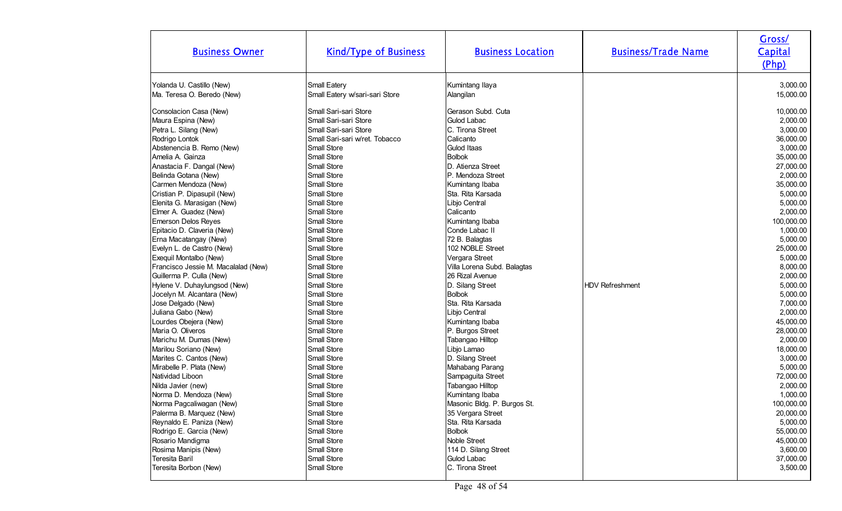| <b>Business Owner</b>               | <b>Kind/Type of Business</b>   | <b>Business Location</b>    | <b>Business/Trade Name</b> | Gross/<br>Capital<br>(Php) |
|-------------------------------------|--------------------------------|-----------------------------|----------------------------|----------------------------|
| Yolanda U. Castillo (New)           | Small Eatery                   | Kumintang Ilaya             |                            | 3,000.00                   |
| Ma. Teresa O. Beredo (New)          | Small Eatery w/sari-sari Store | Alangilan                   |                            | 15,000.00                  |
| Consolacion Casa (New)              | Small Sari-sari Store          | Gerason Subd. Cuta          | <b>HDV Refreshment</b>     | 10,000.00                  |
| Maura Espina (New)                  | Small Sari-sari Store          | Gulod Labac                 |                            | 2,000.00                   |
| Petra L. Silang (New)               | Small Sari-sari Store          | C. Tirona Street            |                            | 3,000.00                   |
| Rodrigo Lontok                      | Small Sari-sari w/ret. Tobacco | Calicanto                   |                            | 36,000.00                  |
| Abstenencia B. Remo (New)           | Small Store                    | Gulod Itaas                 |                            | 3,000.00                   |
| Amelia A. Gainza                    | Small Store                    | <b>Bolbok</b>               |                            | 35,000.00                  |
| Anastacia F. Dangal (New)           | Small Store                    | D. Atienza Street           |                            | 27,000.00                  |
| Belinda Gotana (New)                | Small Store                    | IP. Mendoza Street          |                            | 2,000.00                   |
| Carmen Mendoza (New)                | Small Store                    | Kumintang Ibaba             |                            | 35,000.00                  |
| Cristian P. Dipasupil (New)         | Small Store                    | Sta. Rita Karsada           |                            | 5,000.00                   |
| Elenita G. Marasigan (New)          | Small Store                    | Libjo Central               |                            | 5,000.00                   |
| Elmer A. Guadez (New)               | Small Store                    | Calicanto                   |                            | 2,000.00                   |
| <b>Emerson Delos Reyes</b>          | Small Store                    | Kumintang Ibaba             |                            | 100,000.00                 |
| Epitacio D. Claveria (New)          | Small Store                    | Conde Labac II              |                            | 1,000.00                   |
| Erna Macatangay (New)               | Small Store                    | 72 B. Balagtas              |                            | 5,000.00                   |
| Evelyn L. de Castro (New)           | Small Store                    | 102 NOBLE Street            |                            | 25,000.00                  |
| Exequil Montalbo (New)              | Small Store                    | Vergara Street              |                            | 5,000.00                   |
| Francisco Jessie M. Macalalad (New) | Small Store                    | Villa Lorena Subd. Balagtas |                            | 8,000.00                   |
| Guillerma P. Culla (New)            | Small Store                    | 26 Rizal Avenue             |                            | 2,000.00                   |
| Hylene V. Duhaylungsod (New)        | Small Store                    | D. Silang Street            |                            | 5,000.00                   |
| Jocelyn M. Alcantara (New)          | Small Store                    | <b>Bolbok</b>               |                            | 5,000.00                   |
| Jose Delgado (New)                  | Small Store                    | Sta. Rita Karsada           |                            | 7,000.00                   |
| Juliana Gabo (New)                  | Small Store                    | Libjo Central               |                            | 2,000.00                   |
| Lourdes Obejera (New)               | Small Store                    | Kumintang Ibaba             |                            | 45,000.00                  |
| Maria O. Oliveros                   | Small Store                    | P. Burgos Street            |                            | 28,000.00                  |
| Marichu M. Dumas (New)              | Small Store                    | Tabangao Hilltop            |                            | 2,000.00                   |
| Marilou Soriano (New)               | Small Store                    | Libjo Lamao                 |                            | 18,000.00                  |
| Marites C. Cantos (New)             | Small Store                    | D. Silang Street            |                            | 3,000.00                   |
| Mirabelle P. Plata (New)            | Small Store                    | Mahabang Parang             |                            | 5,000.00                   |
| Natividad Liboon                    | Small Store                    | Sampaguita Street           |                            | 72,000.00                  |
| Nilda Javier (new)                  | Small Store                    | Tabangao Hilltop            |                            | 2,000.00                   |
| Norma D. Mendoza (New)              | Small Store                    | Kumintang Ibaba             |                            | 1,000.00                   |
| Norma Pagcaliwagan (New)            | Small Store                    | Masonic Bldg. P. Burgos St. |                            | 100,000.00                 |
| Palerma B. Marquez (New)            | Small Store                    | 35 Vergara Street           |                            | 20,000.00                  |
| Reynaldo E. Paniza (New)            | Small Store                    | Sta. Rita Karsada           |                            | 5,000.00                   |
| Rodrigo E. Garcia (New)             | Small Store                    | <b>Bolbok</b>               |                            | 55,000.00                  |
| Rosario Mandigma                    | Small Store                    | Noble Street                |                            | 45,000.00                  |
| Rosima Manipis (New)                | Small Store                    | 114 D. Silang Street        |                            | 3,600.00                   |
| Teresita Baril                      | Small Store                    | Gulod Labac                 |                            | 37,000.00                  |
| Teresita Borbon (New)               | Small Store                    | C. Tirona Street            |                            | 3,500.00                   |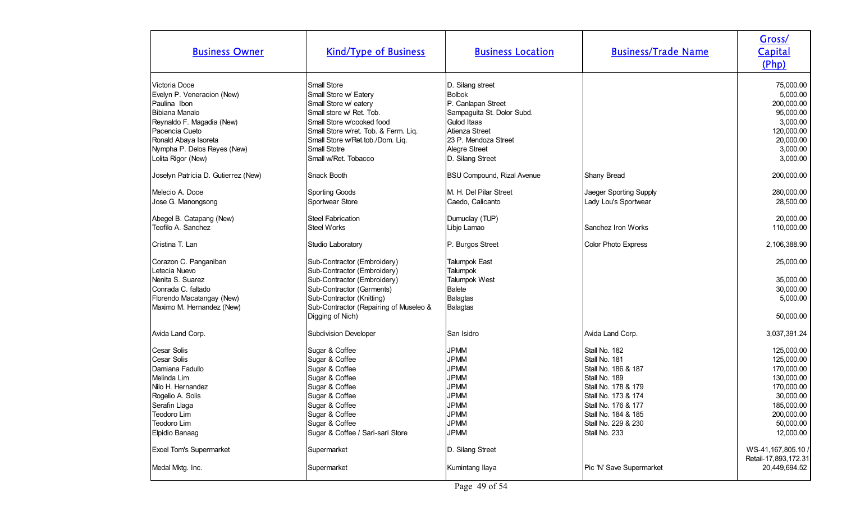| <b>Business Owner</b>                                                                                                                                                                                    | <b>Kind/Type of Business</b>                                                                                                                                                                                                               | <b>Business Location</b>                                                                                                                                               | <b>Business/Trade Name</b>                                                                                                                                                                                 | Gross/<br>Capital<br>(Php)                                                                                                                                                          |
|----------------------------------------------------------------------------------------------------------------------------------------------------------------------------------------------------------|--------------------------------------------------------------------------------------------------------------------------------------------------------------------------------------------------------------------------------------------|------------------------------------------------------------------------------------------------------------------------------------------------------------------------|------------------------------------------------------------------------------------------------------------------------------------------------------------------------------------------------------------|-------------------------------------------------------------------------------------------------------------------------------------------------------------------------------------|
| Victoria Doce<br>Evelyn P. Veneracion (New)<br>Paulina Ibon<br>Bibiana Manalo<br>Reynaldo F. Magadia (New)<br>Pacencia Cueto<br>Ronald Abaya Isoreta<br>Nympha P. Delos Reyes (New)                      | Small Store<br>Small Store w/ Eatery<br>Small Store w/ eatery<br>Small store w/ Ret. Tob.<br>Small Store w/cooked food<br>Small Store w/ret. Tob. & Ferm. Liq.<br>Small Store w/Ret.tob./Dom. Liq.<br>Small Stotre<br>Small w/Ret. Tobacco | D. Silang street<br><b>Bolbok</b><br>P. Canlapan Street<br>Sampaguita St. Dolor Subd.<br>Gulod Itaas<br>Atienza Street<br>23 P. Mendoza Street<br>Alegre Street        |                                                                                                                                                                                                            | 75,000.00<br>5,000.00<br>200,000.00<br>95,000.00<br>3,000.00<br>120,000.00<br>20,000.00<br>3,000.00                                                                                 |
| Lolita Rigor (New)                                                                                                                                                                                       |                                                                                                                                                                                                                                            | D. Silang Street                                                                                                                                                       |                                                                                                                                                                                                            | 3,000.00                                                                                                                                                                            |
| Joselyn Patricia D. Gutierrez (New)                                                                                                                                                                      | Snack Booth                                                                                                                                                                                                                                | <b>BSU Compound, Rizal Avenue</b>                                                                                                                                      | Shany Bread                                                                                                                                                                                                | 200,000.00                                                                                                                                                                          |
| Melecio A. Doce<br>Jose G. Manongsong                                                                                                                                                                    | Sporting Goods<br>Sportwear Store                                                                                                                                                                                                          | M. H. Del Pilar Street<br>Caedo, Calicanto                                                                                                                             | Jaeger Sporting Supply<br>Lady Lou's Sportwear                                                                                                                                                             | 280,000.00<br>28,500.00                                                                                                                                                             |
| Abegel B. Catapang (New)<br>Teofilo A. Sanchez                                                                                                                                                           | <b>Steel Fabrication</b><br><b>Steel Works</b>                                                                                                                                                                                             | Dumuclay (TUP)<br>Libjo Lamao                                                                                                                                          | Sanchez Iron Works                                                                                                                                                                                         | 20,000.00<br>110,000.00                                                                                                                                                             |
| Cristina T. Lan                                                                                                                                                                                          | Studio Laboratory                                                                                                                                                                                                                          | P. Burgos Street                                                                                                                                                       | Color Photo Express                                                                                                                                                                                        | 2,106,388.90                                                                                                                                                                        |
| Corazon C. Panganiban<br>Letecia Nuevo<br>Nenita S. Suarez<br>Conrada C. faltado<br>Florendo Macatangay (New)<br>Maximo M. Hernandez (New)                                                               | Sub-Contractor (Embroidery)<br>Sub-Contractor (Embroidery)<br>Sub-Contractor (Embroidery)<br>Sub-Contractor (Garments)<br>Sub-Contractor (Knitting)<br>Sub-Contractor (Repairing of Museleo &<br>Digging of Nich)                          | <b>Talumpok East</b><br><b>Talumpok</b><br>Talumpok West<br><b>Balete</b><br>Balagtas<br><b>Balagtas</b>                                                               |                                                                                                                                                                                                            | 25,000.00<br>35,000.00<br>30,000.00<br>5,000.00<br>50,000.00                                                                                                                        |
| Avida Land Corp.                                                                                                                                                                                         | <b>Subdivision Developer</b>                                                                                                                                                                                                               | San Isidro                                                                                                                                                             | Avida Land Corp.                                                                                                                                                                                           | 3,037,391.24                                                                                                                                                                        |
| Cesar Solis<br>Cesar Solis<br>Damiana Fadullo<br>Melinda Lim<br>Nilo H. Hernandez<br>Rogelio A. Solis<br>Serafin Llaga<br>Teodoro Lim<br>Teodoro Lim<br>Elpidio Banaag<br><b>Excel Tom's Supermarket</b> | Sugar & Coffee<br>Sugar & Coffee<br>Sugar & Coffee<br>Sugar & Coffee<br>Sugar & Coffee<br>Sugar & Coffee<br>Sugar & Coffee<br>Sugar & Coffee<br>Sugar & Coffee<br>Sugar & Coffee / Sari-sari Store<br>Supermarket                          | <b>JPMM</b><br><b>JPMM</b><br><b>JPMM</b><br><b>JPMM</b><br><b>JPMM</b><br><b>JPMM</b><br><b>JPMM</b><br><b>JPMM</b><br><b>JPMM</b><br><b>JPMM</b><br>D. Silang Street | Stall No. 182<br>Stall No. 181<br>Stall No. 186 & 187<br>Stall No. 189<br>Stall No. 178 & 179<br>Stall No. 173 & 174<br>Stall No. 176 & 177<br>Stall No. 184 & 185<br>Stall No. 229 & 230<br>Stall No. 233 | 125,000.00<br>125,000.00<br>170,000.00<br>130,000.00<br>170,000.00<br>30,000.00<br>185,000.00<br>200,000.00<br>50,000.00<br>12,000.00<br>WS-41,167,805.10 /<br>Retail-17,893,172.31 |
| Medal Mktg. Inc.                                                                                                                                                                                         | Supermarket                                                                                                                                                                                                                                | Kumintang Ilaya                                                                                                                                                        | Pic 'N' Save Supermarket                                                                                                                                                                                   | 20,449,694.52                                                                                                                                                                       |
|                                                                                                                                                                                                          |                                                                                                                                                                                                                                            |                                                                                                                                                                        |                                                                                                                                                                                                            |                                                                                                                                                                                     |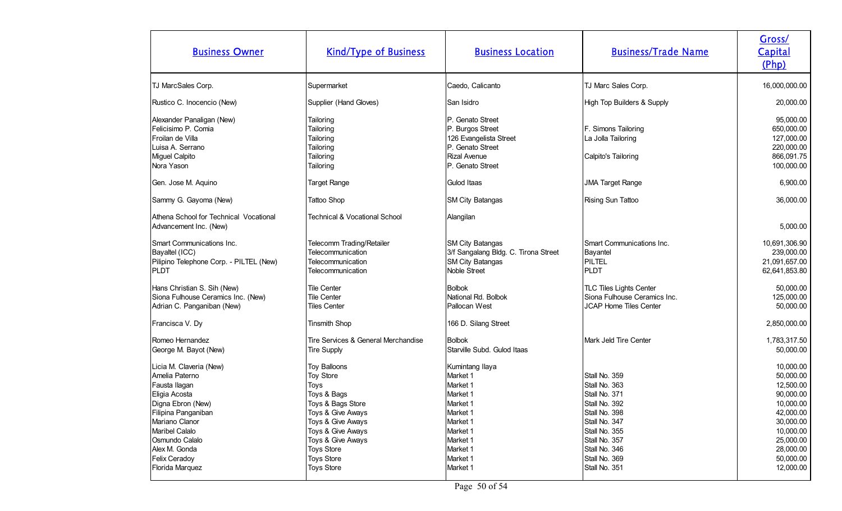| <b>Business Owner</b>                                                                                                                                                                                                              | <b>Kind/Type of Business</b>                                                                                                                                                                                                    | <b>Business Location</b>                                                                                                                            | <b>Business/Trade Name</b>                                                                                                                                                              | Gross/<br>Capital<br>(Php)                                                                                                                               |
|------------------------------------------------------------------------------------------------------------------------------------------------------------------------------------------------------------------------------------|---------------------------------------------------------------------------------------------------------------------------------------------------------------------------------------------------------------------------------|-----------------------------------------------------------------------------------------------------------------------------------------------------|-----------------------------------------------------------------------------------------------------------------------------------------------------------------------------------------|----------------------------------------------------------------------------------------------------------------------------------------------------------|
| TJ MarcSales Corp.                                                                                                                                                                                                                 | Supermarket                                                                                                                                                                                                                     | Caedo, Calicanto                                                                                                                                    | TJ Marc Sales Corp.                                                                                                                                                                     | 16,000,000.00                                                                                                                                            |
| Rustico C. Inocencio (New)                                                                                                                                                                                                         | Supplier (Hand Gloves)                                                                                                                                                                                                          | San Isidro                                                                                                                                          | High Top Builders & Supply                                                                                                                                                              | 20,000.00                                                                                                                                                |
| Alexander Panaligan (New)<br>Felicisimo P. Comia<br>Froilan de Villa<br>Luisa A. Serrano<br>Miguel Calpito<br>Nora Yason                                                                                                           | Tailoring<br>Tailoring<br>Tailoring<br>Tailoring<br>Tailoring<br>Tailoring                                                                                                                                                      | P. Genato Street<br>P. Burgos Street<br>126 Evangelista Street<br>P. Genato Street<br><b>Rizal Avenue</b><br>P. Genato Street                       | F. Simons Tailoring<br>La Jolla Tailoring<br>Calpito's Tailoring                                                                                                                        | 95,000.00<br>650,000.00<br>127,000.00<br>220,000.00<br>866,091.75<br>100,000.00                                                                          |
| Gen. Jose M. Aquino                                                                                                                                                                                                                | <b>Target Range</b>                                                                                                                                                                                                             | Gulod Itaas                                                                                                                                         | <b>JMA Target Range</b>                                                                                                                                                                 | 6,900.00                                                                                                                                                 |
| Sammy G. Gayoma (New)                                                                                                                                                                                                              | Tattoo Shop                                                                                                                                                                                                                     | <b>SM City Batangas</b>                                                                                                                             | Rising Sun Tattoo                                                                                                                                                                       | 36,000.00                                                                                                                                                |
| Athena School for Technical Vocational<br>Advancement Inc. (New)                                                                                                                                                                   | <b>Technical &amp; Vocational School</b>                                                                                                                                                                                        | Alangilan                                                                                                                                           |                                                                                                                                                                                         | 5,000.00                                                                                                                                                 |
| Smart Communications Inc.<br>Bayaltel (ICC)<br>Pilipino Telephone Corp. - PILTEL (New)<br><b>PLDT</b>                                                                                                                              | Telecomm Trading/Retailer<br>Telecommunication<br>Telecommunication<br>Telecommunication                                                                                                                                        | SM City Batangas<br>3/f Sangalang Bldg. C. Tirona Street<br><b>SM City Batangas</b><br>Noble Street                                                 | Smart Communications Inc.<br>Bayantel<br>PILTEL<br>PLDT                                                                                                                                 | 10,691,306.90<br>239,000.00<br>21,091,657.00<br>62,641,853.80                                                                                            |
| Hans Christian S. Sih (New)<br>Siona Fulhouse Ceramics Inc. (New)<br>Adrian C. Panganiban (New)                                                                                                                                    | <b>Tile Center</b><br>Tile Center<br><b>Tiles Center</b>                                                                                                                                                                        | <b>Bolbok</b><br>National Rd. Bolbok<br>Pallocan West                                                                                               | TLC Tiles Lights Center<br>Siona Fulhouse Ceramics Inc.<br><b>JCAP Home Tiles Center</b>                                                                                                | 50,000.00<br>125,000.00<br>50,000.00                                                                                                                     |
| Francisca V. Dy                                                                                                                                                                                                                    | <b>Tinsmith Shop</b>                                                                                                                                                                                                            | 166 D. Silang Street                                                                                                                                |                                                                                                                                                                                         | 2,850,000.00                                                                                                                                             |
| Romeo Hernandez<br>George M. Bayot (New)                                                                                                                                                                                           | Tire Services & General Merchandise<br><b>Tire Supply</b>                                                                                                                                                                       | <b>Bolbok</b><br>Starville Subd. Gulod Itaas                                                                                                        | Mark Jeld Tire Center                                                                                                                                                                   | 1,783,317.50<br>50,000.00                                                                                                                                |
| Licia M. Claveria (New)<br>Amelia Paterno<br>Fausta Ilagan<br>Eligia Acosta<br>Digna Ebron (New)<br>Filipina Panganiban<br>Mariano Clanor<br>Maribel Calalo<br>Osmundo Calalo<br>Alex M. Gonda<br>Felix Ceradoy<br>Florida Marquez | <b>Toy Balloons</b><br>Toy Store<br>Toys<br>Toys & Bags<br>Toys & Bags Store<br>Toys & Give Aways<br>Toys & Give Aways<br>Toys & Give Aways<br>Toys & Give Aways<br><b>Toys Store</b><br><b>Toys Store</b><br><b>Toys Store</b> | Kumintang Ilaya<br>Market 1<br>Market 1<br>Market 1<br>Market 1<br>Market 1<br>Market 1<br>Market 1<br>Market 1<br>Market 1<br>Market 1<br>Market 1 | Stall No. 359<br>Stall No. 363<br>Stall No. 371<br>Stall No. 392<br>Stall No. 398<br>Stall No. 347<br>Stall No. 355<br>Stall No. 357<br>Stall No. 346<br>Stall No. 369<br>Stall No. 351 | 10,000.00<br>50,000.00<br>12,500.00<br>90,000.00<br>10,000.00<br>42,000.00<br>30,000.00<br>10,000.00<br>25,000.00<br>28,000.00<br>50,000.00<br>12,000.00 |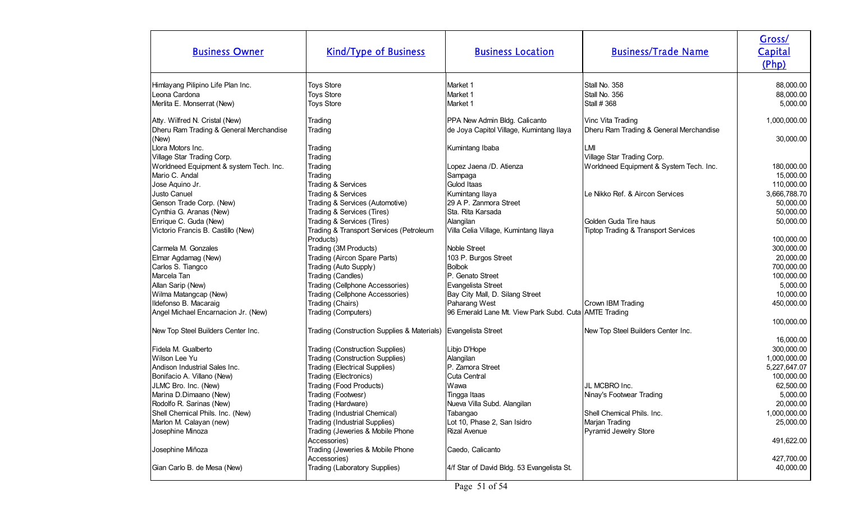| <b>Business Owner</b>                            | <b>Kind/Type of Business</b>                     | <b>Business Location</b>                              | <b>Business/Trade Name</b>                     | Gross/<br>Capital<br>(Php) |
|--------------------------------------------------|--------------------------------------------------|-------------------------------------------------------|------------------------------------------------|----------------------------|
| Himlayang Pilipino Life Plan Inc.                | <b>Toys Store</b>                                | Market 1                                              | Stall No. 358                                  | 88,000.00                  |
| Leona Cardona                                    | <b>Toys Store</b>                                | Market 1                                              | Stall No. 356                                  | 88,000.00                  |
| Merlita E. Monserrat (New)                       | <b>Toys Store</b>                                | Market 1                                              | Stall # 368                                    | 5,000.00                   |
| Atty. Wilfred N. Cristal (New)                   | Trading                                          | PPA New Admin Bldg. Calicanto                         | Vinc Vita Trading                              | 1,000,000.00               |
| Dheru Ram Trading & General Merchandise<br>(New) | Trading                                          | de Joya Capitol Village, Kumintang Ilaya              | Dheru Ram Trading & General Merchandise        | 30,000.00                  |
| Llora Motors Inc.                                | Trading                                          | Kumintang Ibaba                                       | LMI                                            |                            |
| Village Star Trading Corp.                       | Trading                                          |                                                       | Village Star Trading Corp.                     |                            |
| Worldneed Equipment & system Tech. Inc.          | Trading                                          | Lopez Jaena /D. Atienza                               | Worldneed Equipment & System Tech. Inc.        | 180,000.00                 |
| Mario C. Andal                                   | Trading                                          | Sampaga                                               |                                                | 15,000.00                  |
| Jose Aquino Jr.                                  | Trading & Services                               | Gulod Itaas                                           |                                                | 110,000.00                 |
| Justo Canuel                                     | Trading & Services                               | Kumintang Ilaya                                       | Le Nikko Ref. & Aircon Services                | 3,666,788.70               |
| Genson Trade Corp. (New)                         | Trading & Services (Automotive)                  | 29 A P. Zanmora Street                                |                                                | 50,000.00                  |
| Cynthia G. Aranas (New)                          | Trading & Services (Tires)                       | Sta. Rita Karsada                                     |                                                | 50,000.00                  |
| Enrique C. Guda (New)                            | Trading & Services (Tires)                       | Alangilan                                             | IGolden Guda Tire haus                         | 50,000.00                  |
| Victorio Francis B. Castillo (New)               | Trading & Transport Services (Petroleum          | Villa Celia Village, Kumintang Ilaya                  | <b>Tiptop Trading &amp; Transport Services</b> |                            |
|                                                  | Products)                                        |                                                       |                                                | 100,000.00                 |
| Carmela M. Gonzales                              | Trading (3M Products)                            | Noble Street                                          |                                                | 300,000.00                 |
| Elmar Agdamag (New)                              | Trading (Aircon Spare Parts)                     | 103 P. Burgos Street                                  |                                                | 20,000.00                  |
| Carlos S. Tiangco                                | Trading (Auto Supply)                            | <b>Bolbok</b>                                         |                                                | 700,000.00                 |
| Marcela Tan                                      | Trading (Candles)                                | P. Genato Street                                      |                                                | 100,000.00                 |
| Allan Sarip (New)                                | Trading (Cellphone Accessories)                  | Evangelista Street                                    |                                                | 5,000.00                   |
| Wilma Matangcap (New)                            | Trading (Cellphone Accessories)                  | Bay City Mall, D. Silang Street                       |                                                | 10,000.00                  |
| Ildefonso B. Macaraig                            | Trading (Chairs)                                 | Paharang West                                         | Crown IBM Trading                              | 450,000.00                 |
| Angel Michael Encarnacion Jr. (New)              | Trading (Computers)                              | 96 Emerald Lane Mt. View Park Subd. Cuta AMTE Trading |                                                |                            |
|                                                  |                                                  |                                                       |                                                | 100,000.00                 |
| New Top Steel Builders Center Inc.               | Trading (Construction Supplies & Materials)      | Evangelista Street                                    | New Top Steel Builders Center Inc.             |                            |
|                                                  |                                                  |                                                       |                                                | 16,000.00                  |
| Fidela M. Gualberto                              | <b>Trading (Construction Supplies)</b>           | Libjo D'Hope                                          |                                                | 300,000.00                 |
| Wilson Lee Yu                                    | <b>Trading (Construction Supplies)</b>           | Alangilan                                             |                                                | 1,000,000.00               |
| Andison Industrial Sales Inc.                    | <b>Trading (Electrical Supplies)</b>             | P. Zamora Street                                      |                                                | 5,227,647.07               |
| Bonifacio A. Villano (New)                       | Trading (Electronics)                            | Cuta Central                                          |                                                | 100,000.00                 |
| JLMC Bro. Inc. (New)                             | Trading (Food Products)                          | Wawa                                                  | JL MCBRO Inc.                                  | 62,500.00                  |
| Marina D.Dimaano (New)                           | Trading (Footwesr)                               | Tingga Itaas                                          | Ninay's Footwear Trading                       | 5,000.00                   |
| Rodolfo R. Sarinas (New)                         | Trading (Hardware)                               | Nueva Villa Subd. Alangilan                           |                                                | 20,000.00                  |
| Shell Chemical Phils. Inc. (New)                 | Trading (Industrial Chemical)                    | Tabangao                                              | Shell Chemical Phils. Inc.                     | 1,000,000.00               |
| Marlon M. Calayan (new)                          | Trading (Industrial Supplies)                    | Lot 10, Phase 2, San Isidro                           | Marjan Trading                                 | 25,000.00                  |
| Josephine Minoza                                 | Trading (Jeweries & Mobile Phone<br>Accessories) | <b>Rizal Avenue</b>                                   | Pyramid Jewelry Store                          | 491,622.00                 |
| Josephine Miñoza                                 | Trading (Jeweries & Mobile Phone                 | Caedo, Calicanto                                      |                                                |                            |
|                                                  | Accessories)                                     |                                                       |                                                | 427,700.00                 |
| Gian Carlo B. de Mesa (New)                      | Trading (Laboratory Supplies)                    | 4/f Star of David Bldg. 53 Evangelista St.            |                                                | 40,000.00                  |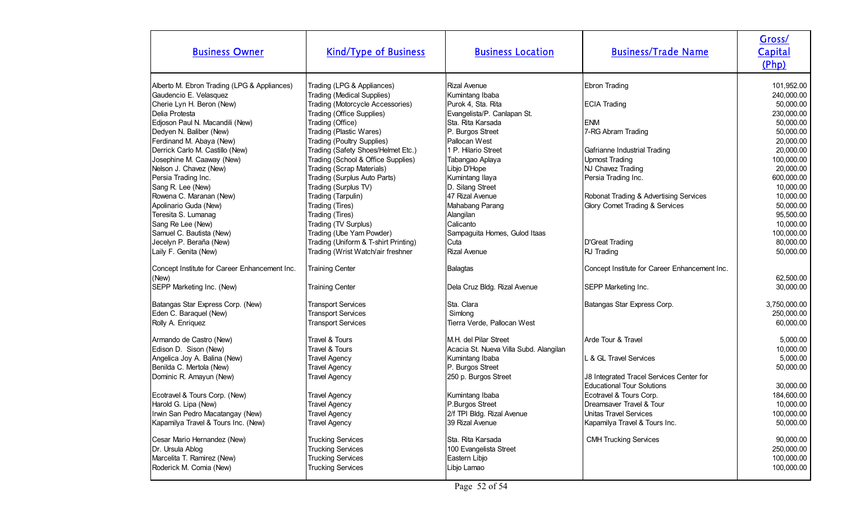| <b>Business Owner</b>                                                                                                                                                                                                              | <b>Kind/Type of Business</b>                                                                                                                                                                                                                      | <b>Business Location</b>                                                                                                                                      | <b>Business/Trade Name</b>                                                                                                                                             | Gross/<br>Capital<br>(Php)                                                                                          |
|------------------------------------------------------------------------------------------------------------------------------------------------------------------------------------------------------------------------------------|---------------------------------------------------------------------------------------------------------------------------------------------------------------------------------------------------------------------------------------------------|---------------------------------------------------------------------------------------------------------------------------------------------------------------|------------------------------------------------------------------------------------------------------------------------------------------------------------------------|---------------------------------------------------------------------------------------------------------------------|
| Alberto M. Ebron Trading (LPG & Appliances)<br>Gaudencio E. Velasquez<br>Cherie Lyn H. Beron (New)<br>Delia Protesta<br>Edjoson Paul N. Macandili (New)<br>Dedyen N. Baliber (New)<br>Ferdinand M. Abaya (New)                     | Trading (LPG & Appliances)<br><b>Trading (Medical Supplies)</b><br>Trading (Motorcycle Accessories)<br>Trading (Office Supplies)<br>Trading (Office)<br>Trading (Plastic Wares)<br>Trading (Poultry Supplies)                                     | <b>Rizal Avenue</b><br>Kumintang Ibaba<br>Purok 4, Sta. Rita<br>Evangelista/P. Canlapan St.<br>Sta. Rita Karsada<br>P. Burgos Street<br>Pallocan West         | <b>Ebron Trading</b><br><b>ECIA Trading</b><br><b>ENM</b><br>7-RG Abram Trading                                                                                        | 101,952.00<br>240,000.00<br>50,000.00<br>230,000.00<br>50,000.00<br>50,000.00<br>20,000.00                          |
| Derrick Carlo M. Castillo (New)<br>Josephine M. Caaway (New)<br>Nelson J. Chavez (New)<br>Persia Trading Inc.<br>Sang R. Lee (New)<br>Rowena C. Maranan (New)<br>Apolinario Guda (New)<br>Teresita S. Lumanag<br>Sang Re Lee (New) | Trading (Safety Shoes/Helmet Etc.)<br>Trading (School & Office Supplies)<br>Trading (Scrap Materials)<br>Trading (Surplus Auto Parts)<br>Trading (Surplus TV)<br>Trading (Tarpulin)<br>Trading (Tires)<br>Trading (Tires)<br>Trading (TV Surplus) | 1 P. Hilario Street<br>Tabangao Aplaya<br>Libjo D'Hope<br>Kumintang Ilaya<br>D. Silang Street<br>47 Rizal Avenue<br>Mahabang Parang<br>Alangilan<br>Calicanto | Gafrianne Industrial Trading<br>Upmost Trading<br>NJ Chavez Trading<br>Persia Trading Inc.<br>Robonat Trading & Advertising Services<br>Glory Comet Trading & Services | 20,000.00<br>100,000.00<br>20,000.00<br>600,000.00<br>10,000.00<br>10,000.00<br>50,000.00<br>95,500.00<br>10,000.00 |
| Samuel C. Bautista (New)<br>Jecelyn P. Beraña (New)<br>Laily F. Genita (New)<br>Concept Institute for Career Enhancement Inc.<br>(New)<br>SEPP Marketing Inc. (New)                                                                | Trading (Ube Yam Powder)<br>Trading (Uniform & T-shirt Printing)<br>Trading (Wrist Watch/air freshner<br><b>Training Center</b><br><b>Training Center</b>                                                                                         | Sampaguita Homes, Gulod Itaas<br>Cuta<br><b>Rizal Avenue</b><br>Balagtas<br>Dela Cruz Bldg. Rizal Avenue                                                      | D'Great Trading<br>RJ Trading<br>Concept Institute for Career Enhancement Inc.<br>SEPP Marketing Inc.                                                                  | 100,000.00<br>80,000.00<br>50,000.00<br>62,500.00<br>30,000.00                                                      |
| Batangas Star Express Corp. (New)<br>Eden C. Baraquel (New)<br>Rolly A. Enriquez                                                                                                                                                   | <b>Transport Services</b><br><b>Transport Services</b><br><b>Transport Services</b>                                                                                                                                                               | Sta. Clara<br>Simlong<br>Tierra Verde, Pallocan West                                                                                                          | Batangas Star Express Corp.                                                                                                                                            | 3,750,000.00<br>250,000.00<br>60,000.00                                                                             |
| Armando de Castro (New)<br>Edison D. Sison (New)<br>Angelica Joy A. Balina (New)<br>Benilda C. Mertola (New)<br>Dominic R. Amayun (New)                                                                                            | Travel & Tours<br>Travel & Tours<br><b>Travel Agency</b><br><b>Travel Agency</b><br><b>Travel Agency</b>                                                                                                                                          | IM.H. del Pilar Street<br>Acacia St. Nueva Villa Subd. Alangilan<br>Kumintang Ibaba<br>P. Burgos Street<br>250 p. Burgos Street                               | Arde Tour & Travel<br>L & GL Travel Services<br>J8 Integrated Tracel Services Center for<br><b>Educational Tour Solutions</b>                                          | 5,000.00<br>10,000.00<br>5,000.00<br>50,000.00<br>30,000.00                                                         |
| Ecotravel & Tours Corp. (New)<br>Harold G. Lipa (New)<br>Irwin San Pedro Macatangay (New)<br>Kapamilya Travel & Tours Inc. (New)                                                                                                   | <b>Travel Agency</b><br><b>Travel Agency</b><br><b>Travel Agency</b><br><b>Travel Agency</b>                                                                                                                                                      | Kumintang Ibaba<br>P.Burgos Street<br>2/f TPI Bldg. Rizal Avenue<br>39 Rizal Avenue                                                                           | Ecotravel & Tours Corp.<br>Dreamsaver Travel & Tour<br>Unitas Travel Services<br>Kapamilya Travel & Tours Inc.                                                         | 184,600.00<br>10,000.00<br>100,000.00<br>50,000.00                                                                  |
| Cesar Mario Hernandez (New)<br>Dr. Ursula Ablog<br>Marcelita T. Ramirez (New)<br>Roderick M. Comia (New)                                                                                                                           | <b>Trucking Services</b><br><b>Trucking Services</b><br><b>Trucking Services</b><br><b>Trucking Services</b>                                                                                                                                      | Sta. Rita Karsada<br>100 Evangelista Street<br>Eastern Libjo<br>Libjo Lamao                                                                                   | <b>CMH Trucking Services</b>                                                                                                                                           | 90,000.00<br>250,000.00<br>100,000.00<br>100,000.00                                                                 |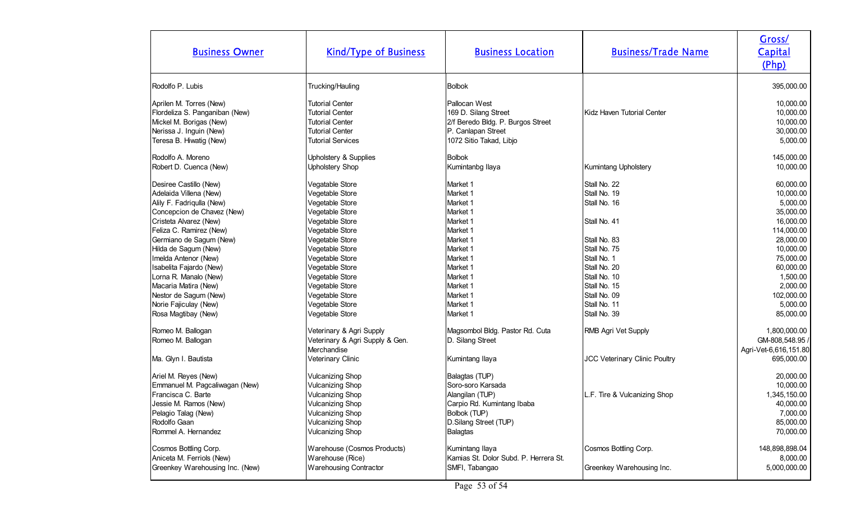| <b>Business Owner</b>                                                                                                                                                                                                                                                                                                                                                                                                 | <b>Kind/Type of Business</b>                                                                                                                                                                                                                                                                                          | <b>Business Location</b>                                                                                                                                                                                            | <b>Business/Trade Name</b>                                                                                                                                                                                                         | Gross/<br>Capital<br>(Php)                                                                                                                                                                                    |
|-----------------------------------------------------------------------------------------------------------------------------------------------------------------------------------------------------------------------------------------------------------------------------------------------------------------------------------------------------------------------------------------------------------------------|-----------------------------------------------------------------------------------------------------------------------------------------------------------------------------------------------------------------------------------------------------------------------------------------------------------------------|---------------------------------------------------------------------------------------------------------------------------------------------------------------------------------------------------------------------|------------------------------------------------------------------------------------------------------------------------------------------------------------------------------------------------------------------------------------|---------------------------------------------------------------------------------------------------------------------------------------------------------------------------------------------------------------|
| Rodolfo P. Lubis                                                                                                                                                                                                                                                                                                                                                                                                      | Trucking/Hauling                                                                                                                                                                                                                                                                                                      | <b>Bolbok</b>                                                                                                                                                                                                       |                                                                                                                                                                                                                                    | 395,000.00                                                                                                                                                                                                    |
| Aprilen M. Torres (New)<br>Flordeliza S. Panganiban (New)<br>Mickel M. Borigas (New)<br>Nerissa J. Inguin (New)<br>Teresa B. Hiwatig (New)                                                                                                                                                                                                                                                                            | <b>Tutorial Center</b><br><b>Tutorial Center</b><br><b>Tutorial Center</b><br><b>Tutorial Center</b><br><b>Tutorial Services</b>                                                                                                                                                                                      | Pallocan West<br>169 D. Silang Street<br>2/f Beredo Bldg. P. Burgos Street<br>P. Canlapan Street<br>1072 Sitio Takad, Libjo                                                                                         | Kidz Haven Tutorial Center                                                                                                                                                                                                         | 10,000.00<br>10,000.00<br>10,000.00<br>30,000.00<br>5,000.00                                                                                                                                                  |
| Rodolfo A. Moreno                                                                                                                                                                                                                                                                                                                                                                                                     | Upholstery & Supplies                                                                                                                                                                                                                                                                                                 | <b>Bolbok</b>                                                                                                                                                                                                       |                                                                                                                                                                                                                                    | 145,000.00                                                                                                                                                                                                    |
| Robert D. Cuenca (New)                                                                                                                                                                                                                                                                                                                                                                                                | <b>Upholstery Shop</b>                                                                                                                                                                                                                                                                                                | Kumintanbg Ilaya                                                                                                                                                                                                    | <b>Kumintang Upholstery</b>                                                                                                                                                                                                        | 10,000.00                                                                                                                                                                                                     |
| Desiree Castillo (New)<br>Adelaida Villena (New)<br>Alily F. Fadriqulla (New)<br>Concepcion de Chavez (New)<br>Cristeta Alvarez (New)<br>Feliza C. Ramirez (New)<br>Germiano de Sagum (New)<br>Hilda de Sagum (New)<br>Imelda Antenor (New)<br>Isabelita Fajardo (New)<br>Lorna R. Manalo (New)<br>Macaria Matira (New)<br>Nestor de Sagum (New)<br>Norie Fajiculay (New)<br>Rosa Magtibay (New)<br>Romeo M. Ballogan | Vegatable Store<br>Vegetable Store<br>Vegetable Store<br>Vegetable Store<br>Vegetable Store<br>Vegetable Store<br>Vegetable Store<br>Vegetable Store<br>Vegetable Store<br>Vegetable Store<br>Vegetable Store<br>Vegetable Store<br>Vegetable Store<br>Vegetable Store<br>Vegetable Store<br>Veterinary & Agri Supply | Market 1<br>Market 1<br>Market 1<br>Market 1<br>Market 1<br>Market 1<br>Market 1<br>Market 1<br>Market 1<br>Market 1<br>Market 1<br>Market 1<br>Market 1<br>Market 1<br>Market 1<br>Magsombol Bldg. Pastor Rd. Cuta | Stall No. 22<br>Stall No. 19<br>Stall No. 16<br>Stall No. 41<br>Stall No. 83<br>Stall No. 75<br>Stall No. 1<br>Stall No. 20<br>Stall No. 10<br>Stall No. 15<br>Stall No. 09<br>Stall No. 11<br>Stall No. 39<br>RMB Agri Vet Supply | 60,000.00<br>10,000.00<br>5,000.00<br>35,000.00<br>16,000.00<br>114,000.00<br>28,000.00<br>10,000.00<br>75,000.00<br>60,000.00<br>1,500.00<br>2,000.00<br>102,000.00<br>5,000.00<br>85,000.00<br>1,800,000.00 |
| Romeo M. Ballogan                                                                                                                                                                                                                                                                                                                                                                                                     | Veterinary & Agri Supply & Gen.<br>Merchandise                                                                                                                                                                                                                                                                        | D. Silang Street                                                                                                                                                                                                    |                                                                                                                                                                                                                                    | GM-808,548.95 /<br>Agri-Vet-6,616,151.80                                                                                                                                                                      |
| Ma. Glyn I. Bautista                                                                                                                                                                                                                                                                                                                                                                                                  | Veterinary Clinic                                                                                                                                                                                                                                                                                                     | Kumintang Ilaya                                                                                                                                                                                                     | <b>JCC Veterinary Clinic Poultry</b>                                                                                                                                                                                               | 695,000.00                                                                                                                                                                                                    |
| Ariel M. Reyes (New)<br>Emmanuel M. Pagcaliwagan (New)<br>Francisca C. Barte<br>Jessie M. Ramos (New)<br>Pelagio Talag (New)<br>Rodolfo Gaan<br>Rommel A. Hernandez                                                                                                                                                                                                                                                   | <b>Vulcanizing Shop</b><br><b>Vulcanizing Shop</b><br><b>Vulcanizing Shop</b><br><b>Vulcanizing Shop</b><br><b>Vulcanizing Shop</b><br><b>Vulcanizing Shop</b><br><b>Vulcanizing Shop</b>                                                                                                                             | Balagtas (TUP)<br>Soro-soro Karsada<br>Alangilan (TUP)<br>Carpio Rd. Kumintang Ibaba<br>Bolbok (TUP)<br>D.Silang Street (TUP)<br><b>Balagtas</b>                                                                    | L.F. Tire & Vulcanizing Shop                                                                                                                                                                                                       | 20,000.00<br>10,000.00<br>1,345,150.00<br>40,000.00<br>7,000.00<br>85,000.00<br>70,000.00                                                                                                                     |
| Cosmos Bottling Corp.<br>Aniceta M. Ferriols (New)<br>Greenkey Warehousing Inc. (New)                                                                                                                                                                                                                                                                                                                                 | Warehouse (Cosmos Products)<br>Warehouse (Rice)<br><b>Warehousing Contractor</b>                                                                                                                                                                                                                                      | Kumintang Ilaya<br>Kamias St. Dolor Subd. P. Herrera St.<br>SMFI, Tabangao                                                                                                                                          | Cosmos Bottling Corp.<br>Greenkey Warehousing Inc.                                                                                                                                                                                 | 148,898,898.04<br>8,000.00<br>5,000,000.00                                                                                                                                                                    |